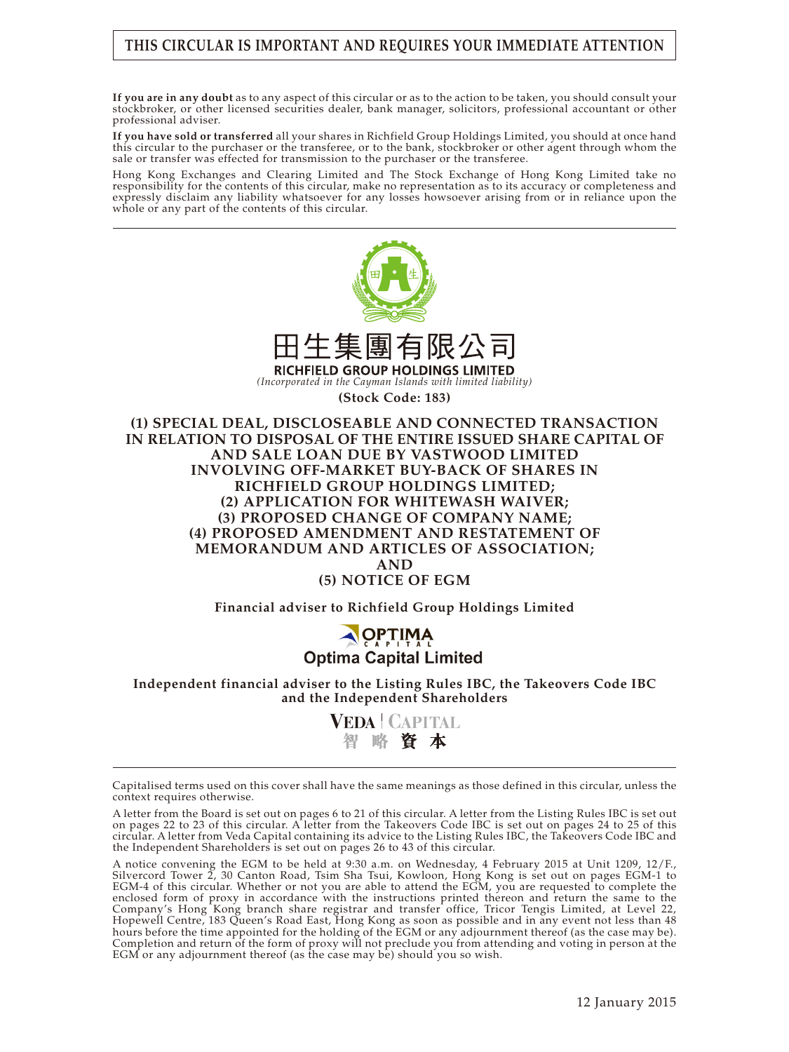# **THIS CIRCULAR IS IMPORTANT AND REQUIRES YOUR IMMEDIATE ATTENTION**

**If you are in any doubt** as to any aspect of this circular or as to the action to be taken, you should consult your stockbroker, or other licensed securities dealer, bank manager, solicitors, professional accountant or other professional adviser.

**If you have sold or transferred** all your shares in Richfield Group Holdings Limited, you should at once hand this circular to the purchaser or the transferee, or to the bank, stockbroker or other agent through whom the sale or transfer was effected for transmission to the purchaser or the transferee.

Hong Kong Exchanges and Clearing Limited and The Stock Exchange of Hong Kong Limited take no responsibility for the contents of this circular, make no representation as to its accuracy or completeness and expressly disclaim any liability whatsoever for any losses howsoever arising from or in reliance upon the whole or any part of the contents of this circular.



**Financial adviser to Richfield Group Holdings Limited**

# **OPTIMA**<br>Optima Capital Limited

#### **Independent financial adviser to the Listing Rules IBC, the Takeovers Code IBC and the Independent Shareholders**

**VEDA | CAPITAL** 智略資本

A letter from the Board is set out on pages 6 to 21 of this circular. A letter from the Listing Rules IBC is set out on pages 22 to 23 of this circular. A letter from the Takeovers Code IBC is set out on pages 24 to 25 of this circular. A letter from Veda Capital containing its advice to the Listing Rules IBC, the Takeovers Code IBC and the Independent Shareholders is set out on pages 26 to 43 of this circular.

A notice convening the EGM to be held at 9:30 a.m. on Wednesday, 4 February 2015 at Unit 1209, 12/F., Silvercord Tower 2, 30 Canton Road, Tsim Sha Tsui, Kowloon, Hong Kong is set out on pages EGM-1 to EGM-4 of this circular. Whether or not you are able to attend the EGM, you are requested to complete the enclosed form of proxy in accordance with the instructions printed thereon and return the same to the Company's Hong Kong branch share registrar and transfer office, Tricor Tengis Limited, at Level 22, Hopewell Centre, 183 Queen's Road East, Hong Kong as soon as possible and in any event not less than 48 hours before the time appointed for the holding of the EGM or any adjournment thereof (as the case may be). Completion and return of the form of proxy will not preclude you from attending and voting in person at the EGM or any adjournment thereof (as the case may be) should you so wish.

Capitalised terms used on this cover shall have the same meanings as those defined in this circular, unless the context requires otherwise.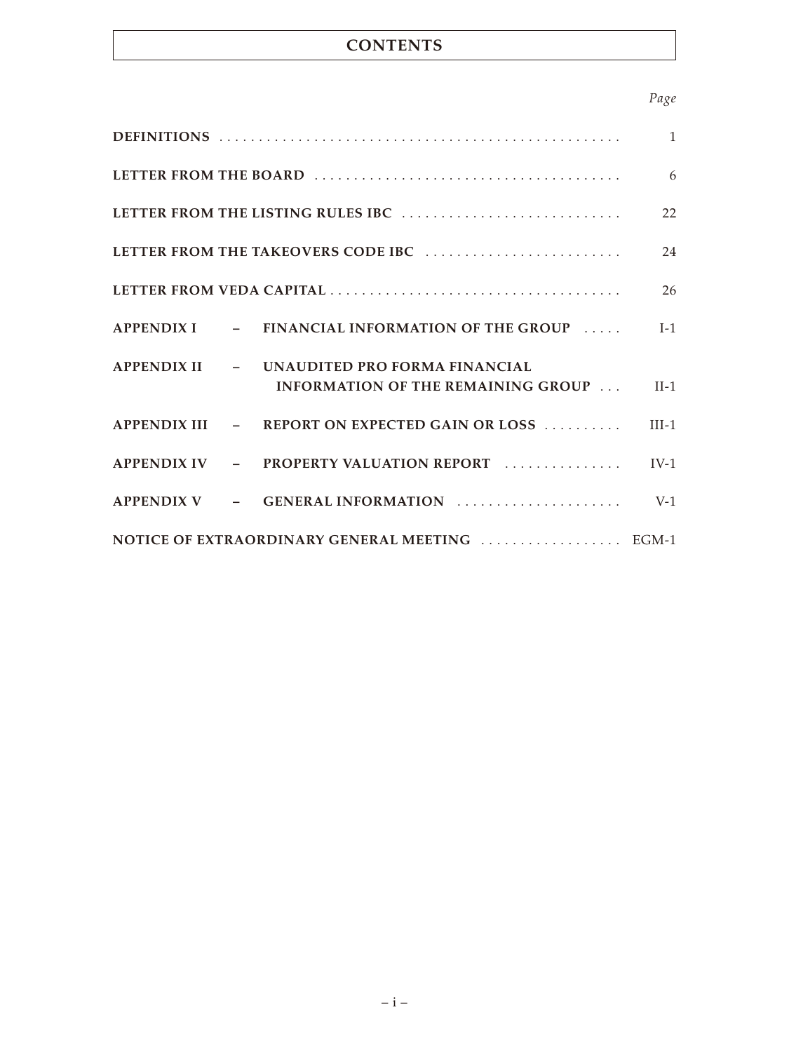# **CONTENTS**

# *Page*

|                                                |                                                                                         | 22 |  |
|------------------------------------------------|-----------------------------------------------------------------------------------------|----|--|
|                                                |                                                                                         | 24 |  |
|                                                |                                                                                         |    |  |
|                                                | APPENDIX I - FINANCIAL INFORMATION OF THE GROUP  [-1                                    |    |  |
|                                                | APPENDIX II - UNAUDITED PRO FORMA FINANCIAL<br>INFORMATION OF THE REMAINING GROUP  II-1 |    |  |
|                                                | APPENDIX III $-$ REPORT ON EXPECTED GAIN OR LOSS  III-1                                 |    |  |
|                                                | APPENDIX IV - PROPERTY VALUATION REPORT  IV-1                                           |    |  |
|                                                | APPENDIX V $-$ GENERAL INFORMATION $\ldots$ $\ldots$ $\ldots$                           |    |  |
| NOTICE OF EXTRAORDINARY GENERAL MEETING  EGM-1 |                                                                                         |    |  |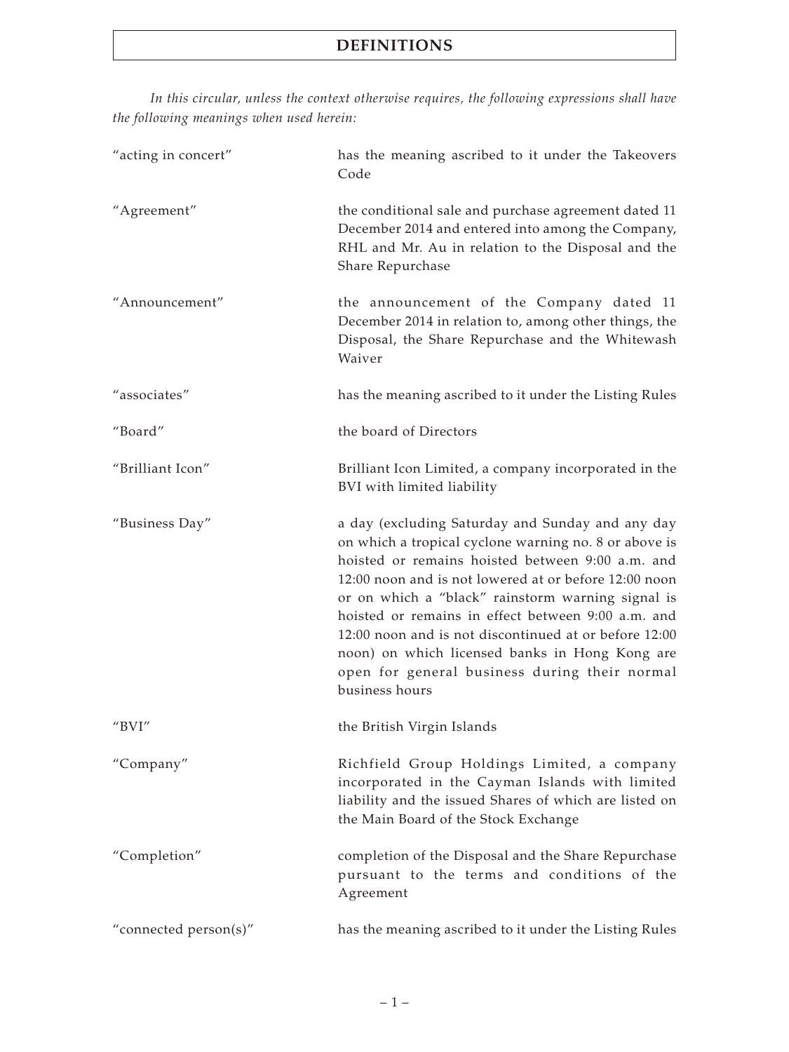*In this circular, unless the context otherwise requires, the following expressions shall have the following meanings when used herein:*

| "acting in concert"   | has the meaning ascribed to it under the Takeovers<br>Code                                                                                                                                                                                                                                                                                                                                                                                                                                                      |
|-----------------------|-----------------------------------------------------------------------------------------------------------------------------------------------------------------------------------------------------------------------------------------------------------------------------------------------------------------------------------------------------------------------------------------------------------------------------------------------------------------------------------------------------------------|
| "Agreement"           | the conditional sale and purchase agreement dated 11<br>December 2014 and entered into among the Company,<br>RHL and Mr. Au in relation to the Disposal and the<br>Share Repurchase                                                                                                                                                                                                                                                                                                                             |
| "Announcement"        | the announcement of the Company dated 11<br>December 2014 in relation to, among other things, the<br>Disposal, the Share Repurchase and the Whitewash<br>Waiver                                                                                                                                                                                                                                                                                                                                                 |
| "associates"          | has the meaning ascribed to it under the Listing Rules                                                                                                                                                                                                                                                                                                                                                                                                                                                          |
| "Board"               | the board of Directors                                                                                                                                                                                                                                                                                                                                                                                                                                                                                          |
| "Brilliant Icon"      | Brilliant Icon Limited, a company incorporated in the<br>BVI with limited liability                                                                                                                                                                                                                                                                                                                                                                                                                             |
| "Business Day"        | a day (excluding Saturday and Sunday and any day<br>on which a tropical cyclone warning no. 8 or above is<br>hoisted or remains hoisted between 9:00 a.m. and<br>12:00 noon and is not lowered at or before 12:00 noon<br>or on which a "black" rainstorm warning signal is<br>hoisted or remains in effect between 9:00 a.m. and<br>12:00 noon and is not discontinued at or before 12:00<br>noon) on which licensed banks in Hong Kong are<br>open for general business during their normal<br>business hours |
| " $BVI"$              | the British Virgin Islands                                                                                                                                                                                                                                                                                                                                                                                                                                                                                      |
| "Company"             | Richfield Group Holdings Limited, a company<br>incorporated in the Cayman Islands with limited<br>liability and the issued Shares of which are listed on<br>the Main Board of the Stock Exchange                                                                                                                                                                                                                                                                                                                |
| "Completion"          | completion of the Disposal and the Share Repurchase<br>pursuant to the terms and conditions of the<br>Agreement                                                                                                                                                                                                                                                                                                                                                                                                 |
| "connected person(s)" | has the meaning ascribed to it under the Listing Rules                                                                                                                                                                                                                                                                                                                                                                                                                                                          |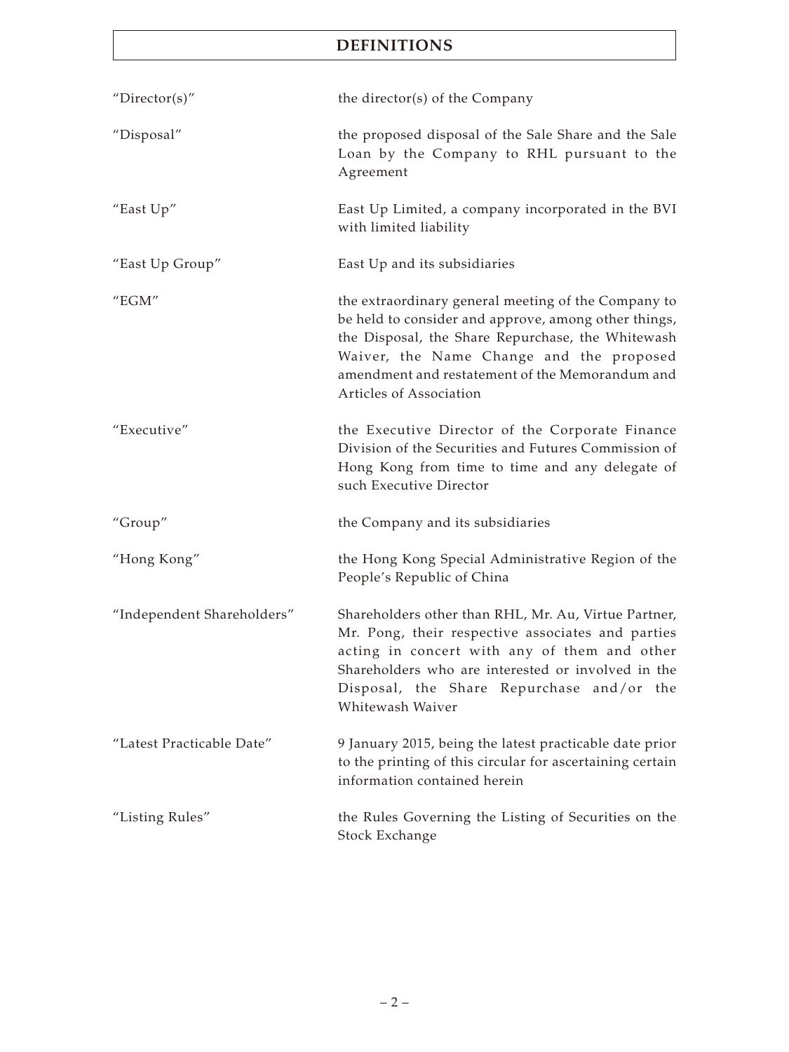| "Director(s)"              | the director(s) of the Company                                                                                                                                                                                                                                                             |
|----------------------------|--------------------------------------------------------------------------------------------------------------------------------------------------------------------------------------------------------------------------------------------------------------------------------------------|
| "Disposal"                 | the proposed disposal of the Sale Share and the Sale<br>Loan by the Company to RHL pursuant to the<br>Agreement                                                                                                                                                                            |
| "East Up"                  | East Up Limited, a company incorporated in the BVI<br>with limited liability                                                                                                                                                                                                               |
| "East Up Group"            | East Up and its subsidiaries                                                                                                                                                                                                                                                               |
| "EGM"                      | the extraordinary general meeting of the Company to<br>be held to consider and approve, among other things,<br>the Disposal, the Share Repurchase, the Whitewash<br>Waiver, the Name Change and the proposed<br>amendment and restatement of the Memorandum and<br>Articles of Association |
| "Executive"                | the Executive Director of the Corporate Finance<br>Division of the Securities and Futures Commission of<br>Hong Kong from time to time and any delegate of<br>such Executive Director                                                                                                      |
| "Group"                    | the Company and its subsidiaries                                                                                                                                                                                                                                                           |
| "Hong Kong"                | the Hong Kong Special Administrative Region of the<br>People's Republic of China                                                                                                                                                                                                           |
| "Independent Shareholders" | Shareholders other than RHL, Mr. Au, Virtue Partner,<br>Mr. Pong, their respective associates and parties<br>acting in concert with any of them and other<br>Shareholders who are interested or involved in the<br>Disposal, the Share Repurchase and/or the<br>Whitewash Waiver           |
| "Latest Practicable Date"  | 9 January 2015, being the latest practicable date prior<br>to the printing of this circular for ascertaining certain<br>information contained herein                                                                                                                                       |
| "Listing Rules"            | the Rules Governing the Listing of Securities on the<br>Stock Exchange                                                                                                                                                                                                                     |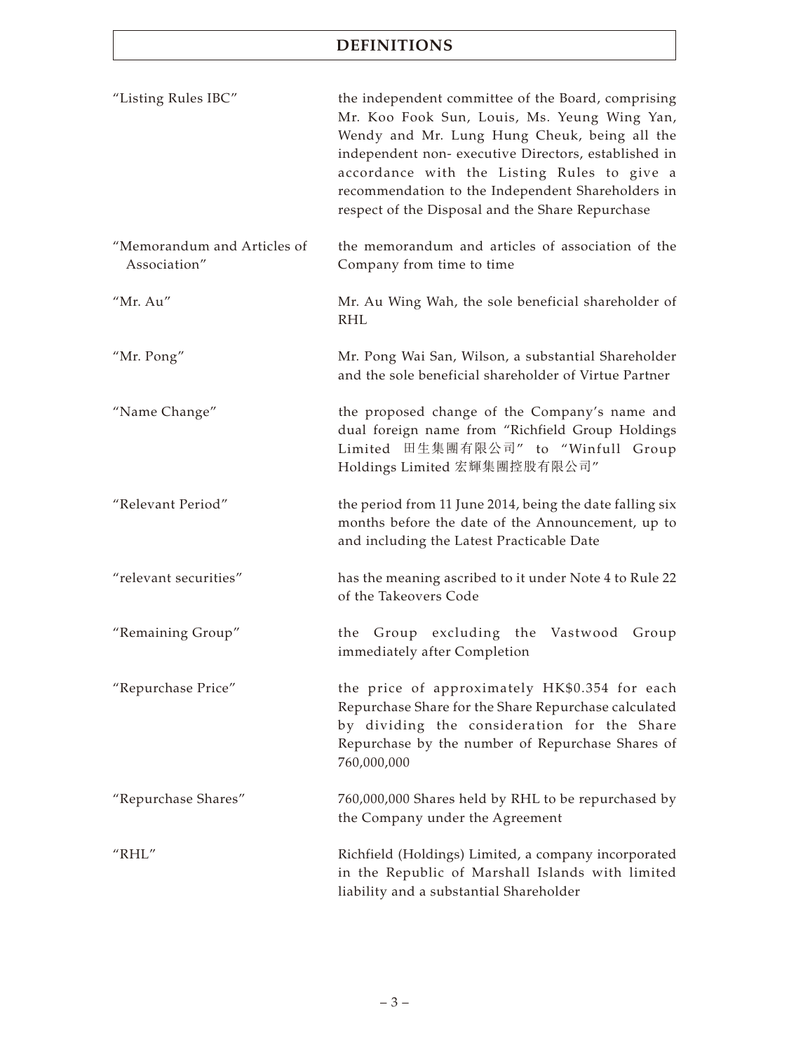| "Listing Rules IBC"                         | the independent committee of the Board, comprising<br>Mr. Koo Fook Sun, Louis, Ms. Yeung Wing Yan,<br>Wendy and Mr. Lung Hung Cheuk, being all the<br>independent non- executive Directors, established in<br>accordance with the Listing Rules to give a<br>recommendation to the Independent Shareholders in<br>respect of the Disposal and the Share Repurchase |  |
|---------------------------------------------|--------------------------------------------------------------------------------------------------------------------------------------------------------------------------------------------------------------------------------------------------------------------------------------------------------------------------------------------------------------------|--|
| "Memorandum and Articles of<br>Association" | the memorandum and articles of association of the<br>Company from time to time                                                                                                                                                                                                                                                                                     |  |
| "Mr. Au"                                    | Mr. Au Wing Wah, the sole beneficial shareholder of<br><b>RHL</b>                                                                                                                                                                                                                                                                                                  |  |
| "Mr. Pong"                                  | Mr. Pong Wai San, Wilson, a substantial Shareholder<br>and the sole beneficial shareholder of Virtue Partner                                                                                                                                                                                                                                                       |  |
| "Name Change"                               | the proposed change of the Company's name and<br>dual foreign name from "Richfield Group Holdings<br>Limited 田生集團有限公司" to "Winfull Group<br>Holdings Limited 宏輝集團控股有限公司"                                                                                                                                                                                           |  |
| "Relevant Period"                           | the period from 11 June 2014, being the date falling six<br>months before the date of the Announcement, up to<br>and including the Latest Practicable Date                                                                                                                                                                                                         |  |
| "relevant securities"                       | has the meaning ascribed to it under Note 4 to Rule 22<br>of the Takeovers Code                                                                                                                                                                                                                                                                                    |  |
| "Remaining Group"                           | the Group excluding the<br>Vastwood Group<br>immediately after Completion                                                                                                                                                                                                                                                                                          |  |
| "Repurchase Price"                          | the price of approximately HK\$0.354 for each<br>Repurchase Share for the Share Repurchase calculated<br>by dividing the consideration for the Share<br>Repurchase by the number of Repurchase Shares of<br>760,000,000                                                                                                                                            |  |
| "Repurchase Shares"                         | 760,000,000 Shares held by RHL to be repurchased by<br>the Company under the Agreement                                                                                                                                                                                                                                                                             |  |
| "RHL"                                       | Richfield (Holdings) Limited, a company incorporated<br>in the Republic of Marshall Islands with limited<br>liability and a substantial Shareholder                                                                                                                                                                                                                |  |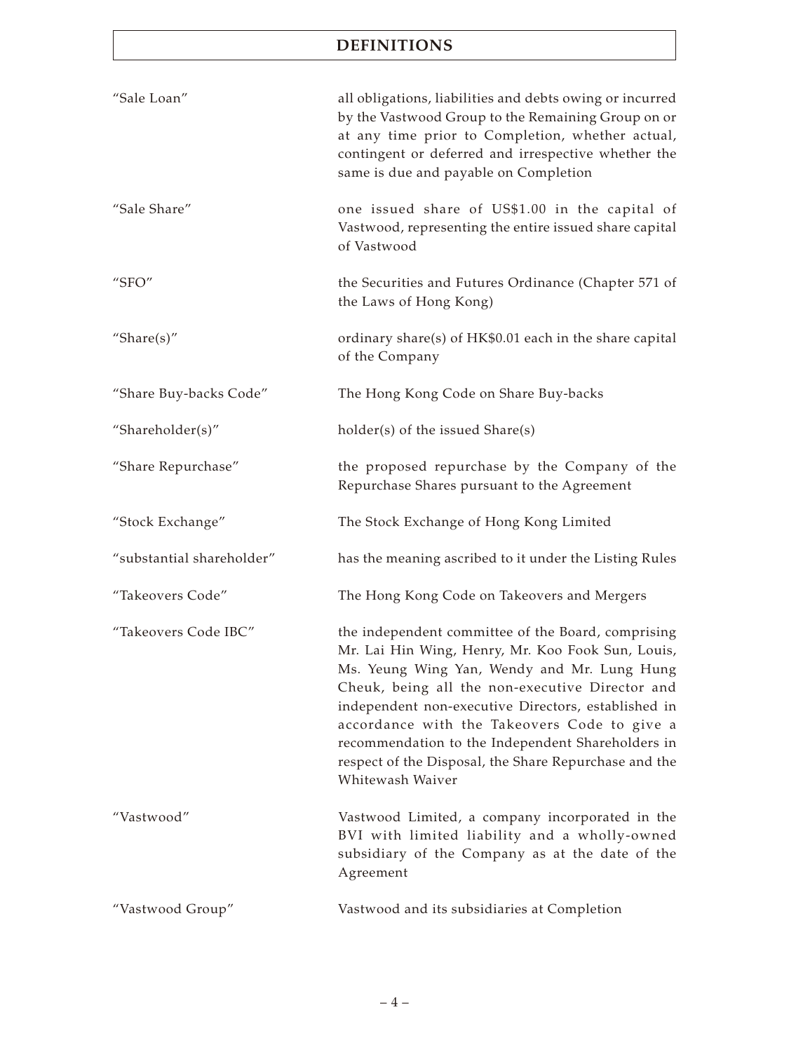| "Sale Loan"               | all obligations, liabilities and debts owing or incurred<br>by the Vastwood Group to the Remaining Group on or<br>at any time prior to Completion, whether actual,<br>contingent or deferred and irrespective whether the<br>same is due and payable on Completion                                                                                                                                                                                 |
|---------------------------|----------------------------------------------------------------------------------------------------------------------------------------------------------------------------------------------------------------------------------------------------------------------------------------------------------------------------------------------------------------------------------------------------------------------------------------------------|
| "Sale Share"              | one issued share of US\$1.00 in the capital of<br>Vastwood, representing the entire issued share capital<br>of Vastwood                                                                                                                                                                                                                                                                                                                            |
| "SFO"                     | the Securities and Futures Ordinance (Chapter 571 of<br>the Laws of Hong Kong)                                                                                                                                                                                                                                                                                                                                                                     |
| "Share $(s)$ "            | ordinary share(s) of HK\$0.01 each in the share capital<br>of the Company                                                                                                                                                                                                                                                                                                                                                                          |
| "Share Buy-backs Code"    | The Hong Kong Code on Share Buy-backs                                                                                                                                                                                                                                                                                                                                                                                                              |
| "Shareholder(s)"          | holder(s) of the issued Share(s)                                                                                                                                                                                                                                                                                                                                                                                                                   |
| "Share Repurchase"        | the proposed repurchase by the Company of the<br>Repurchase Shares pursuant to the Agreement                                                                                                                                                                                                                                                                                                                                                       |
| "Stock Exchange"          | The Stock Exchange of Hong Kong Limited                                                                                                                                                                                                                                                                                                                                                                                                            |
| "substantial shareholder" | has the meaning ascribed to it under the Listing Rules                                                                                                                                                                                                                                                                                                                                                                                             |
| "Takeovers Code"          | The Hong Kong Code on Takeovers and Mergers                                                                                                                                                                                                                                                                                                                                                                                                        |
| "Takeovers Code IBC"      | the independent committee of the Board, comprising<br>Mr. Lai Hin Wing, Henry, Mr. Koo Fook Sun, Louis,<br>Ms. Yeung Wing Yan, Wendy and Mr. Lung Hung<br>Cheuk, being all the non-executive Director and<br>independent non-executive Directors, established in<br>accordance with the Takeovers Code to give a<br>recommendation to the Independent Shareholders in<br>respect of the Disposal, the Share Repurchase and the<br>Whitewash Waiver |
| "Vastwood"                | Vastwood Limited, a company incorporated in the<br>BVI with limited liability and a wholly-owned<br>subsidiary of the Company as at the date of the<br>Agreement                                                                                                                                                                                                                                                                                   |
| "Vastwood Group"          | Vastwood and its subsidiaries at Completion                                                                                                                                                                                                                                                                                                                                                                                                        |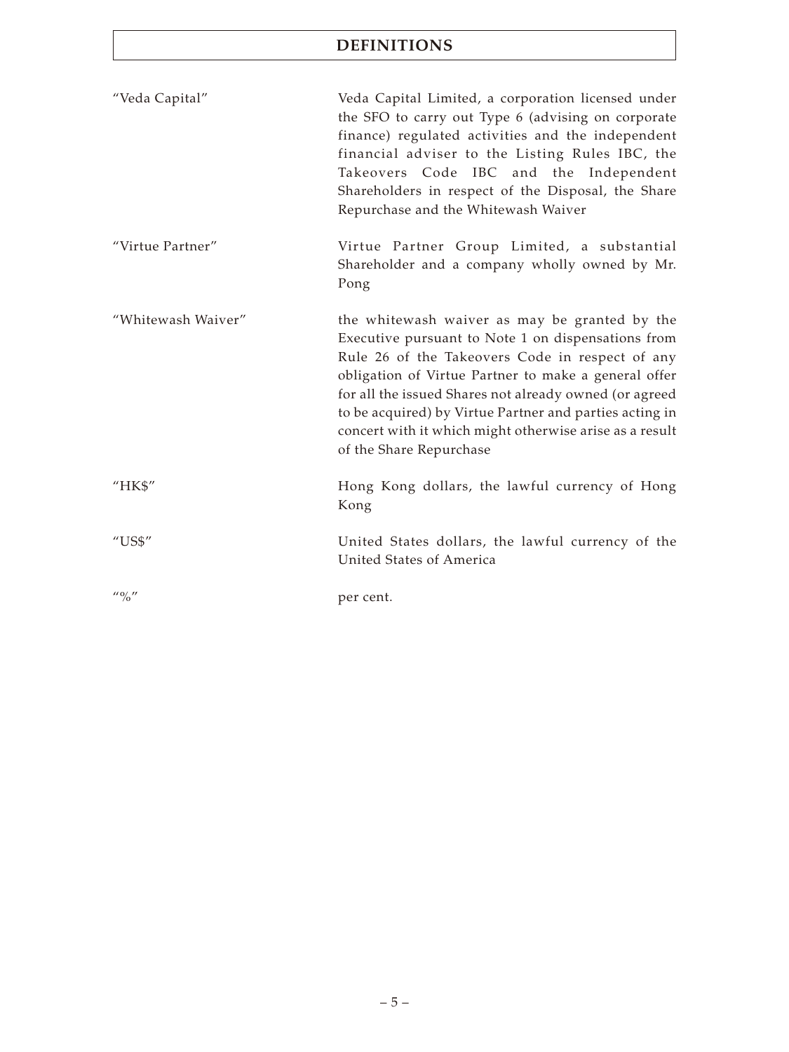| "Veda Capital"                        | Veda Capital Limited, a corporation licensed under<br>the SFO to carry out Type 6 (advising on corporate<br>finance) regulated activities and the independent<br>financial adviser to the Listing Rules IBC, the<br>Takeovers Code IBC and the Independent<br>Shareholders in respect of the Disposal, the Share<br>Repurchase and the Whitewash Waiver                                                                   |
|---------------------------------------|---------------------------------------------------------------------------------------------------------------------------------------------------------------------------------------------------------------------------------------------------------------------------------------------------------------------------------------------------------------------------------------------------------------------------|
| "Virtue Partner"                      | Virtue Partner Group Limited, a substantial<br>Shareholder and a company wholly owned by Mr.<br>Pong                                                                                                                                                                                                                                                                                                                      |
| "Whitewash Waiver"                    | the whitewash waiver as may be granted by the<br>Executive pursuant to Note 1 on dispensations from<br>Rule 26 of the Takeovers Code in respect of any<br>obligation of Virtue Partner to make a general offer<br>for all the issued Shares not already owned (or agreed<br>to be acquired) by Virtue Partner and parties acting in<br>concert with it which might otherwise arise as a result<br>of the Share Repurchase |
| "HK\$"                                | Hong Kong dollars, the lawful currency of Hong<br>Kong                                                                                                                                                                                                                                                                                                                                                                    |
| $^{\prime\prime}$ US\$"               | United States dollars, the lawful currency of the<br>United States of America                                                                                                                                                                                                                                                                                                                                             |
| $^{\prime\prime}$ ( $^{\prime\prime}$ | per cent.                                                                                                                                                                                                                                                                                                                                                                                                                 |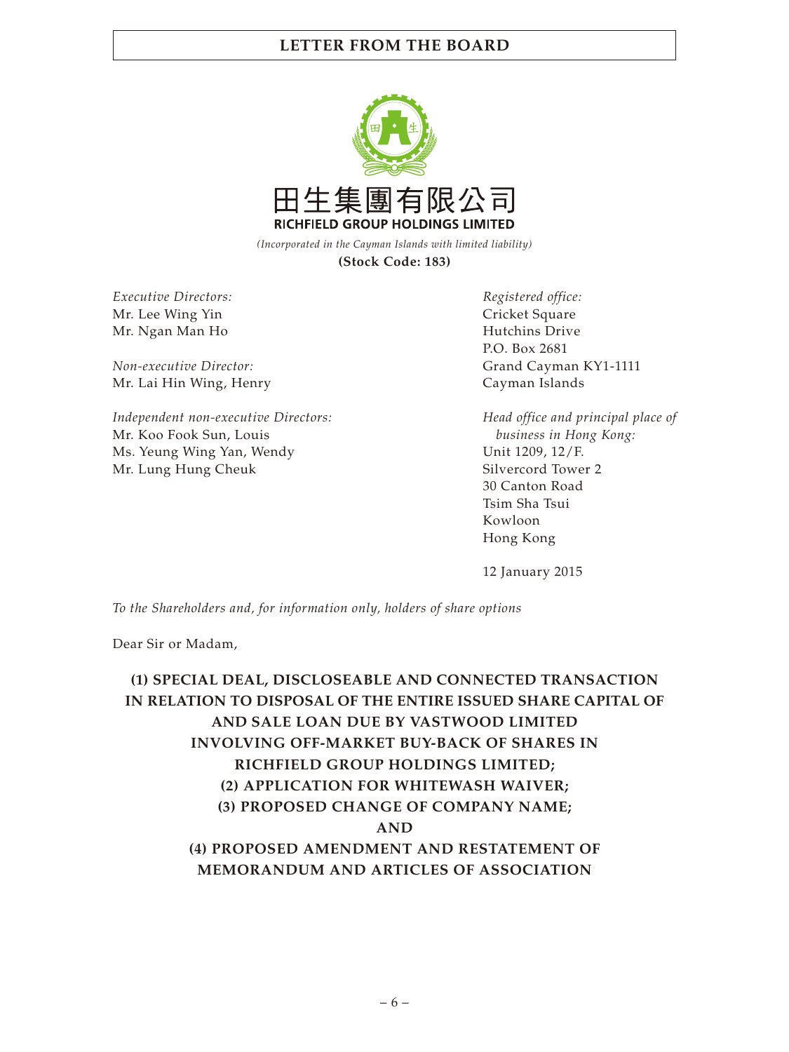

*(Incorporated in the Cayman Islands with limited liability)* **(Stock Code: 183)**

*Executive Directors:* Mr. Lee Wing Yin Mr. Ngan Man Ho

*Non-executive Director:* Mr. Lai Hin Wing, Henry

*Independent non-executive Directors:* Mr. Koo Fook Sun, Louis Ms. Yeung Wing Yan, Wendy Mr. Lung Hung Cheuk

*Registered office:* Cricket Square Hutchins Drive P.O. Box 2681 Grand Cayman KY1-1111 Cayman Islands

*Head office and principal place of business in Hong Kong:* Unit 1209, 12/F. Silvercord Tower 2 30 Canton Road Tsim Sha Tsui Kowloon Hong Kong

12 January 2015

*To the Shareholders and, for information only, holders of share options*

Dear Sir or Madam,

**(1) SPECIAL DEAL, DISCLOSEABLE AND CONNECTED TRANSACTION IN RELATION TO DISPOSAL OF THE ENTIRE ISSUED SHARE CAPITAL OF AND SALE LOAN DUE BY VASTWOOD LIMITED INVOLVING OFF-MARKET BUY-BACK OF SHARES IN RICHFIELD GROUP HOLDINGS LIMITED; (2) APPLICATION FOR WHITEWASH WAIVER; (3) PROPOSED CHANGE OF COMPANY NAME; AND (4) PROPOSED AMENDMENT AND RESTATEMENT OF MEMORANDUM AND ARTICLES OF ASSOCIATION**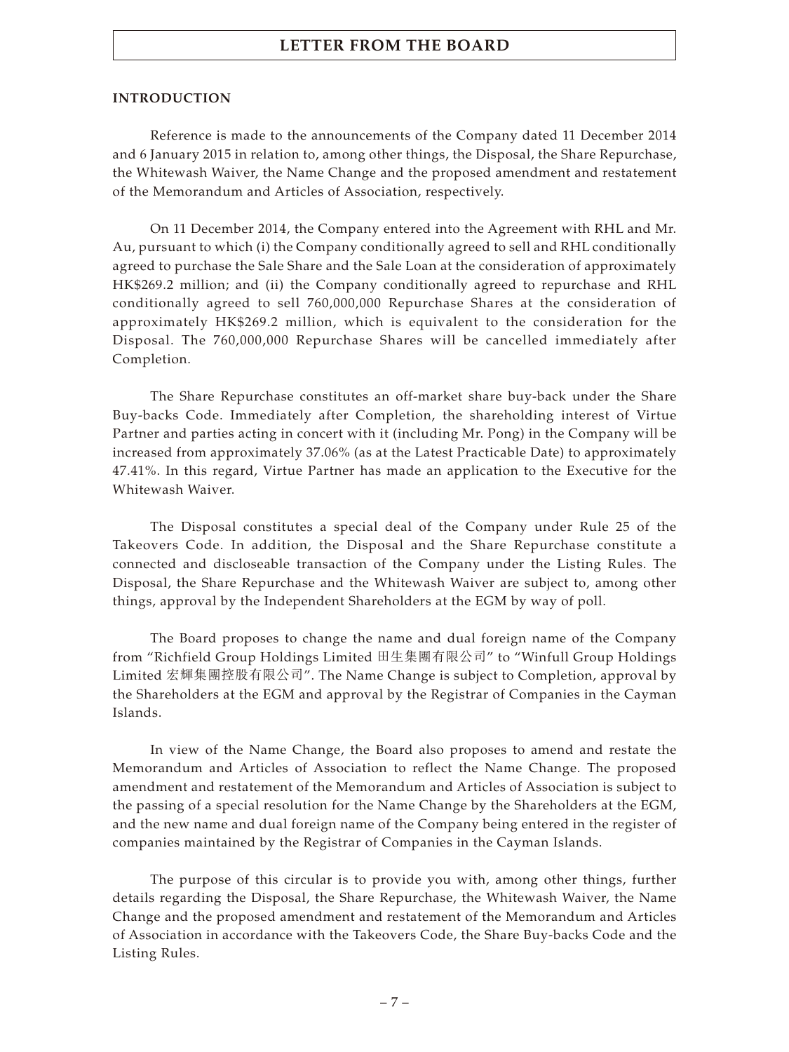#### **INTRODUCTION**

Reference is made to the announcements of the Company dated 11 December 2014 and 6 January 2015 in relation to, among other things, the Disposal, the Share Repurchase, the Whitewash Waiver, the Name Change and the proposed amendment and restatement of the Memorandum and Articles of Association, respectively.

On 11 December 2014, the Company entered into the Agreement with RHL and Mr. Au, pursuant to which (i) the Company conditionally agreed to sell and RHL conditionally agreed to purchase the Sale Share and the Sale Loan at the consideration of approximately HK\$269.2 million; and (ii) the Company conditionally agreed to repurchase and RHL conditionally agreed to sell 760,000,000 Repurchase Shares at the consideration of approximately HK\$269.2 million, which is equivalent to the consideration for the Disposal. The 760,000,000 Repurchase Shares will be cancelled immediately after Completion.

The Share Repurchase constitutes an off-market share buy-back under the Share Buy-backs Code. Immediately after Completion, the shareholding interest of Virtue Partner and parties acting in concert with it (including Mr. Pong) in the Company will be increased from approximately 37.06% (as at the Latest Practicable Date) to approximately 47.41%. In this regard, Virtue Partner has made an application to the Executive for the Whitewash Waiver.

The Disposal constitutes a special deal of the Company under Rule 25 of the Takeovers Code. In addition, the Disposal and the Share Repurchase constitute a connected and discloseable transaction of the Company under the Listing Rules. The Disposal, the Share Repurchase and the Whitewash Waiver are subject to, among other things, approval by the Independent Shareholders at the EGM by way of poll.

The Board proposes to change the name and dual foreign name of the Company from "Richfield Group Holdings Limited 田生集團有限公司" to "Winfull Group Holdings Limited 宏輝集團控股有限公司". The Name Change is subject to Completion, approval by the Shareholders at the EGM and approval by the Registrar of Companies in the Cayman Islands.

In view of the Name Change, the Board also proposes to amend and restate the Memorandum and Articles of Association to reflect the Name Change. The proposed amendment and restatement of the Memorandum and Articles of Association is subject to the passing of a special resolution for the Name Change by the Shareholders at the EGM, and the new name and dual foreign name of the Company being entered in the register of companies maintained by the Registrar of Companies in the Cayman Islands.

The purpose of this circular is to provide you with, among other things, further details regarding the Disposal, the Share Repurchase, the Whitewash Waiver, the Name Change and the proposed amendment and restatement of the Memorandum and Articles of Association in accordance with the Takeovers Code, the Share Buy-backs Code and the Listing Rules.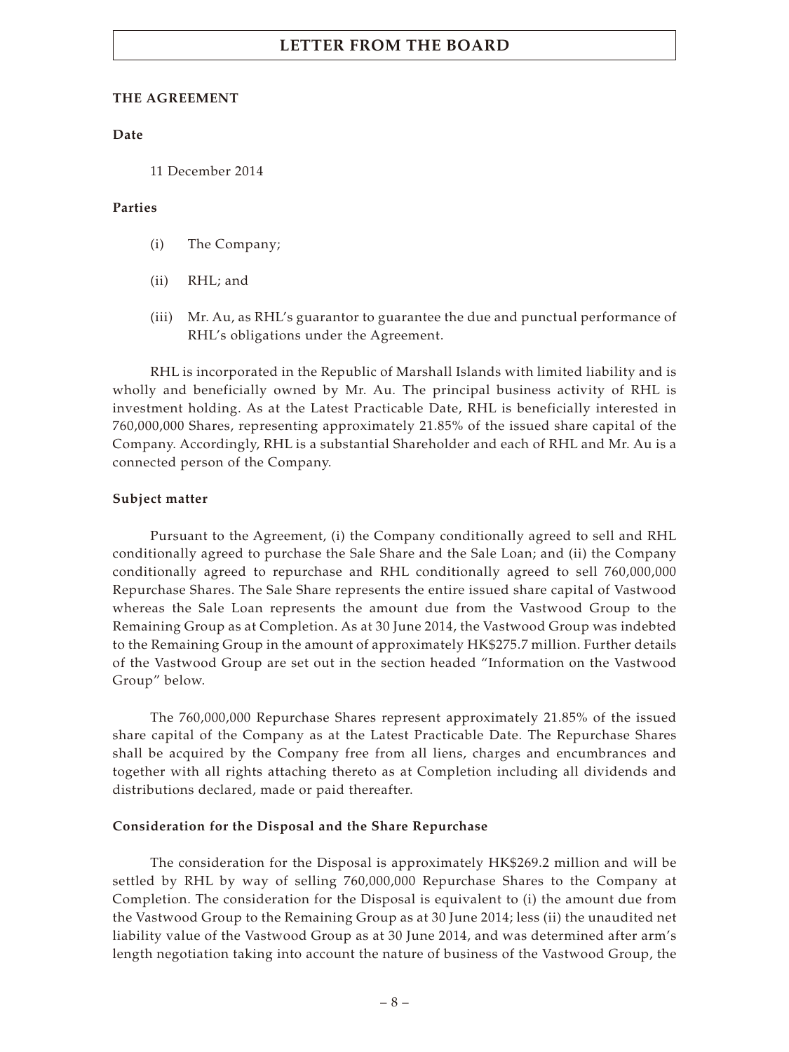#### **THE AGREEMENT**

#### **Date**

11 December 2014

#### **Parties**

- (i) The Company;
- (ii) RHL; and
- (iii) Mr. Au, as RHL's guarantor to guarantee the due and punctual performance of RHL's obligations under the Agreement.

RHL is incorporated in the Republic of Marshall Islands with limited liability and is wholly and beneficially owned by Mr. Au. The principal business activity of RHL is investment holding. As at the Latest Practicable Date, RHL is beneficially interested in 760,000,000 Shares, representing approximately 21.85% of the issued share capital of the Company. Accordingly, RHL is a substantial Shareholder and each of RHL and Mr. Au is a connected person of the Company.

#### **Subject matter**

Pursuant to the Agreement, (i) the Company conditionally agreed to sell and RHL conditionally agreed to purchase the Sale Share and the Sale Loan; and (ii) the Company conditionally agreed to repurchase and RHL conditionally agreed to sell 760,000,000 Repurchase Shares. The Sale Share represents the entire issued share capital of Vastwood whereas the Sale Loan represents the amount due from the Vastwood Group to the Remaining Group as at Completion. As at 30 June 2014, the Vastwood Group was indebted to the Remaining Group in the amount of approximately HK\$275.7 million. Further details of the Vastwood Group are set out in the section headed "Information on the Vastwood Group" below.

The 760,000,000 Repurchase Shares represent approximately 21.85% of the issued share capital of the Company as at the Latest Practicable Date. The Repurchase Shares shall be acquired by the Company free from all liens, charges and encumbrances and together with all rights attaching thereto as at Completion including all dividends and distributions declared, made or paid thereafter.

#### **Consideration for the Disposal and the Share Repurchase**

The consideration for the Disposal is approximately HK\$269.2 million and will be settled by RHL by way of selling 760,000,000 Repurchase Shares to the Company at Completion. The consideration for the Disposal is equivalent to (i) the amount due from the Vastwood Group to the Remaining Group as at 30 June 2014; less (ii) the unaudited net liability value of the Vastwood Group as at 30 June 2014, and was determined after arm's length negotiation taking into account the nature of business of the Vastwood Group, the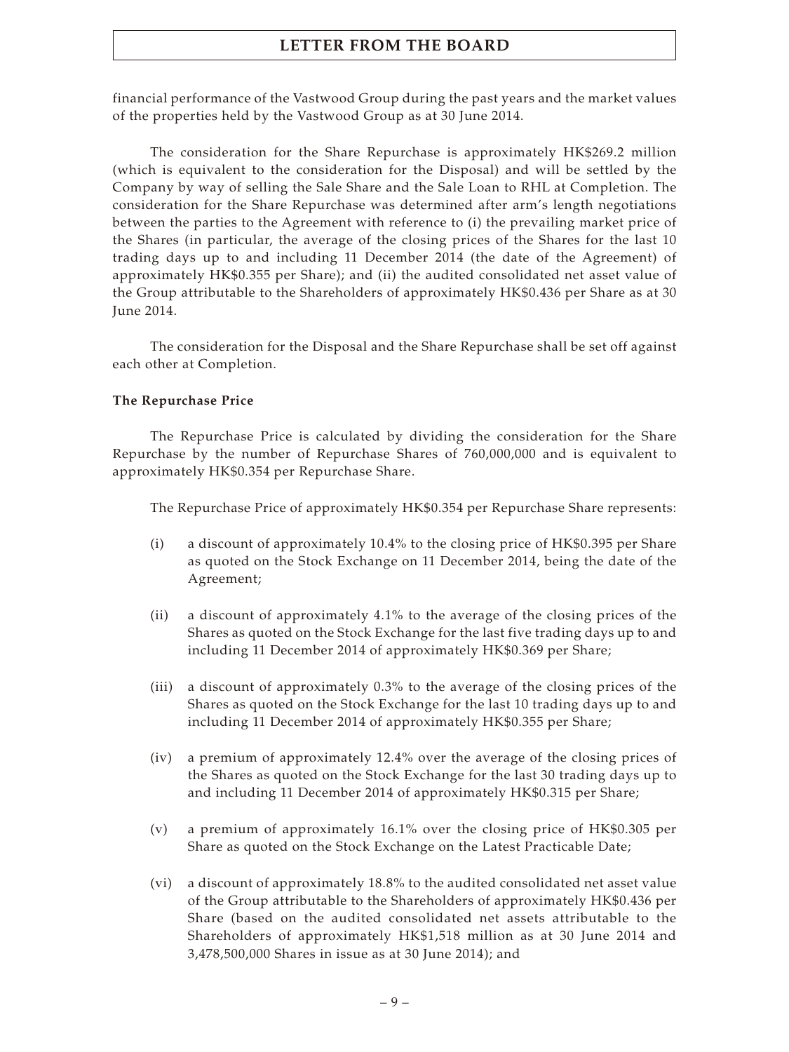financial performance of the Vastwood Group during the past years and the market values of the properties held by the Vastwood Group as at 30 June 2014.

The consideration for the Share Repurchase is approximately HK\$269.2 million (which is equivalent to the consideration for the Disposal) and will be settled by the Company by way of selling the Sale Share and the Sale Loan to RHL at Completion. The consideration for the Share Repurchase was determined after arm's length negotiations between the parties to the Agreement with reference to (i) the prevailing market price of the Shares (in particular, the average of the closing prices of the Shares for the last 10 trading days up to and including 11 December 2014 (the date of the Agreement) of approximately HK\$0.355 per Share); and (ii) the audited consolidated net asset value of the Group attributable to the Shareholders of approximately HK\$0.436 per Share as at 30 June 2014.

The consideration for the Disposal and the Share Repurchase shall be set off against each other at Completion.

## **The Repurchase Price**

The Repurchase Price is calculated by dividing the consideration for the Share Repurchase by the number of Repurchase Shares of 760,000,000 and is equivalent to approximately HK\$0.354 per Repurchase Share.

The Repurchase Price of approximately HK\$0.354 per Repurchase Share represents:

- (i) a discount of approximately 10.4% to the closing price of HK\$0.395 per Share as quoted on the Stock Exchange on 11 December 2014, being the date of the Agreement;
- (ii) a discount of approximately 4.1% to the average of the closing prices of the Shares as quoted on the Stock Exchange for the last five trading days up to and including 11 December 2014 of approximately HK\$0.369 per Share;
- (iii) a discount of approximately 0.3% to the average of the closing prices of the Shares as quoted on the Stock Exchange for the last 10 trading days up to and including 11 December 2014 of approximately HK\$0.355 per Share;
- (iv) a premium of approximately 12.4% over the average of the closing prices of the Shares as quoted on the Stock Exchange for the last 30 trading days up to and including 11 December 2014 of approximately HK\$0.315 per Share;
- (v) a premium of approximately 16.1% over the closing price of HK\$0.305 per Share as quoted on the Stock Exchange on the Latest Practicable Date;
- (vi) a discount of approximately 18.8% to the audited consolidated net asset value of the Group attributable to the Shareholders of approximately HK\$0.436 per Share (based on the audited consolidated net assets attributable to the Shareholders of approximately HK\$1,518 million as at 30 June 2014 and 3,478,500,000 Shares in issue as at 30 June 2014); and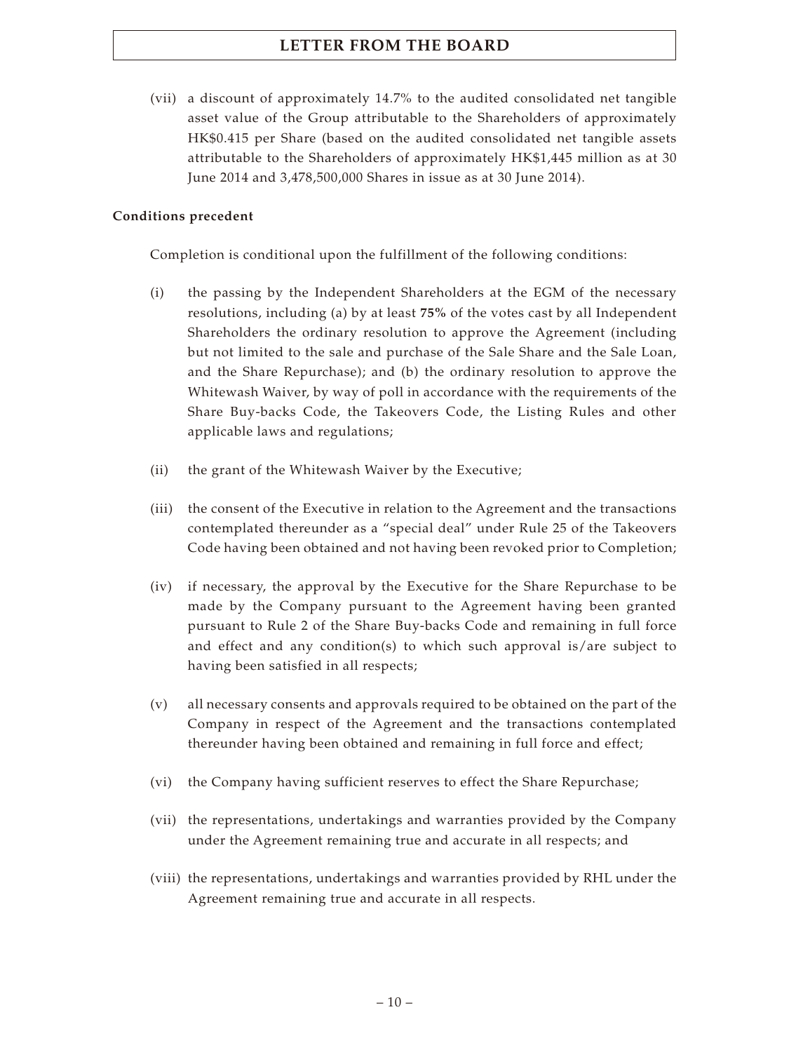(vii) a discount of approximately 14.7% to the audited consolidated net tangible asset value of the Group attributable to the Shareholders of approximately HK\$0.415 per Share (based on the audited consolidated net tangible assets attributable to the Shareholders of approximately HK\$1,445 million as at 30 June 2014 and 3,478,500,000 Shares in issue as at 30 June 2014).

## **Conditions precedent**

Completion is conditional upon the fulfillment of the following conditions:

- (i) the passing by the Independent Shareholders at the EGM of the necessary resolutions, including (a) by at least **75%** of the votes cast by all Independent Shareholders the ordinary resolution to approve the Agreement (including but not limited to the sale and purchase of the Sale Share and the Sale Loan, and the Share Repurchase); and (b) the ordinary resolution to approve the Whitewash Waiver, by way of poll in accordance with the requirements of the Share Buy-backs Code, the Takeovers Code, the Listing Rules and other applicable laws and regulations;
- (ii) the grant of the Whitewash Waiver by the Executive;
- (iii) the consent of the Executive in relation to the Agreement and the transactions contemplated thereunder as a "special deal" under Rule 25 of the Takeovers Code having been obtained and not having been revoked prior to Completion;
- (iv) if necessary, the approval by the Executive for the Share Repurchase to be made by the Company pursuant to the Agreement having been granted pursuant to Rule 2 of the Share Buy-backs Code and remaining in full force and effect and any condition(s) to which such approval is/are subject to having been satisfied in all respects;
- (v) all necessary consents and approvals required to be obtained on the part of the Company in respect of the Agreement and the transactions contemplated thereunder having been obtained and remaining in full force and effect;
- (vi) the Company having sufficient reserves to effect the Share Repurchase;
- (vii) the representations, undertakings and warranties provided by the Company under the Agreement remaining true and accurate in all respects; and
- (viii) the representations, undertakings and warranties provided by RHL under the Agreement remaining true and accurate in all respects.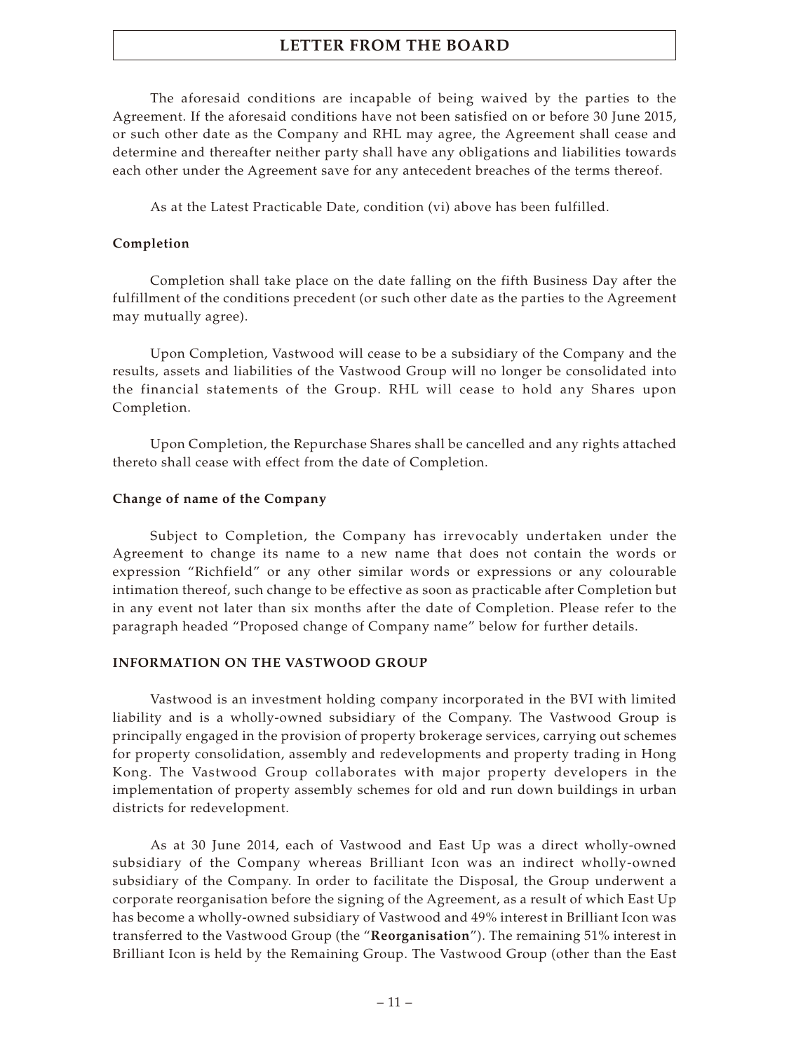The aforesaid conditions are incapable of being waived by the parties to the Agreement. If the aforesaid conditions have not been satisfied on or before 30 June 2015, or such other date as the Company and RHL may agree, the Agreement shall cease and determine and thereafter neither party shall have any obligations and liabilities towards each other under the Agreement save for any antecedent breaches of the terms thereof.

As at the Latest Practicable Date, condition (vi) above has been fulfilled.

#### **Completion**

Completion shall take place on the date falling on the fifth Business Day after the fulfillment of the conditions precedent (or such other date as the parties to the Agreement may mutually agree).

Upon Completion, Vastwood will cease to be a subsidiary of the Company and the results, assets and liabilities of the Vastwood Group will no longer be consolidated into the financial statements of the Group. RHL will cease to hold any Shares upon Completion.

Upon Completion, the Repurchase Shares shall be cancelled and any rights attached thereto shall cease with effect from the date of Completion.

#### **Change of name of the Company**

Subject to Completion, the Company has irrevocably undertaken under the Agreement to change its name to a new name that does not contain the words or expression "Richfield" or any other similar words or expressions or any colourable intimation thereof, such change to be effective as soon as practicable after Completion but in any event not later than six months after the date of Completion. Please refer to the paragraph headed "Proposed change of Company name" below for further details.

#### **INFORMATION ON THE VASTWOOD GROUP**

Vastwood is an investment holding company incorporated in the BVI with limited liability and is a wholly-owned subsidiary of the Company. The Vastwood Group is principally engaged in the provision of property brokerage services, carrying out schemes for property consolidation, assembly and redevelopments and property trading in Hong Kong. The Vastwood Group collaborates with major property developers in the implementation of property assembly schemes for old and run down buildings in urban districts for redevelopment.

As at 30 June 2014, each of Vastwood and East Up was a direct wholly-owned subsidiary of the Company whereas Brilliant Icon was an indirect wholly-owned subsidiary of the Company. In order to facilitate the Disposal, the Group underwent a corporate reorganisation before the signing of the Agreement, as a result of which East Up has become a wholly-owned subsidiary of Vastwood and 49% interest in Brilliant Icon was transferred to the Vastwood Group (the "**Reorganisation**"). The remaining 51% interest in Brilliant Icon is held by the Remaining Group. The Vastwood Group (other than the East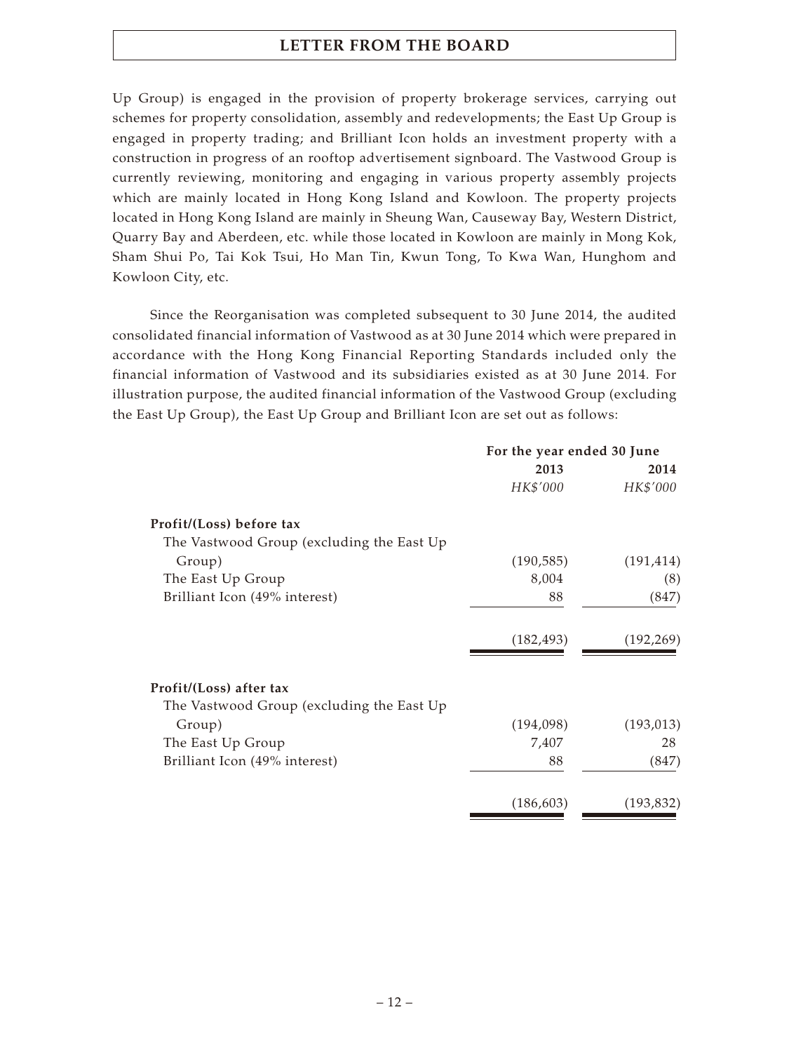Up Group) is engaged in the provision of property brokerage services, carrying out schemes for property consolidation, assembly and redevelopments; the East Up Group is engaged in property trading; and Brilliant Icon holds an investment property with a construction in progress of an rooftop advertisement signboard. The Vastwood Group is currently reviewing, monitoring and engaging in various property assembly projects which are mainly located in Hong Kong Island and Kowloon. The property projects located in Hong Kong Island are mainly in Sheung Wan, Causeway Bay, Western District, Quarry Bay and Aberdeen, etc. while those located in Kowloon are mainly in Mong Kok, Sham Shui Po, Tai Kok Tsui, Ho Man Tin, Kwun Tong, To Kwa Wan, Hunghom and Kowloon City, etc.

Since the Reorganisation was completed subsequent to 30 June 2014, the audited consolidated financial information of Vastwood as at 30 June 2014 which were prepared in accordance with the Hong Kong Financial Reporting Standards included only the financial information of Vastwood and its subsidiaries existed as at 30 June 2014. For illustration purpose, the audited financial information of the Vastwood Group (excluding the East Up Group), the East Up Group and Brilliant Icon are set out as follows:

|                                           | For the year ended 30 June |            |
|-------------------------------------------|----------------------------|------------|
|                                           | 2013                       | 2014       |
|                                           | HK\$'000                   | HK\$'000   |
| Profit/(Loss) before tax                  |                            |            |
| The Vastwood Group (excluding the East Up |                            |            |
| Group)                                    | (190, 585)                 | (191, 414) |
| The East Up Group                         | 8,004                      | (8)        |
| Brilliant Icon (49% interest)             | 88                         | (847)      |
|                                           | (182, 493)                 | (192, 269) |
| Profit/(Loss) after tax                   |                            |            |
| The Vastwood Group (excluding the East Up |                            |            |
| Group)                                    | (194,098)                  | (193, 013) |
| The East Up Group                         | 7,407                      | 28         |
| Brilliant Icon (49% interest)             | 88                         | (847)      |
|                                           | (186, 603)                 | (193, 832) |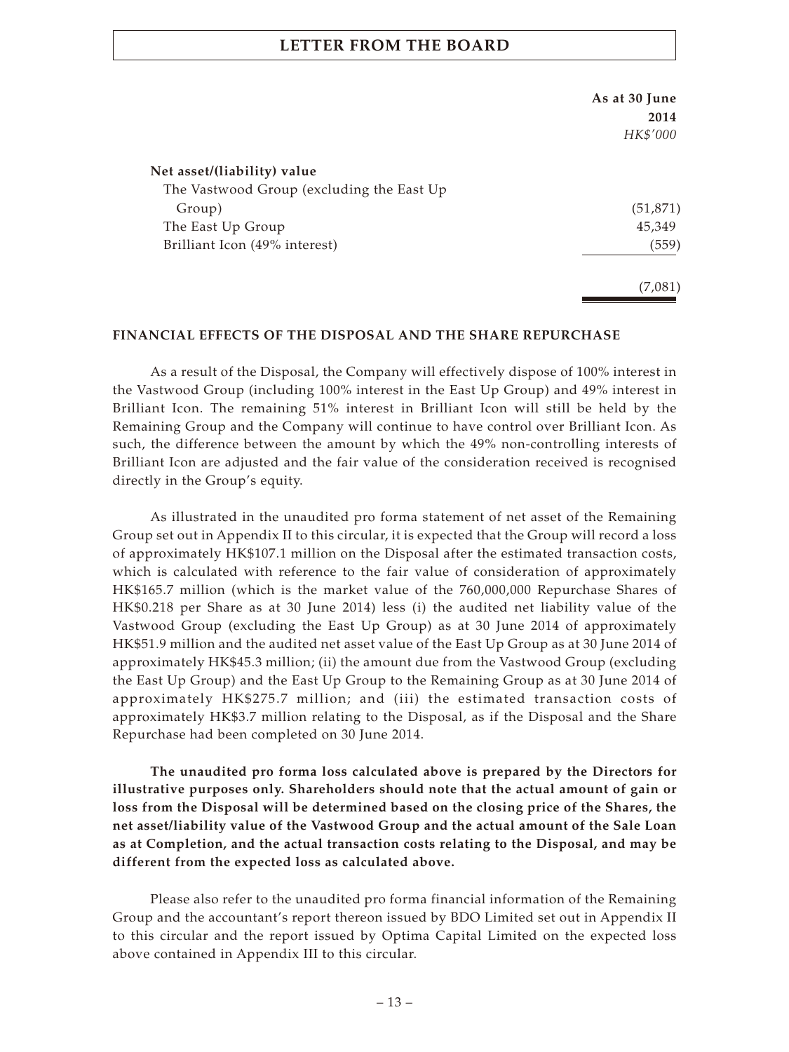|                                           | As at 30 June<br>2014 |
|-------------------------------------------|-----------------------|
|                                           | HK\$'000              |
|                                           |                       |
| Net asset/(liability) value               |                       |
| The Vastwood Group (excluding the East Up |                       |
| Group)                                    | (51, 871)             |
| The East Up Group                         | 45,349                |
| Brilliant Icon (49% interest)             | (559)                 |
|                                           | (7,081)               |

## **FINANCIAL EFFECTS OF THE DISPOSAL AND THE SHARE REPURCHASE**

As a result of the Disposal, the Company will effectively dispose of 100% interest in the Vastwood Group (including 100% interest in the East Up Group) and 49% interest in Brilliant Icon. The remaining 51% interest in Brilliant Icon will still be held by the Remaining Group and the Company will continue to have control over Brilliant Icon. As such, the difference between the amount by which the 49% non-controlling interests of Brilliant Icon are adjusted and the fair value of the consideration received is recognised directly in the Group's equity.

As illustrated in the unaudited pro forma statement of net asset of the Remaining Group set out in Appendix II to this circular, it is expected that the Group will record a loss of approximately HK\$107.1 million on the Disposal after the estimated transaction costs, which is calculated with reference to the fair value of consideration of approximately HK\$165.7 million (which is the market value of the 760,000,000 Repurchase Shares of HK\$0.218 per Share as at 30 June 2014) less (i) the audited net liability value of the Vastwood Group (excluding the East Up Group) as at 30 June 2014 of approximately HK\$51.9 million and the audited net asset value of the East Up Group as at 30 June 2014 of approximately HK\$45.3 million; (ii) the amount due from the Vastwood Group (excluding the East Up Group) and the East Up Group to the Remaining Group as at 30 June 2014 of approximately HK\$275.7 million; and (iii) the estimated transaction costs of approximately HK\$3.7 million relating to the Disposal, as if the Disposal and the Share Repurchase had been completed on 30 June 2014.

**The unaudited pro forma loss calculated above is prepared by the Directors for illustrative purposes only. Shareholders should note that the actual amount of gain or loss from the Disposal will be determined based on the closing price of the Shares, the net asset/liability value of the Vastwood Group and the actual amount of the Sale Loan as at Completion, and the actual transaction costs relating to the Disposal, and may be different from the expected loss as calculated above.**

Please also refer to the unaudited pro forma financial information of the Remaining Group and the accountant's report thereon issued by BDO Limited set out in Appendix II to this circular and the report issued by Optima Capital Limited on the expected loss above contained in Appendix III to this circular.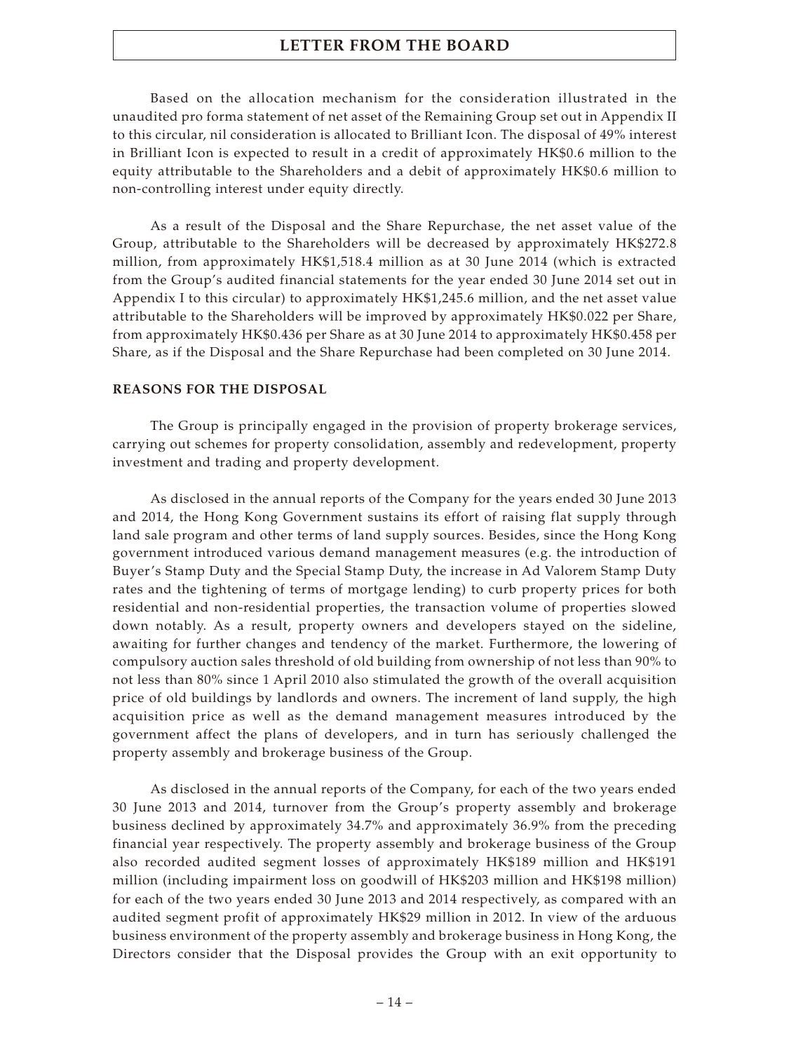Based on the allocation mechanism for the consideration illustrated in the unaudited pro forma statement of net asset of the Remaining Group set out in Appendix II to this circular, nil consideration is allocated to Brilliant Icon. The disposal of 49% interest in Brilliant Icon is expected to result in a credit of approximately HK\$0.6 million to the equity attributable to the Shareholders and a debit of approximately HK\$0.6 million to non-controlling interest under equity directly.

As a result of the Disposal and the Share Repurchase, the net asset value of the Group, attributable to the Shareholders will be decreased by approximately HK\$272.8 million, from approximately HK\$1,518.4 million as at 30 June 2014 (which is extracted from the Group's audited financial statements for the year ended 30 June 2014 set out in Appendix I to this circular) to approximately HK\$1,245.6 million, and the net asset value attributable to the Shareholders will be improved by approximately HK\$0.022 per Share, from approximately HK\$0.436 per Share as at 30 June 2014 to approximately HK\$0.458 per Share, as if the Disposal and the Share Repurchase had been completed on 30 June 2014.

#### **REASONS FOR THE DISPOSAL**

The Group is principally engaged in the provision of property brokerage services, carrying out schemes for property consolidation, assembly and redevelopment, property investment and trading and property development.

As disclosed in the annual reports of the Company for the years ended 30 June 2013 and 2014, the Hong Kong Government sustains its effort of raising flat supply through land sale program and other terms of land supply sources. Besides, since the Hong Kong government introduced various demand management measures (e.g. the introduction of Buyer's Stamp Duty and the Special Stamp Duty, the increase in Ad Valorem Stamp Duty rates and the tightening of terms of mortgage lending) to curb property prices for both residential and non-residential properties, the transaction volume of properties slowed down notably. As a result, property owners and developers stayed on the sideline, awaiting for further changes and tendency of the market. Furthermore, the lowering of compulsory auction sales threshold of old building from ownership of not less than 90% to not less than 80% since 1 April 2010 also stimulated the growth of the overall acquisition price of old buildings by landlords and owners. The increment of land supply, the high acquisition price as well as the demand management measures introduced by the government affect the plans of developers, and in turn has seriously challenged the property assembly and brokerage business of the Group.

As disclosed in the annual reports of the Company, for each of the two years ended 30 June 2013 and 2014, turnover from the Group's property assembly and brokerage business declined by approximately 34.7% and approximately 36.9% from the preceding financial year respectively. The property assembly and brokerage business of the Group also recorded audited segment losses of approximately HK\$189 million and HK\$191 million (including impairment loss on goodwill of HK\$203 million and HK\$198 million) for each of the two years ended 30 June 2013 and 2014 respectively, as compared with an audited segment profit of approximately HK\$29 million in 2012. In view of the arduous business environment of the property assembly and brokerage business in Hong Kong, the Directors consider that the Disposal provides the Group with an exit opportunity to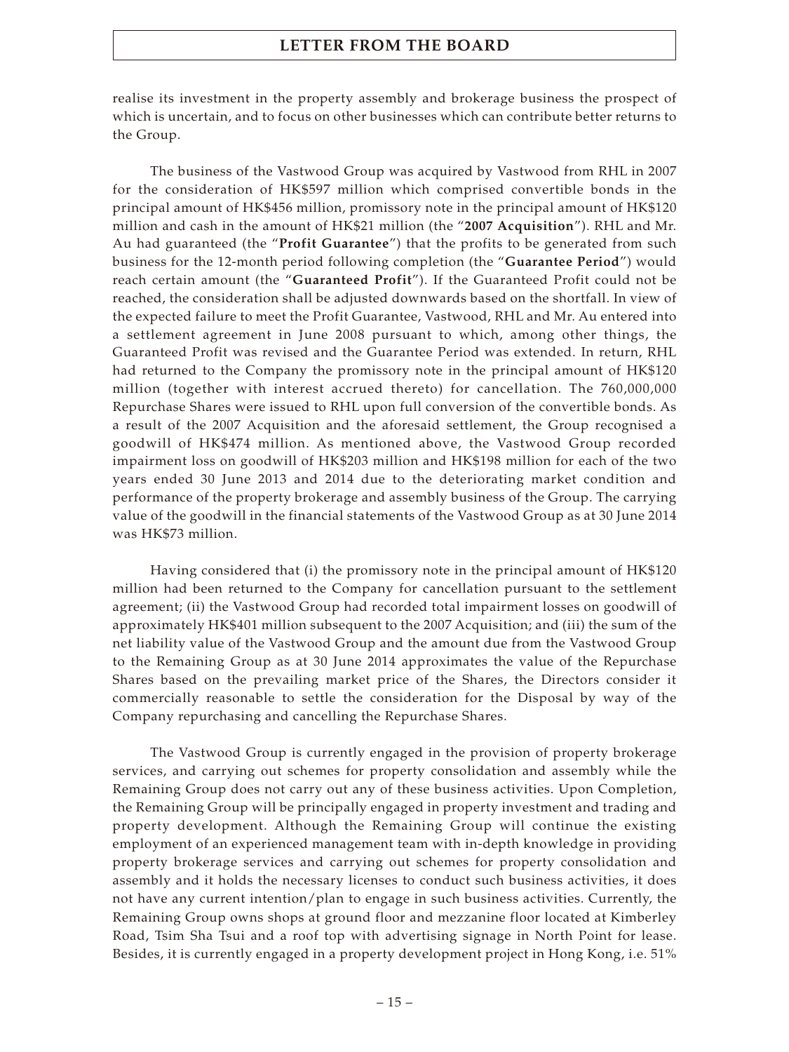realise its investment in the property assembly and brokerage business the prospect of which is uncertain, and to focus on other businesses which can contribute better returns to the Group.

The business of the Vastwood Group was acquired by Vastwood from RHL in 2007 for the consideration of HK\$597 million which comprised convertible bonds in the principal amount of HK\$456 million, promissory note in the principal amount of HK\$120 million and cash in the amount of HK\$21 million (the "**2007 Acquisition**"). RHL and Mr. Au had guaranteed (the "**Profit Guarantee**") that the profits to be generated from such business for the 12-month period following completion (the "**Guarantee Period**") would reach certain amount (the "**Guaranteed Profit**"). If the Guaranteed Profit could not be reached, the consideration shall be adjusted downwards based on the shortfall. In view of the expected failure to meet the Profit Guarantee, Vastwood, RHL and Mr. Au entered into a settlement agreement in June 2008 pursuant to which, among other things, the Guaranteed Profit was revised and the Guarantee Period was extended. In return, RHL had returned to the Company the promissory note in the principal amount of HK\$120 million (together with interest accrued thereto) for cancellation. The 760,000,000 Repurchase Shares were issued to RHL upon full conversion of the convertible bonds. As a result of the 2007 Acquisition and the aforesaid settlement, the Group recognised a goodwill of HK\$474 million. As mentioned above, the Vastwood Group recorded impairment loss on goodwill of HK\$203 million and HK\$198 million for each of the two years ended 30 June 2013 and 2014 due to the deteriorating market condition and performance of the property brokerage and assembly business of the Group. The carrying value of the goodwill in the financial statements of the Vastwood Group as at 30 June 2014 was HK\$73 million.

Having considered that (i) the promissory note in the principal amount of HK\$120 million had been returned to the Company for cancellation pursuant to the settlement agreement; (ii) the Vastwood Group had recorded total impairment losses on goodwill of approximately HK\$401 million subsequent to the 2007 Acquisition; and (iii) the sum of the net liability value of the Vastwood Group and the amount due from the Vastwood Group to the Remaining Group as at 30 June 2014 approximates the value of the Repurchase Shares based on the prevailing market price of the Shares, the Directors consider it commercially reasonable to settle the consideration for the Disposal by way of the Company repurchasing and cancelling the Repurchase Shares.

The Vastwood Group is currently engaged in the provision of property brokerage services, and carrying out schemes for property consolidation and assembly while the Remaining Group does not carry out any of these business activities. Upon Completion, the Remaining Group will be principally engaged in property investment and trading and property development. Although the Remaining Group will continue the existing employment of an experienced management team with in-depth knowledge in providing property brokerage services and carrying out schemes for property consolidation and assembly and it holds the necessary licenses to conduct such business activities, it does not have any current intention/plan to engage in such business activities. Currently, the Remaining Group owns shops at ground floor and mezzanine floor located at Kimberley Road, Tsim Sha Tsui and a roof top with advertising signage in North Point for lease. Besides, it is currently engaged in a property development project in Hong Kong, i.e. 51%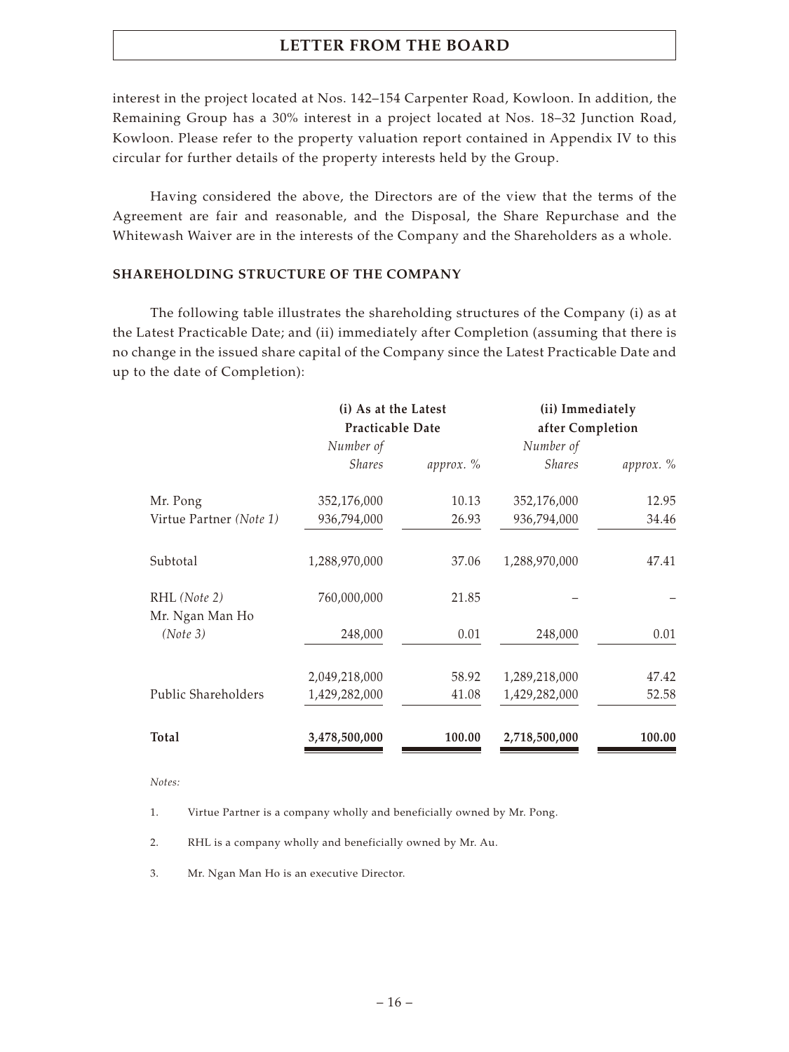interest in the project located at Nos. 142–154 Carpenter Road, Kowloon. In addition, the Remaining Group has a 30% interest in a project located at Nos. 18–32 Junction Road, Kowloon. Please refer to the property valuation report contained in Appendix IV to this circular for further details of the property interests held by the Group.

Having considered the above, the Directors are of the view that the terms of the Agreement are fair and reasonable, and the Disposal, the Share Repurchase and the Whitewash Waiver are in the interests of the Company and the Shareholders as a whole.

## **SHAREHOLDING STRUCTURE OF THE COMPANY**

The following table illustrates the shareholding structures of the Company (i) as at the Latest Practicable Date; and (ii) immediately after Completion (assuming that there is no change in the issued share capital of the Company since the Latest Practicable Date and up to the date of Completion):

|                                 | (i) As at the Latest    |           | (ii) Immediately |           |
|---------------------------------|-------------------------|-----------|------------------|-----------|
|                                 | <b>Practicable Date</b> |           | after Completion |           |
|                                 | Number of               |           | Number of        |           |
|                                 | <b>Shares</b>           | approx. % | <b>Shares</b>    | approx. % |
| Mr. Pong                        | 352,176,000             | 10.13     | 352,176,000      | 12.95     |
| Virtue Partner (Note 1)         | 936,794,000             | 26.93     | 936,794,000      | 34.46     |
| Subtotal                        | 1,288,970,000           | 37.06     | 1,288,970,000    | 47.41     |
| RHL (Note 2)<br>Mr. Ngan Man Ho | 760,000,000             | 21.85     |                  |           |
| (Note 3)                        | 248,000                 | 0.01      | 248,000          | 0.01      |
|                                 | 2,049,218,000           | 58.92     | 1,289,218,000    | 47.42     |
| Public Shareholders             | 1,429,282,000           | 41.08     | 1,429,282,000    | 52.58     |
| Total                           | 3,478,500,000           | 100.00    | 2,718,500,000    | 100.00    |

*Notes:*

1. Virtue Partner is a company wholly and beneficially owned by Mr. Pong.

2. RHL is a company wholly and beneficially owned by Mr. Au.

3. Mr. Ngan Man Ho is an executive Director.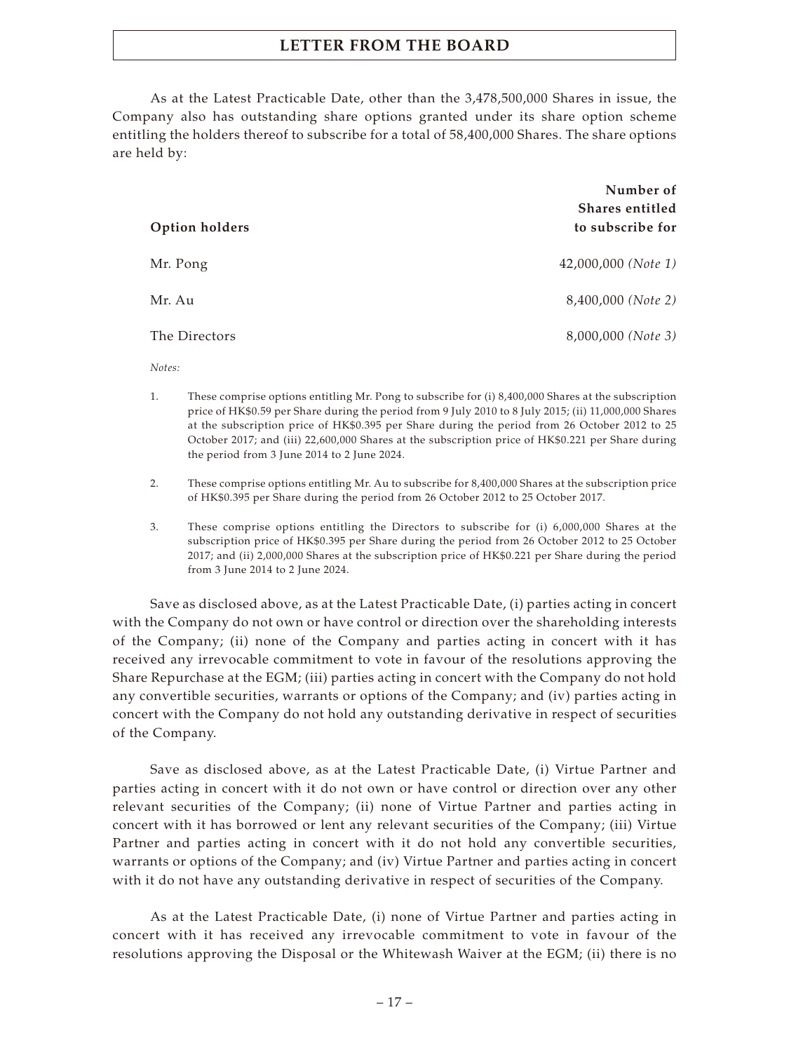As at the Latest Practicable Date, other than the 3,478,500,000 Shares in issue, the Company also has outstanding share options granted under its share option scheme entitling the holders thereof to subscribe for a total of 58,400,000 Shares. The share options are held by:

|                | Number of<br>Shares entitled |
|----------------|------------------------------|
| Option holders | to subscribe for             |
| Mr. Pong       | $42,000,000$ (Note 1)        |
| Mr. Au         | 8,400,000 ( <i>Note 2</i> )  |
| The Directors  | 8,000,000 ( <i>Note 3</i> )  |

*Notes:*

- 1. These comprise options entitling Mr. Pong to subscribe for (i) 8,400,000 Shares at the subscription price of HK\$0.59 per Share during the period from 9 July 2010 to 8 July 2015; (ii) 11,000,000 Shares at the subscription price of HK\$0.395 per Share during the period from 26 October 2012 to 25 October 2017; and (iii) 22,600,000 Shares at the subscription price of HK\$0.221 per Share during the period from 3 June 2014 to 2 June 2024.
- 2. These comprise options entitling Mr. Au to subscribe for 8,400,000 Shares at the subscription price of HK\$0.395 per Share during the period from 26 October 2012 to 25 October 2017.
- 3. These comprise options entitling the Directors to subscribe for (i) 6,000,000 Shares at the subscription price of HK\$0.395 per Share during the period from 26 October 2012 to 25 October 2017; and (ii) 2,000,000 Shares at the subscription price of HK\$0.221 per Share during the period from 3 June 2014 to 2 June 2024.

Save as disclosed above, as at the Latest Practicable Date, (i) parties acting in concert with the Company do not own or have control or direction over the shareholding interests of the Company; (ii) none of the Company and parties acting in concert with it has received any irrevocable commitment to vote in favour of the resolutions approving the Share Repurchase at the EGM; (iii) parties acting in concert with the Company do not hold any convertible securities, warrants or options of the Company; and (iv) parties acting in concert with the Company do not hold any outstanding derivative in respect of securities of the Company.

Save as disclosed above, as at the Latest Practicable Date, (i) Virtue Partner and parties acting in concert with it do not own or have control or direction over any other relevant securities of the Company; (ii) none of Virtue Partner and parties acting in concert with it has borrowed or lent any relevant securities of the Company; (iii) Virtue Partner and parties acting in concert with it do not hold any convertible securities, warrants or options of the Company; and (iv) Virtue Partner and parties acting in concert with it do not have any outstanding derivative in respect of securities of the Company.

As at the Latest Practicable Date, (i) none of Virtue Partner and parties acting in concert with it has received any irrevocable commitment to vote in favour of the resolutions approving the Disposal or the Whitewash Waiver at the EGM; (ii) there is no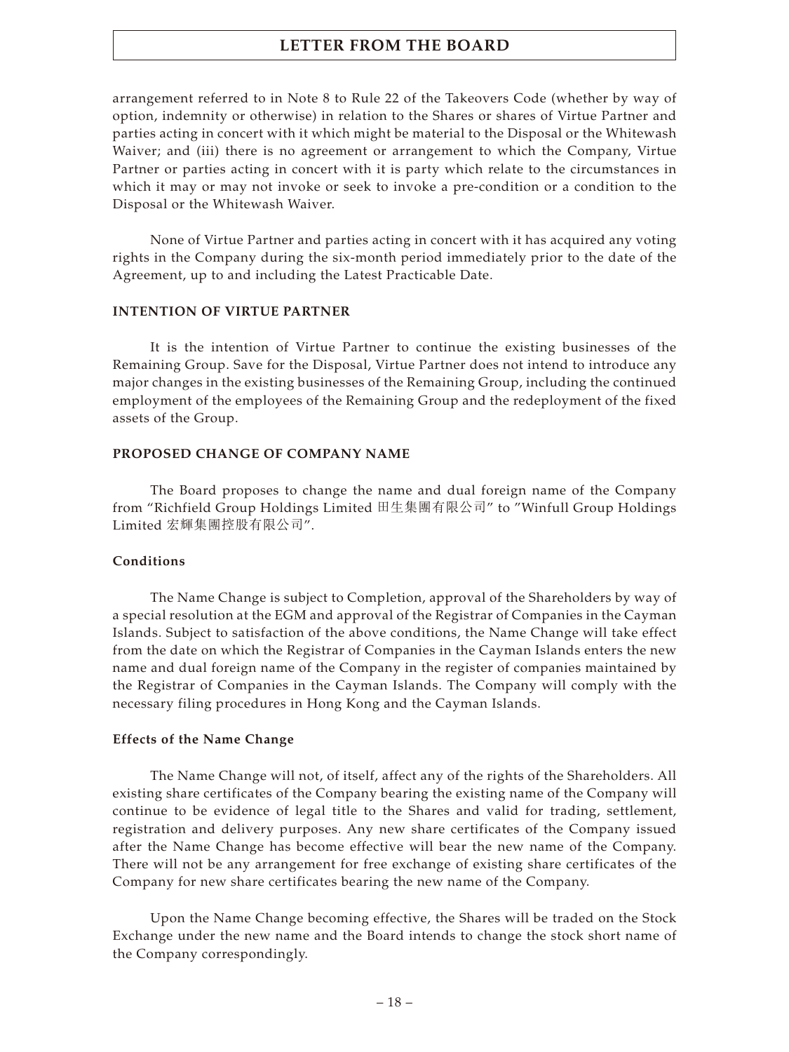arrangement referred to in Note 8 to Rule 22 of the Takeovers Code (whether by way of option, indemnity or otherwise) in relation to the Shares or shares of Virtue Partner and parties acting in concert with it which might be material to the Disposal or the Whitewash Waiver; and (iii) there is no agreement or arrangement to which the Company, Virtue Partner or parties acting in concert with it is party which relate to the circumstances in which it may or may not invoke or seek to invoke a pre-condition or a condition to the Disposal or the Whitewash Waiver.

None of Virtue Partner and parties acting in concert with it has acquired any voting rights in the Company during the six-month period immediately prior to the date of the Agreement, up to and including the Latest Practicable Date.

#### **INTENTION OF VIRTUE PARTNER**

It is the intention of Virtue Partner to continue the existing businesses of the Remaining Group. Save for the Disposal, Virtue Partner does not intend to introduce any major changes in the existing businesses of the Remaining Group, including the continued employment of the employees of the Remaining Group and the redeployment of the fixed assets of the Group.

#### **PROPOSED CHANGE OF COMPANY NAME**

The Board proposes to change the name and dual foreign name of the Company from "Richfield Group Holdings Limited 田生集團有限公司" to "Winfull Group Holdings Limited 宏輝集團控股有限公司".

#### **Conditions**

The Name Change is subject to Completion, approval of the Shareholders by way of a special resolution at the EGM and approval of the Registrar of Companies in the Cayman Islands. Subject to satisfaction of the above conditions, the Name Change will take effect from the date on which the Registrar of Companies in the Cayman Islands enters the new name and dual foreign name of the Company in the register of companies maintained by the Registrar of Companies in the Cayman Islands. The Company will comply with the necessary filing procedures in Hong Kong and the Cayman Islands.

#### **Effects of the Name Change**

The Name Change will not, of itself, affect any of the rights of the Shareholders. All existing share certificates of the Company bearing the existing name of the Company will continue to be evidence of legal title to the Shares and valid for trading, settlement, registration and delivery purposes. Any new share certificates of the Company issued after the Name Change has become effective will bear the new name of the Company. There will not be any arrangement for free exchange of existing share certificates of the Company for new share certificates bearing the new name of the Company.

Upon the Name Change becoming effective, the Shares will be traded on the Stock Exchange under the new name and the Board intends to change the stock short name of the Company correspondingly.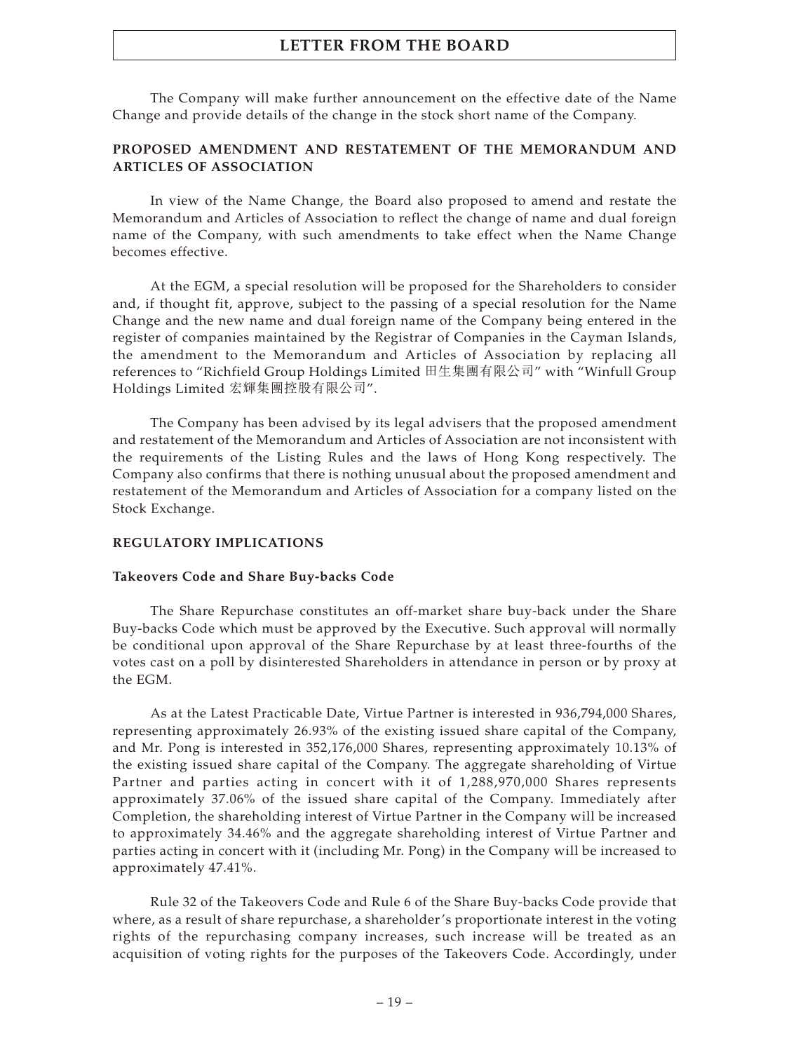The Company will make further announcement on the effective date of the Name Change and provide details of the change in the stock short name of the Company.

## **PROPOSED AMENDMENT AND RESTATEMENT OF THE MEMORANDUM AND ARTICLES OF ASSOCIATION**

In view of the Name Change, the Board also proposed to amend and restate the Memorandum and Articles of Association to reflect the change of name and dual foreign name of the Company, with such amendments to take effect when the Name Change becomes effective.

At the EGM, a special resolution will be proposed for the Shareholders to consider and, if thought fit, approve, subject to the passing of a special resolution for the Name Change and the new name and dual foreign name of the Company being entered in the register of companies maintained by the Registrar of Companies in the Cayman Islands, the amendment to the Memorandum and Articles of Association by replacing all references to "Richfield Group Holdings Limited 田生集團有限公司" with "Winfull Group Holdings Limited 宏輝集團控股有限公司".

The Company has been advised by its legal advisers that the proposed amendment and restatement of the Memorandum and Articles of Association are not inconsistent with the requirements of the Listing Rules and the laws of Hong Kong respectively. The Company also confirms that there is nothing unusual about the proposed amendment and restatement of the Memorandum and Articles of Association for a company listed on the Stock Exchange.

#### **REGULATORY IMPLICATIONS**

#### **Takeovers Code and Share Buy-backs Code**

The Share Repurchase constitutes an off-market share buy-back under the Share Buy-backs Code which must be approved by the Executive. Such approval will normally be conditional upon approval of the Share Repurchase by at least three-fourths of the votes cast on a poll by disinterested Shareholders in attendance in person or by proxy at the EGM.

As at the Latest Practicable Date, Virtue Partner is interested in 936,794,000 Shares, representing approximately 26.93% of the existing issued share capital of the Company, and Mr. Pong is interested in 352,176,000 Shares, representing approximately 10.13% of the existing issued share capital of the Company. The aggregate shareholding of Virtue Partner and parties acting in concert with it of 1,288,970,000 Shares represents approximately 37.06% of the issued share capital of the Company. Immediately after Completion, the shareholding interest of Virtue Partner in the Company will be increased to approximately 34.46% and the aggregate shareholding interest of Virtue Partner and parties acting in concert with it (including Mr. Pong) in the Company will be increased to approximately 47.41%.

Rule 32 of the Takeovers Code and Rule 6 of the Share Buy-backs Code provide that where, as a result of share repurchase, a shareholder's proportionate interest in the voting rights of the repurchasing company increases, such increase will be treated as an acquisition of voting rights for the purposes of the Takeovers Code. Accordingly, under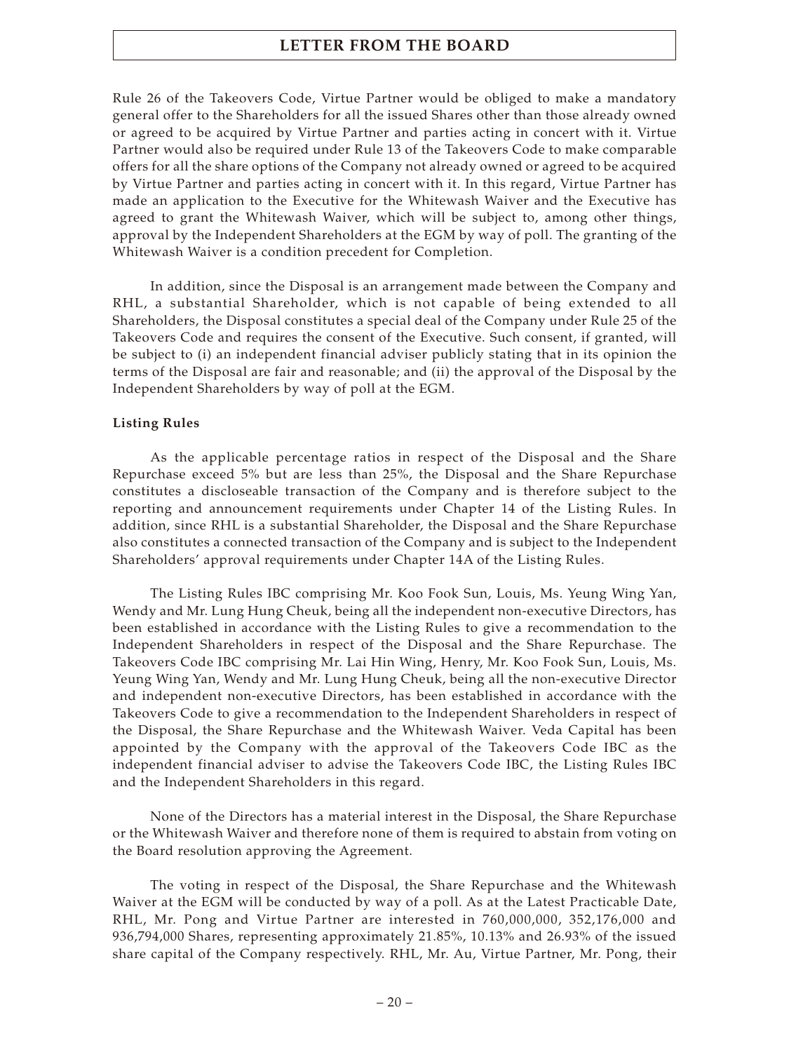Rule 26 of the Takeovers Code, Virtue Partner would be obliged to make a mandatory general offer to the Shareholders for all the issued Shares other than those already owned or agreed to be acquired by Virtue Partner and parties acting in concert with it. Virtue Partner would also be required under Rule 13 of the Takeovers Code to make comparable offers for all the share options of the Company not already owned or agreed to be acquired by Virtue Partner and parties acting in concert with it. In this regard, Virtue Partner has made an application to the Executive for the Whitewash Waiver and the Executive has agreed to grant the Whitewash Waiver, which will be subject to, among other things, approval by the Independent Shareholders at the EGM by way of poll. The granting of the Whitewash Waiver is a condition precedent for Completion.

In addition, since the Disposal is an arrangement made between the Company and RHL, a substantial Shareholder, which is not capable of being extended to all Shareholders, the Disposal constitutes a special deal of the Company under Rule 25 of the Takeovers Code and requires the consent of the Executive. Such consent, if granted, will be subject to (i) an independent financial adviser publicly stating that in its opinion the terms of the Disposal are fair and reasonable; and (ii) the approval of the Disposal by the Independent Shareholders by way of poll at the EGM.

## **Listing Rules**

As the applicable percentage ratios in respect of the Disposal and the Share Repurchase exceed 5% but are less than 25%, the Disposal and the Share Repurchase constitutes a discloseable transaction of the Company and is therefore subject to the reporting and announcement requirements under Chapter 14 of the Listing Rules. In addition, since RHL is a substantial Shareholder, the Disposal and the Share Repurchase also constitutes a connected transaction of the Company and is subject to the Independent Shareholders' approval requirements under Chapter 14A of the Listing Rules.

The Listing Rules IBC comprising Mr. Koo Fook Sun, Louis, Ms. Yeung Wing Yan, Wendy and Mr. Lung Hung Cheuk, being all the independent non-executive Directors, has been established in accordance with the Listing Rules to give a recommendation to the Independent Shareholders in respect of the Disposal and the Share Repurchase. The Takeovers Code IBC comprising Mr. Lai Hin Wing, Henry, Mr. Koo Fook Sun, Louis, Ms. Yeung Wing Yan, Wendy and Mr. Lung Hung Cheuk, being all the non-executive Director and independent non-executive Directors, has been established in accordance with the Takeovers Code to give a recommendation to the Independent Shareholders in respect of the Disposal, the Share Repurchase and the Whitewash Waiver. Veda Capital has been appointed by the Company with the approval of the Takeovers Code IBC as the independent financial adviser to advise the Takeovers Code IBC, the Listing Rules IBC and the Independent Shareholders in this regard.

None of the Directors has a material interest in the Disposal, the Share Repurchase or the Whitewash Waiver and therefore none of them is required to abstain from voting on the Board resolution approving the Agreement.

The voting in respect of the Disposal, the Share Repurchase and the Whitewash Waiver at the EGM will be conducted by way of a poll. As at the Latest Practicable Date, RHL, Mr. Pong and Virtue Partner are interested in 760,000,000, 352,176,000 and 936,794,000 Shares, representing approximately 21.85%, 10.13% and 26.93% of the issued share capital of the Company respectively. RHL, Mr. Au, Virtue Partner, Mr. Pong, their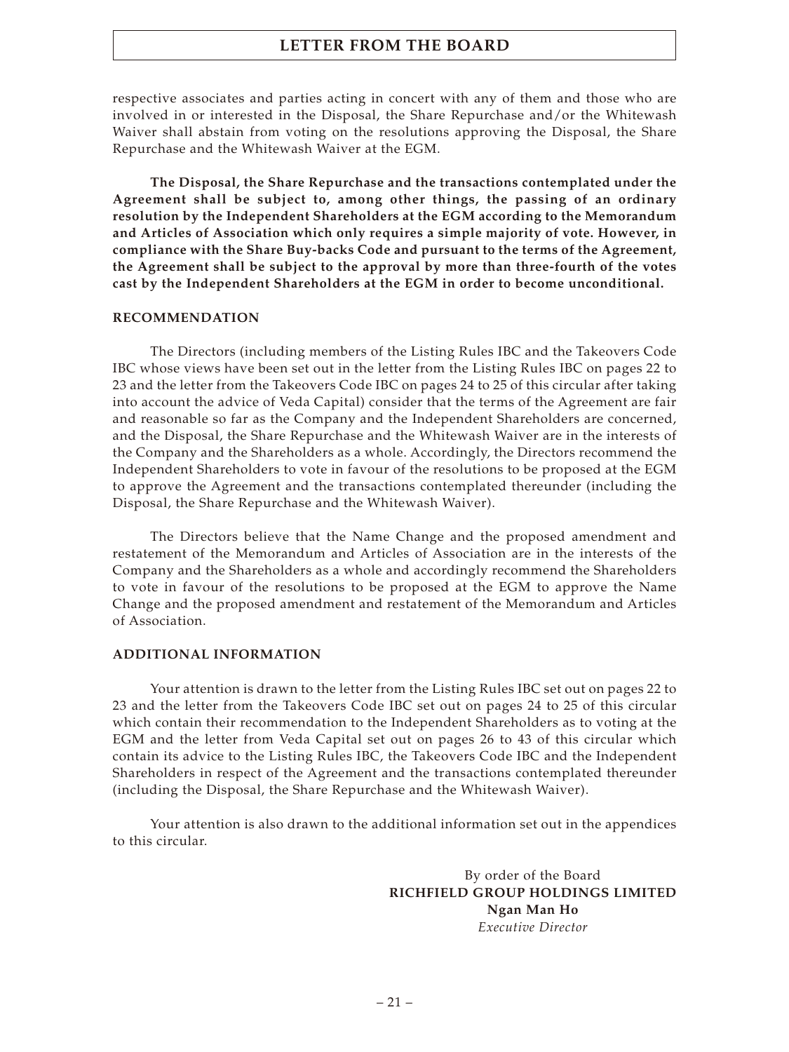respective associates and parties acting in concert with any of them and those who are involved in or interested in the Disposal, the Share Repurchase and/or the Whitewash Waiver shall abstain from voting on the resolutions approving the Disposal, the Share Repurchase and the Whitewash Waiver at the EGM.

**The Disposal, the Share Repurchase and the transactions contemplated under the Agreement shall be subject to, among other things, the passing of an ordinary resolution by the Independent Shareholders at the EGM according to the Memorandum and Articles of Association which only requires a simple majority of vote. However, in compliance with the Share Buy-backs Code and pursuant to the terms of the Agreement, the Agreement shall be subject to the approval by more than three-fourth of the votes cast by the Independent Shareholders at the EGM in order to become unconditional.**

#### **RECOMMENDATION**

The Directors (including members of the Listing Rules IBC and the Takeovers Code IBC whose views have been set out in the letter from the Listing Rules IBC on pages 22 to 23 and the letter from the Takeovers Code IBC on pages 24 to 25 of this circular after taking into account the advice of Veda Capital) consider that the terms of the Agreement are fair and reasonable so far as the Company and the Independent Shareholders are concerned, and the Disposal, the Share Repurchase and the Whitewash Waiver are in the interests of the Company and the Shareholders as a whole. Accordingly, the Directors recommend the Independent Shareholders to vote in favour of the resolutions to be proposed at the EGM to approve the Agreement and the transactions contemplated thereunder (including the Disposal, the Share Repurchase and the Whitewash Waiver).

The Directors believe that the Name Change and the proposed amendment and restatement of the Memorandum and Articles of Association are in the interests of the Company and the Shareholders as a whole and accordingly recommend the Shareholders to vote in favour of the resolutions to be proposed at the EGM to approve the Name Change and the proposed amendment and restatement of the Memorandum and Articles of Association.

#### **ADDITIONAL INFORMATION**

Your attention is drawn to the letter from the Listing Rules IBC set out on pages 22 to 23 and the letter from the Takeovers Code IBC set out on pages 24 to 25 of this circular which contain their recommendation to the Independent Shareholders as to voting at the EGM and the letter from Veda Capital set out on pages 26 to 43 of this circular which contain its advice to the Listing Rules IBC, the Takeovers Code IBC and the Independent Shareholders in respect of the Agreement and the transactions contemplated thereunder (including the Disposal, the Share Repurchase and the Whitewash Waiver).

Your attention is also drawn to the additional information set out in the appendices to this circular.

> By order of the Board **RICHFIELD GROUP HOLDINGS LIMITED Ngan Man Ho** *Executive Director*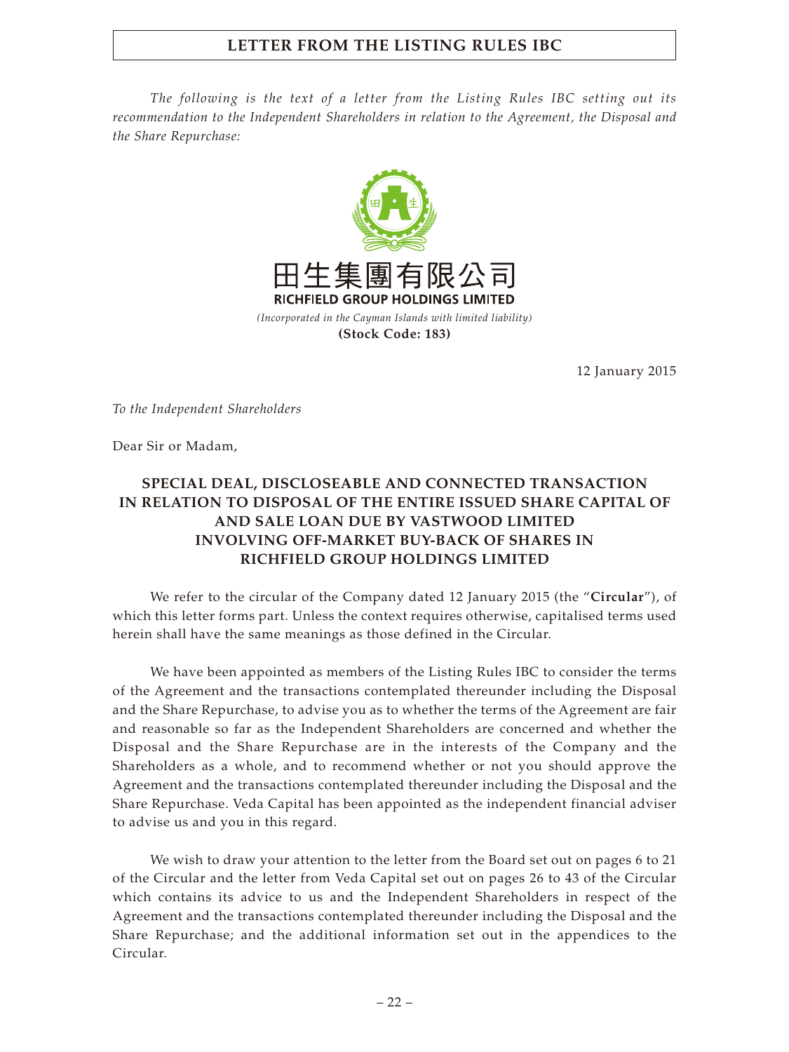# **LETTER FROM THE LISTING RULES IBC**

*The following is the text of a letter from the Listing Rules IBC setting out its recommendation to the Independent Shareholders in relation to the Agreement, the Disposal and the Share Repurchase:*



12 January 2015

*To the Independent Shareholders*

Dear Sir or Madam,

# **SPECIAL DEAL, DISCLOSEABLE AND CONNECTED TRANSACTION IN RELATION TO DISPOSAL OF THE ENTIRE ISSUED SHARE CAPITAL OF AND SALE LOAN DUE BY VASTWOOD LIMITED INVOLVING OFF-MARKET BUY-BACK OF SHARES IN RICHFIELD GROUP HOLDINGS LIMITED**

We refer to the circular of the Company dated 12 January 2015 (the "**Circular**"), of which this letter forms part. Unless the context requires otherwise, capitalised terms used herein shall have the same meanings as those defined in the Circular.

We have been appointed as members of the Listing Rules IBC to consider the terms of the Agreement and the transactions contemplated thereunder including the Disposal and the Share Repurchase, to advise you as to whether the terms of the Agreement are fair and reasonable so far as the Independent Shareholders are concerned and whether the Disposal and the Share Repurchase are in the interests of the Company and the Shareholders as a whole, and to recommend whether or not you should approve the Agreement and the transactions contemplated thereunder including the Disposal and the Share Repurchase. Veda Capital has been appointed as the independent financial adviser to advise us and you in this regard.

We wish to draw your attention to the letter from the Board set out on pages 6 to 21 of the Circular and the letter from Veda Capital set out on pages 26 to 43 of the Circular which contains its advice to us and the Independent Shareholders in respect of the Agreement and the transactions contemplated thereunder including the Disposal and the Share Repurchase; and the additional information set out in the appendices to the Circular.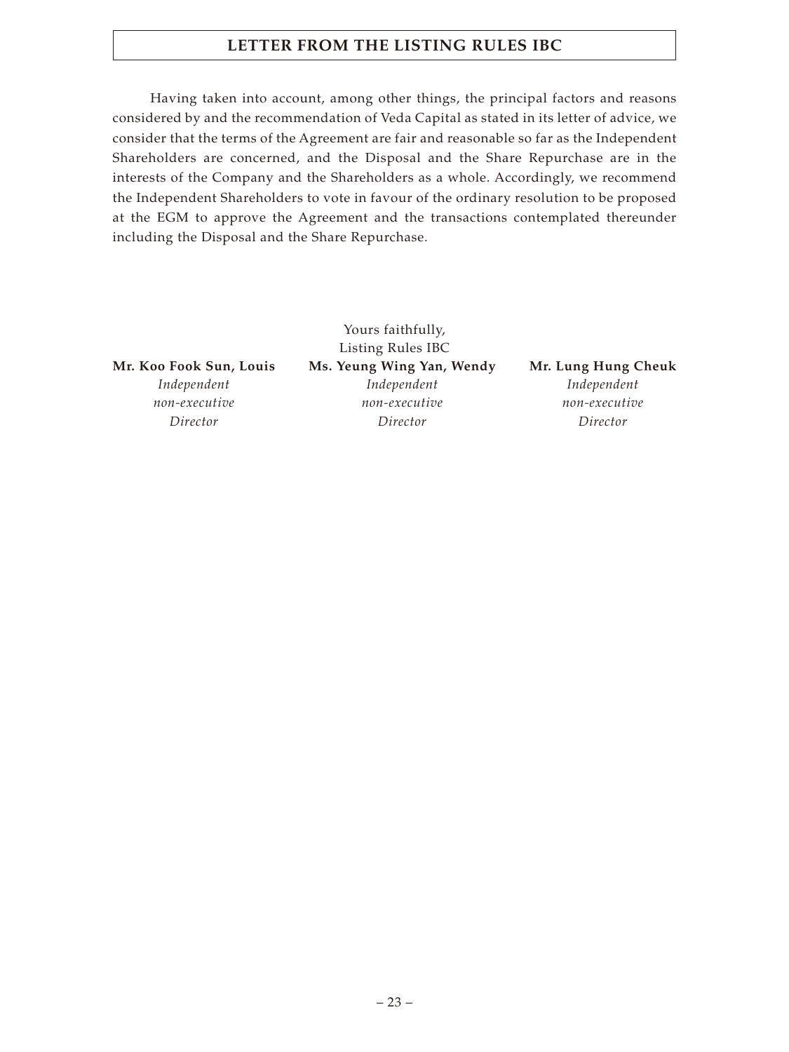# **LETTER FROM THE LISTING RULES IBC**

Having taken into account, among other things, the principal factors and reasons considered by and the recommendation of Veda Capital as stated in its letter of advice, we consider that the terms of the Agreement are fair and reasonable so far as the Independent Shareholders are concerned, and the Disposal and the Share Repurchase are in the interests of the Company and the Shareholders as a whole. Accordingly, we recommend the Independent Shareholders to vote in favour of the ordinary resolution to be proposed at the EGM to approve the Agreement and the transactions contemplated thereunder including the Disposal and the Share Repurchase.

*Independent non-executive Director*

Yours faithfully, Listing Rules IBC **Mr. Koo Fook Sun, Louis Ms. Yeung Wing Yan, Wendy Mr. Lung Hung Cheuk** *Independent non-executive Director*

*Independent*

*non-executive Director*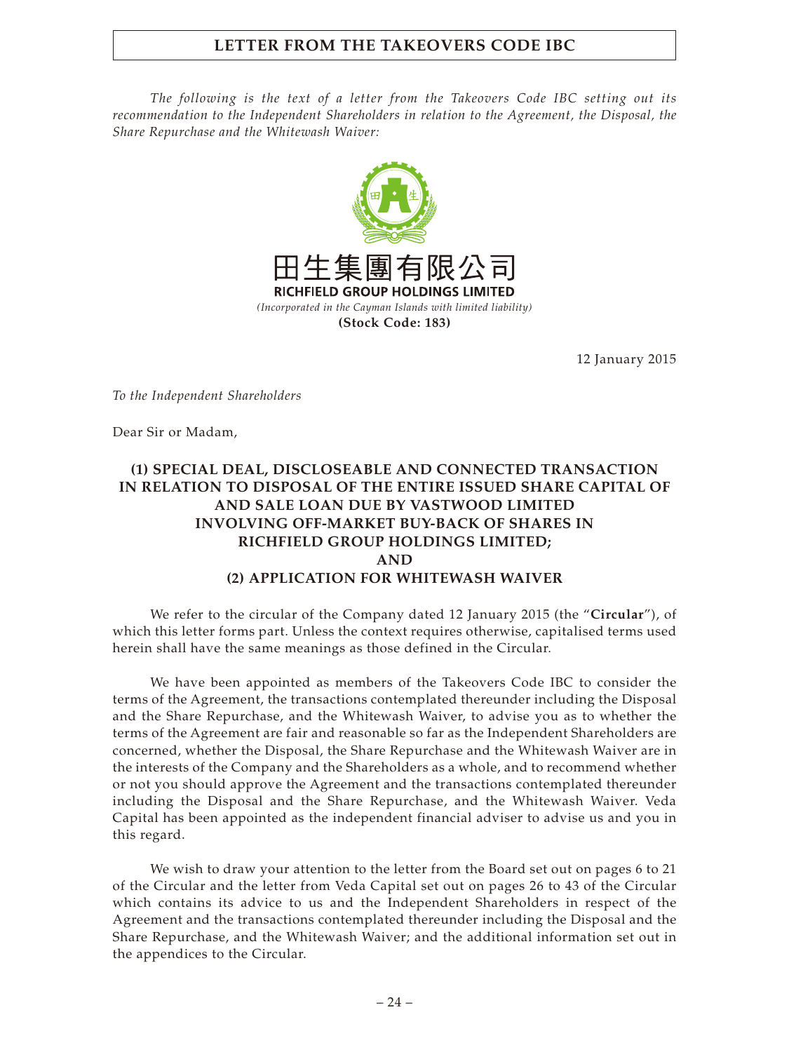# **LETTER FROM THE TAKEOVERS CODE IBC**

*The following is the text of a letter from the Takeovers Code IBC setting out its recommendation to the Independent Shareholders in relation to the Agreement, the Disposal, the Share Repurchase and the Whitewash Waiver:*



12 January 2015

*To the Independent Shareholders*

Dear Sir or Madam,

# **(1) SPECIAL DEAL, DISCLOSEABLE AND CONNECTED TRANSACTION IN RELATION TO DISPOSAL OF THE ENTIRE ISSUED SHARE CAPITAL OF AND SALE LOAN DUE BY VASTWOOD LIMITED INVOLVING OFF-MARKET BUY-BACK OF SHARES IN RICHFIELD GROUP HOLDINGS LIMITED; AND (2) APPLICATION FOR WHITEWASH WAIVER**

We refer to the circular of the Company dated 12 January 2015 (the "**Circular**"), of which this letter forms part. Unless the context requires otherwise, capitalised terms used herein shall have the same meanings as those defined in the Circular.

We have been appointed as members of the Takeovers Code IBC to consider the terms of the Agreement, the transactions contemplated thereunder including the Disposal and the Share Repurchase, and the Whitewash Waiver, to advise you as to whether the terms of the Agreement are fair and reasonable so far as the Independent Shareholders are concerned, whether the Disposal, the Share Repurchase and the Whitewash Waiver are in the interests of the Company and the Shareholders as a whole, and to recommend whether or not you should approve the Agreement and the transactions contemplated thereunder including the Disposal and the Share Repurchase, and the Whitewash Waiver. Veda Capital has been appointed as the independent financial adviser to advise us and you in this regard.

We wish to draw your attention to the letter from the Board set out on pages 6 to 21 of the Circular and the letter from Veda Capital set out on pages 26 to 43 of the Circular which contains its advice to us and the Independent Shareholders in respect of the Agreement and the transactions contemplated thereunder including the Disposal and the Share Repurchase, and the Whitewash Waiver; and the additional information set out in the appendices to the Circular.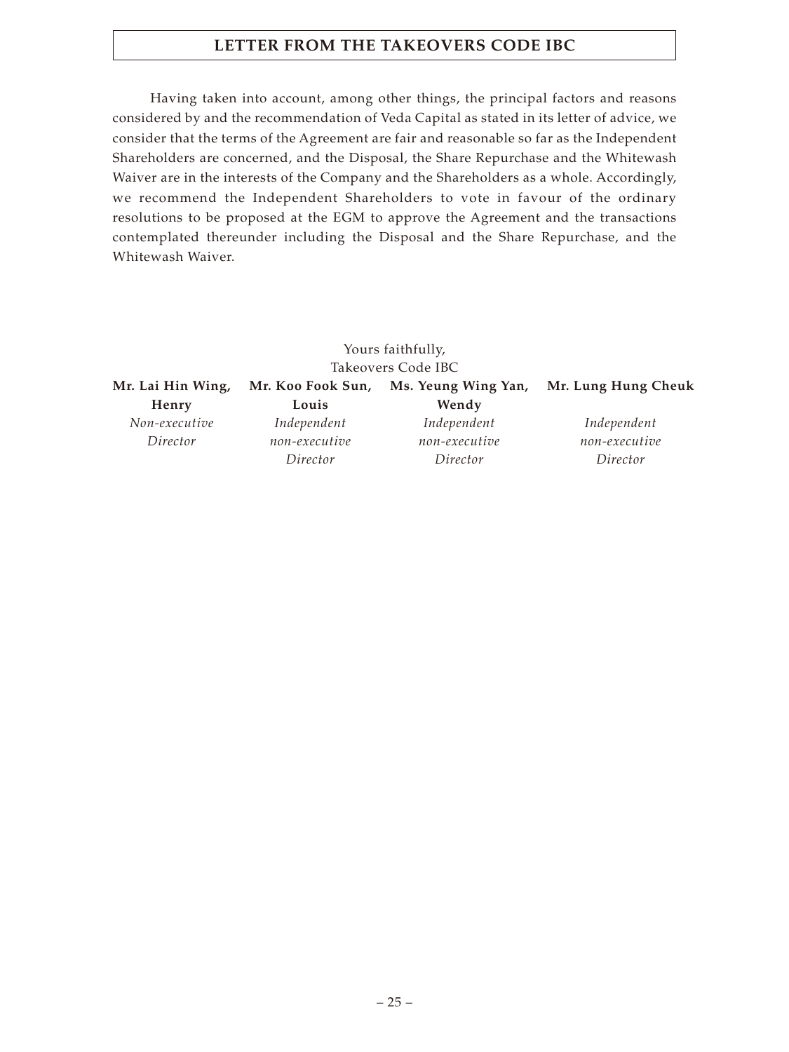# **LETTER FROM THE TAKEOVERS CODE IBC**

Having taken into account, among other things, the principal factors and reasons considered by and the recommendation of Veda Capital as stated in its letter of advice, we consider that the terms of the Agreement are fair and reasonable so far as the Independent Shareholders are concerned, and the Disposal, the Share Repurchase and the Whitewash Waiver are in the interests of the Company and the Shareholders as a whole. Accordingly, we recommend the Independent Shareholders to vote in favour of the ordinary resolutions to be proposed at the EGM to approve the Agreement and the transactions contemplated thereunder including the Disposal and the Share Repurchase, and the Whitewash Waiver.

|                   |                   | Yours faithfully,   |                     |
|-------------------|-------------------|---------------------|---------------------|
|                   |                   | Takeovers Code IBC  |                     |
| Mr. Lai Hin Wing, | Mr. Koo Fook Sun, | Ms. Yeung Wing Yan, | Mr. Lung Hung Cheuk |
| Henry             | Louis             | Wendy               |                     |
| Non-executive     | Independent       | Independent         | Independent         |
| Director          | non-executive     | non-executive       | non-executive       |
|                   | Director          | Director            | Director            |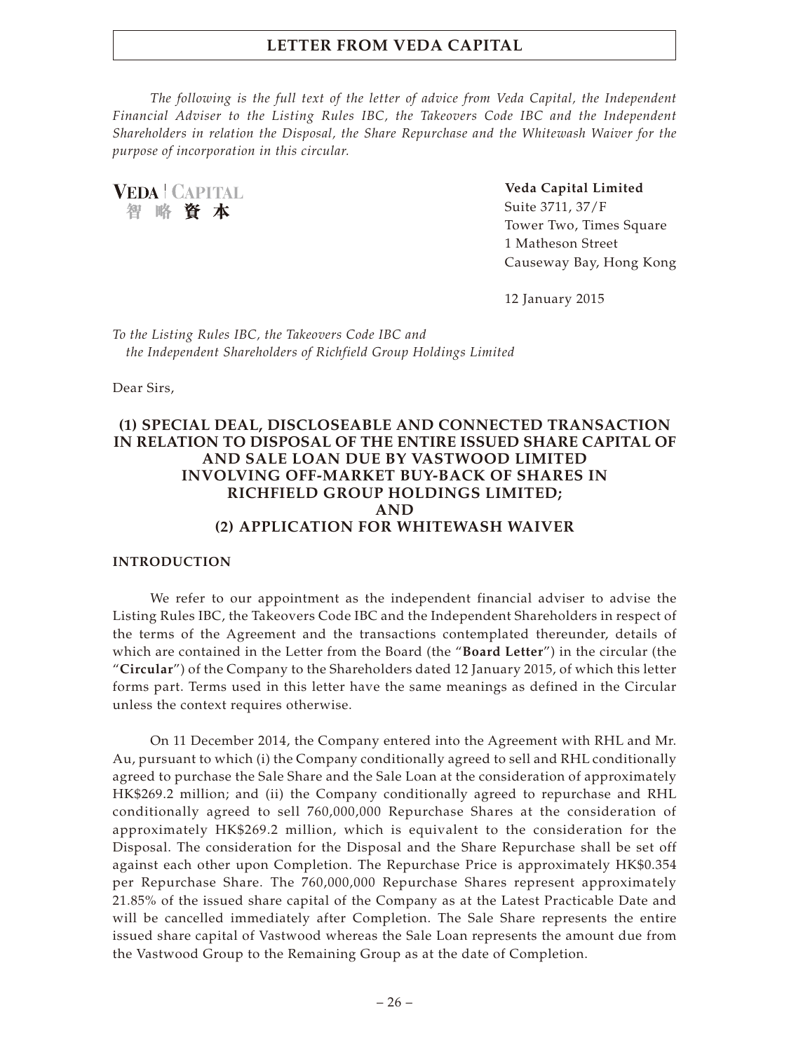*The following is the full text of the letter of advice from Veda Capital, the Independent Financial Adviser to the Listing Rules IBC, the Takeovers Code IBC and the Independent Shareholders in relation the Disposal, the Share Repurchase and the Whitewash Waiver for the purpose of incorporation in this circular.*

**VEDA | CAPITAL** 智略資本

**Veda Capital Limited**

Suite 3711, 37/F Tower Two, Times Square 1 Matheson Street Causeway Bay, Hong Kong

12 January 2015

*To the Listing Rules IBC, the Takeovers Code IBC and the Independent Shareholders of Richfield Group Holdings Limited*

Dear Sirs,

## **(1) SPECIAL DEAL, DISCLOSEABLE AND CONNECTED TRANSACTION IN RELATION TO DISPOSAL OF THE ENTIRE ISSUED SHARE CAPITAL OF AND SALE LOAN DUE BY VASTWOOD LIMITED INVOLVING OFF-MARKET BUY-BACK OF SHARES IN RICHFIELD GROUP HOLDINGS LIMITED; AND (2) APPLICATION FOR WHITEWASH WAIVER**

#### **INTRODUCTION**

We refer to our appointment as the independent financial adviser to advise the Listing Rules IBC, the Takeovers Code IBC and the Independent Shareholders in respect of the terms of the Agreement and the transactions contemplated thereunder, details of which are contained in the Letter from the Board (the "**Board Letter**") in the circular (the "**Circular**") of the Company to the Shareholders dated 12 January 2015, of which this letter forms part. Terms used in this letter have the same meanings as defined in the Circular unless the context requires otherwise.

On 11 December 2014, the Company entered into the Agreement with RHL and Mr. Au, pursuant to which (i) the Company conditionally agreed to sell and RHL conditionally agreed to purchase the Sale Share and the Sale Loan at the consideration of approximately HK\$269.2 million; and (ii) the Company conditionally agreed to repurchase and RHL conditionally agreed to sell 760,000,000 Repurchase Shares at the consideration of approximately HK\$269.2 million, which is equivalent to the consideration for the Disposal. The consideration for the Disposal and the Share Repurchase shall be set off against each other upon Completion. The Repurchase Price is approximately HK\$0.354 per Repurchase Share. The 760,000,000 Repurchase Shares represent approximately 21.85% of the issued share capital of the Company as at the Latest Practicable Date and will be cancelled immediately after Completion. The Sale Share represents the entire issued share capital of Vastwood whereas the Sale Loan represents the amount due from the Vastwood Group to the Remaining Group as at the date of Completion.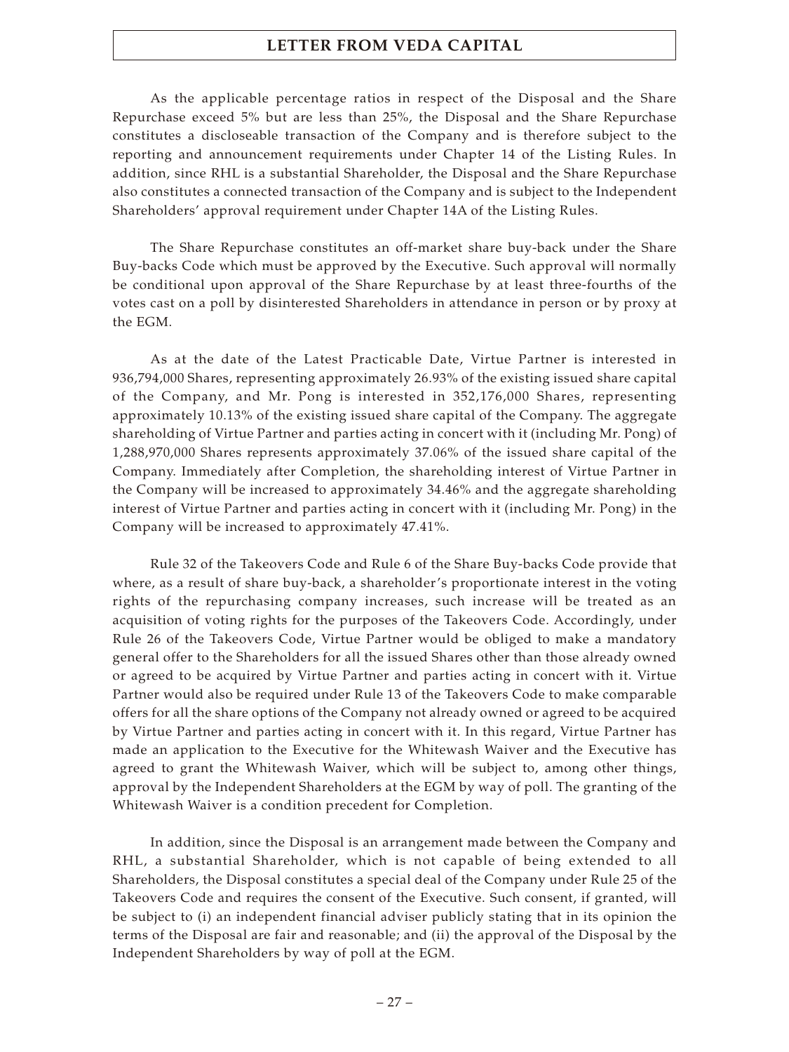As the applicable percentage ratios in respect of the Disposal and the Share Repurchase exceed 5% but are less than 25%, the Disposal and the Share Repurchase constitutes a discloseable transaction of the Company and is therefore subject to the reporting and announcement requirements under Chapter 14 of the Listing Rules. In addition, since RHL is a substantial Shareholder, the Disposal and the Share Repurchase also constitutes a connected transaction of the Company and is subject to the Independent Shareholders' approval requirement under Chapter 14A of the Listing Rules.

The Share Repurchase constitutes an off-market share buy-back under the Share Buy-backs Code which must be approved by the Executive. Such approval will normally be conditional upon approval of the Share Repurchase by at least three-fourths of the votes cast on a poll by disinterested Shareholders in attendance in person or by proxy at the EGM.

As at the date of the Latest Practicable Date, Virtue Partner is interested in 936,794,000 Shares, representing approximately 26.93% of the existing issued share capital of the Company, and Mr. Pong is interested in 352,176,000 Shares, representing approximately 10.13% of the existing issued share capital of the Company. The aggregate shareholding of Virtue Partner and parties acting in concert with it (including Mr. Pong) of 1,288,970,000 Shares represents approximately 37.06% of the issued share capital of the Company. Immediately after Completion, the shareholding interest of Virtue Partner in the Company will be increased to approximately 34.46% and the aggregate shareholding interest of Virtue Partner and parties acting in concert with it (including Mr. Pong) in the Company will be increased to approximately 47.41%.

Rule 32 of the Takeovers Code and Rule 6 of the Share Buy-backs Code provide that where, as a result of share buy-back, a shareholder's proportionate interest in the voting rights of the repurchasing company increases, such increase will be treated as an acquisition of voting rights for the purposes of the Takeovers Code. Accordingly, under Rule 26 of the Takeovers Code, Virtue Partner would be obliged to make a mandatory general offer to the Shareholders for all the issued Shares other than those already owned or agreed to be acquired by Virtue Partner and parties acting in concert with it. Virtue Partner would also be required under Rule 13 of the Takeovers Code to make comparable offers for all the share options of the Company not already owned or agreed to be acquired by Virtue Partner and parties acting in concert with it. In this regard, Virtue Partner has made an application to the Executive for the Whitewash Waiver and the Executive has agreed to grant the Whitewash Waiver, which will be subject to, among other things, approval by the Independent Shareholders at the EGM by way of poll. The granting of the Whitewash Waiver is a condition precedent for Completion.

In addition, since the Disposal is an arrangement made between the Company and RHL, a substantial Shareholder, which is not capable of being extended to all Shareholders, the Disposal constitutes a special deal of the Company under Rule 25 of the Takeovers Code and requires the consent of the Executive. Such consent, if granted, will be subject to (i) an independent financial adviser publicly stating that in its opinion the terms of the Disposal are fair and reasonable; and (ii) the approval of the Disposal by the Independent Shareholders by way of poll at the EGM.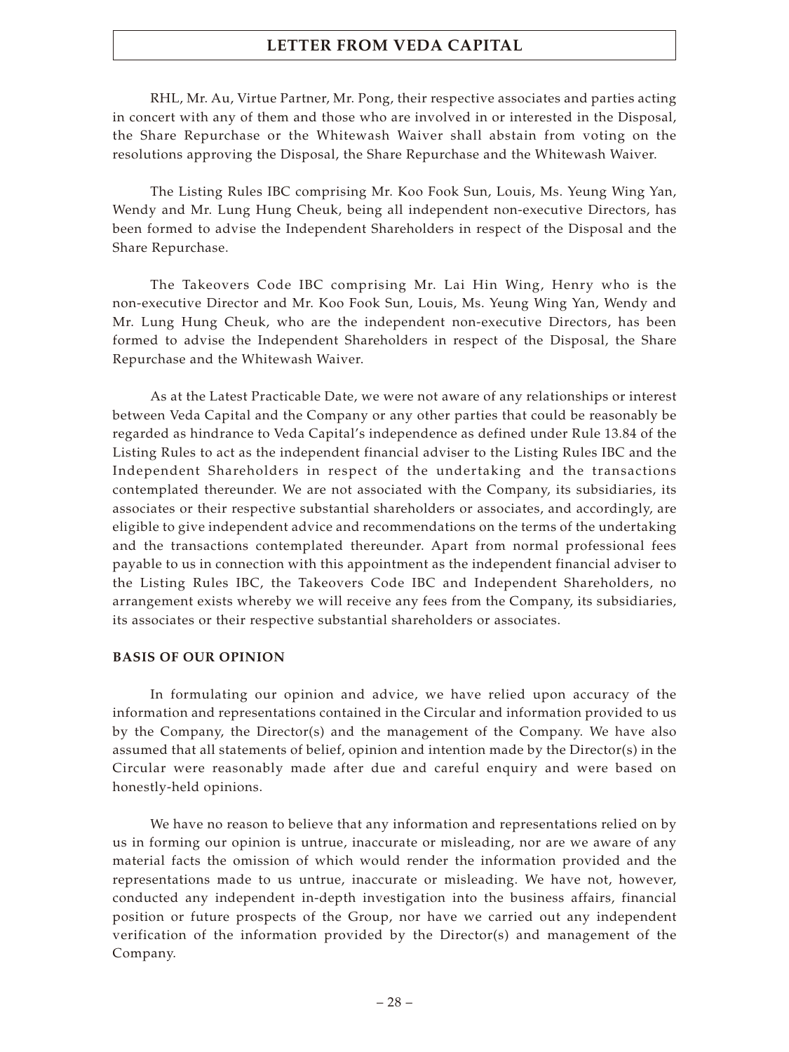RHL, Mr. Au, Virtue Partner, Mr. Pong, their respective associates and parties acting in concert with any of them and those who are involved in or interested in the Disposal, the Share Repurchase or the Whitewash Waiver shall abstain from voting on the resolutions approving the Disposal, the Share Repurchase and the Whitewash Waiver.

The Listing Rules IBC comprising Mr. Koo Fook Sun, Louis, Ms. Yeung Wing Yan, Wendy and Mr. Lung Hung Cheuk, being all independent non-executive Directors, has been formed to advise the Independent Shareholders in respect of the Disposal and the Share Repurchase.

The Takeovers Code IBC comprising Mr. Lai Hin Wing, Henry who is the non-executive Director and Mr. Koo Fook Sun, Louis, Ms. Yeung Wing Yan, Wendy and Mr. Lung Hung Cheuk, who are the independent non-executive Directors, has been formed to advise the Independent Shareholders in respect of the Disposal, the Share Repurchase and the Whitewash Waiver.

As at the Latest Practicable Date, we were not aware of any relationships or interest between Veda Capital and the Company or any other parties that could be reasonably be regarded as hindrance to Veda Capital's independence as defined under Rule 13.84 of the Listing Rules to act as the independent financial adviser to the Listing Rules IBC and the Independent Shareholders in respect of the undertaking and the transactions contemplated thereunder. We are not associated with the Company, its subsidiaries, its associates or their respective substantial shareholders or associates, and accordingly, are eligible to give independent advice and recommendations on the terms of the undertaking and the transactions contemplated thereunder. Apart from normal professional fees payable to us in connection with this appointment as the independent financial adviser to the Listing Rules IBC, the Takeovers Code IBC and Independent Shareholders, no arrangement exists whereby we will receive any fees from the Company, its subsidiaries, its associates or their respective substantial shareholders or associates.

#### **BASIS OF OUR OPINION**

In formulating our opinion and advice, we have relied upon accuracy of the information and representations contained in the Circular and information provided to us by the Company, the Director(s) and the management of the Company. We have also assumed that all statements of belief, opinion and intention made by the Director(s) in the Circular were reasonably made after due and careful enquiry and were based on honestly-held opinions.

We have no reason to believe that any information and representations relied on by us in forming our opinion is untrue, inaccurate or misleading, nor are we aware of any material facts the omission of which would render the information provided and the representations made to us untrue, inaccurate or misleading. We have not, however, conducted any independent in-depth investigation into the business affairs, financial position or future prospects of the Group, nor have we carried out any independent verification of the information provided by the Director(s) and management of the Company.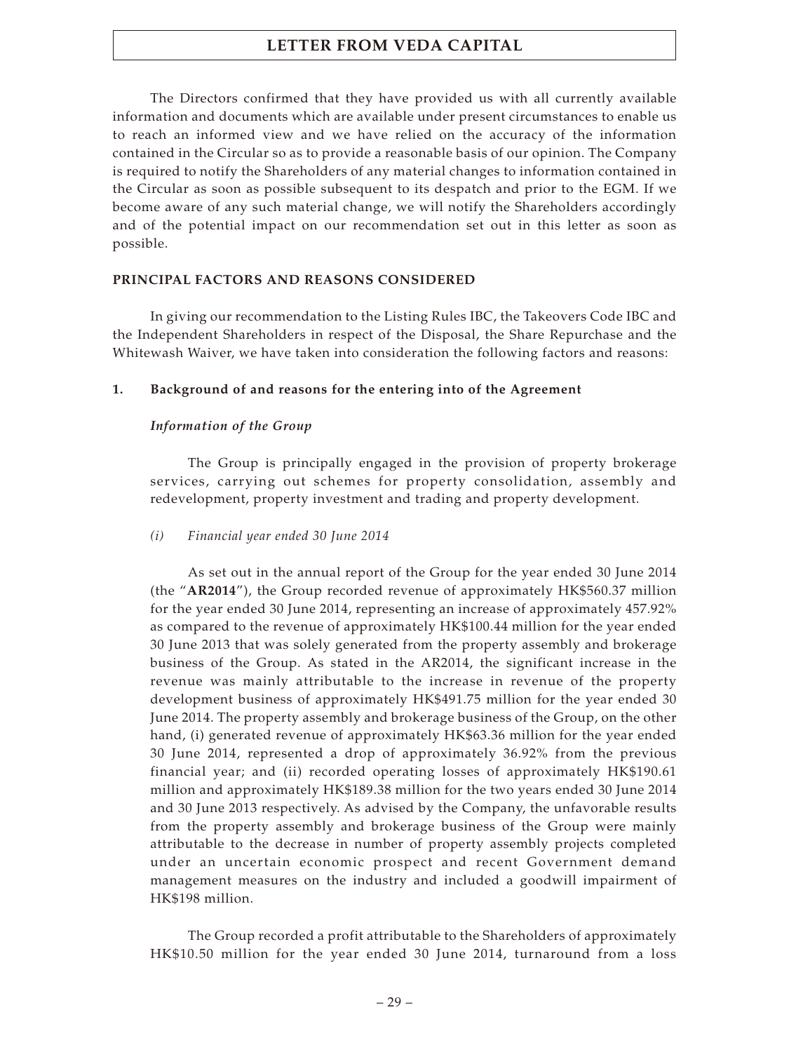The Directors confirmed that they have provided us with all currently available information and documents which are available under present circumstances to enable us to reach an informed view and we have relied on the accuracy of the information contained in the Circular so as to provide a reasonable basis of our opinion. The Company is required to notify the Shareholders of any material changes to information contained in the Circular as soon as possible subsequent to its despatch and prior to the EGM. If we become aware of any such material change, we will notify the Shareholders accordingly and of the potential impact on our recommendation set out in this letter as soon as possible.

## **PRINCIPAL FACTORS AND REASONS CONSIDERED**

In giving our recommendation to the Listing Rules IBC, the Takeovers Code IBC and the Independent Shareholders in respect of the Disposal, the Share Repurchase and the Whitewash Waiver, we have taken into consideration the following factors and reasons:

## **1. Background of and reasons for the entering into of the Agreement**

## *Information of the Group*

The Group is principally engaged in the provision of property brokerage services, carrying out schemes for property consolidation, assembly and redevelopment, property investment and trading and property development.

## *(i) Financial year ended 30 June 2014*

As set out in the annual report of the Group for the year ended 30 June 2014 (the "**AR2014**"), the Group recorded revenue of approximately HK\$560.37 million for the year ended 30 June 2014, representing an increase of approximately 457.92% as compared to the revenue of approximately HK\$100.44 million for the year ended 30 June 2013 that was solely generated from the property assembly and brokerage business of the Group. As stated in the AR2014, the significant increase in the revenue was mainly attributable to the increase in revenue of the property development business of approximately HK\$491.75 million for the year ended 30 June 2014. The property assembly and brokerage business of the Group, on the other hand, (i) generated revenue of approximately HK\$63.36 million for the year ended 30 June 2014, represented a drop of approximately 36.92% from the previous financial year; and (ii) recorded operating losses of approximately HK\$190.61 million and approximately HK\$189.38 million for the two years ended 30 June 2014 and 30 June 2013 respectively. As advised by the Company, the unfavorable results from the property assembly and brokerage business of the Group were mainly attributable to the decrease in number of property assembly projects completed under an uncertain economic prospect and recent Government demand management measures on the industry and included a goodwill impairment of HK\$198 million.

The Group recorded a profit attributable to the Shareholders of approximately HK\$10.50 million for the year ended 30 June 2014, turnaround from a loss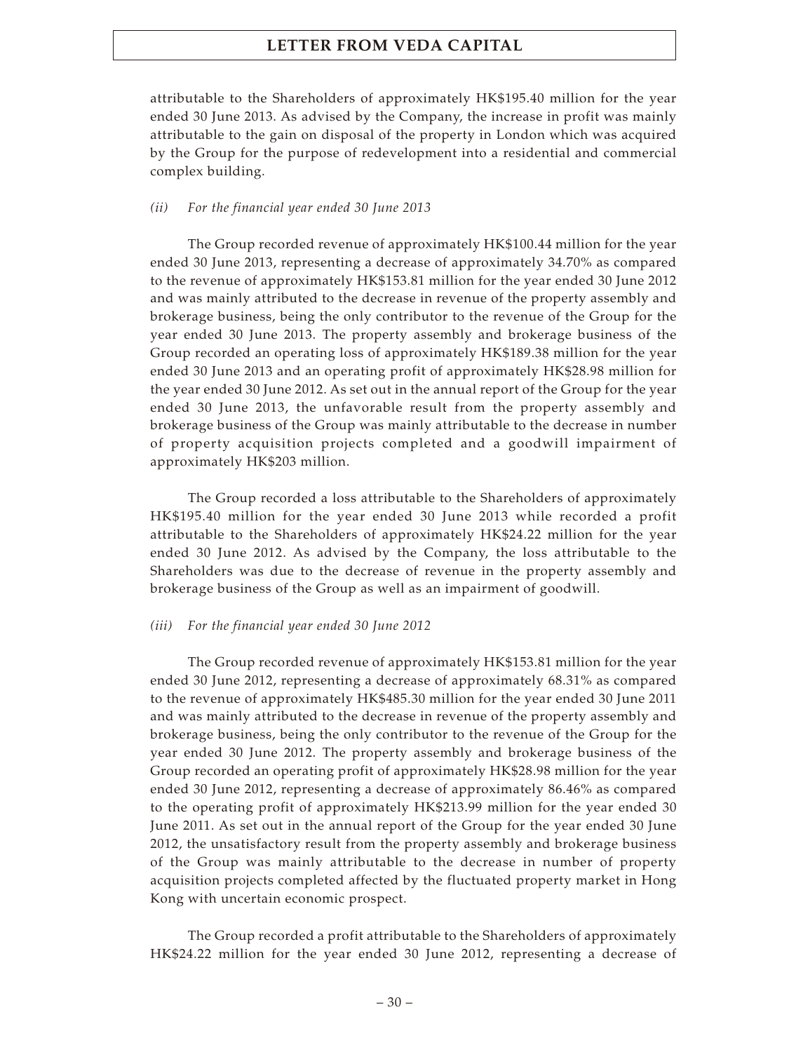attributable to the Shareholders of approximately HK\$195.40 million for the year ended 30 June 2013. As advised by the Company, the increase in profit was mainly attributable to the gain on disposal of the property in London which was acquired by the Group for the purpose of redevelopment into a residential and commercial complex building.

#### *(ii) For the financial year ended 30 June 2013*

The Group recorded revenue of approximately HK\$100.44 million for the year ended 30 June 2013, representing a decrease of approximately 34.70% as compared to the revenue of approximately HK\$153.81 million for the year ended 30 June 2012 and was mainly attributed to the decrease in revenue of the property assembly and brokerage business, being the only contributor to the revenue of the Group for the year ended 30 June 2013. The property assembly and brokerage business of the Group recorded an operating loss of approximately HK\$189.38 million for the year ended 30 June 2013 and an operating profit of approximately HK\$28.98 million for the year ended 30 June 2012. As set out in the annual report of the Group for the year ended 30 June 2013, the unfavorable result from the property assembly and brokerage business of the Group was mainly attributable to the decrease in number of property acquisition projects completed and a goodwill impairment of approximately HK\$203 million.

The Group recorded a loss attributable to the Shareholders of approximately HK\$195.40 million for the year ended 30 June 2013 while recorded a profit attributable to the Shareholders of approximately HK\$24.22 million for the year ended 30 June 2012. As advised by the Company, the loss attributable to the Shareholders was due to the decrease of revenue in the property assembly and brokerage business of the Group as well as an impairment of goodwill.

#### *(iii) For the financial year ended 30 June 2012*

The Group recorded revenue of approximately HK\$153.81 million for the year ended 30 June 2012, representing a decrease of approximately 68.31% as compared to the revenue of approximately HK\$485.30 million for the year ended 30 June 2011 and was mainly attributed to the decrease in revenue of the property assembly and brokerage business, being the only contributor to the revenue of the Group for the year ended 30 June 2012. The property assembly and brokerage business of the Group recorded an operating profit of approximately HK\$28.98 million for the year ended 30 June 2012, representing a decrease of approximately 86.46% as compared to the operating profit of approximately HK\$213.99 million for the year ended 30 June 2011. As set out in the annual report of the Group for the year ended 30 June 2012, the unsatisfactory result from the property assembly and brokerage business of the Group was mainly attributable to the decrease in number of property acquisition projects completed affected by the fluctuated property market in Hong Kong with uncertain economic prospect.

The Group recorded a profit attributable to the Shareholders of approximately HK\$24.22 million for the year ended 30 June 2012, representing a decrease of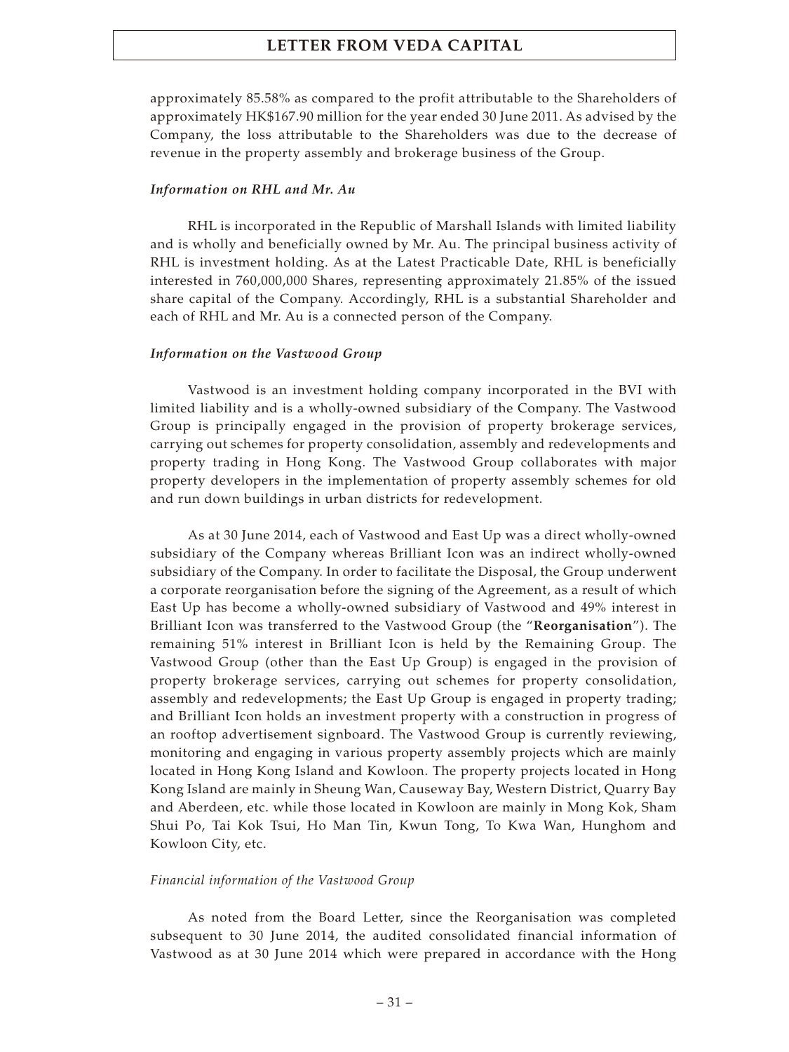approximately 85.58% as compared to the profit attributable to the Shareholders of approximately HK\$167.90 million for the year ended 30 June 2011. As advised by the Company, the loss attributable to the Shareholders was due to the decrease of revenue in the property assembly and brokerage business of the Group.

#### *Information on RHL and Mr. Au*

RHL is incorporated in the Republic of Marshall Islands with limited liability and is wholly and beneficially owned by Mr. Au. The principal business activity of RHL is investment holding. As at the Latest Practicable Date, RHL is beneficially interested in 760,000,000 Shares, representing approximately 21.85% of the issued share capital of the Company. Accordingly, RHL is a substantial Shareholder and each of RHL and Mr. Au is a connected person of the Company.

#### *Information on the Vastwood Group*

Vastwood is an investment holding company incorporated in the BVI with limited liability and is a wholly-owned subsidiary of the Company. The Vastwood Group is principally engaged in the provision of property brokerage services, carrying out schemes for property consolidation, assembly and redevelopments and property trading in Hong Kong. The Vastwood Group collaborates with major property developers in the implementation of property assembly schemes for old and run down buildings in urban districts for redevelopment.

As at 30 June 2014, each of Vastwood and East Up was a direct wholly-owned subsidiary of the Company whereas Brilliant Icon was an indirect wholly-owned subsidiary of the Company. In order to facilitate the Disposal, the Group underwent a corporate reorganisation before the signing of the Agreement, as a result of which East Up has become a wholly-owned subsidiary of Vastwood and 49% interest in Brilliant Icon was transferred to the Vastwood Group (the "**Reorganisation**"). The remaining 51% interest in Brilliant Icon is held by the Remaining Group. The Vastwood Group (other than the East Up Group) is engaged in the provision of property brokerage services, carrying out schemes for property consolidation, assembly and redevelopments; the East Up Group is engaged in property trading; and Brilliant Icon holds an investment property with a construction in progress of an rooftop advertisement signboard. The Vastwood Group is currently reviewing, monitoring and engaging in various property assembly projects which are mainly located in Hong Kong Island and Kowloon. The property projects located in Hong Kong Island are mainly in Sheung Wan, Causeway Bay, Western District, Quarry Bay and Aberdeen, etc. while those located in Kowloon are mainly in Mong Kok, Sham Shui Po, Tai Kok Tsui, Ho Man Tin, Kwun Tong, To Kwa Wan, Hunghom and Kowloon City, etc.

#### *Financial information of the Vastwood Group*

As noted from the Board Letter, since the Reorganisation was completed subsequent to 30 June 2014, the audited consolidated financial information of Vastwood as at 30 June 2014 which were prepared in accordance with the Hong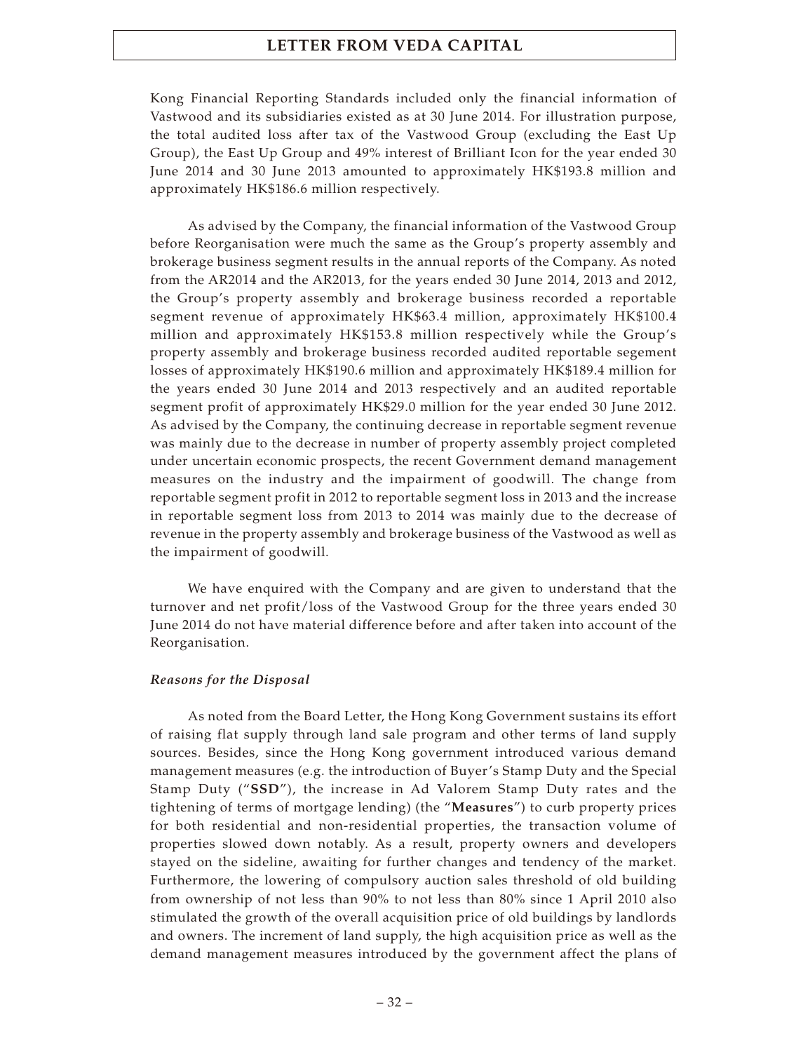Kong Financial Reporting Standards included only the financial information of Vastwood and its subsidiaries existed as at 30 June 2014. For illustration purpose, the total audited loss after tax of the Vastwood Group (excluding the East Up Group), the East Up Group and 49% interest of Brilliant Icon for the year ended 30 June 2014 and 30 June 2013 amounted to approximately HK\$193.8 million and approximately HK\$186.6 million respectively.

As advised by the Company, the financial information of the Vastwood Group before Reorganisation were much the same as the Group's property assembly and brokerage business segment results in the annual reports of the Company. As noted from the AR2014 and the AR2013, for the years ended 30 June 2014, 2013 and 2012, the Group's property assembly and brokerage business recorded a reportable segment revenue of approximately HK\$63.4 million, approximately HK\$100.4 million and approximately HK\$153.8 million respectively while the Group's property assembly and brokerage business recorded audited reportable segement losses of approximately HK\$190.6 million and approximately HK\$189.4 million for the years ended 30 June 2014 and 2013 respectively and an audited reportable segment profit of approximately HK\$29.0 million for the year ended 30 June 2012. As advised by the Company, the continuing decrease in reportable segment revenue was mainly due to the decrease in number of property assembly project completed under uncertain economic prospects, the recent Government demand management measures on the industry and the impairment of goodwill. The change from reportable segment profit in 2012 to reportable segment loss in 2013 and the increase in reportable segment loss from 2013 to 2014 was mainly due to the decrease of revenue in the property assembly and brokerage business of the Vastwood as well as the impairment of goodwill.

We have enquired with the Company and are given to understand that the turnover and net profit/loss of the Vastwood Group for the three years ended 30 June 2014 do not have material difference before and after taken into account of the Reorganisation.

#### *Reasons for the Disposal*

As noted from the Board Letter, the Hong Kong Government sustains its effort of raising flat supply through land sale program and other terms of land supply sources. Besides, since the Hong Kong government introduced various demand management measures (e.g. the introduction of Buyer's Stamp Duty and the Special Stamp Duty ("**SSD**"), the increase in Ad Valorem Stamp Duty rates and the tightening of terms of mortgage lending) (the "**Measures**") to curb property prices for both residential and non-residential properties, the transaction volume of properties slowed down notably. As a result, property owners and developers stayed on the sideline, awaiting for further changes and tendency of the market. Furthermore, the lowering of compulsory auction sales threshold of old building from ownership of not less than 90% to not less than 80% since 1 April 2010 also stimulated the growth of the overall acquisition price of old buildings by landlords and owners. The increment of land supply, the high acquisition price as well as the demand management measures introduced by the government affect the plans of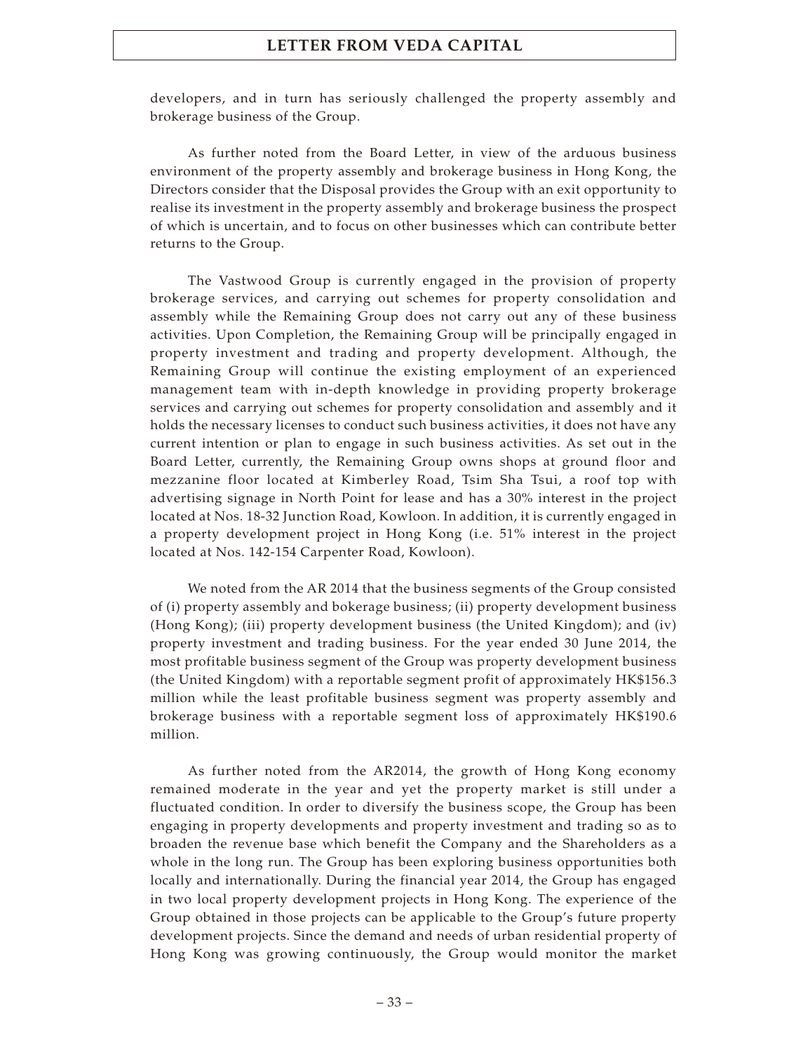developers, and in turn has seriously challenged the property assembly and brokerage business of the Group.

As further noted from the Board Letter, in view of the arduous business environment of the property assembly and brokerage business in Hong Kong, the Directors consider that the Disposal provides the Group with an exit opportunity to realise its investment in the property assembly and brokerage business the prospect of which is uncertain, and to focus on other businesses which can contribute better returns to the Group.

The Vastwood Group is currently engaged in the provision of property brokerage services, and carrying out schemes for property consolidation and assembly while the Remaining Group does not carry out any of these business activities. Upon Completion, the Remaining Group will be principally engaged in property investment and trading and property development. Although, the Remaining Group will continue the existing employment of an experienced management team with in-depth knowledge in providing property brokerage services and carrying out schemes for property consolidation and assembly and it holds the necessary licenses to conduct such business activities, it does not have any current intention or plan to engage in such business activities. As set out in the Board Letter, currently, the Remaining Group owns shops at ground floor and mezzanine floor located at Kimberley Road, Tsim Sha Tsui, a roof top with advertising signage in North Point for lease and has a 30% interest in the project located at Nos. 18-32 Junction Road, Kowloon. In addition, it is currently engaged in a property development project in Hong Kong (i.e. 51% interest in the project located at Nos. 142-154 Carpenter Road, Kowloon).

We noted from the AR 2014 that the business segments of the Group consisted of (i) property assembly and bokerage business; (ii) property development business (Hong Kong); (iii) property development business (the United Kingdom); and (iv) property investment and trading business. For the year ended 30 June 2014, the most profitable business segment of the Group was property development business (the United Kingdom) with a reportable segment profit of approximately HK\$156.3 million while the least profitable business segment was property assembly and brokerage business with a reportable segment loss of approximately HK\$190.6 million.

As further noted from the AR2014, the growth of Hong Kong economy remained moderate in the year and yet the property market is still under a fluctuated condition. In order to diversify the business scope, the Group has been engaging in property developments and property investment and trading so as to broaden the revenue base which benefit the Company and the Shareholders as a whole in the long run. The Group has been exploring business opportunities both locally and internationally. During the financial year 2014, the Group has engaged in two local property development projects in Hong Kong. The experience of the Group obtained in those projects can be applicable to the Group's future property development projects. Since the demand and needs of urban residential property of Hong Kong was growing continuously, the Group would monitor the market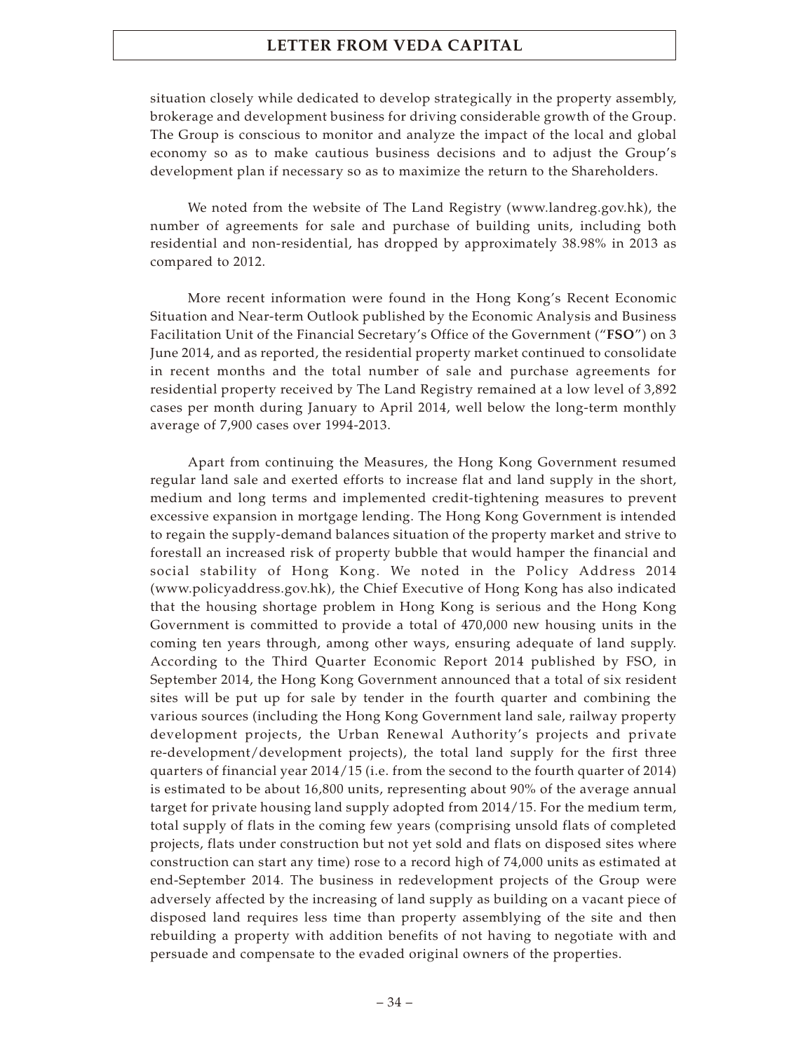situation closely while dedicated to develop strategically in the property assembly, brokerage and development business for driving considerable growth of the Group. The Group is conscious to monitor and analyze the impact of the local and global economy so as to make cautious business decisions and to adjust the Group's development plan if necessary so as to maximize the return to the Shareholders.

We noted from the website of The Land Registry (www.landreg.gov.hk), the number of agreements for sale and purchase of building units, including both residential and non-residential, has dropped by approximately 38.98% in 2013 as compared to 2012.

More recent information were found in the Hong Kong's Recent Economic Situation and Near-term Outlook published by the Economic Analysis and Business Facilitation Unit of the Financial Secretary's Office of the Government ("**FSO**") on 3 June 2014, and as reported, the residential property market continued to consolidate in recent months and the total number of sale and purchase agreements for residential property received by The Land Registry remained at a low level of 3,892 cases per month during January to April 2014, well below the long-term monthly average of 7,900 cases over 1994-2013.

Apart from continuing the Measures, the Hong Kong Government resumed regular land sale and exerted efforts to increase flat and land supply in the short, medium and long terms and implemented credit-tightening measures to prevent excessive expansion in mortgage lending. The Hong Kong Government is intended to regain the supply-demand balances situation of the property market and strive to forestall an increased risk of property bubble that would hamper the financial and social stability of Hong Kong. We noted in the Policy Address 2014 (www.policyaddress.gov.hk), the Chief Executive of Hong Kong has also indicated that the housing shortage problem in Hong Kong is serious and the Hong Kong Government is committed to provide a total of 470,000 new housing units in the coming ten years through, among other ways, ensuring adequate of land supply. According to the Third Quarter Economic Report 2014 published by FSO, in September 2014, the Hong Kong Government announced that a total of six resident sites will be put up for sale by tender in the fourth quarter and combining the various sources (including the Hong Kong Government land sale, railway property development projects, the Urban Renewal Authority's projects and private re-development/development projects), the total land supply for the first three quarters of financial year 2014/15 (i.e. from the second to the fourth quarter of 2014) is estimated to be about 16,800 units, representing about 90% of the average annual target for private housing land supply adopted from 2014/15. For the medium term, total supply of flats in the coming few years (comprising unsold flats of completed projects, flats under construction but not yet sold and flats on disposed sites where construction can start any time) rose to a record high of 74,000 units as estimated at end-September 2014. The business in redevelopment projects of the Group were adversely affected by the increasing of land supply as building on a vacant piece of disposed land requires less time than property assemblying of the site and then rebuilding a property with addition benefits of not having to negotiate with and persuade and compensate to the evaded original owners of the properties.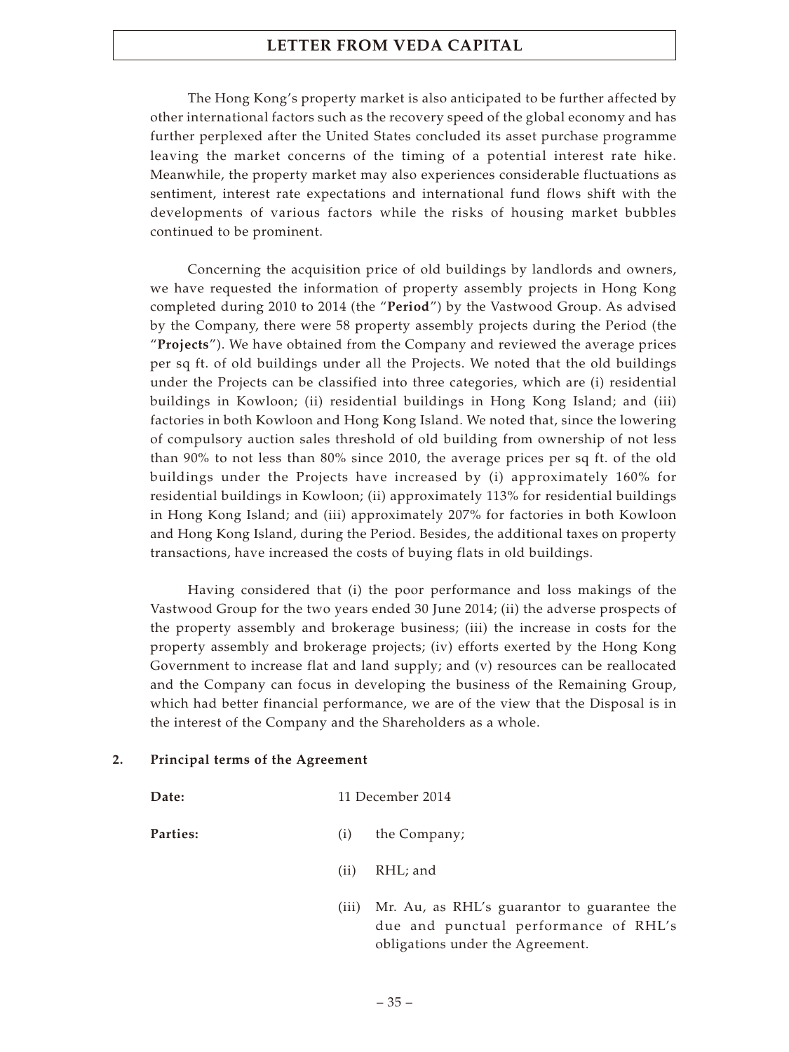The Hong Kong's property market is also anticipated to be further affected by other international factors such as the recovery speed of the global economy and has further perplexed after the United States concluded its asset purchase programme leaving the market concerns of the timing of a potential interest rate hike. Meanwhile, the property market may also experiences considerable fluctuations as sentiment, interest rate expectations and international fund flows shift with the developments of various factors while the risks of housing market bubbles continued to be prominent.

Concerning the acquisition price of old buildings by landlords and owners, we have requested the information of property assembly projects in Hong Kong completed during 2010 to 2014 (the "**Period**") by the Vastwood Group. As advised by the Company, there were 58 property assembly projects during the Period (the "**Projects**"). We have obtained from the Company and reviewed the average prices per sq ft. of old buildings under all the Projects. We noted that the old buildings under the Projects can be classified into three categories, which are (i) residential buildings in Kowloon; (ii) residential buildings in Hong Kong Island; and (iii) factories in both Kowloon and Hong Kong Island. We noted that, since the lowering of compulsory auction sales threshold of old building from ownership of not less than 90% to not less than 80% since 2010, the average prices per sq ft. of the old buildings under the Projects have increased by (i) approximately 160% for residential buildings in Kowloon; (ii) approximately 113% for residential buildings in Hong Kong Island; and (iii) approximately 207% for factories in both Kowloon and Hong Kong Island, during the Period. Besides, the additional taxes on property transactions, have increased the costs of buying flats in old buildings.

Having considered that (i) the poor performance and loss makings of the Vastwood Group for the two years ended 30 June 2014; (ii) the adverse prospects of the property assembly and brokerage business; (iii) the increase in costs for the property assembly and brokerage projects; (iv) efforts exerted by the Hong Kong Government to increase flat and land supply; and (v) resources can be reallocated and the Company can focus in developing the business of the Remaining Group, which had better financial performance, we are of the view that the Disposal is in the interest of the Company and the Shareholders as a whole.

### **2. Principal terms of the Agreement**

| Date:           | 11 December 2014 |              |  |  |
|-----------------|------------------|--------------|--|--|
| <b>Parties:</b> | (i)              | the Company; |  |  |
|                 | (ii)             | RHL; and     |  |  |
|                 |                  |              |  |  |

(iii) Mr. Au, as RHL's guarantor to guarantee the due and punctual performance of RHL's obligations under the Agreement.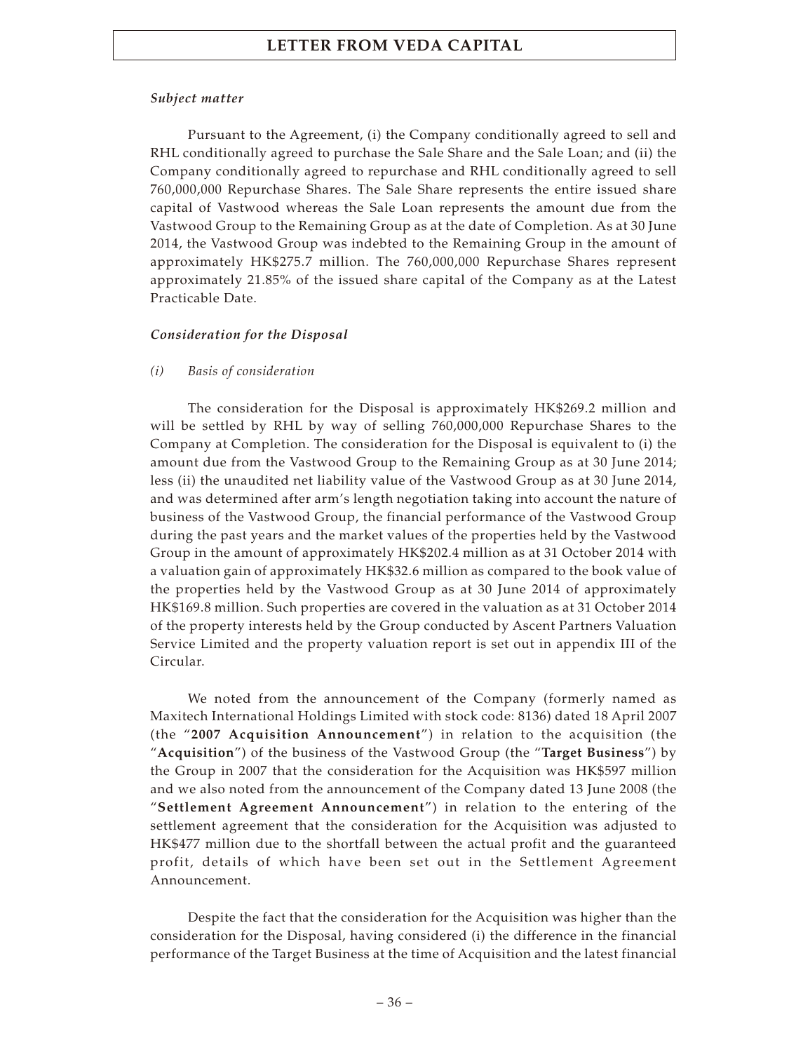### *Subject matter*

Pursuant to the Agreement, (i) the Company conditionally agreed to sell and RHL conditionally agreed to purchase the Sale Share and the Sale Loan; and (ii) the Company conditionally agreed to repurchase and RHL conditionally agreed to sell 760,000,000 Repurchase Shares. The Sale Share represents the entire issued share capital of Vastwood whereas the Sale Loan represents the amount due from the Vastwood Group to the Remaining Group as at the date of Completion. As at 30 June 2014, the Vastwood Group was indebted to the Remaining Group in the amount of approximately HK\$275.7 million. The 760,000,000 Repurchase Shares represent approximately 21.85% of the issued share capital of the Company as at the Latest Practicable Date.

### *Consideration for the Disposal*

### *(i) Basis of consideration*

The consideration for the Disposal is approximately HK\$269.2 million and will be settled by RHL by way of selling 760,000,000 Repurchase Shares to the Company at Completion. The consideration for the Disposal is equivalent to (i) the amount due from the Vastwood Group to the Remaining Group as at 30 June 2014; less (ii) the unaudited net liability value of the Vastwood Group as at 30 June 2014, and was determined after arm's length negotiation taking into account the nature of business of the Vastwood Group, the financial performance of the Vastwood Group during the past years and the market values of the properties held by the Vastwood Group in the amount of approximately HK\$202.4 million as at 31 October 2014 with a valuation gain of approximately HK\$32.6 million as compared to the book value of the properties held by the Vastwood Group as at 30 June 2014 of approximately HK\$169.8 million. Such properties are covered in the valuation as at 31 October 2014 of the property interests held by the Group conducted by Ascent Partners Valuation Service Limited and the property valuation report is set out in appendix III of the Circular.

We noted from the announcement of the Company (formerly named as Maxitech International Holdings Limited with stock code: 8136) dated 18 April 2007 (the "**2007 Acquisition Announcement**") in relation to the acquisition (the "**Acquisition**") of the business of the Vastwood Group (the "**Target Business**") by the Group in 2007 that the consideration for the Acquisition was HK\$597 million and we also noted from the announcement of the Company dated 13 June 2008 (the "**Settlement Agreement Announcement**") in relation to the entering of the settlement agreement that the consideration for the Acquisition was adjusted to HK\$477 million due to the shortfall between the actual profit and the guaranteed profit, details of which have been set out in the Settlement Agreement Announcement.

Despite the fact that the consideration for the Acquisition was higher than the consideration for the Disposal, having considered (i) the difference in the financial performance of the Target Business at the time of Acquisition and the latest financial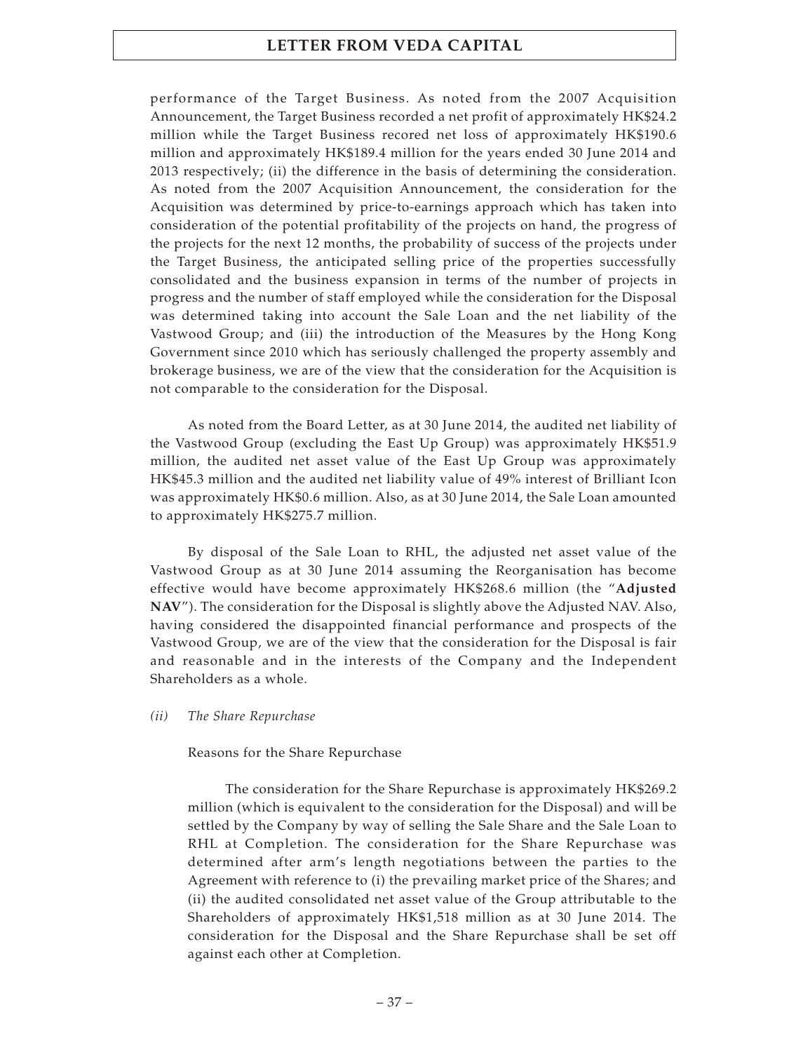performance of the Target Business. As noted from the 2007 Acquisition Announcement, the Target Business recorded a net profit of approximately HK\$24.2 million while the Target Business recored net loss of approximately HK\$190.6 million and approximately HK\$189.4 million for the years ended 30 June 2014 and 2013 respectively; (ii) the difference in the basis of determining the consideration. As noted from the 2007 Acquisition Announcement, the consideration for the Acquisition was determined by price-to-earnings approach which has taken into consideration of the potential profitability of the projects on hand, the progress of the projects for the next 12 months, the probability of success of the projects under the Target Business, the anticipated selling price of the properties successfully consolidated and the business expansion in terms of the number of projects in progress and the number of staff employed while the consideration for the Disposal was determined taking into account the Sale Loan and the net liability of the Vastwood Group; and (iii) the introduction of the Measures by the Hong Kong Government since 2010 which has seriously challenged the property assembly and brokerage business, we are of the view that the consideration for the Acquisition is not comparable to the consideration for the Disposal.

As noted from the Board Letter, as at 30 June 2014, the audited net liability of the Vastwood Group (excluding the East Up Group) was approximately HK\$51.9 million, the audited net asset value of the East Up Group was approximately HK\$45.3 million and the audited net liability value of 49% interest of Brilliant Icon was approximately HK\$0.6 million. Also, as at 30 June 2014, the Sale Loan amounted to approximately HK\$275.7 million.

By disposal of the Sale Loan to RHL, the adjusted net asset value of the Vastwood Group as at 30 June 2014 assuming the Reorganisation has become effective would have become approximately HK\$268.6 million (the "**Adjusted NAV**"). The consideration for the Disposal is slightly above the Adjusted NAV. Also, having considered the disappointed financial performance and prospects of the Vastwood Group, we are of the view that the consideration for the Disposal is fair and reasonable and in the interests of the Company and the Independent Shareholders as a whole.

### *(ii) The Share Repurchase*

### Reasons for the Share Repurchase

The consideration for the Share Repurchase is approximately HK\$269.2 million (which is equivalent to the consideration for the Disposal) and will be settled by the Company by way of selling the Sale Share and the Sale Loan to RHL at Completion. The consideration for the Share Repurchase was determined after arm's length negotiations between the parties to the Agreement with reference to (i) the prevailing market price of the Shares; and (ii) the audited consolidated net asset value of the Group attributable to the Shareholders of approximately HK\$1,518 million as at 30 June 2014. The consideration for the Disposal and the Share Repurchase shall be set off against each other at Completion.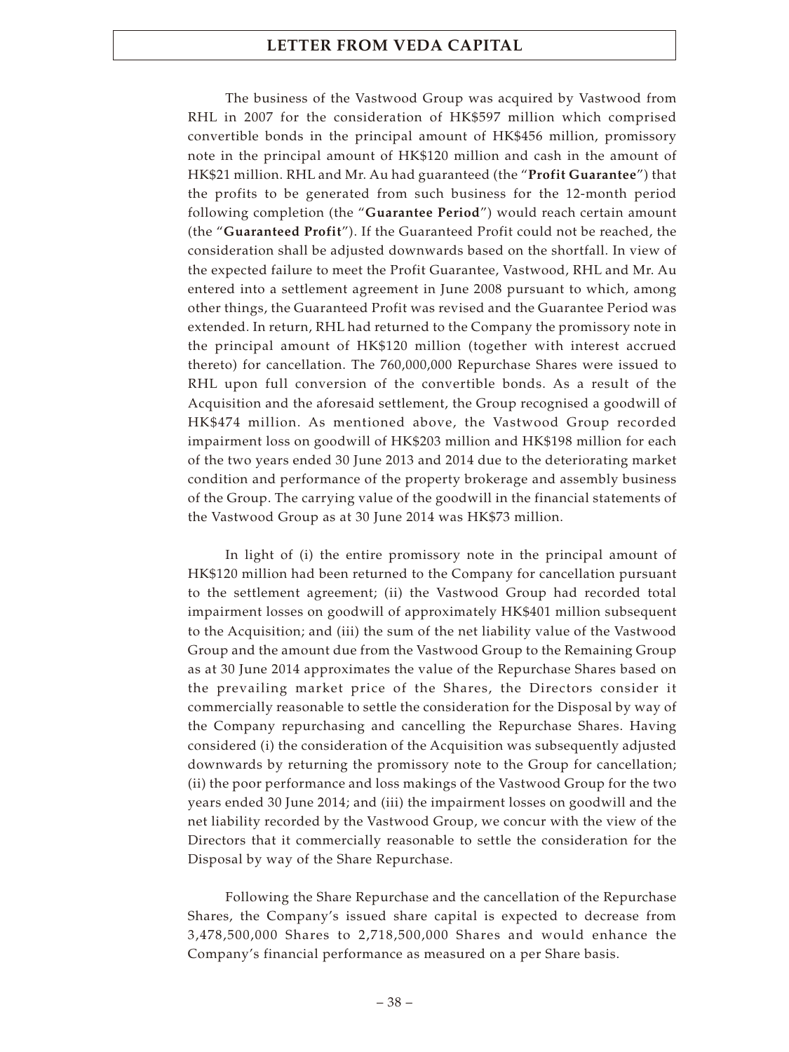The business of the Vastwood Group was acquired by Vastwood from RHL in 2007 for the consideration of HK\$597 million which comprised convertible bonds in the principal amount of HK\$456 million, promissory note in the principal amount of HK\$120 million and cash in the amount of HK\$21 million. RHL and Mr. Au had guaranteed (the "**Profit Guarantee**") that the profits to be generated from such business for the 12-month period following completion (the "**Guarantee Period**") would reach certain amount (the "**Guaranteed Profit**"). If the Guaranteed Profit could not be reached, the consideration shall be adjusted downwards based on the shortfall. In view of the expected failure to meet the Profit Guarantee, Vastwood, RHL and Mr. Au entered into a settlement agreement in June 2008 pursuant to which, among other things, the Guaranteed Profit was revised and the Guarantee Period was extended. In return, RHL had returned to the Company the promissory note in the principal amount of HK\$120 million (together with interest accrued thereto) for cancellation. The 760,000,000 Repurchase Shares were issued to RHL upon full conversion of the convertible bonds. As a result of the Acquisition and the aforesaid settlement, the Group recognised a goodwill of HK\$474 million. As mentioned above, the Vastwood Group recorded impairment loss on goodwill of HK\$203 million and HK\$198 million for each of the two years ended 30 June 2013 and 2014 due to the deteriorating market condition and performance of the property brokerage and assembly business of the Group. The carrying value of the goodwill in the financial statements of the Vastwood Group as at 30 June 2014 was HK\$73 million.

In light of (i) the entire promissory note in the principal amount of HK\$120 million had been returned to the Company for cancellation pursuant to the settlement agreement; (ii) the Vastwood Group had recorded total impairment losses on goodwill of approximately HK\$401 million subsequent to the Acquisition; and (iii) the sum of the net liability value of the Vastwood Group and the amount due from the Vastwood Group to the Remaining Group as at 30 June 2014 approximates the value of the Repurchase Shares based on the prevailing market price of the Shares, the Directors consider it commercially reasonable to settle the consideration for the Disposal by way of the Company repurchasing and cancelling the Repurchase Shares. Having considered (i) the consideration of the Acquisition was subsequently adjusted downwards by returning the promissory note to the Group for cancellation; (ii) the poor performance and loss makings of the Vastwood Group for the two years ended 30 June 2014; and (iii) the impairment losses on goodwill and the net liability recorded by the Vastwood Group, we concur with the view of the Directors that it commercially reasonable to settle the consideration for the Disposal by way of the Share Repurchase.

Following the Share Repurchase and the cancellation of the Repurchase Shares, the Company's issued share capital is expected to decrease from 3,478,500,000 Shares to 2,718,500,000 Shares and would enhance the Company's financial performance as measured on a per Share basis.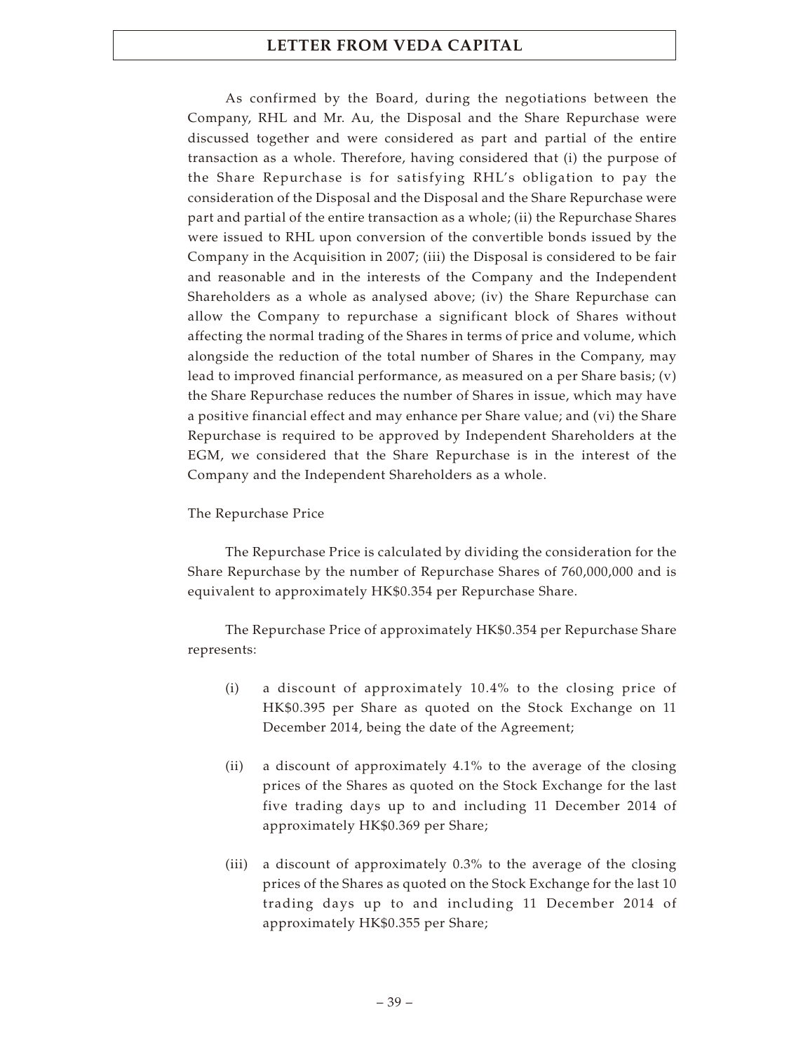As confirmed by the Board, during the negotiations between the Company, RHL and Mr. Au, the Disposal and the Share Repurchase were discussed together and were considered as part and partial of the entire transaction as a whole. Therefore, having considered that (i) the purpose of the Share Repurchase is for satisfying RHL's obligation to pay the consideration of the Disposal and the Disposal and the Share Repurchase were part and partial of the entire transaction as a whole; (ii) the Repurchase Shares were issued to RHL upon conversion of the convertible bonds issued by the Company in the Acquisition in 2007; (iii) the Disposal is considered to be fair and reasonable and in the interests of the Company and the Independent Shareholders as a whole as analysed above; (iv) the Share Repurchase can allow the Company to repurchase a significant block of Shares without affecting the normal trading of the Shares in terms of price and volume, which alongside the reduction of the total number of Shares in the Company, may lead to improved financial performance, as measured on a per Share basis; (v) the Share Repurchase reduces the number of Shares in issue, which may have a positive financial effect and may enhance per Share value; and (vi) the Share Repurchase is required to be approved by Independent Shareholders at the EGM, we considered that the Share Repurchase is in the interest of the Company and the Independent Shareholders as a whole.

### The Repurchase Price

The Repurchase Price is calculated by dividing the consideration for the Share Repurchase by the number of Repurchase Shares of 760,000,000 and is equivalent to approximately HK\$0.354 per Repurchase Share.

The Repurchase Price of approximately HK\$0.354 per Repurchase Share represents:

- (i) a discount of approximately 10.4% to the closing price of HK\$0.395 per Share as quoted on the Stock Exchange on 11 December 2014, being the date of the Agreement;
- (ii) a discount of approximately 4.1% to the average of the closing prices of the Shares as quoted on the Stock Exchange for the last five trading days up to and including 11 December 2014 of approximately HK\$0.369 per Share;
- (iii) a discount of approximately 0.3% to the average of the closing prices of the Shares as quoted on the Stock Exchange for the last 10 trading days up to and including 11 December 2014 of approximately HK\$0.355 per Share;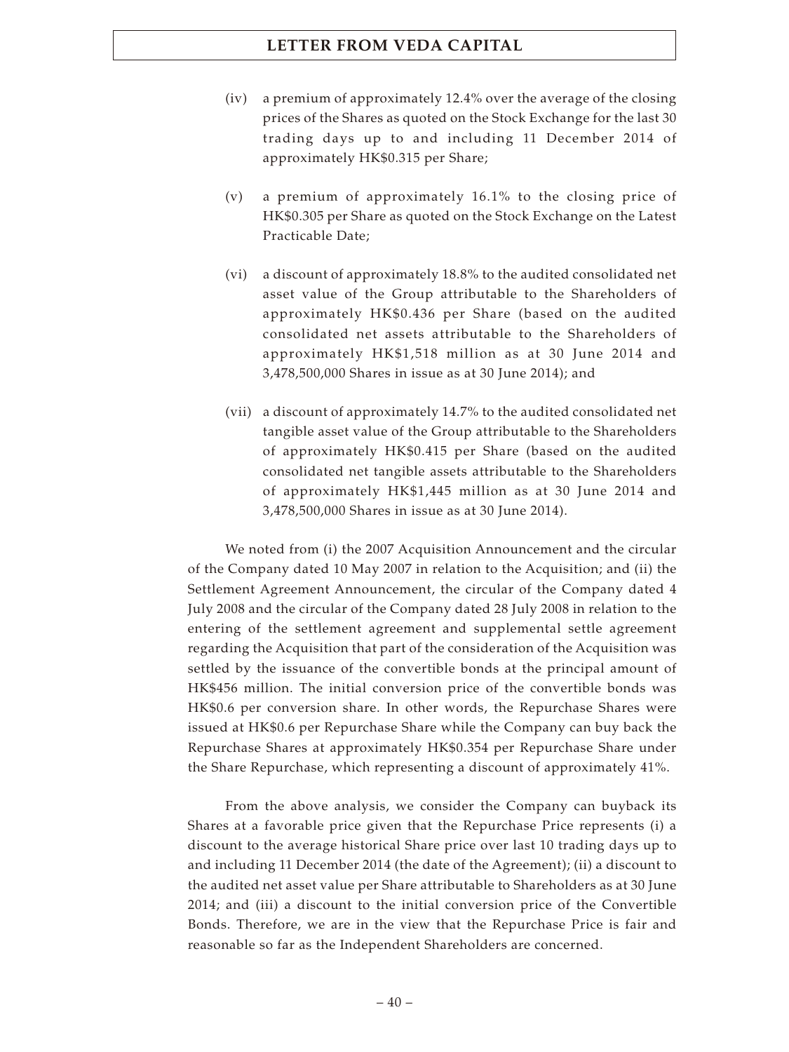- (iv) a premium of approximately 12.4% over the average of the closing prices of the Shares as quoted on the Stock Exchange for the last 30 trading days up to and including 11 December 2014 of approximately HK\$0.315 per Share;
- (v) a premium of approximately 16.1% to the closing price of HK\$0.305 per Share as quoted on the Stock Exchange on the Latest Practicable Date;
- (vi) a discount of approximately 18.8% to the audited consolidated net asset value of the Group attributable to the Shareholders of approximately HK\$0.436 per Share (based on the audited consolidated net assets attributable to the Shareholders of approximately HK\$1,518 million as at 30 June 2014 and 3,478,500,000 Shares in issue as at 30 June 2014); and
- (vii) a discount of approximately 14.7% to the audited consolidated net tangible asset value of the Group attributable to the Shareholders of approximately HK\$0.415 per Share (based on the audited consolidated net tangible assets attributable to the Shareholders of approximately HK\$1,445 million as at 30 June 2014 and 3,478,500,000 Shares in issue as at 30 June 2014).

We noted from (i) the 2007 Acquisition Announcement and the circular of the Company dated 10 May 2007 in relation to the Acquisition; and (ii) the Settlement Agreement Announcement, the circular of the Company dated 4 July 2008 and the circular of the Company dated 28 July 2008 in relation to the entering of the settlement agreement and supplemental settle agreement regarding the Acquisition that part of the consideration of the Acquisition was settled by the issuance of the convertible bonds at the principal amount of HK\$456 million. The initial conversion price of the convertible bonds was HK\$0.6 per conversion share. In other words, the Repurchase Shares were issued at HK\$0.6 per Repurchase Share while the Company can buy back the Repurchase Shares at approximately HK\$0.354 per Repurchase Share under the Share Repurchase, which representing a discount of approximately 41%.

From the above analysis, we consider the Company can buyback its Shares at a favorable price given that the Repurchase Price represents (i) a discount to the average historical Share price over last 10 trading days up to and including 11 December 2014 (the date of the Agreement); (ii) a discount to the audited net asset value per Share attributable to Shareholders as at 30 June 2014; and (iii) a discount to the initial conversion price of the Convertible Bonds. Therefore, we are in the view that the Repurchase Price is fair and reasonable so far as the Independent Shareholders are concerned.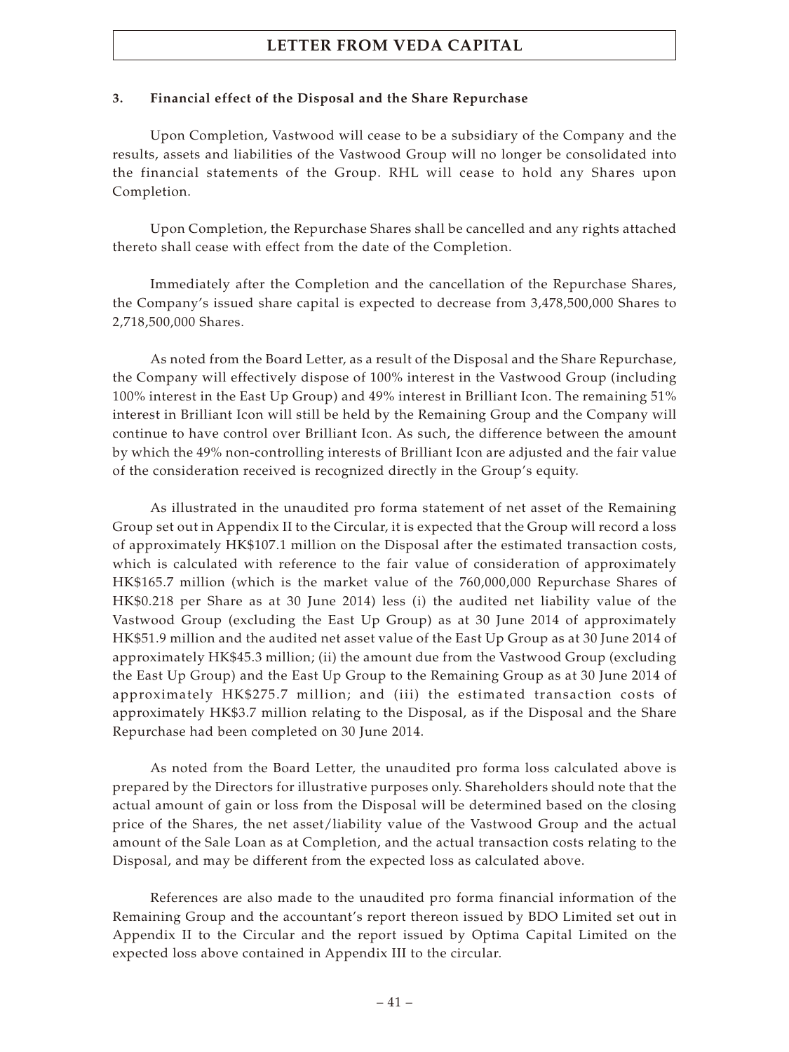### **3. Financial effect of the Disposal and the Share Repurchase**

Upon Completion, Vastwood will cease to be a subsidiary of the Company and the results, assets and liabilities of the Vastwood Group will no longer be consolidated into the financial statements of the Group. RHL will cease to hold any Shares upon Completion.

Upon Completion, the Repurchase Shares shall be cancelled and any rights attached thereto shall cease with effect from the date of the Completion.

Immediately after the Completion and the cancellation of the Repurchase Shares, the Company's issued share capital is expected to decrease from 3,478,500,000 Shares to 2,718,500,000 Shares.

As noted from the Board Letter, as a result of the Disposal and the Share Repurchase, the Company will effectively dispose of 100% interest in the Vastwood Group (including 100% interest in the East Up Group) and 49% interest in Brilliant Icon. The remaining 51% interest in Brilliant Icon will still be held by the Remaining Group and the Company will continue to have control over Brilliant Icon. As such, the difference between the amount by which the 49% non-controlling interests of Brilliant Icon are adjusted and the fair value of the consideration received is recognized directly in the Group's equity.

As illustrated in the unaudited pro forma statement of net asset of the Remaining Group set out in Appendix II to the Circular, it is expected that the Group will record a loss of approximately HK\$107.1 million on the Disposal after the estimated transaction costs, which is calculated with reference to the fair value of consideration of approximately HK\$165.7 million (which is the market value of the 760,000,000 Repurchase Shares of HK\$0.218 per Share as at 30 June 2014) less (i) the audited net liability value of the Vastwood Group (excluding the East Up Group) as at 30 June 2014 of approximately HK\$51.9 million and the audited net asset value of the East Up Group as at 30 June 2014 of approximately HK\$45.3 million; (ii) the amount due from the Vastwood Group (excluding the East Up Group) and the East Up Group to the Remaining Group as at 30 June 2014 of approximately HK\$275.7 million; and (iii) the estimated transaction costs of approximately HK\$3.7 million relating to the Disposal, as if the Disposal and the Share Repurchase had been completed on 30 June 2014.

As noted from the Board Letter, the unaudited pro forma loss calculated above is prepared by the Directors for illustrative purposes only. Shareholders should note that the actual amount of gain or loss from the Disposal will be determined based on the closing price of the Shares, the net asset/liability value of the Vastwood Group and the actual amount of the Sale Loan as at Completion, and the actual transaction costs relating to the Disposal, and may be different from the expected loss as calculated above.

References are also made to the unaudited pro forma financial information of the Remaining Group and the accountant's report thereon issued by BDO Limited set out in Appendix II to the Circular and the report issued by Optima Capital Limited on the expected loss above contained in Appendix III to the circular.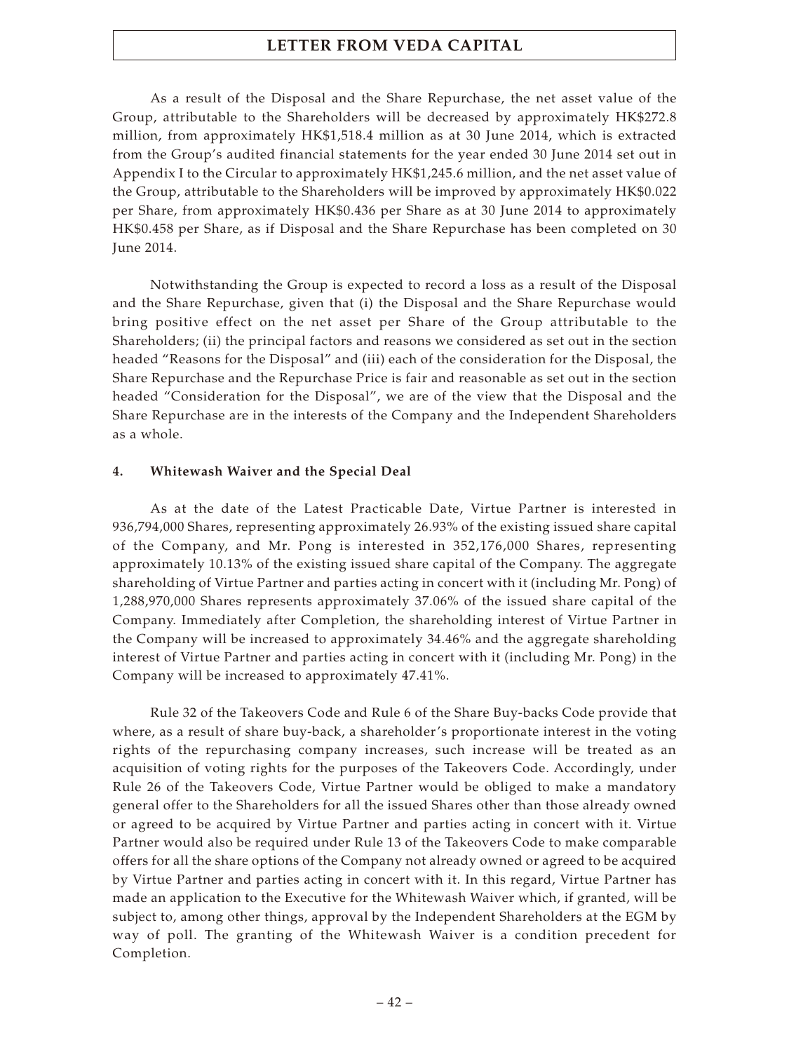As a result of the Disposal and the Share Repurchase, the net asset value of the Group, attributable to the Shareholders will be decreased by approximately HK\$272.8 million, from approximately HK\$1,518.4 million as at 30 June 2014, which is extracted from the Group's audited financial statements for the year ended 30 June 2014 set out in Appendix I to the Circular to approximately HK\$1,245.6 million, and the net asset value of the Group, attributable to the Shareholders will be improved by approximately HK\$0.022 per Share, from approximately HK\$0.436 per Share as at 30 June 2014 to approximately HK\$0.458 per Share, as if Disposal and the Share Repurchase has been completed on 30 June 2014.

Notwithstanding the Group is expected to record a loss as a result of the Disposal and the Share Repurchase, given that (i) the Disposal and the Share Repurchase would bring positive effect on the net asset per Share of the Group attributable to the Shareholders; (ii) the principal factors and reasons we considered as set out in the section headed "Reasons for the Disposal" and (iii) each of the consideration for the Disposal, the Share Repurchase and the Repurchase Price is fair and reasonable as set out in the section headed "Consideration for the Disposal", we are of the view that the Disposal and the Share Repurchase are in the interests of the Company and the Independent Shareholders as a whole.

### **4. Whitewash Waiver and the Special Deal**

As at the date of the Latest Practicable Date, Virtue Partner is interested in 936,794,000 Shares, representing approximately 26.93% of the existing issued share capital of the Company, and Mr. Pong is interested in 352,176,000 Shares, representing approximately 10.13% of the existing issued share capital of the Company. The aggregate shareholding of Virtue Partner and parties acting in concert with it (including Mr. Pong) of 1,288,970,000 Shares represents approximately 37.06% of the issued share capital of the Company. Immediately after Completion, the shareholding interest of Virtue Partner in the Company will be increased to approximately 34.46% and the aggregate shareholding interest of Virtue Partner and parties acting in concert with it (including Mr. Pong) in the Company will be increased to approximately 47.41%.

Rule 32 of the Takeovers Code and Rule 6 of the Share Buy-backs Code provide that where, as a result of share buy-back, a shareholder's proportionate interest in the voting rights of the repurchasing company increases, such increase will be treated as an acquisition of voting rights for the purposes of the Takeovers Code. Accordingly, under Rule 26 of the Takeovers Code, Virtue Partner would be obliged to make a mandatory general offer to the Shareholders for all the issued Shares other than those already owned or agreed to be acquired by Virtue Partner and parties acting in concert with it. Virtue Partner would also be required under Rule 13 of the Takeovers Code to make comparable offers for all the share options of the Company not already owned or agreed to be acquired by Virtue Partner and parties acting in concert with it. In this regard, Virtue Partner has made an application to the Executive for the Whitewash Waiver which, if granted, will be subject to, among other things, approval by the Independent Shareholders at the EGM by way of poll. The granting of the Whitewash Waiver is a condition precedent for Completion.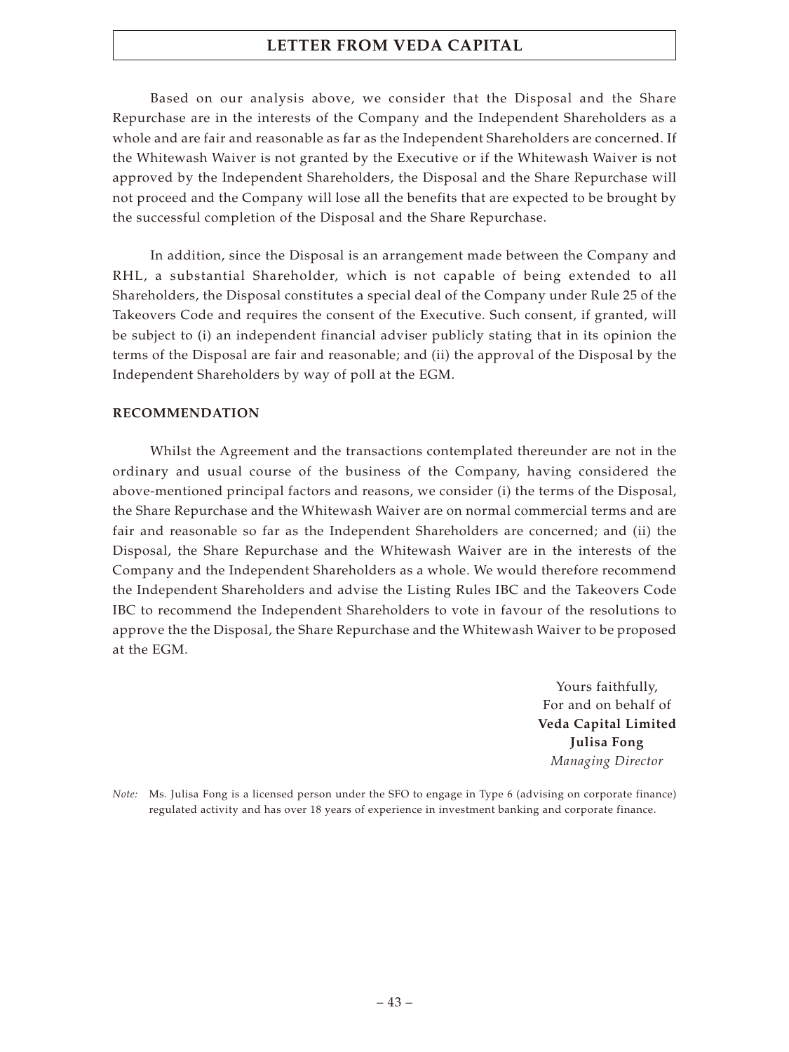Based on our analysis above, we consider that the Disposal and the Share Repurchase are in the interests of the Company and the Independent Shareholders as a whole and are fair and reasonable as far as the Independent Shareholders are concerned. If the Whitewash Waiver is not granted by the Executive or if the Whitewash Waiver is not approved by the Independent Shareholders, the Disposal and the Share Repurchase will not proceed and the Company will lose all the benefits that are expected to be brought by the successful completion of the Disposal and the Share Repurchase.

In addition, since the Disposal is an arrangement made between the Company and RHL, a substantial Shareholder, which is not capable of being extended to all Shareholders, the Disposal constitutes a special deal of the Company under Rule 25 of the Takeovers Code and requires the consent of the Executive. Such consent, if granted, will be subject to (i) an independent financial adviser publicly stating that in its opinion the terms of the Disposal are fair and reasonable; and (ii) the approval of the Disposal by the Independent Shareholders by way of poll at the EGM.

### **RECOMMENDATION**

Whilst the Agreement and the transactions contemplated thereunder are not in the ordinary and usual course of the business of the Company, having considered the above-mentioned principal factors and reasons, we consider (i) the terms of the Disposal, the Share Repurchase and the Whitewash Waiver are on normal commercial terms and are fair and reasonable so far as the Independent Shareholders are concerned; and (ii) the Disposal, the Share Repurchase and the Whitewash Waiver are in the interests of the Company and the Independent Shareholders as a whole. We would therefore recommend the Independent Shareholders and advise the Listing Rules IBC and the Takeovers Code IBC to recommend the Independent Shareholders to vote in favour of the resolutions to approve the the Disposal, the Share Repurchase and the Whitewash Waiver to be proposed at the EGM.

> Yours faithfully, For and on behalf of **Veda Capital Limited Julisa Fong** *Managing Director*

*Note:* Ms. Julisa Fong is a licensed person under the SFO to engage in Type 6 (advising on corporate finance) regulated activity and has over 18 years of experience in investment banking and corporate finance.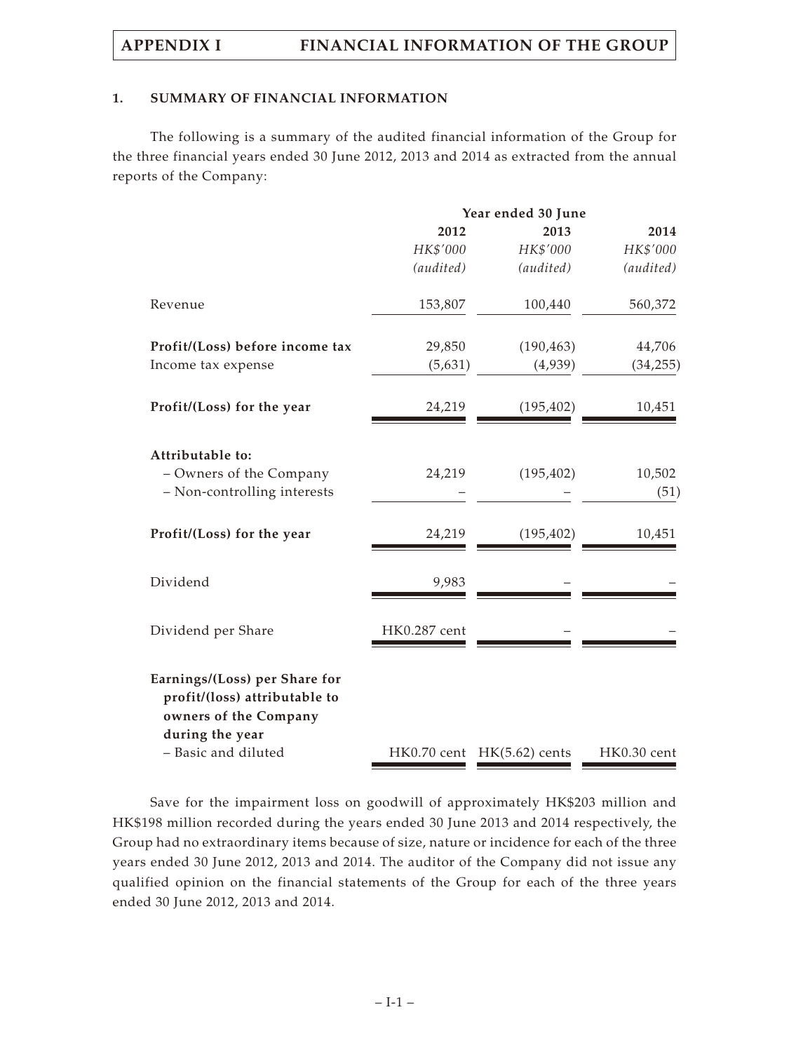### **1. SUMMARY OF FINANCIAL INFORMATION**

The following is a summary of the audited financial information of the Group for the three financial years ended 30 June 2012, 2013 and 2014 as extracted from the annual reports of the Company:

|                                                                                                                                   |              | Year ended 30 June         |                |  |  |
|-----------------------------------------------------------------------------------------------------------------------------------|--------------|----------------------------|----------------|--|--|
|                                                                                                                                   | 2012         | 2013                       | 2014           |  |  |
|                                                                                                                                   | HK\$'000     | HK\$'000                   | HK\$'000       |  |  |
|                                                                                                                                   | (audited)    | (audited)                  | (audited)      |  |  |
| Revenue                                                                                                                           | 153,807      | 100,440                    | 560,372        |  |  |
| Profit/(Loss) before income tax                                                                                                   | 29,850       | (190, 463)                 | 44,706         |  |  |
| Income tax expense                                                                                                                | (5,631)      | (4,939)                    | (34, 255)      |  |  |
| Profit/(Loss) for the year                                                                                                        | 24,219       | (195, 402)                 | 10,451         |  |  |
| Attributable to:<br>- Owners of the Company<br>- Non-controlling interests                                                        | 24,219       | (195, 402)                 | 10,502<br>(51) |  |  |
| Profit/(Loss) for the year                                                                                                        | 24,219       | (195, 402)                 | 10,451         |  |  |
| Dividend                                                                                                                          | 9,983        |                            |                |  |  |
| Dividend per Share                                                                                                                | HK0.287 cent |                            |                |  |  |
| Earnings/(Loss) per Share for<br>profit/(loss) attributable to<br>owners of the Company<br>during the year<br>- Basic and diluted |              | HK0.70 cent HK(5.62) cents | HK0.30 cent    |  |  |

Save for the impairment loss on goodwill of approximately HK\$203 million and HK\$198 million recorded during the years ended 30 June 2013 and 2014 respectively, the Group had no extraordinary items because of size, nature or incidence for each of the three years ended 30 June 2012, 2013 and 2014. The auditor of the Company did not issue any qualified opinion on the financial statements of the Group for each of the three years ended 30 June 2012, 2013 and 2014.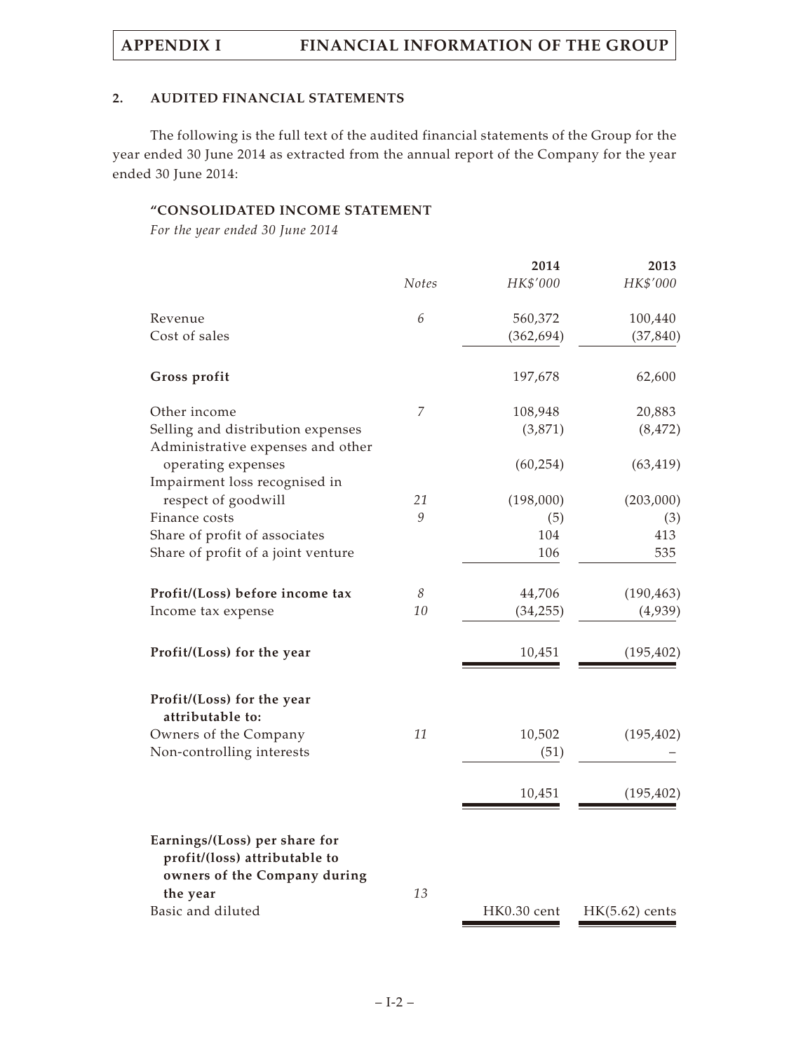### **2. AUDITED FINANCIAL STATEMENTS**

The following is the full text of the audited financial statements of the Group for the year ended 30 June 2014 as extracted from the annual report of the Company for the year ended 30 June 2014:

### **"CONSOLIDATED INCOME STATEMENT**

*For the year ended 30 June 2014*

|                                                                                                |                | 2014        | 2013             |
|------------------------------------------------------------------------------------------------|----------------|-------------|------------------|
|                                                                                                | <b>Notes</b>   | HK\$'000    | HK\$'000         |
| Revenue                                                                                        | 6              | 560,372     | 100,440          |
| Cost of sales                                                                                  |                | (362, 694)  | (37, 840)        |
| Gross profit                                                                                   |                | 197,678     | 62,600           |
| Other income                                                                                   | $\overline{7}$ | 108,948     | 20,883           |
| Selling and distribution expenses<br>Administrative expenses and other                         |                | (3,871)     | (8, 472)         |
| operating expenses                                                                             |                | (60, 254)   | (63, 419)        |
| Impairment loss recognised in<br>respect of goodwill                                           | 21             | (198,000)   | (203,000)        |
| Finance costs                                                                                  | 9              | (5)         | (3)              |
| Share of profit of associates                                                                  |                | 104         | 413              |
| Share of profit of a joint venture                                                             |                | 106         | 535              |
| Profit/(Loss) before income tax                                                                | $\mathcal S$   | 44,706      | (190, 463)       |
| Income tax expense                                                                             | 10             | (34, 255)   | (4,939)          |
| Profit/(Loss) for the year                                                                     |                | 10,451      | (195, 402)       |
| Profit/(Loss) for the year<br>attributable to:                                                 |                |             |                  |
| Owners of the Company                                                                          | 11             | 10,502      | (195, 402)       |
| Non-controlling interests                                                                      |                | (51)        |                  |
|                                                                                                |                | 10,451      | (195, 402)       |
| Earnings/(Loss) per share for<br>profit/(loss) attributable to<br>owners of the Company during |                |             |                  |
| the year                                                                                       | 13             |             |                  |
| Basic and diluted                                                                              |                | HK0.30 cent | $HK(5.62)$ cents |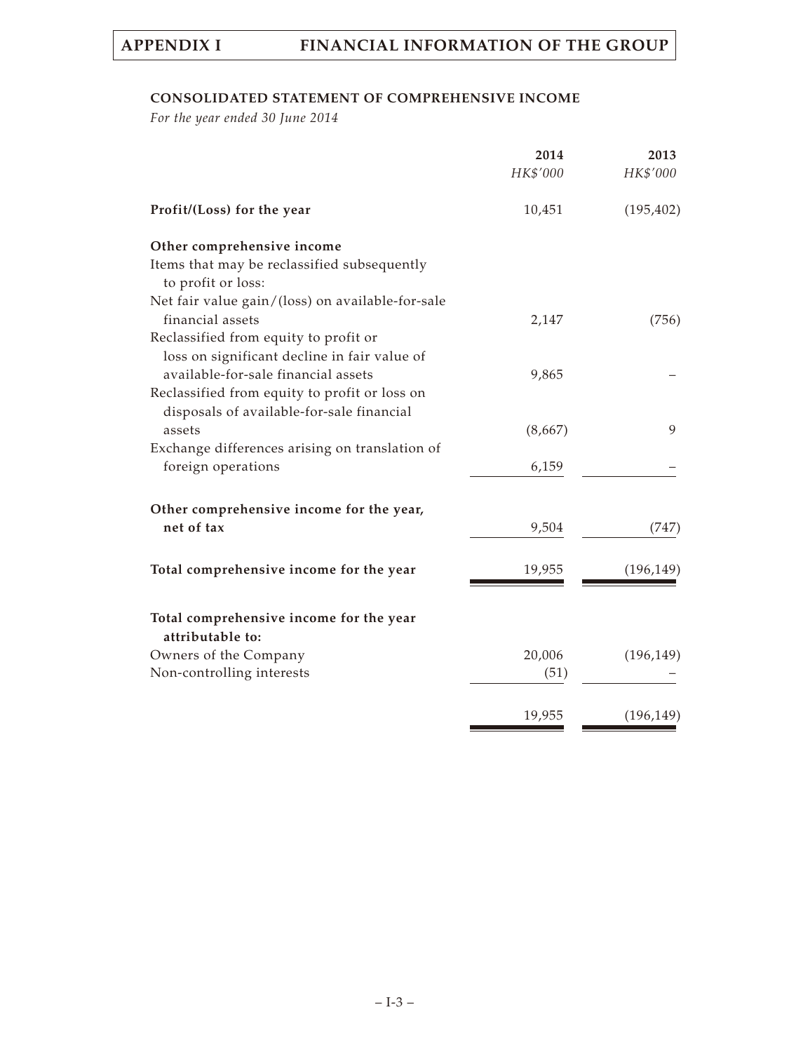### **CONSOLIDATED STATEMENT OF COMPREHENSIVE INCOME**

*For the year ended 30 June 2014*

|                                                                                       | 2014     | 2013       |
|---------------------------------------------------------------------------------------|----------|------------|
|                                                                                       | HK\$'000 | HK\$'000   |
| Profit/(Loss) for the year                                                            | 10,451   | (195, 402) |
| Other comprehensive income                                                            |          |            |
| Items that may be reclassified subsequently<br>to profit or loss:                     |          |            |
| Net fair value gain/(loss) on available-for-sale<br>financial assets                  | 2,147    | (756)      |
| Reclassified from equity to profit or<br>loss on significant decline in fair value of |          |            |
| available-for-sale financial assets<br>Reclassified from equity to profit or loss on  | 9,865    |            |
| disposals of available-for-sale financial<br>assets                                   | (8,667)  | 9          |
| Exchange differences arising on translation of<br>foreign operations                  | 6,159    |            |
| Other comprehensive income for the year,                                              |          |            |
| net of tax                                                                            | 9,504    | (747)      |
| Total comprehensive income for the year                                               | 19,955   | (196, 149) |
| Total comprehensive income for the year<br>attributable to:                           |          |            |
| Owners of the Company                                                                 | 20,006   | (196, 149) |
| Non-controlling interests                                                             | (51)     |            |
|                                                                                       | 19,955   | (196, 149) |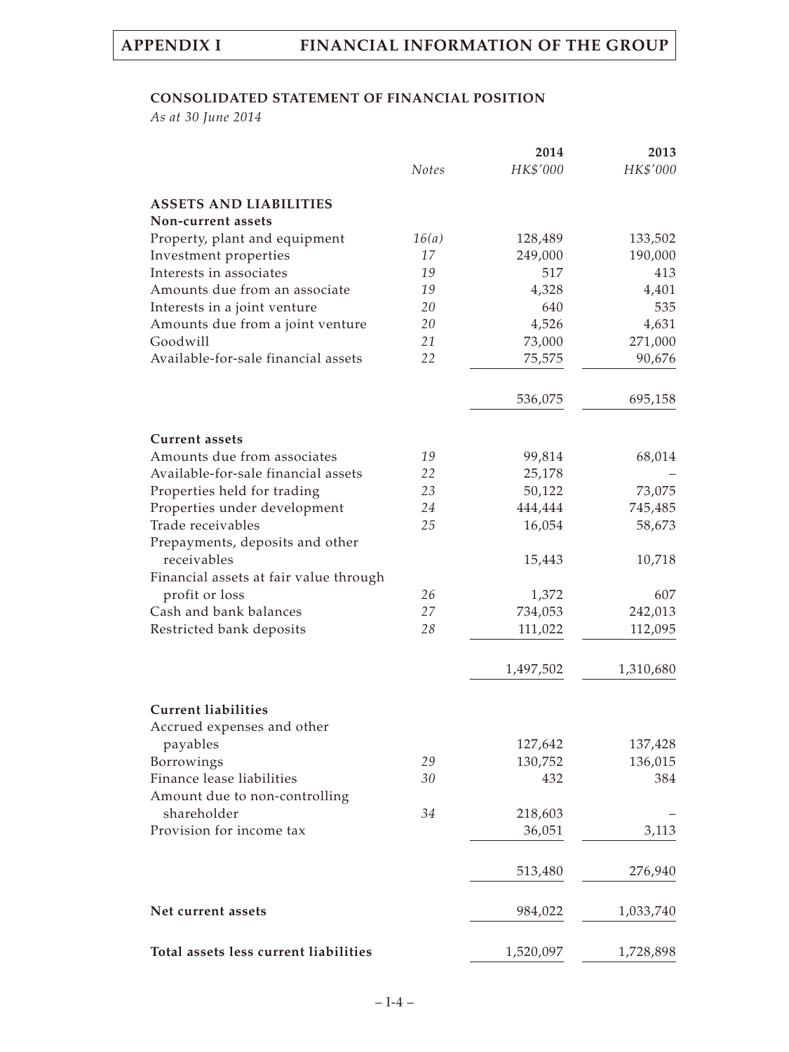### **CONSOLIDATED STATEMENT OF FINANCIAL POSITION**

*As at 30 June 2014*

|                                        |              | 2014      | 2013      |
|----------------------------------------|--------------|-----------|-----------|
|                                        | <b>Notes</b> | HK\$'000  | HK\$'000  |
| <b>ASSETS AND LIABILITIES</b>          |              |           |           |
| Non-current assets                     |              |           |           |
| Property, plant and equipment          | 16(a)        | 128,489   | 133,502   |
| Investment properties                  | 17           | 249,000   | 190,000   |
| Interests in associates                | 19           | 517       | 413       |
| Amounts due from an associate          | 19           | 4,328     | 4,401     |
| Interests in a joint venture           | 20           | 640       | 535       |
| Amounts due from a joint venture       | 20           | 4,526     | 4,631     |
| Goodwill                               | 21           | 73,000    | 271,000   |
| Available-for-sale financial assets    | 22           | 75,575    | 90,676    |
|                                        |              |           |           |
|                                        |              | 536,075   | 695,158   |
| <b>Current assets</b>                  |              |           |           |
| Amounts due from associates            | 19           | 99,814    | 68,014    |
| Available-for-sale financial assets    | 22           | 25,178    |           |
| Properties held for trading            | 23           | 50,122    | 73,075    |
| Properties under development           | 24           | 444,444   | 745,485   |
| Trade receivables                      | 25           | 16,054    | 58,673    |
| Prepayments, deposits and other        |              |           |           |
| receivables                            |              | 15,443    | 10,718    |
| Financial assets at fair value through |              |           |           |
| profit or loss                         | 26           | 1,372     | 607       |
| Cash and bank balances                 | 27           | 734,053   | 242,013   |
| Restricted bank deposits               | 28           | 111,022   | 112,095   |
|                                        |              |           |           |
|                                        |              | 1,497,502 | 1,310,680 |
| <b>Current liabilities</b>             |              |           |           |
| Accrued expenses and other             |              |           |           |
| payables                               |              | 127,642   | 137,428   |
| Borrowings                             | 29           | 130,752   | 136,015   |
| Finance lease liabilities              | 30           | 432       | 384       |
| Amount due to non-controlling          |              |           |           |
| shareholder                            | 34           | 218,603   |           |
| Provision for income tax               |              | 36,051    | 3,113     |
|                                        |              |           |           |
|                                        |              | 513,480   | 276,940   |
| Net current assets                     |              | 984,022   | 1,033,740 |
|                                        |              |           |           |
| Total assets less current liabilities  |              | 1,520,097 | 1,728,898 |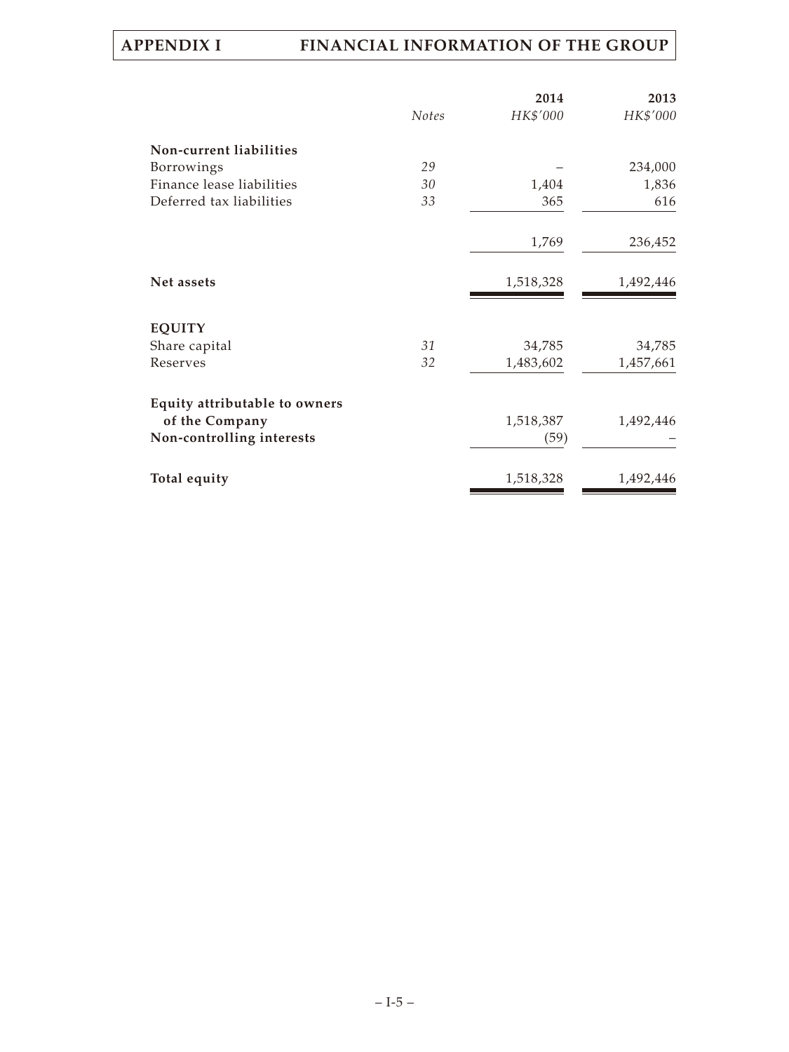|                               |              | 2014      | 2013      |
|-------------------------------|--------------|-----------|-----------|
|                               | <b>Notes</b> | HK\$'000  | HK\$'000  |
| Non-current liabilities       |              |           |           |
| Borrowings                    | 29           |           | 234,000   |
| Finance lease liabilities     | 30           | 1,404     | 1,836     |
| Deferred tax liabilities      | 33           | 365       | 616       |
|                               |              | 1,769     | 236,452   |
| Net assets                    |              | 1,518,328 | 1,492,446 |
| <b>EQUITY</b>                 |              |           |           |
| Share capital                 | 31           | 34,785    | 34,785    |
| Reserves                      | 32           | 1,483,602 | 1,457,661 |
| Equity attributable to owners |              |           |           |
| of the Company                |              | 1,518,387 | 1,492,446 |
| Non-controlling interests     |              | (59)      |           |
| Total equity                  |              | 1,518,328 | 1,492,446 |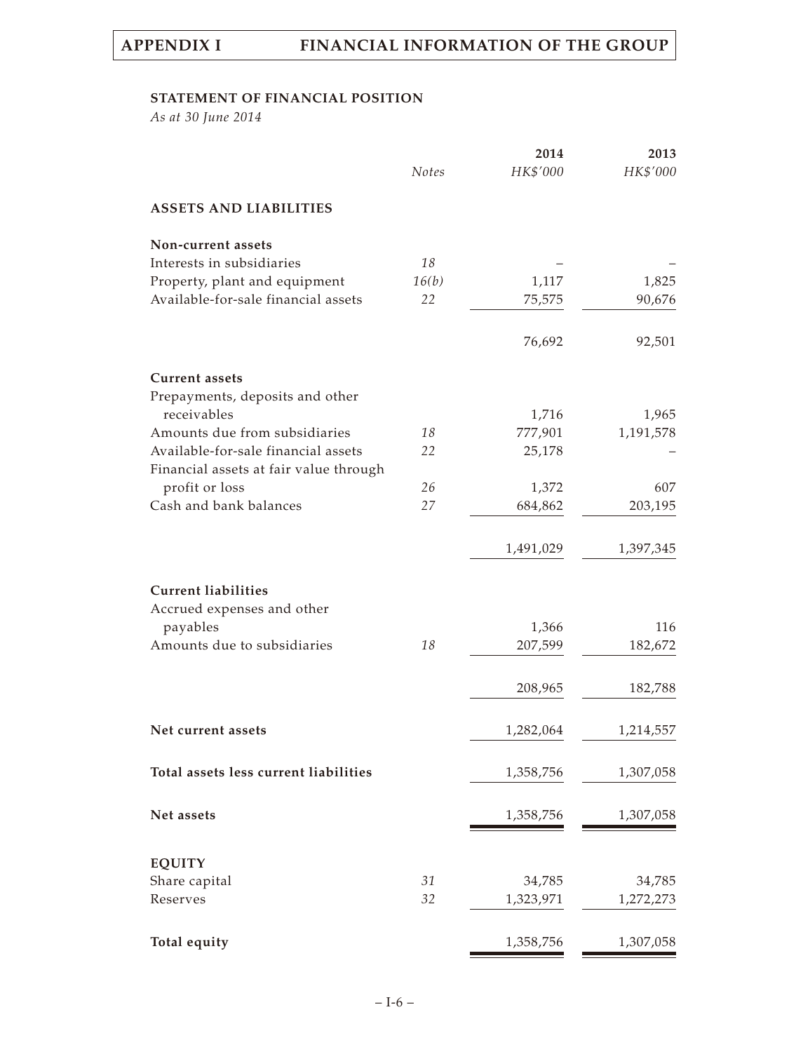### **STATEMENT OF FINANCIAL POSITION**

*As at 30 June 2014*

|                                        |              | 2014      | 2013      |
|----------------------------------------|--------------|-----------|-----------|
|                                        | <b>Notes</b> | HK\$'000  | HK\$'000  |
| <b>ASSETS AND LIABILITIES</b>          |              |           |           |
| Non-current assets                     |              |           |           |
| Interests in subsidiaries              | 18           |           |           |
| Property, plant and equipment          | 16(b)        | 1,117     | 1,825     |
| Available-for-sale financial assets    | 22           | 75,575    | 90,676    |
|                                        |              | 76,692    | 92,501    |
| <b>Current assets</b>                  |              |           |           |
| Prepayments, deposits and other        |              |           |           |
| receivables                            |              | 1,716     | 1,965     |
| Amounts due from subsidiaries          | 18           | 777,901   | 1,191,578 |
| Available-for-sale financial assets    | 22           | 25,178    |           |
| Financial assets at fair value through |              |           |           |
| profit or loss                         | 26           | 1,372     | 607       |
| Cash and bank balances                 | 27           | 684,862   | 203,195   |
|                                        |              | 1,491,029 | 1,397,345 |
|                                        |              |           |           |
| <b>Current liabilities</b>             |              |           |           |
| Accrued expenses and other             |              |           |           |
| payables                               |              | 1,366     | 116       |
| Amounts due to subsidiaries            | 18           | 207,599   | 182,672   |
|                                        |              | 208,965   | 182,788   |
|                                        |              |           |           |
| Net current assets                     |              | 1,282,064 | 1,214,557 |
| Total assets less current liabilities  |              | 1,358,756 | 1,307,058 |
| Net assets                             |              | 1,358,756 | 1,307,058 |
|                                        |              |           |           |
| <b>EQUITY</b>                          |              |           |           |
| Share capital                          | 31           | 34,785    | 34,785    |
| Reserves                               | 32           | 1,323,971 | 1,272,273 |
| Total equity                           |              | 1,358,756 | 1,307,058 |
|                                        |              |           |           |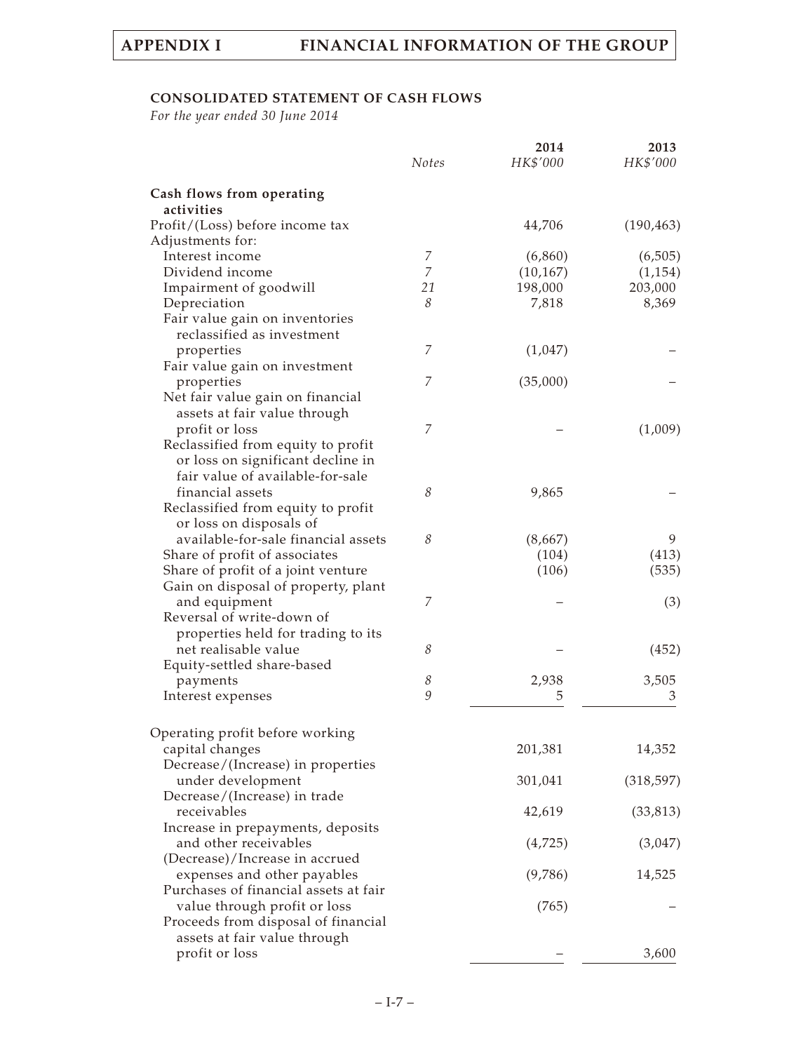# **CONSOLIDATED STATEMENT OF CASH FLOWS**

*For the year ended 30 June 2014*

|                                                                                                        | Notes | 2014<br>HK\$'000 | 2013<br>HK\$'000 |
|--------------------------------------------------------------------------------------------------------|-------|------------------|------------------|
| Cash flows from operating<br>activities                                                                |       |                  |                  |
| Profit/(Loss) before income tax                                                                        |       | 44,706           | (190, 463)       |
| Adjustments for:                                                                                       |       |                  |                  |
| Interest income                                                                                        | 7     | (6,860)          | (6,505)          |
| Dividend income                                                                                        | 7     | (10, 167)        | (1, 154)         |
| Impairment of goodwill                                                                                 | 21    | 198,000          | 203,000          |
| Depreciation                                                                                           | 8     | 7,818            | 8,369            |
| Fair value gain on inventories<br>reclassified as investment                                           |       |                  |                  |
| properties                                                                                             | 7     | (1,047)          |                  |
| Fair value gain on investment                                                                          |       |                  |                  |
| properties                                                                                             | 7     | (35,000)         |                  |
| Net fair value gain on financial                                                                       |       |                  |                  |
| assets at fair value through                                                                           |       |                  |                  |
| profit or loss                                                                                         | 7     |                  | (1,009)          |
| Reclassified from equity to profit                                                                     |       |                  |                  |
| or loss on significant decline in                                                                      |       |                  |                  |
| fair value of available-for-sale                                                                       |       |                  |                  |
| financial assets                                                                                       | 8     | 9,865            |                  |
| Reclassified from equity to profit                                                                     |       |                  |                  |
| or loss on disposals of                                                                                |       |                  |                  |
| available-for-sale financial assets                                                                    | 8     | (8,667)          | 9                |
| Share of profit of associates                                                                          |       | (104)            | (413)            |
| Share of profit of a joint venture                                                                     |       | (106)            | (535)            |
| Gain on disposal of property, plant                                                                    |       |                  |                  |
| and equipment                                                                                          | 7     |                  | (3)              |
| Reversal of write-down of                                                                              |       |                  |                  |
| properties held for trading to its                                                                     |       |                  |                  |
| net realisable value                                                                                   | 8     |                  | (452)            |
| Equity-settled share-based                                                                             |       |                  |                  |
| payments                                                                                               | 8     | 2,938            | 3,505            |
| Interest expenses                                                                                      | 9     | 5                | 3                |
| Operating profit before working                                                                        |       |                  |                  |
| capital changes                                                                                        |       | 201,381          | 14,352           |
| Decrease/(Increase) in properties<br>under development                                                 |       | 301,041          | (318, 597)       |
| Decrease/(Increase) in trade<br>receivables                                                            |       | 42,619           | (33, 813)        |
| Increase in prepayments, deposits<br>and other receivables                                             |       | (4,725)          | (3,047)          |
| (Decrease)/Increase in accrued<br>expenses and other payables<br>Purchases of financial assets at fair |       | (9,786)          | 14,525           |
| value through profit or loss<br>Proceeds from disposal of financial                                    |       | (765)            |                  |
| assets at fair value through<br>profit or loss                                                         |       |                  | 3,600            |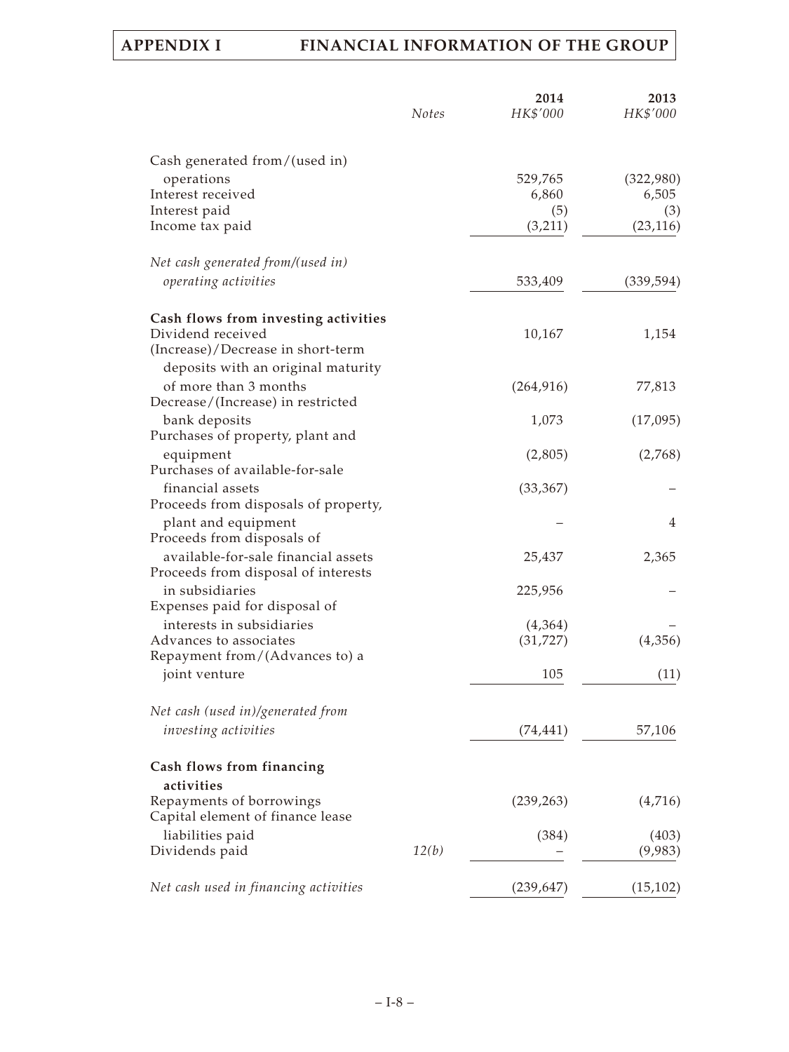|                                                   | <b>Notes</b> | 2014<br>HK\$'000 | 2013<br>HK\$'000 |  |
|---------------------------------------------------|--------------|------------------|------------------|--|
| Cash generated from/(used in)                     |              |                  |                  |  |
| operations                                        |              | 529,765          | (322,980)        |  |
| Interest received                                 |              | 6,860            | 6,505            |  |
| Interest paid                                     |              | (5)              | (3)              |  |
| Income tax paid                                   |              | (3,211)          | (23, 116)        |  |
| Net cash generated from/(used in)                 |              |                  |                  |  |
| operating activities                              |              | 533,409          | (339, 594)       |  |
| Cash flows from investing activities              |              |                  |                  |  |
| Dividend received                                 |              | 10,167           | 1,154            |  |
| (Increase)/Decrease in short-term                 |              |                  |                  |  |
| deposits with an original maturity                |              |                  |                  |  |
| of more than 3 months                             |              | (264, 916)       | 77,813           |  |
| Decrease/(Increase) in restricted                 |              |                  |                  |  |
| bank deposits<br>Purchases of property, plant and |              | 1,073            | (17,095)         |  |
|                                                   |              |                  |                  |  |
| equipment<br>Purchases of available-for-sale      |              | (2,805)          | (2,768)          |  |
| financial assets                                  |              | (33, 367)        |                  |  |
| Proceeds from disposals of property,              |              |                  |                  |  |
| plant and equipment                               |              |                  | $\overline{4}$   |  |
| Proceeds from disposals of                        |              |                  |                  |  |
| available-for-sale financial assets               |              | 25,437           | 2,365            |  |
| Proceeds from disposal of interests               |              |                  |                  |  |
| in subsidiaries                                   |              | 225,956          |                  |  |
| Expenses paid for disposal of                     |              |                  |                  |  |
| interests in subsidiaries                         |              | (4,364)          |                  |  |
| Advances to associates                            |              | (31, 727)        | (4,356)          |  |
| Repayment from/(Advances to) a                    |              |                  |                  |  |
| joint venture                                     |              | 105              | (11)             |  |
| Net cash (used in)/generated from                 |              |                  |                  |  |
| investing activities                              |              | (74, 441)        | 57,106           |  |
| Cash flows from financing                         |              |                  |                  |  |
| activities                                        |              |                  |                  |  |
| Repayments of borrowings                          |              | (239, 263)       | (4,716)          |  |
| Capital element of finance lease                  |              |                  |                  |  |
| liabilities paid                                  |              | (384)            | (403)            |  |
| Dividends paid                                    | 12(b)        |                  | (9,983)          |  |
| Net cash used in financing activities             |              | (239, 647)       | (15, 102)        |  |
|                                                   |              |                  |                  |  |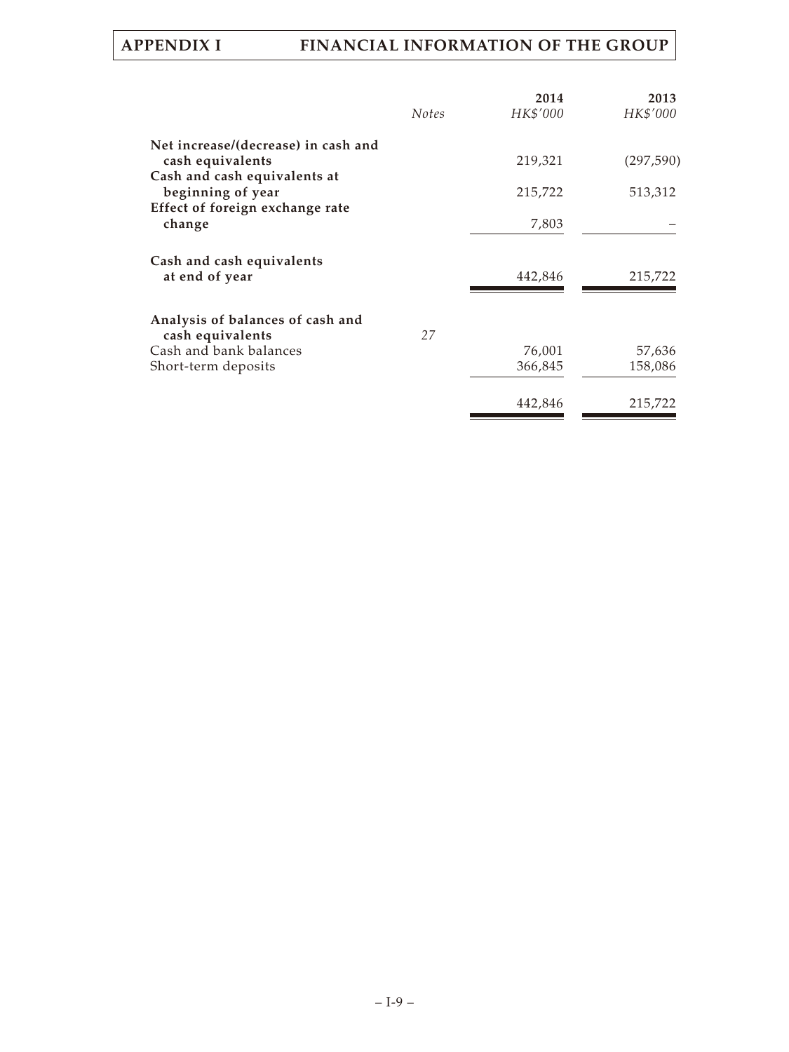| HK\$'000<br><b>Notes</b><br>219,321 | HK\$'000                    |
|-------------------------------------|-----------------------------|
|                                     |                             |
|                                     |                             |
|                                     | (297, 590)                  |
|                                     |                             |
|                                     | 513,312                     |
|                                     |                             |
|                                     |                             |
|                                     |                             |
| 442,846                             | 215,722                     |
|                                     |                             |
| 27                                  |                             |
| 76,001                              | 57,636                      |
| 366,845                             | 158,086                     |
|                                     | 215,722                     |
|                                     | 215,722<br>7,803<br>442,846 |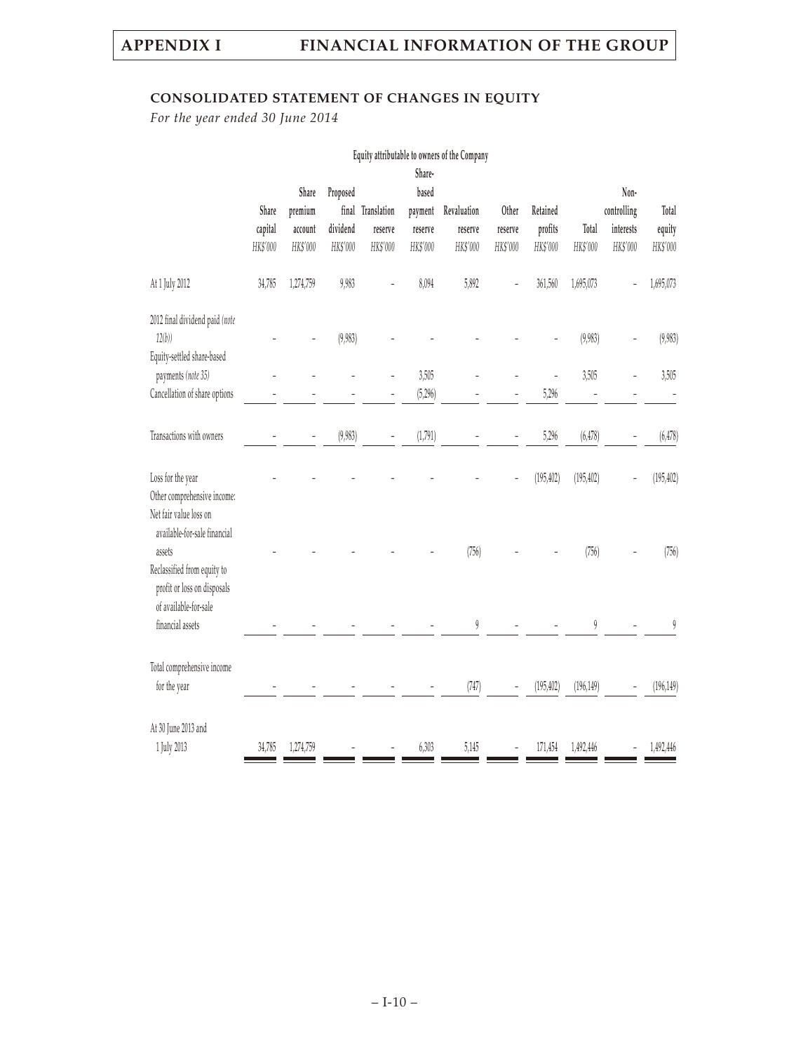# **CONSOLIDATED STATEMENT OF CHANGES IN EQUITY**

*For the year ended 30 June 2014*

|                                                                  | Equity attributable to owners of the Company<br>Share- |           |          |                          |          |                        |          |            |            |             |            |
|------------------------------------------------------------------|--------------------------------------------------------|-----------|----------|--------------------------|----------|------------------------|----------|------------|------------|-------------|------------|
|                                                                  |                                                        | Share     | Proposed |                          | based    |                        |          |            |            | Non-        |            |
|                                                                  | Share                                                  | premium   |          | final Translation        | payment  | Revaluation            | Other    | Retained   |            | controlling | Total      |
|                                                                  | capital                                                | account   | dividend | reserve                  | reserve  | reserve                | reserve  | profits    | Total      | interests   | equity     |
|                                                                  | HK\$'000                                               | HK\$'000  | HK\$'000 | HK\$'000                 | HK\$'000 | HK\$'000               | HK\$'000 | HK\$'000   | HK\$'000   | HK\$'000    | HK\$'000   |
| At 1 July 2012                                                   | 34,785                                                 | 1,274,759 | 9,983    |                          | 8,094    | 5,892                  |          | 361,560    | 1,695,073  |             | 1,695,073  |
| 2012 final dividend paid (note                                   |                                                        |           |          |                          |          |                        |          |            |            |             |            |
| 12(b)<br>Equity-settled share-based                              |                                                        |           | (9,983)  |                          |          |                        |          |            | (9,983)    |             | (9,983)    |
| payments (note 35)                                               |                                                        |           |          |                          | 3,505    |                        |          |            | 3,505      |             | 3,505      |
| Cancellation of share options                                    |                                                        |           |          |                          | (5,296)  |                        |          | 5,296      |            |             |            |
| Transactions with owners                                         |                                                        |           | (9,983)  | $\overline{\phantom{0}}$ | (1,791)  |                        |          | 5,296      | (6, 478)   |             | (6, 478)   |
| Loss for the year<br>Other comprehensive income:                 |                                                        |           |          |                          |          |                        |          | (195, 402) | (195, 402) |             | (195, 402) |
| Net fair value loss on<br>available-for-sale financial<br>assets |                                                        |           |          |                          |          | (756)                  |          |            | (756)      |             | (756)      |
| Reclassified from equity to<br>profit or loss on disposals       |                                                        |           |          |                          |          |                        |          |            |            |             |            |
| of available-for-sale<br>financial assets                        |                                                        |           |          |                          |          | $\boldsymbol{\varrho}$ |          |            | 9          |             | 9          |
| Total comprehensive income                                       |                                                        |           |          |                          |          |                        |          |            |            |             |            |
| for the year                                                     |                                                        |           |          |                          |          | (747)                  |          | (195, 402) | (196, 149) |             | (196, 149) |
| At 30 June 2013 and                                              |                                                        |           |          |                          |          |                        |          |            |            |             |            |
| 1 July 2013                                                      | 34,785                                                 | 1,274,759 |          |                          | 6,303    | 5,145                  |          | 171,454    | 1,492,446  |             | 1,492,446  |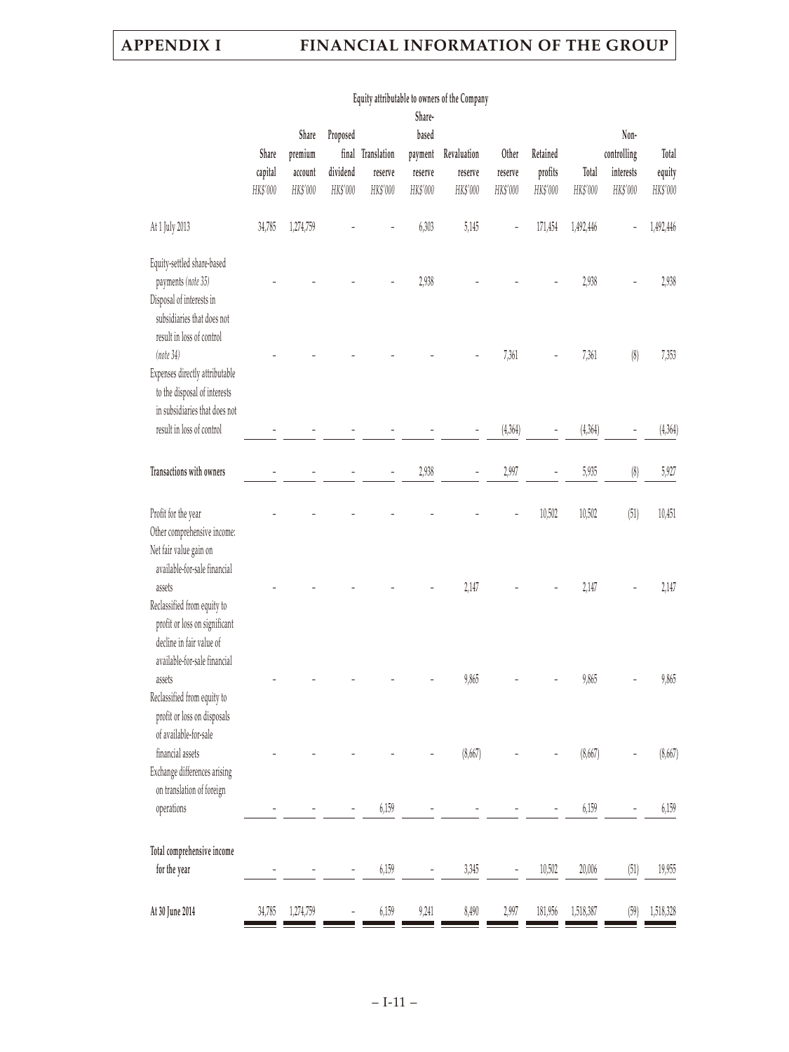|                                                                                                                                         | Share<br>capital<br>HK\$'000 | Share<br>premium<br>account<br>HK\$'000 | Proposed<br>dividend<br>HK\$'000 | final Translation<br>reserve<br>HK\$'000 | Share-<br>based<br>payment<br>reserve<br>HK\$'000 | Revaluation<br>reserve<br>HK\$'000 | Other<br>reserve<br>HK\$'000 | Retained<br>profits<br>HK\$'000 | Total<br>HK\$'000 | Non-<br>controlling<br>interests<br>HK\$'000 | Total<br>equity<br>HK\$'000 |
|-----------------------------------------------------------------------------------------------------------------------------------------|------------------------------|-----------------------------------------|----------------------------------|------------------------------------------|---------------------------------------------------|------------------------------------|------------------------------|---------------------------------|-------------------|----------------------------------------------|-----------------------------|
| At 1 July 2013                                                                                                                          | 34,785                       | 1,274,759                               |                                  |                                          | 6,303                                             | 5,145                              |                              | 171,454                         | 1,492,446         |                                              | 1,492,446                   |
| Equity-settled share-based<br>payments (note 35)<br>Disposal of interests in<br>subsidiaries that does not<br>result in loss of control |                              |                                         |                                  |                                          | 2,938                                             |                                    |                              |                                 | 2,938             |                                              | 2,938                       |
| (note 34)<br>Expenses directly attributable<br>to the disposal of interests<br>in subsidiaries that does not                            |                              |                                         |                                  |                                          |                                                   |                                    | 7,361                        |                                 | 7,361             | (8)                                          | 7,353                       |
| result in loss of control                                                                                                               |                              |                                         |                                  |                                          |                                                   |                                    | (4,364)                      |                                 | (4,364)           |                                              | (4,364)                     |
| Transactions with owners                                                                                                                |                              |                                         |                                  |                                          | 2,938                                             |                                    | 2,997                        |                                 | 5,935             | $\left( 8\right)$                            | 5,927                       |
| Profit for the year<br>Other comprehensive income:<br>Net fair value gain on                                                            |                              |                                         |                                  |                                          |                                                   |                                    |                              | 10,502                          | 10,502            | (51)                                         | 10,451                      |
| available-for-sale financial<br>assets<br>Reclassified from equity to<br>profit or loss on significant<br>decline in fair value of      |                              |                                         |                                  |                                          |                                                   | 2,147                              |                              |                                 | 2,147             |                                              | 2,147                       |
| available-for-sale financial<br>assets<br>Reclassified from equity to<br>profit or loss on disposals                                    |                              |                                         |                                  |                                          |                                                   | 9,865                              |                              |                                 | 9,865             |                                              | 9,865                       |
| of available-for-sale<br>financial assets<br>Exchange differences arising                                                               |                              |                                         |                                  |                                          |                                                   | (8,667)                            |                              |                                 | (8,667)           |                                              | (8,667)                     |
| on translation of foreign<br>operations                                                                                                 |                              |                                         |                                  | 6,159                                    |                                                   |                                    |                              |                                 | 6,159             |                                              | 6,159                       |
| Total comprehensive income<br>for the year                                                                                              |                              |                                         |                                  | 6,159                                    |                                                   | 3,345                              |                              | 10,502                          | 20,006            | (51)                                         | 19,955                      |
| At 30 June 2014                                                                                                                         | 34,785                       | 1,274,759                               |                                  | 6,159                                    | 9,241                                             | 8,490                              | 2,997                        | 181,956                         | 1,518,387         | (59)                                         | 1,518,328                   |

### **Equity attributable to owners of the Company**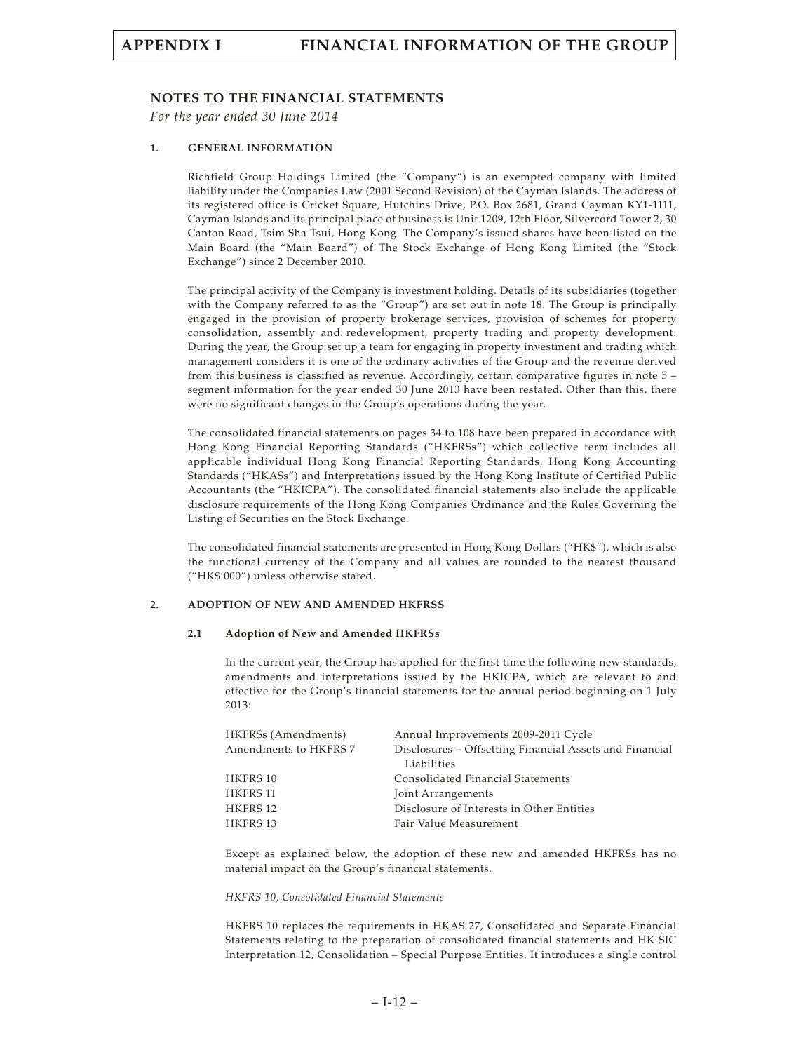### **NOTES TO THE FINANCIAL STATEMENTS**

*For the year ended 30 June 2014*

#### **1. GENERAL INFORMATION**

Richfield Group Holdings Limited (the "Company") is an exempted company with limited liability under the Companies Law (2001 Second Revision) of the Cayman Islands. The address of its registered office is Cricket Square, Hutchins Drive, P.O. Box 2681, Grand Cayman KY1-1111, Cayman Islands and its principal place of business is Unit 1209, 12th Floor, Silvercord Tower 2, 30 Canton Road, Tsim Sha Tsui, Hong Kong. The Company's issued shares have been listed on the Main Board (the "Main Board") of The Stock Exchange of Hong Kong Limited (the "Stock Exchange") since 2 December 2010.

The principal activity of the Company is investment holding. Details of its subsidiaries (together with the Company referred to as the "Group") are set out in note 18. The Group is principally engaged in the provision of property brokerage services, provision of schemes for property consolidation, assembly and redevelopment, property trading and property development. During the year, the Group set up a team for engaging in property investment and trading which management considers it is one of the ordinary activities of the Group and the revenue derived from this business is classified as revenue. Accordingly, certain comparative figures in note 5 – segment information for the year ended 30 June 2013 have been restated. Other than this, there were no significant changes in the Group's operations during the year.

The consolidated financial statements on pages 34 to 108 have been prepared in accordance with Hong Kong Financial Reporting Standards ("HKFRSs") which collective term includes all applicable individual Hong Kong Financial Reporting Standards, Hong Kong Accounting Standards ("HKASs") and Interpretations issued by the Hong Kong Institute of Certified Public Accountants (the "HKICPA"). The consolidated financial statements also include the applicable disclosure requirements of the Hong Kong Companies Ordinance and the Rules Governing the Listing of Securities on the Stock Exchange.

The consolidated financial statements are presented in Hong Kong Dollars ("HK\$"), which is also the functional currency of the Company and all values are rounded to the nearest thousand ("HK\$'000") unless otherwise stated.

#### **2. ADOPTION OF NEW AND AMENDED HKFRSS**

#### **2.1 Adoption of New and Amended HKFRSs**

In the current year, the Group has applied for the first time the following new standards, amendments and interpretations issued by the HKICPA, which are relevant to and effective for the Group's financial statements for the annual period beginning on 1 July 2013:

| HKFRSs (Amendments)   | Annual Improvements 2009-2011 Cycle                     |
|-----------------------|---------------------------------------------------------|
| Amendments to HKFRS 7 | Disclosures - Offsetting Financial Assets and Financial |
|                       | Liabilities                                             |
| <b>HKFRS 10</b>       | Consolidated Financial Statements                       |
| <b>HKFRS 11</b>       | Joint Arrangements                                      |
| HKFRS 12              | Disclosure of Interests in Other Entities               |
| HKFRS 13              | Fair Value Measurement                                  |
|                       |                                                         |

Except as explained below, the adoption of these new and amended HKFRSs has no material impact on the Group's financial statements.

#### *HKFRS 10, Consolidated Financial Statements*

HKFRS 10 replaces the requirements in HKAS 27, Consolidated and Separate Financial Statements relating to the preparation of consolidated financial statements and HK SIC Interpretation 12, Consolidation – Special Purpose Entities. It introduces a single control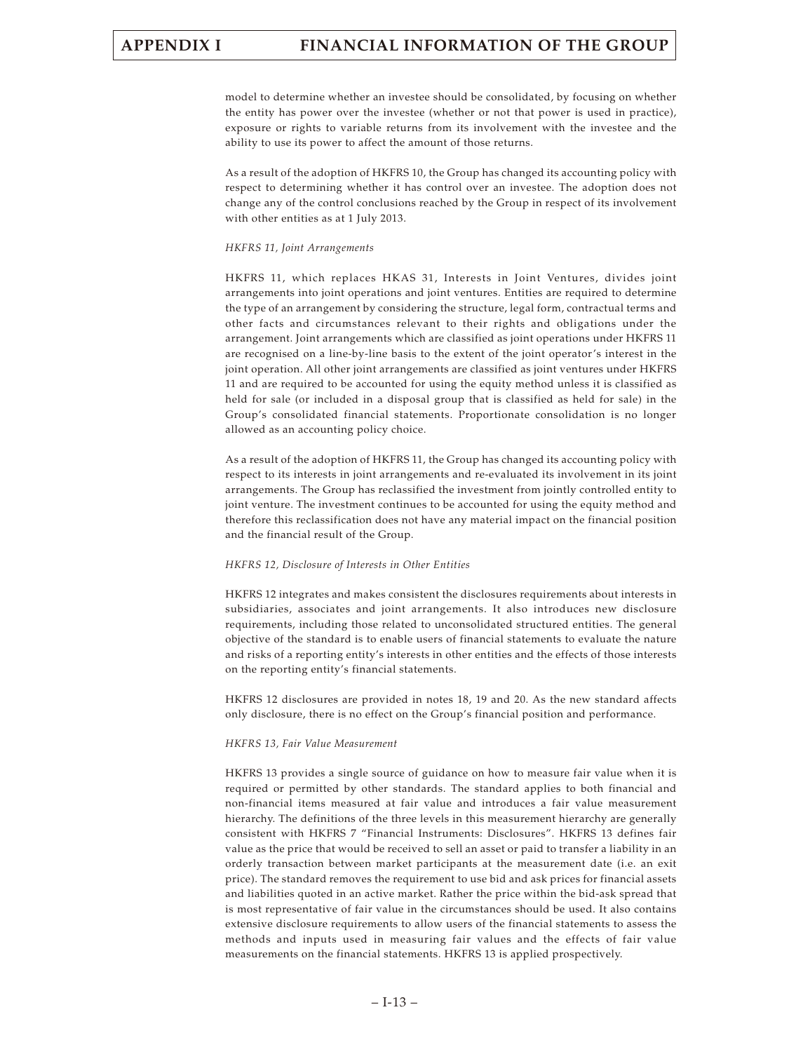model to determine whether an investee should be consolidated, by focusing on whether the entity has power over the investee (whether or not that power is used in practice), exposure or rights to variable returns from its involvement with the investee and the ability to use its power to affect the amount of those returns.

As a result of the adoption of HKFRS 10, the Group has changed its accounting policy with respect to determining whether it has control over an investee. The adoption does not change any of the control conclusions reached by the Group in respect of its involvement with other entities as at 1 July 2013.

#### *HKFRS 11, Joint Arrangements*

HKFRS 11, which replaces HKAS 31, Interests in Joint Ventures, divides joint arrangements into joint operations and joint ventures. Entities are required to determine the type of an arrangement by considering the structure, legal form, contractual terms and other facts and circumstances relevant to their rights and obligations under the arrangement. Joint arrangements which are classified as joint operations under HKFRS 11 are recognised on a line-by-line basis to the extent of the joint operator's interest in the joint operation. All other joint arrangements are classified as joint ventures under HKFRS 11 and are required to be accounted for using the equity method unless it is classified as held for sale (or included in a disposal group that is classified as held for sale) in the Group's consolidated financial statements. Proportionate consolidation is no longer allowed as an accounting policy choice.

As a result of the adoption of HKFRS 11, the Group has changed its accounting policy with respect to its interests in joint arrangements and re-evaluated its involvement in its joint arrangements. The Group has reclassified the investment from jointly controlled entity to joint venture. The investment continues to be accounted for using the equity method and therefore this reclassification does not have any material impact on the financial position and the financial result of the Group.

#### *HKFRS 12, Disclosure of Interests in Other Entities*

HKFRS 12 integrates and makes consistent the disclosures requirements about interests in subsidiaries, associates and joint arrangements. It also introduces new disclosure requirements, including those related to unconsolidated structured entities. The general objective of the standard is to enable users of financial statements to evaluate the nature and risks of a reporting entity's interests in other entities and the effects of those interests on the reporting entity's financial statements.

HKFRS 12 disclosures are provided in notes 18, 19 and 20. As the new standard affects only disclosure, there is no effect on the Group's financial position and performance.

#### *HKFRS 13, Fair Value Measurement*

HKFRS 13 provides a single source of guidance on how to measure fair value when it is required or permitted by other standards. The standard applies to both financial and non-financial items measured at fair value and introduces a fair value measurement hierarchy. The definitions of the three levels in this measurement hierarchy are generally consistent with HKFRS 7 "Financial Instruments: Disclosures". HKFRS 13 defines fair value as the price that would be received to sell an asset or paid to transfer a liability in an orderly transaction between market participants at the measurement date (i.e. an exit price). The standard removes the requirement to use bid and ask prices for financial assets and liabilities quoted in an active market. Rather the price within the bid-ask spread that is most representative of fair value in the circumstances should be used. It also contains extensive disclosure requirements to allow users of the financial statements to assess the methods and inputs used in measuring fair values and the effects of fair value measurements on the financial statements. HKFRS 13 is applied prospectively.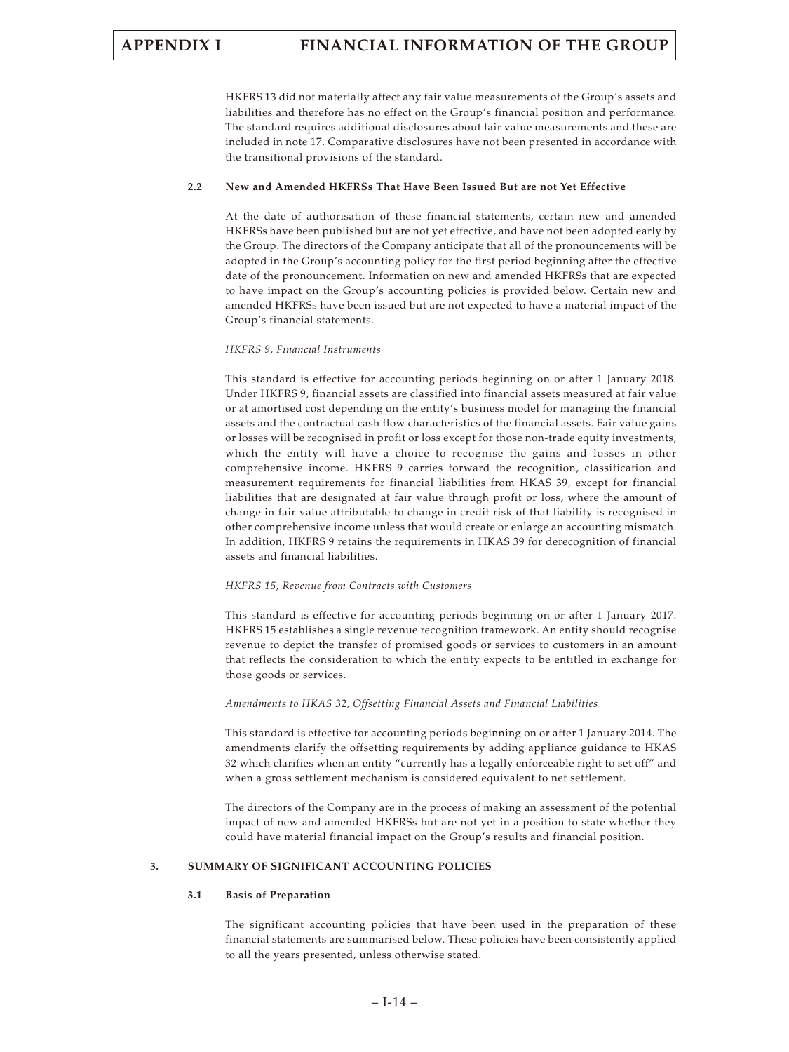HKFRS 13 did not materially affect any fair value measurements of the Group's assets and liabilities and therefore has no effect on the Group's financial position and performance. The standard requires additional disclosures about fair value measurements and these are included in note 17. Comparative disclosures have not been presented in accordance with the transitional provisions of the standard.

#### **2.2 New and Amended HKFRSs That Have Been Issued But are not Yet Effective**

At the date of authorisation of these financial statements, certain new and amended HKFRSs have been published but are not yet effective, and have not been adopted early by the Group. The directors of the Company anticipate that all of the pronouncements will be adopted in the Group's accounting policy for the first period beginning after the effective date of the pronouncement. Information on new and amended HKFRSs that are expected to have impact on the Group's accounting policies is provided below. Certain new and amended HKFRSs have been issued but are not expected to have a material impact of the Group's financial statements.

#### *HKFRS 9, Financial Instruments*

This standard is effective for accounting periods beginning on or after 1 January 2018. Under HKFRS 9, financial assets are classified into financial assets measured at fair value or at amortised cost depending on the entity's business model for managing the financial assets and the contractual cash flow characteristics of the financial assets. Fair value gains or losses will be recognised in profit or loss except for those non-trade equity investments, which the entity will have a choice to recognise the gains and losses in other comprehensive income. HKFRS 9 carries forward the recognition, classification and measurement requirements for financial liabilities from HKAS 39, except for financial liabilities that are designated at fair value through profit or loss, where the amount of change in fair value attributable to change in credit risk of that liability is recognised in other comprehensive income unless that would create or enlarge an accounting mismatch. In addition, HKFRS 9 retains the requirements in HKAS 39 for derecognition of financial assets and financial liabilities.

#### *HKFRS 15, Revenue from Contracts with Customers*

This standard is effective for accounting periods beginning on or after 1 January 2017. HKFRS 15 establishes a single revenue recognition framework. An entity should recognise revenue to depict the transfer of promised goods or services to customers in an amount that reflects the consideration to which the entity expects to be entitled in exchange for those goods or services.

#### *Amendments to HKAS 32, Offsetting Financial Assets and Financial Liabilities*

This standard is effective for accounting periods beginning on or after 1 January 2014. The amendments clarify the offsetting requirements by adding appliance guidance to HKAS 32 which clarifies when an entity "currently has a legally enforceable right to set off" and when a gross settlement mechanism is considered equivalent to net settlement.

The directors of the Company are in the process of making an assessment of the potential impact of new and amended HKFRSs but are not yet in a position to state whether they could have material financial impact on the Group's results and financial position.

#### **3. SUMMARY OF SIGNIFICANT ACCOUNTING POLICIES**

#### **3.1 Basis of Preparation**

The significant accounting policies that have been used in the preparation of these financial statements are summarised below. These policies have been consistently applied to all the years presented, unless otherwise stated.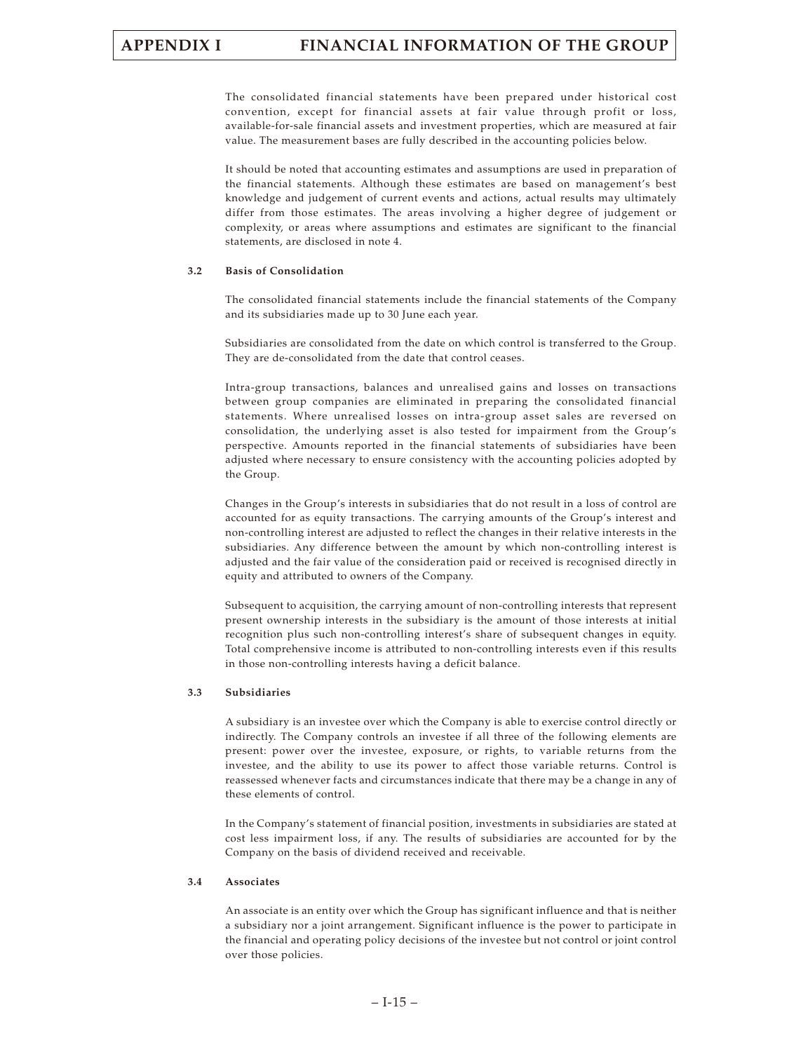The consolidated financial statements have been prepared under historical cost convention, except for financial assets at fair value through profit or loss, available-for-sale financial assets and investment properties, which are measured at fair value. The measurement bases are fully described in the accounting policies below.

It should be noted that accounting estimates and assumptions are used in preparation of the financial statements. Although these estimates are based on management's best knowledge and judgement of current events and actions, actual results may ultimately differ from those estimates. The areas involving a higher degree of judgement or complexity, or areas where assumptions and estimates are significant to the financial statements, are disclosed in note 4.

#### **3.2 Basis of Consolidation**

The consolidated financial statements include the financial statements of the Company and its subsidiaries made up to 30 June each year.

Subsidiaries are consolidated from the date on which control is transferred to the Group. They are de-consolidated from the date that control ceases.

Intra-group transactions, balances and unrealised gains and losses on transactions between group companies are eliminated in preparing the consolidated financial statements. Where unrealised losses on intra-group asset sales are reversed on consolidation, the underlying asset is also tested for impairment from the Group's perspective. Amounts reported in the financial statements of subsidiaries have been adjusted where necessary to ensure consistency with the accounting policies adopted by the Group.

Changes in the Group's interests in subsidiaries that do not result in a loss of control are accounted for as equity transactions. The carrying amounts of the Group's interest and non-controlling interest are adjusted to reflect the changes in their relative interests in the subsidiaries. Any difference between the amount by which non-controlling interest is adjusted and the fair value of the consideration paid or received is recognised directly in equity and attributed to owners of the Company.

Subsequent to acquisition, the carrying amount of non-controlling interests that represent present ownership interests in the subsidiary is the amount of those interests at initial recognition plus such non-controlling interest's share of subsequent changes in equity. Total comprehensive income is attributed to non-controlling interests even if this results in those non-controlling interests having a deficit balance.

#### **3.3 Subsidiaries**

A subsidiary is an investee over which the Company is able to exercise control directly or indirectly. The Company controls an investee if all three of the following elements are present: power over the investee, exposure, or rights, to variable returns from the investee, and the ability to use its power to affect those variable returns. Control is reassessed whenever facts and circumstances indicate that there may be a change in any of these elements of control.

In the Company's statement of financial position, investments in subsidiaries are stated at cost less impairment loss, if any. The results of subsidiaries are accounted for by the Company on the basis of dividend received and receivable.

#### **3.4 Associates**

An associate is an entity over which the Group has significant influence and that is neither a subsidiary nor a joint arrangement. Significant influence is the power to participate in the financial and operating policy decisions of the investee but not control or joint control over those policies.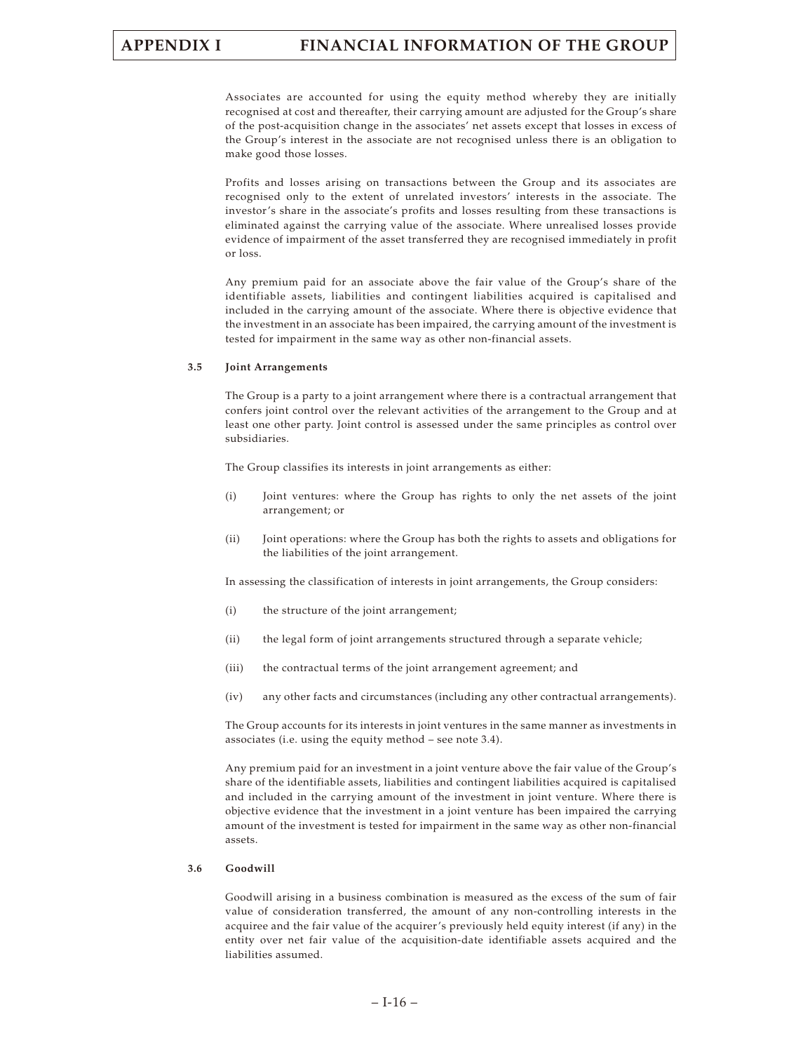Associates are accounted for using the equity method whereby they are initially recognised at cost and thereafter, their carrying amount are adjusted for the Group's share of the post-acquisition change in the associates' net assets except that losses in excess of the Group's interest in the associate are not recognised unless there is an obligation to make good those losses.

Profits and losses arising on transactions between the Group and its associates are recognised only to the extent of unrelated investors' interests in the associate. The investor's share in the associate's profits and losses resulting from these transactions is eliminated against the carrying value of the associate. Where unrealised losses provide evidence of impairment of the asset transferred they are recognised immediately in profit or loss.

Any premium paid for an associate above the fair value of the Group's share of the identifiable assets, liabilities and contingent liabilities acquired is capitalised and included in the carrying amount of the associate. Where there is objective evidence that the investment in an associate has been impaired, the carrying amount of the investment is tested for impairment in the same way as other non-financial assets.

#### **3.5 Joint Arrangements**

The Group is a party to a joint arrangement where there is a contractual arrangement that confers joint control over the relevant activities of the arrangement to the Group and at least one other party. Joint control is assessed under the same principles as control over subsidiaries.

The Group classifies its interests in joint arrangements as either:

- (i) Joint ventures: where the Group has rights to only the net assets of the joint arrangement; or
- (ii) Joint operations: where the Group has both the rights to assets and obligations for the liabilities of the joint arrangement.

In assessing the classification of interests in joint arrangements, the Group considers:

- (i) the structure of the joint arrangement;
- (ii) the legal form of joint arrangements structured through a separate vehicle;
- (iii) the contractual terms of the joint arrangement agreement; and
- (iv) any other facts and circumstances (including any other contractual arrangements).

The Group accounts for its interests in joint ventures in the same manner as investments in associates (i.e. using the equity method – see note 3.4).

Any premium paid for an investment in a joint venture above the fair value of the Group's share of the identifiable assets, liabilities and contingent liabilities acquired is capitalised and included in the carrying amount of the investment in joint venture. Where there is objective evidence that the investment in a joint venture has been impaired the carrying amount of the investment is tested for impairment in the same way as other non-financial assets.

#### **3.6 Goodwill**

Goodwill arising in a business combination is measured as the excess of the sum of fair value of consideration transferred, the amount of any non-controlling interests in the acquiree and the fair value of the acquirer's previously held equity interest (if any) in the entity over net fair value of the acquisition-date identifiable assets acquired and the liabilities assumed.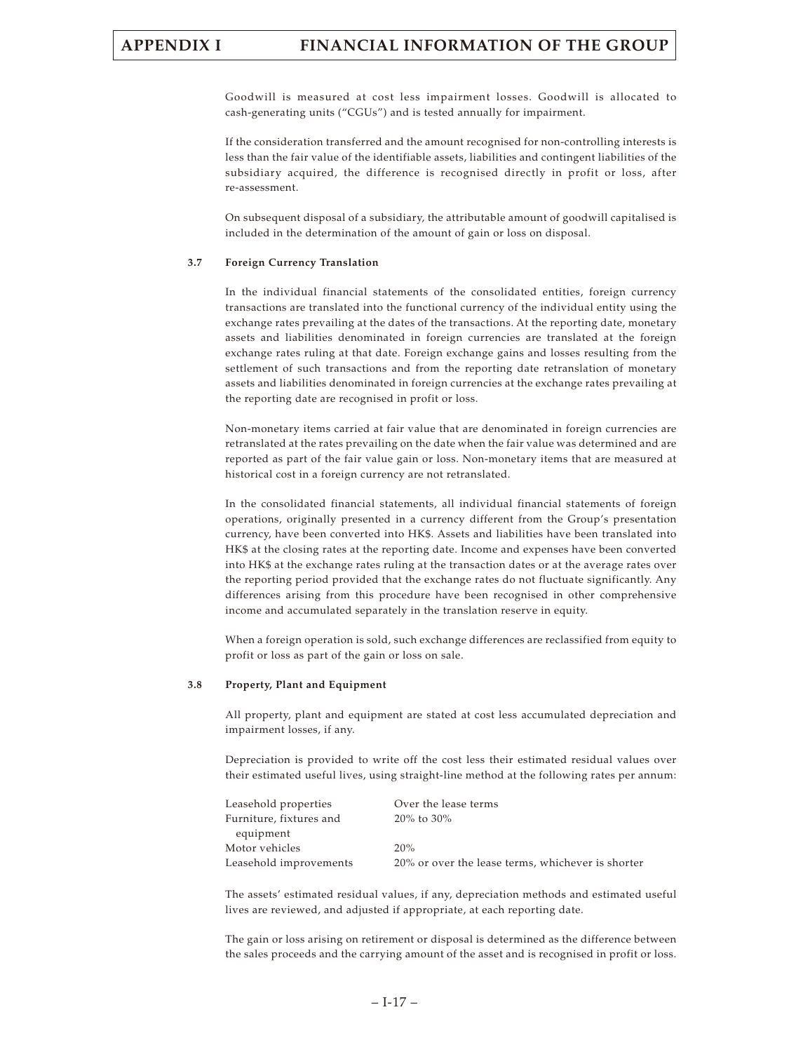Goodwill is measured at cost less impairment losses. Goodwill is allocated to cash-generating units ("CGUs") and is tested annually for impairment.

If the consideration transferred and the amount recognised for non-controlling interests is less than the fair value of the identifiable assets, liabilities and contingent liabilities of the subsidiary acquired, the difference is recognised directly in profit or loss, after re-assessment.

On subsequent disposal of a subsidiary, the attributable amount of goodwill capitalised is included in the determination of the amount of gain or loss on disposal.

#### **3.7 Foreign Currency Translation**

In the individual financial statements of the consolidated entities, foreign currency transactions are translated into the functional currency of the individual entity using the exchange rates prevailing at the dates of the transactions. At the reporting date, monetary assets and liabilities denominated in foreign currencies are translated at the foreign exchange rates ruling at that date. Foreign exchange gains and losses resulting from the settlement of such transactions and from the reporting date retranslation of monetary assets and liabilities denominated in foreign currencies at the exchange rates prevailing at the reporting date are recognised in profit or loss.

Non-monetary items carried at fair value that are denominated in foreign currencies are retranslated at the rates prevailing on the date when the fair value was determined and are reported as part of the fair value gain or loss. Non-monetary items that are measured at historical cost in a foreign currency are not retranslated.

In the consolidated financial statements, all individual financial statements of foreign operations, originally presented in a currency different from the Group's presentation currency, have been converted into HK\$. Assets and liabilities have been translated into HK\$ at the closing rates at the reporting date. Income and expenses have been converted into HK\$ at the exchange rates ruling at the transaction dates or at the average rates over the reporting period provided that the exchange rates do not fluctuate significantly. Any differences arising from this procedure have been recognised in other comprehensive income and accumulated separately in the translation reserve in equity.

When a foreign operation is sold, such exchange differences are reclassified from equity to profit or loss as part of the gain or loss on sale.

#### **3.8 Property, Plant and Equipment**

All property, plant and equipment are stated at cost less accumulated depreciation and impairment losses, if any.

Depreciation is provided to write off the cost less their estimated residual values over their estimated useful lives, using straight-line method at the following rates per annum:

| Leasehold properties    | Over the lease terms                              |
|-------------------------|---------------------------------------------------|
| Furniture, fixtures and | $20\%$ to $30\%$                                  |
| equipment               |                                                   |
| Motor vehicles          | 20%                                               |
| Leasehold improvements  | 20% or over the lease terms, whichever is shorter |

The assets' estimated residual values, if any, depreciation methods and estimated useful lives are reviewed, and adjusted if appropriate, at each reporting date.

The gain or loss arising on retirement or disposal is determined as the difference between the sales proceeds and the carrying amount of the asset and is recognised in profit or loss.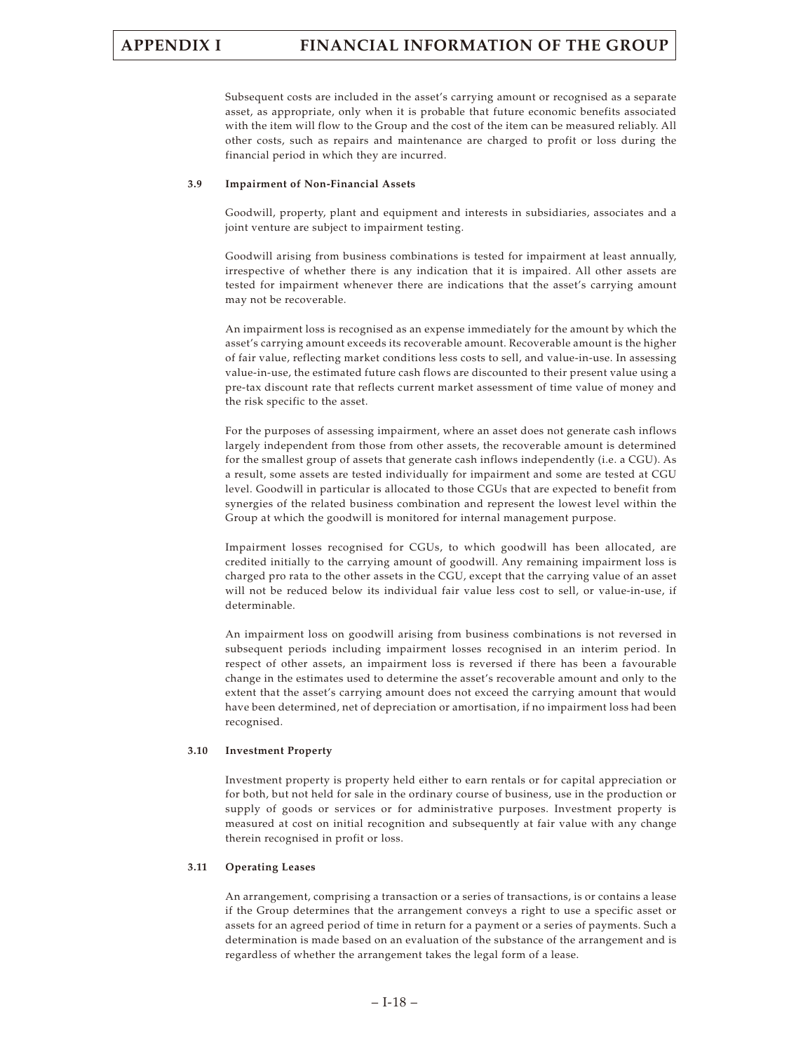Subsequent costs are included in the asset's carrying amount or recognised as a separate asset, as appropriate, only when it is probable that future economic benefits associated with the item will flow to the Group and the cost of the item can be measured reliably. All other costs, such as repairs and maintenance are charged to profit or loss during the financial period in which they are incurred.

#### **3.9 Impairment of Non-Financial Assets**

Goodwill, property, plant and equipment and interests in subsidiaries, associates and a joint venture are subject to impairment testing.

Goodwill arising from business combinations is tested for impairment at least annually, irrespective of whether there is any indication that it is impaired. All other assets are tested for impairment whenever there are indications that the asset's carrying amount may not be recoverable.

An impairment loss is recognised as an expense immediately for the amount by which the asset's carrying amount exceeds its recoverable amount. Recoverable amount is the higher of fair value, reflecting market conditions less costs to sell, and value-in-use. In assessing value-in-use, the estimated future cash flows are discounted to their present value using a pre-tax discount rate that reflects current market assessment of time value of money and the risk specific to the asset.

For the purposes of assessing impairment, where an asset does not generate cash inflows largely independent from those from other assets, the recoverable amount is determined for the smallest group of assets that generate cash inflows independently (i.e. a CGU). As a result, some assets are tested individually for impairment and some are tested at CGU level. Goodwill in particular is allocated to those CGUs that are expected to benefit from synergies of the related business combination and represent the lowest level within the Group at which the goodwill is monitored for internal management purpose.

Impairment losses recognised for CGUs, to which goodwill has been allocated, are credited initially to the carrying amount of goodwill. Any remaining impairment loss is charged pro rata to the other assets in the CGU, except that the carrying value of an asset will not be reduced below its individual fair value less cost to sell, or value-in-use, if determinable.

An impairment loss on goodwill arising from business combinations is not reversed in subsequent periods including impairment losses recognised in an interim period. In respect of other assets, an impairment loss is reversed if there has been a favourable change in the estimates used to determine the asset's recoverable amount and only to the extent that the asset's carrying amount does not exceed the carrying amount that would have been determined, net of depreciation or amortisation, if no impairment loss had been recognised.

#### **3.10 Investment Property**

Investment property is property held either to earn rentals or for capital appreciation or for both, but not held for sale in the ordinary course of business, use in the production or supply of goods or services or for administrative purposes. Investment property is measured at cost on initial recognition and subsequently at fair value with any change therein recognised in profit or loss.

#### **3.11 Operating Leases**

An arrangement, comprising a transaction or a series of transactions, is or contains a lease if the Group determines that the arrangement conveys a right to use a specific asset or assets for an agreed period of time in return for a payment or a series of payments. Such a determination is made based on an evaluation of the substance of the arrangement and is regardless of whether the arrangement takes the legal form of a lease.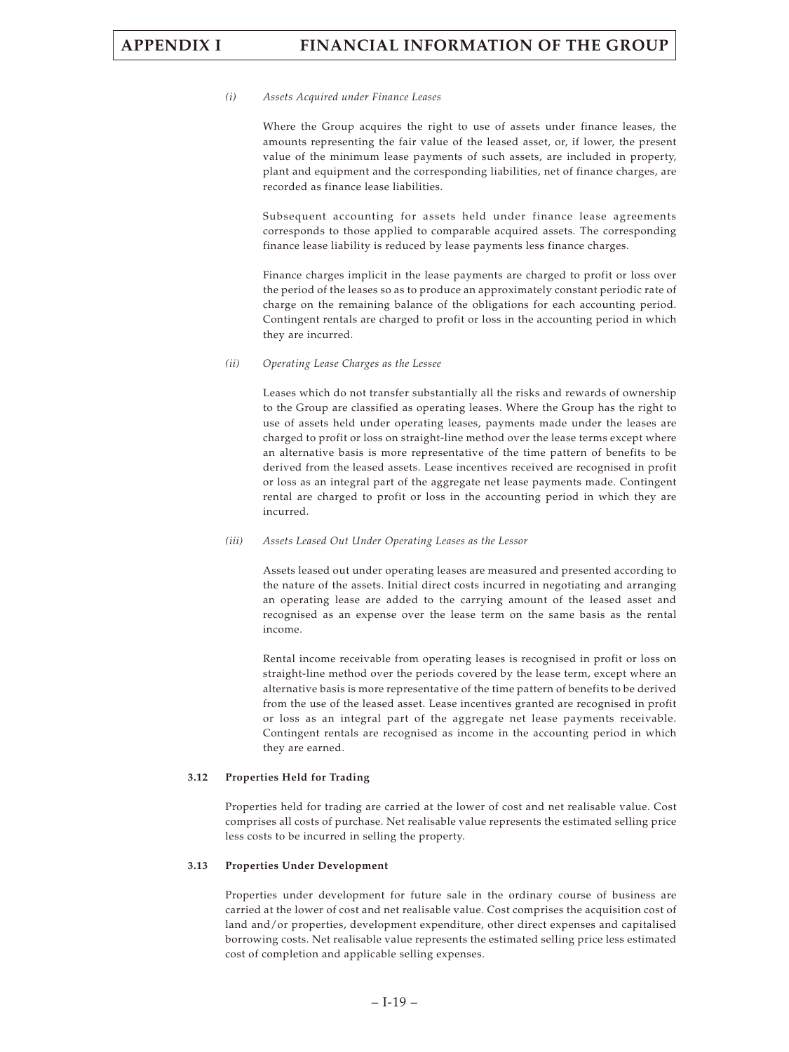#### *(i) Assets Acquired under Finance Leases*

Where the Group acquires the right to use of assets under finance leases, the amounts representing the fair value of the leased asset, or, if lower, the present value of the minimum lease payments of such assets, are included in property, plant and equipment and the corresponding liabilities, net of finance charges, are recorded as finance lease liabilities.

Subsequent accounting for assets held under finance lease agreements corresponds to those applied to comparable acquired assets. The corresponding finance lease liability is reduced by lease payments less finance charges.

Finance charges implicit in the lease payments are charged to profit or loss over the period of the leases so as to produce an approximately constant periodic rate of charge on the remaining balance of the obligations for each accounting period. Contingent rentals are charged to profit or loss in the accounting period in which they are incurred.

#### *(ii) Operating Lease Charges as the Lessee*

Leases which do not transfer substantially all the risks and rewards of ownership to the Group are classified as operating leases. Where the Group has the right to use of assets held under operating leases, payments made under the leases are charged to profit or loss on straight-line method over the lease terms except where an alternative basis is more representative of the time pattern of benefits to be derived from the leased assets. Lease incentives received are recognised in profit or loss as an integral part of the aggregate net lease payments made. Contingent rental are charged to profit or loss in the accounting period in which they are incurred.

#### *(iii) Assets Leased Out Under Operating Leases as the Lessor*

Assets leased out under operating leases are measured and presented according to the nature of the assets. Initial direct costs incurred in negotiating and arranging an operating lease are added to the carrying amount of the leased asset and recognised as an expense over the lease term on the same basis as the rental income.

Rental income receivable from operating leases is recognised in profit or loss on straight-line method over the periods covered by the lease term, except where an alternative basis is more representative of the time pattern of benefits to be derived from the use of the leased asset. Lease incentives granted are recognised in profit or loss as an integral part of the aggregate net lease payments receivable. Contingent rentals are recognised as income in the accounting period in which they are earned.

#### **3.12 Properties Held for Trading**

Properties held for trading are carried at the lower of cost and net realisable value. Cost comprises all costs of purchase. Net realisable value represents the estimated selling price less costs to be incurred in selling the property.

#### **3.13 Properties Under Development**

Properties under development for future sale in the ordinary course of business are carried at the lower of cost and net realisable value. Cost comprises the acquisition cost of land and/or properties, development expenditure, other direct expenses and capitalised borrowing costs. Net realisable value represents the estimated selling price less estimated cost of completion and applicable selling expenses.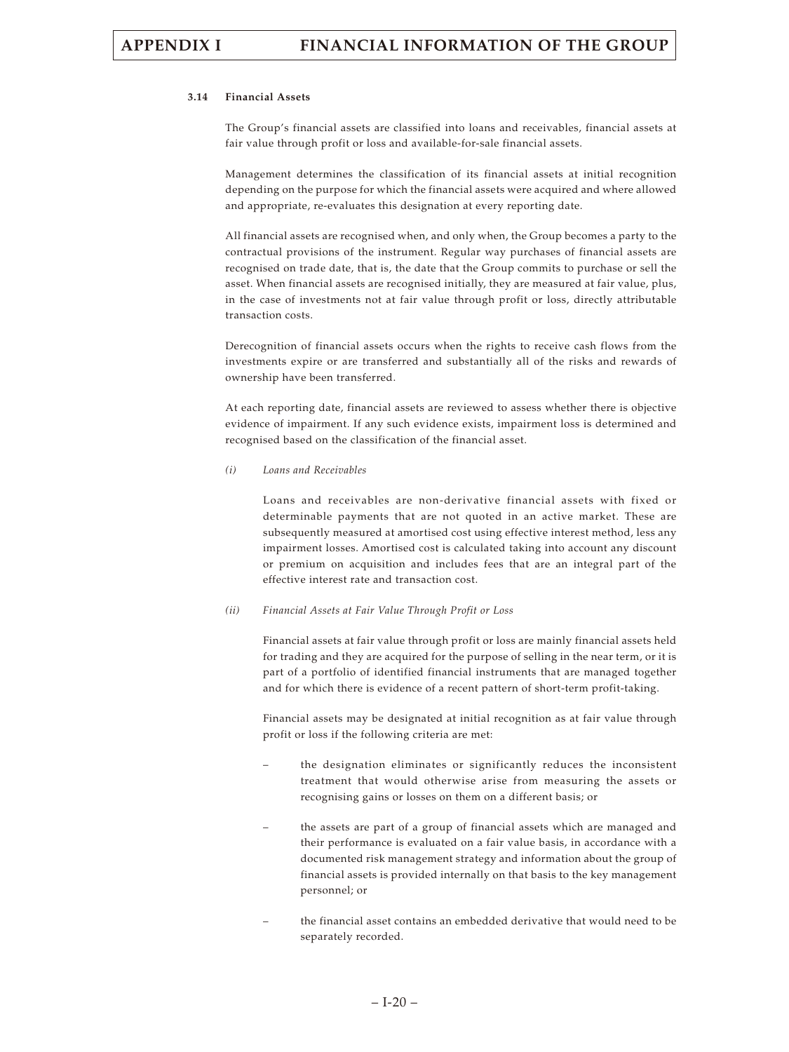#### **3.14 Financial Assets**

The Group's financial assets are classified into loans and receivables, financial assets at fair value through profit or loss and available-for-sale financial assets.

Management determines the classification of its financial assets at initial recognition depending on the purpose for which the financial assets were acquired and where allowed and appropriate, re-evaluates this designation at every reporting date.

All financial assets are recognised when, and only when, the Group becomes a party to the contractual provisions of the instrument. Regular way purchases of financial assets are recognised on trade date, that is, the date that the Group commits to purchase or sell the asset. When financial assets are recognised initially, they are measured at fair value, plus, in the case of investments not at fair value through profit or loss, directly attributable transaction costs.

Derecognition of financial assets occurs when the rights to receive cash flows from the investments expire or are transferred and substantially all of the risks and rewards of ownership have been transferred.

At each reporting date, financial assets are reviewed to assess whether there is objective evidence of impairment. If any such evidence exists, impairment loss is determined and recognised based on the classification of the financial asset.

#### *(i) Loans and Receivables*

Loans and receivables are non-derivative financial assets with fixed or determinable payments that are not quoted in an active market. These are subsequently measured at amortised cost using effective interest method, less any impairment losses. Amortised cost is calculated taking into account any discount or premium on acquisition and includes fees that are an integral part of the effective interest rate and transaction cost.

#### *(ii) Financial Assets at Fair Value Through Profit or Loss*

Financial assets at fair value through profit or loss are mainly financial assets held for trading and they are acquired for the purpose of selling in the near term, or it is part of a portfolio of identified financial instruments that are managed together and for which there is evidence of a recent pattern of short-term profit-taking.

Financial assets may be designated at initial recognition as at fair value through profit or loss if the following criteria are met:

- the designation eliminates or significantly reduces the inconsistent treatment that would otherwise arise from measuring the assets or recognising gains or losses on them on a different basis; or
- the assets are part of a group of financial assets which are managed and their performance is evaluated on a fair value basis, in accordance with a documented risk management strategy and information about the group of financial assets is provided internally on that basis to the key management personnel; or
- the financial asset contains an embedded derivative that would need to be separately recorded.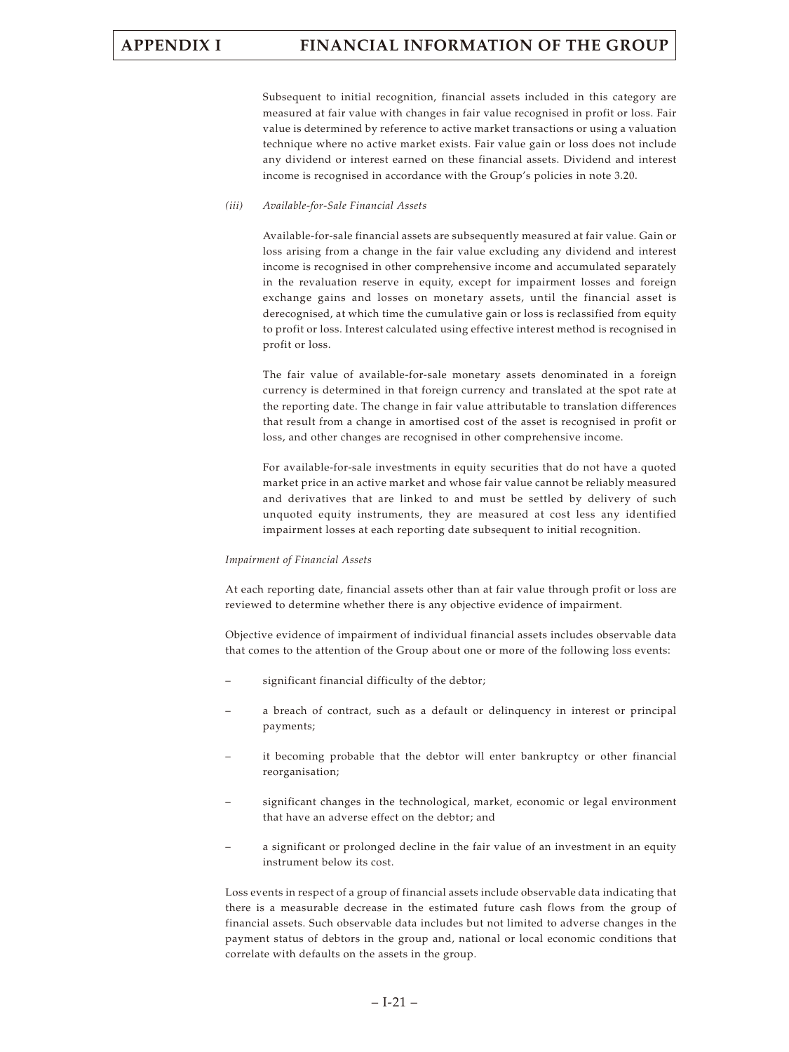Subsequent to initial recognition, financial assets included in this category are measured at fair value with changes in fair value recognised in profit or loss. Fair value is determined by reference to active market transactions or using a valuation technique where no active market exists. Fair value gain or loss does not include any dividend or interest earned on these financial assets. Dividend and interest income is recognised in accordance with the Group's policies in note 3.20.

#### *(iii) Available-for-Sale Financial Assets*

Available-for-sale financial assets are subsequently measured at fair value. Gain or loss arising from a change in the fair value excluding any dividend and interest income is recognised in other comprehensive income and accumulated separately in the revaluation reserve in equity, except for impairment losses and foreign exchange gains and losses on monetary assets, until the financial asset is derecognised, at which time the cumulative gain or loss is reclassified from equity to profit or loss. Interest calculated using effective interest method is recognised in profit or loss.

The fair value of available-for-sale monetary assets denominated in a foreign currency is determined in that foreign currency and translated at the spot rate at the reporting date. The change in fair value attributable to translation differences that result from a change in amortised cost of the asset is recognised in profit or loss, and other changes are recognised in other comprehensive income.

For available-for-sale investments in equity securities that do not have a quoted market price in an active market and whose fair value cannot be reliably measured and derivatives that are linked to and must be settled by delivery of such unquoted equity instruments, they are measured at cost less any identified impairment losses at each reporting date subsequent to initial recognition.

#### *Impairment of Financial Assets*

At each reporting date, financial assets other than at fair value through profit or loss are reviewed to determine whether there is any objective evidence of impairment.

Objective evidence of impairment of individual financial assets includes observable data that comes to the attention of the Group about one or more of the following loss events:

- significant financial difficulty of the debtor;
- a breach of contract, such as a default or delinquency in interest or principal payments;
- it becoming probable that the debtor will enter bankruptcy or other financial reorganisation;
- significant changes in the technological, market, economic or legal environment that have an adverse effect on the debtor; and
- a significant or prolonged decline in the fair value of an investment in an equity instrument below its cost.

Loss events in respect of a group of financial assets include observable data indicating that there is a measurable decrease in the estimated future cash flows from the group of financial assets. Such observable data includes but not limited to adverse changes in the payment status of debtors in the group and, national or local economic conditions that correlate with defaults on the assets in the group.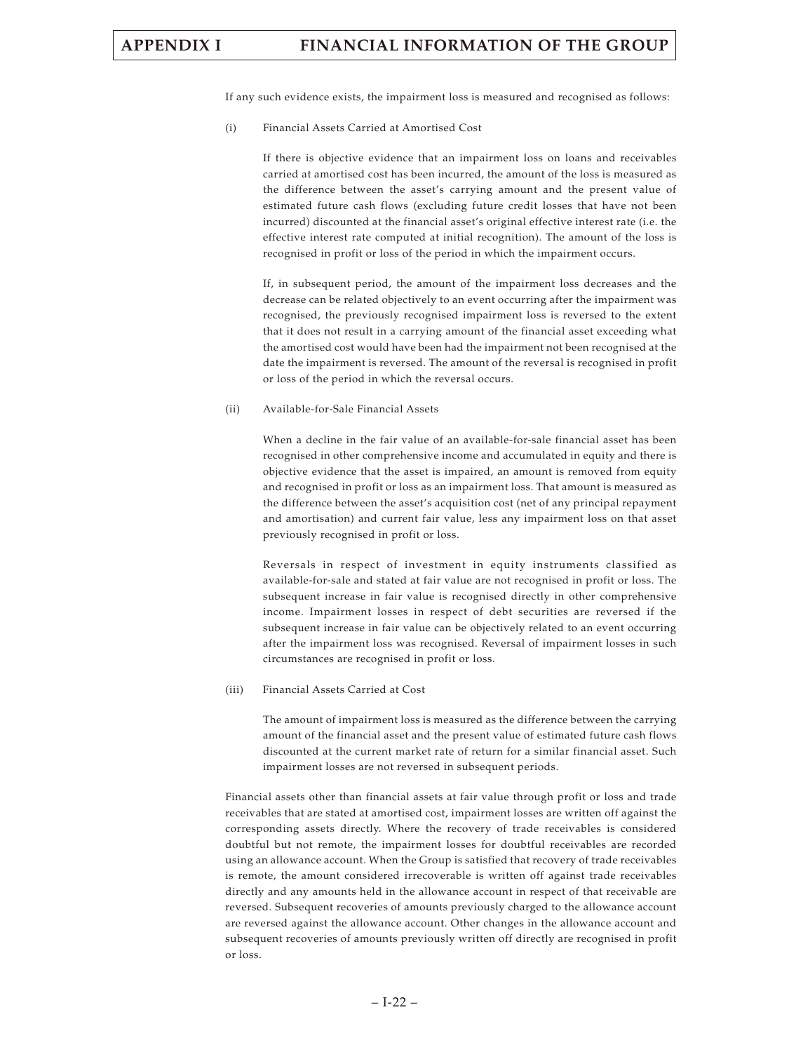If any such evidence exists, the impairment loss is measured and recognised as follows:

(i) Financial Assets Carried at Amortised Cost

If there is objective evidence that an impairment loss on loans and receivables carried at amortised cost has been incurred, the amount of the loss is measured as the difference between the asset's carrying amount and the present value of estimated future cash flows (excluding future credit losses that have not been incurred) discounted at the financial asset's original effective interest rate (i.e. the effective interest rate computed at initial recognition). The amount of the loss is recognised in profit or loss of the period in which the impairment occurs.

If, in subsequent period, the amount of the impairment loss decreases and the decrease can be related objectively to an event occurring after the impairment was recognised, the previously recognised impairment loss is reversed to the extent that it does not result in a carrying amount of the financial asset exceeding what the amortised cost would have been had the impairment not been recognised at the date the impairment is reversed. The amount of the reversal is recognised in profit or loss of the period in which the reversal occurs.

#### (ii) Available-for-Sale Financial Assets

When a decline in the fair value of an available-for-sale financial asset has been recognised in other comprehensive income and accumulated in equity and there is objective evidence that the asset is impaired, an amount is removed from equity and recognised in profit or loss as an impairment loss. That amount is measured as the difference between the asset's acquisition cost (net of any principal repayment and amortisation) and current fair value, less any impairment loss on that asset previously recognised in profit or loss.

Reversals in respect of investment in equity instruments classified as available-for-sale and stated at fair value are not recognised in profit or loss. The subsequent increase in fair value is recognised directly in other comprehensive income. Impairment losses in respect of debt securities are reversed if the subsequent increase in fair value can be objectively related to an event occurring after the impairment loss was recognised. Reversal of impairment losses in such circumstances are recognised in profit or loss.

#### (iii) Financial Assets Carried at Cost

The amount of impairment loss is measured as the difference between the carrying amount of the financial asset and the present value of estimated future cash flows discounted at the current market rate of return for a similar financial asset. Such impairment losses are not reversed in subsequent periods.

Financial assets other than financial assets at fair value through profit or loss and trade receivables that are stated at amortised cost, impairment losses are written off against the corresponding assets directly. Where the recovery of trade receivables is considered doubtful but not remote, the impairment losses for doubtful receivables are recorded using an allowance account. When the Group is satisfied that recovery of trade receivables is remote, the amount considered irrecoverable is written off against trade receivables directly and any amounts held in the allowance account in respect of that receivable are reversed. Subsequent recoveries of amounts previously charged to the allowance account are reversed against the allowance account. Other changes in the allowance account and subsequent recoveries of amounts previously written off directly are recognised in profit or loss.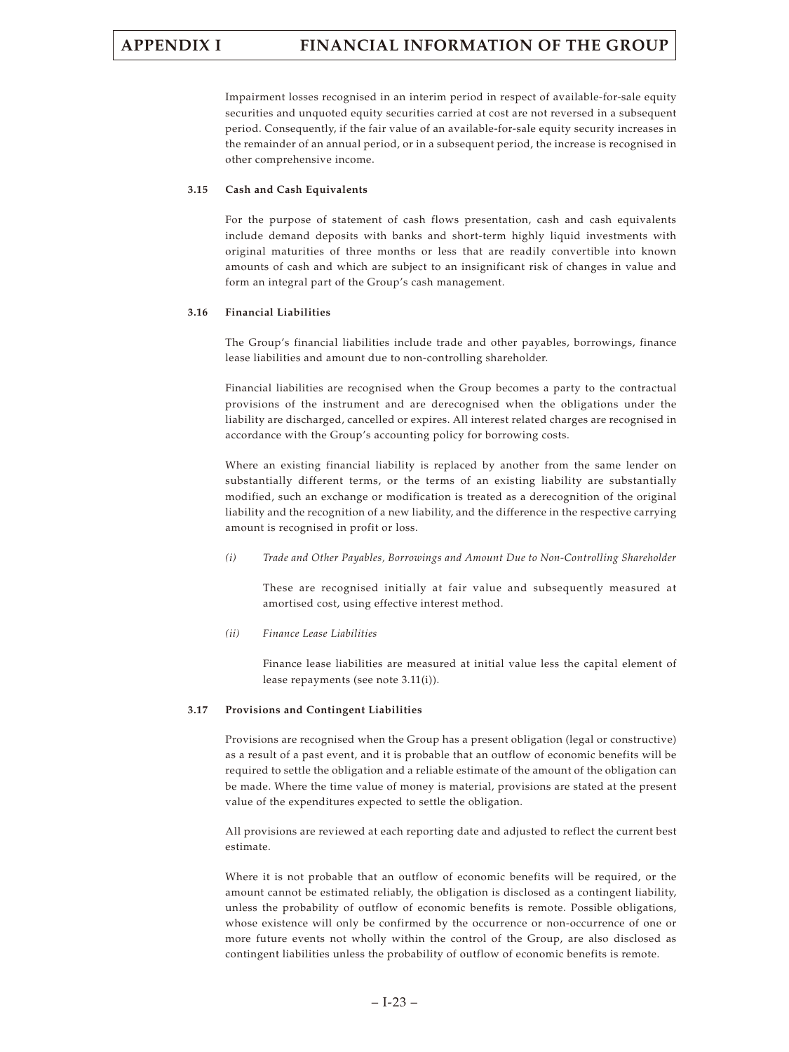Impairment losses recognised in an interim period in respect of available-for-sale equity securities and unquoted equity securities carried at cost are not reversed in a subsequent period. Consequently, if the fair value of an available-for-sale equity security increases in the remainder of an annual period, or in a subsequent period, the increase is recognised in other comprehensive income.

#### **3.15 Cash and Cash Equivalents**

For the purpose of statement of cash flows presentation, cash and cash equivalents include demand deposits with banks and short-term highly liquid investments with original maturities of three months or less that are readily convertible into known amounts of cash and which are subject to an insignificant risk of changes in value and form an integral part of the Group's cash management.

#### **3.16 Financial Liabilities**

The Group's financial liabilities include trade and other payables, borrowings, finance lease liabilities and amount due to non-controlling shareholder.

Financial liabilities are recognised when the Group becomes a party to the contractual provisions of the instrument and are derecognised when the obligations under the liability are discharged, cancelled or expires. All interest related charges are recognised in accordance with the Group's accounting policy for borrowing costs.

Where an existing financial liability is replaced by another from the same lender on substantially different terms, or the terms of an existing liability are substantially modified, such an exchange or modification is treated as a derecognition of the original liability and the recognition of a new liability, and the difference in the respective carrying amount is recognised in profit or loss.

*(i) Trade and Other Payables, Borrowings and Amount Due to Non-Controlling Shareholder*

These are recognised initially at fair value and subsequently measured at amortised cost, using effective interest method.

*(ii) Finance Lease Liabilities*

Finance lease liabilities are measured at initial value less the capital element of lease repayments (see note 3.11(i)).

#### **3.17 Provisions and Contingent Liabilities**

Provisions are recognised when the Group has a present obligation (legal or constructive) as a result of a past event, and it is probable that an outflow of economic benefits will be required to settle the obligation and a reliable estimate of the amount of the obligation can be made. Where the time value of money is material, provisions are stated at the present value of the expenditures expected to settle the obligation.

All provisions are reviewed at each reporting date and adjusted to reflect the current best estimate.

Where it is not probable that an outflow of economic benefits will be required, or the amount cannot be estimated reliably, the obligation is disclosed as a contingent liability, unless the probability of outflow of economic benefits is remote. Possible obligations, whose existence will only be confirmed by the occurrence or non-occurrence of one or more future events not wholly within the control of the Group, are also disclosed as contingent liabilities unless the probability of outflow of economic benefits is remote.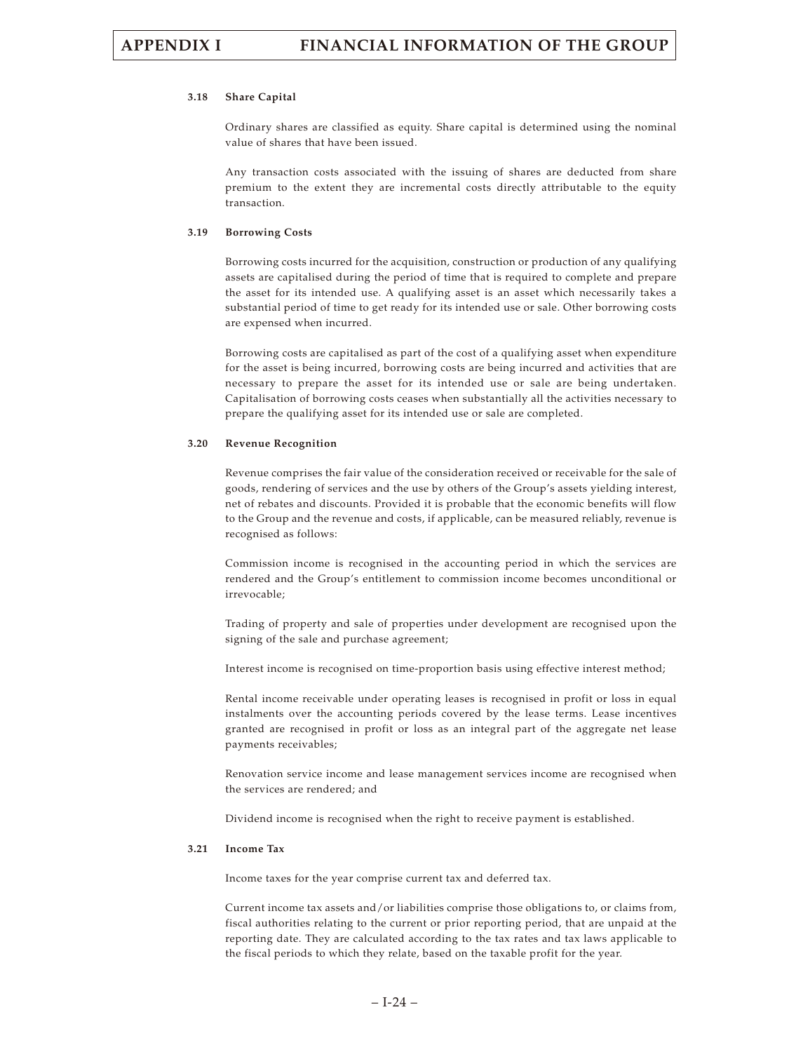#### **3.18 Share Capital**

Ordinary shares are classified as equity. Share capital is determined using the nominal value of shares that have been issued.

Any transaction costs associated with the issuing of shares are deducted from share premium to the extent they are incremental costs directly attributable to the equity transaction.

#### **3.19 Borrowing Costs**

Borrowing costs incurred for the acquisition, construction or production of any qualifying assets are capitalised during the period of time that is required to complete and prepare the asset for its intended use. A qualifying asset is an asset which necessarily takes a substantial period of time to get ready for its intended use or sale. Other borrowing costs are expensed when incurred.

Borrowing costs are capitalised as part of the cost of a qualifying asset when expenditure for the asset is being incurred, borrowing costs are being incurred and activities that are necessary to prepare the asset for its intended use or sale are being undertaken. Capitalisation of borrowing costs ceases when substantially all the activities necessary to prepare the qualifying asset for its intended use or sale are completed.

#### **3.20 Revenue Recognition**

Revenue comprises the fair value of the consideration received or receivable for the sale of goods, rendering of services and the use by others of the Group's assets yielding interest, net of rebates and discounts. Provided it is probable that the economic benefits will flow to the Group and the revenue and costs, if applicable, can be measured reliably, revenue is recognised as follows:

Commission income is recognised in the accounting period in which the services are rendered and the Group's entitlement to commission income becomes unconditional or irrevocable;

Trading of property and sale of properties under development are recognised upon the signing of the sale and purchase agreement;

Interest income is recognised on time-proportion basis using effective interest method;

Rental income receivable under operating leases is recognised in profit or loss in equal instalments over the accounting periods covered by the lease terms. Lease incentives granted are recognised in profit or loss as an integral part of the aggregate net lease payments receivables;

Renovation service income and lease management services income are recognised when the services are rendered; and

Dividend income is recognised when the right to receive payment is established.

#### **3.21 Income Tax**

Income taxes for the year comprise current tax and deferred tax.

Current income tax assets and/or liabilities comprise those obligations to, or claims from, fiscal authorities relating to the current or prior reporting period, that are unpaid at the reporting date. They are calculated according to the tax rates and tax laws applicable to the fiscal periods to which they relate, based on the taxable profit for the year.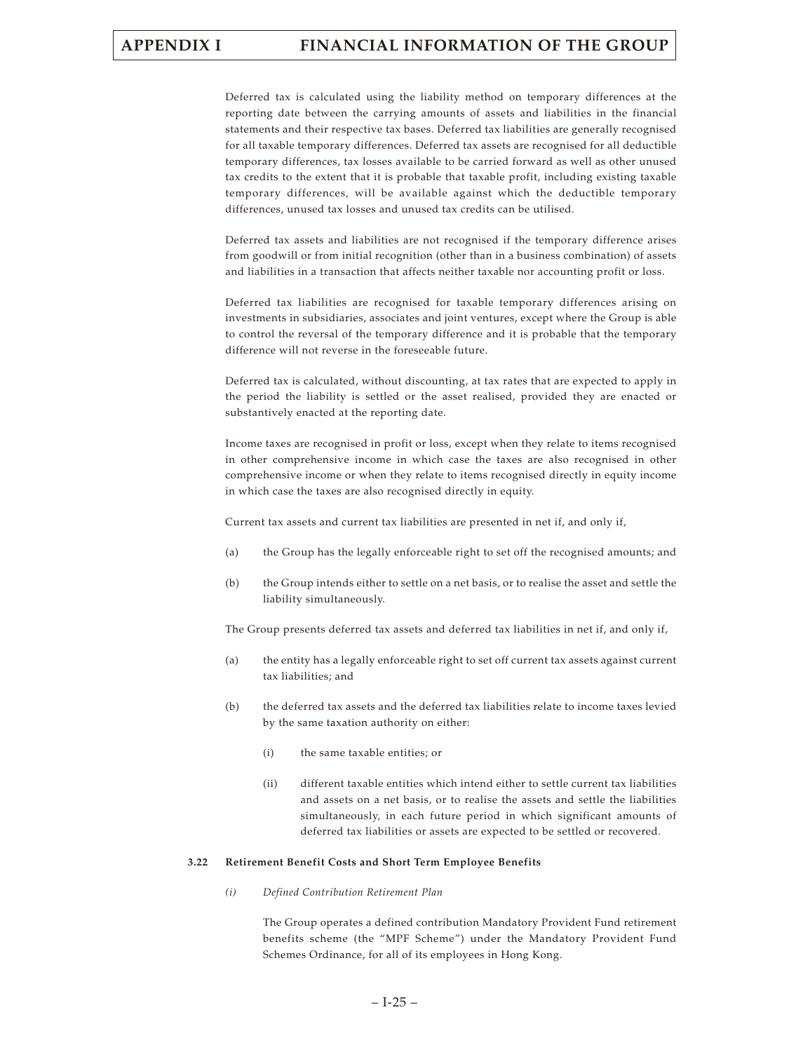Deferred tax is calculated using the liability method on temporary differences at the reporting date between the carrying amounts of assets and liabilities in the financial statements and their respective tax bases. Deferred tax liabilities are generally recognised for all taxable temporary differences. Deferred tax assets are recognised for all deductible temporary differences, tax losses available to be carried forward as well as other unused tax credits to the extent that it is probable that taxable profit, including existing taxable temporary differences, will be available against which the deductible temporary differences, unused tax losses and unused tax credits can be utilised.

Deferred tax assets and liabilities are not recognised if the temporary difference arises from goodwill or from initial recognition (other than in a business combination) of assets and liabilities in a transaction that affects neither taxable nor accounting profit or loss.

Deferred tax liabilities are recognised for taxable temporary differences arising on investments in subsidiaries, associates and joint ventures, except where the Group is able to control the reversal of the temporary difference and it is probable that the temporary difference will not reverse in the foreseeable future.

Deferred tax is calculated, without discounting, at tax rates that are expected to apply in the period the liability is settled or the asset realised, provided they are enacted or substantively enacted at the reporting date.

Income taxes are recognised in profit or loss, except when they relate to items recognised in other comprehensive income in which case the taxes are also recognised in other comprehensive income or when they relate to items recognised directly in equity income in which case the taxes are also recognised directly in equity.

Current tax assets and current tax liabilities are presented in net if, and only if,

- (a) the Group has the legally enforceable right to set off the recognised amounts; and
- (b) the Group intends either to settle on a net basis, or to realise the asset and settle the liability simultaneously.

The Group presents deferred tax assets and deferred tax liabilities in net if, and only if,

- (a) the entity has a legally enforceable right to set off current tax assets against current tax liabilities; and
- (b) the deferred tax assets and the deferred tax liabilities relate to income taxes levied by the same taxation authority on either:
	- (i) the same taxable entities; or
	- (ii) different taxable entities which intend either to settle current tax liabilities and assets on a net basis, or to realise the assets and settle the liabilities simultaneously, in each future period in which significant amounts of deferred tax liabilities or assets are expected to be settled or recovered.

### **3.22 Retirement Benefit Costs and Short Term Employee Benefits**

*(i) Defined Contribution Retirement Plan*

The Group operates a defined contribution Mandatory Provident Fund retirement benefits scheme (the "MPF Scheme") under the Mandatory Provident Fund Schemes Ordinance, for all of its employees in Hong Kong.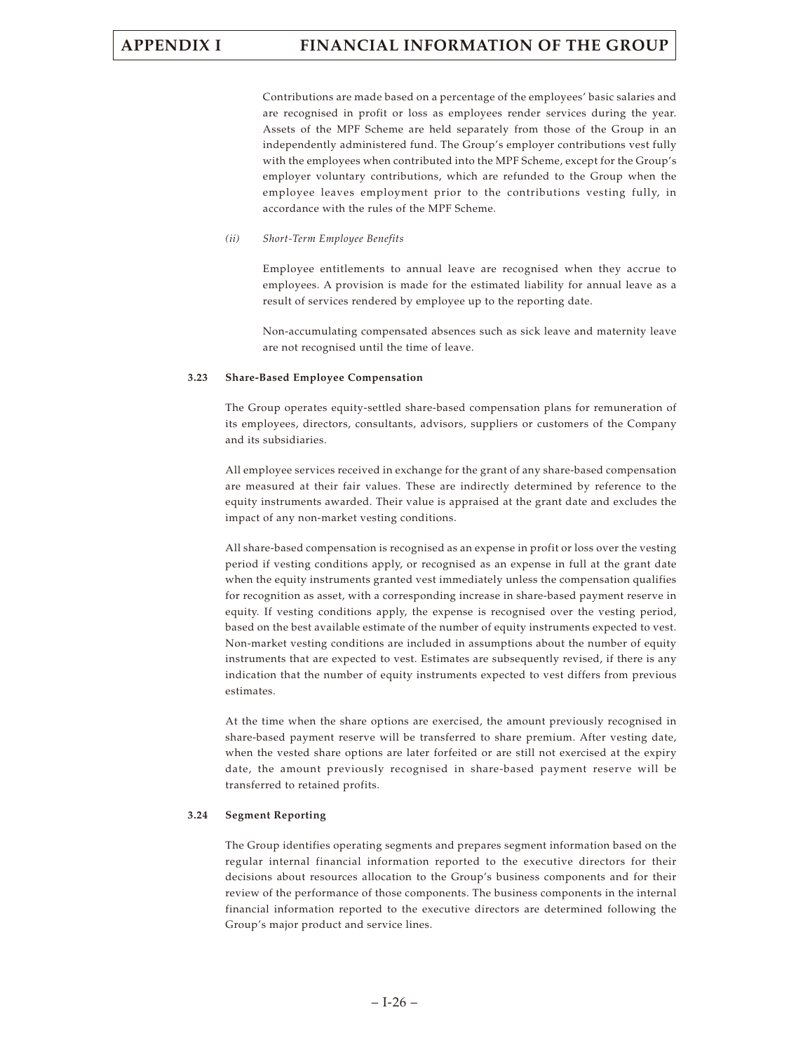Contributions are made based on a percentage of the employees' basic salaries and are recognised in profit or loss as employees render services during the year. Assets of the MPF Scheme are held separately from those of the Group in an independently administered fund. The Group's employer contributions vest fully with the employees when contributed into the MPF Scheme, except for the Group's employer voluntary contributions, which are refunded to the Group when the employee leaves employment prior to the contributions vesting fully, in accordance with the rules of the MPF Scheme.

#### *(ii) Short-Term Employee Benefits*

Employee entitlements to annual leave are recognised when they accrue to employees. A provision is made for the estimated liability for annual leave as a result of services rendered by employee up to the reporting date.

Non-accumulating compensated absences such as sick leave and maternity leave are not recognised until the time of leave.

#### **3.23 Share-Based Employee Compensation**

The Group operates equity-settled share-based compensation plans for remuneration of its employees, directors, consultants, advisors, suppliers or customers of the Company and its subsidiaries.

All employee services received in exchange for the grant of any share-based compensation are measured at their fair values. These are indirectly determined by reference to the equity instruments awarded. Their value is appraised at the grant date and excludes the impact of any non-market vesting conditions.

All share-based compensation is recognised as an expense in profit or loss over the vesting period if vesting conditions apply, or recognised as an expense in full at the grant date when the equity instruments granted vest immediately unless the compensation qualifies for recognition as asset, with a corresponding increase in share-based payment reserve in equity. If vesting conditions apply, the expense is recognised over the vesting period, based on the best available estimate of the number of equity instruments expected to vest. Non-market vesting conditions are included in assumptions about the number of equity instruments that are expected to vest. Estimates are subsequently revised, if there is any indication that the number of equity instruments expected to vest differs from previous estimates.

At the time when the share options are exercised, the amount previously recognised in share-based payment reserve will be transferred to share premium. After vesting date, when the vested share options are later forfeited or are still not exercised at the expiry date, the amount previously recognised in share-based payment reserve will be transferred to retained profits.

#### **3.24 Segment Reporting**

The Group identifies operating segments and prepares segment information based on the regular internal financial information reported to the executive directors for their decisions about resources allocation to the Group's business components and for their review of the performance of those components. The business components in the internal financial information reported to the executive directors are determined following the Group's major product and service lines.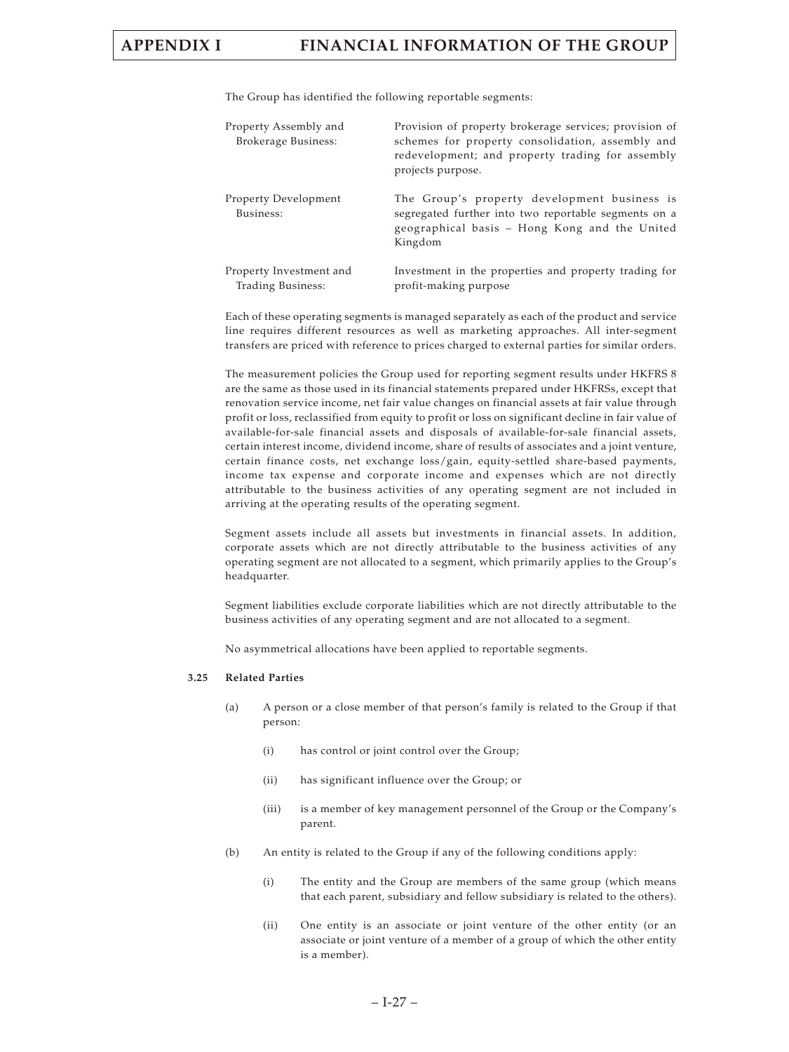The Group has identified the following reportable segments:

| Property Assembly and<br><b>Brokerage Business:</b> | Provision of property brokerage services; provision of<br>schemes for property consolidation, assembly and<br>redevelopment; and property trading for assembly<br>projects purpose. |
|-----------------------------------------------------|-------------------------------------------------------------------------------------------------------------------------------------------------------------------------------------|
| Property Development<br>Business:                   | The Group's property development business is<br>segregated further into two reportable segments on a<br>geographical basis - Hong Kong and the United<br>Kingdom                    |
| Property Investment and<br>Trading Business:        | Investment in the properties and property trading for<br>profit-making purpose                                                                                                      |

Each of these operating segments is managed separately as each of the product and service line requires different resources as well as marketing approaches. All inter-segment transfers are priced with reference to prices charged to external parties for similar orders.

The measurement policies the Group used for reporting segment results under HKFRS 8 are the same as those used in its financial statements prepared under HKFRSs, except that renovation service income, net fair value changes on financial assets at fair value through profit or loss, reclassified from equity to profit or loss on significant decline in fair value of available-for-sale financial assets and disposals of available-for-sale financial assets, certain interest income, dividend income, share of results of associates and a joint venture, certain finance costs, net exchange loss/gain, equity-settled share-based payments, income tax expense and corporate income and expenses which are not directly attributable to the business activities of any operating segment are not included in arriving at the operating results of the operating segment.

Segment assets include all assets but investments in financial assets. In addition, corporate assets which are not directly attributable to the business activities of any operating segment are not allocated to a segment, which primarily applies to the Group's headquarter.

Segment liabilities exclude corporate liabilities which are not directly attributable to the business activities of any operating segment and are not allocated to a segment.

No asymmetrical allocations have been applied to reportable segments.

#### **3.25 Related Parties**

- (a) A person or a close member of that person's family is related to the Group if that person:
	- (i) has control or joint control over the Group;
	- (ii) has significant influence over the Group; or
	- (iii) is a member of key management personnel of the Group or the Company's parent.
- (b) An entity is related to the Group if any of the following conditions apply:
	- (i) The entity and the Group are members of the same group (which means that each parent, subsidiary and fellow subsidiary is related to the others).
	- (ii) One entity is an associate or joint venture of the other entity (or an associate or joint venture of a member of a group of which the other entity is a member).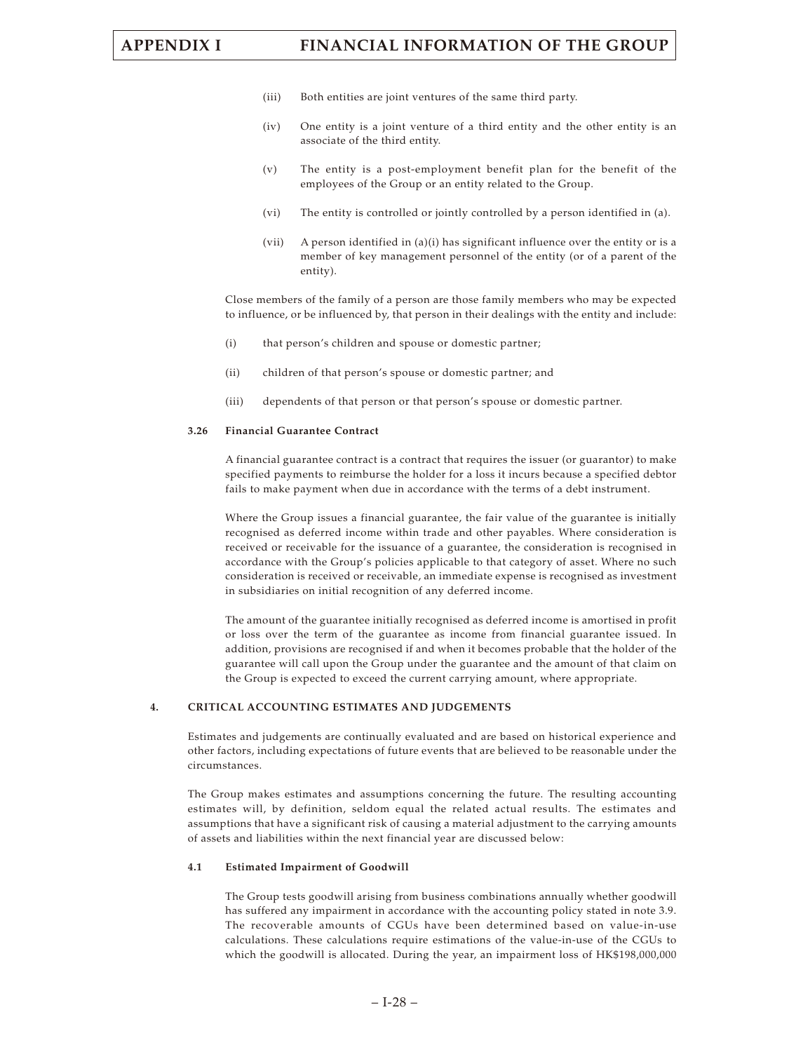- (iii) Both entities are joint ventures of the same third party.
- (iv) One entity is a joint venture of a third entity and the other entity is an associate of the third entity.
- (v) The entity is a post-employment benefit plan for the benefit of the employees of the Group or an entity related to the Group.
- (vi) The entity is controlled or jointly controlled by a person identified in (a).
- (vii) A person identified in (a)(i) has significant influence over the entity or is a member of key management personnel of the entity (or of a parent of the entity).

Close members of the family of a person are those family members who may be expected to influence, or be influenced by, that person in their dealings with the entity and include:

- (i) that person's children and spouse or domestic partner;
- (ii) children of that person's spouse or domestic partner; and
- (iii) dependents of that person or that person's spouse or domestic partner.

### **3.26 Financial Guarantee Contract**

A financial guarantee contract is a contract that requires the issuer (or guarantor) to make specified payments to reimburse the holder for a loss it incurs because a specified debtor fails to make payment when due in accordance with the terms of a debt instrument.

Where the Group issues a financial guarantee, the fair value of the guarantee is initially recognised as deferred income within trade and other payables. Where consideration is received or receivable for the issuance of a guarantee, the consideration is recognised in accordance with the Group's policies applicable to that category of asset. Where no such consideration is received or receivable, an immediate expense is recognised as investment in subsidiaries on initial recognition of any deferred income.

The amount of the guarantee initially recognised as deferred income is amortised in profit or loss over the term of the guarantee as income from financial guarantee issued. In addition, provisions are recognised if and when it becomes probable that the holder of the guarantee will call upon the Group under the guarantee and the amount of that claim on the Group is expected to exceed the current carrying amount, where appropriate.

### **4. CRITICAL ACCOUNTING ESTIMATES AND JUDGEMENTS**

Estimates and judgements are continually evaluated and are based on historical experience and other factors, including expectations of future events that are believed to be reasonable under the circumstances.

The Group makes estimates and assumptions concerning the future. The resulting accounting estimates will, by definition, seldom equal the related actual results. The estimates and assumptions that have a significant risk of causing a material adjustment to the carrying amounts of assets and liabilities within the next financial year are discussed below:

### **4.1 Estimated Impairment of Goodwill**

The Group tests goodwill arising from business combinations annually whether goodwill has suffered any impairment in accordance with the accounting policy stated in note 3.9. The recoverable amounts of CGUs have been determined based on value-in-use calculations. These calculations require estimations of the value-in-use of the CGUs to which the goodwill is allocated. During the year, an impairment loss of HK\$198,000,000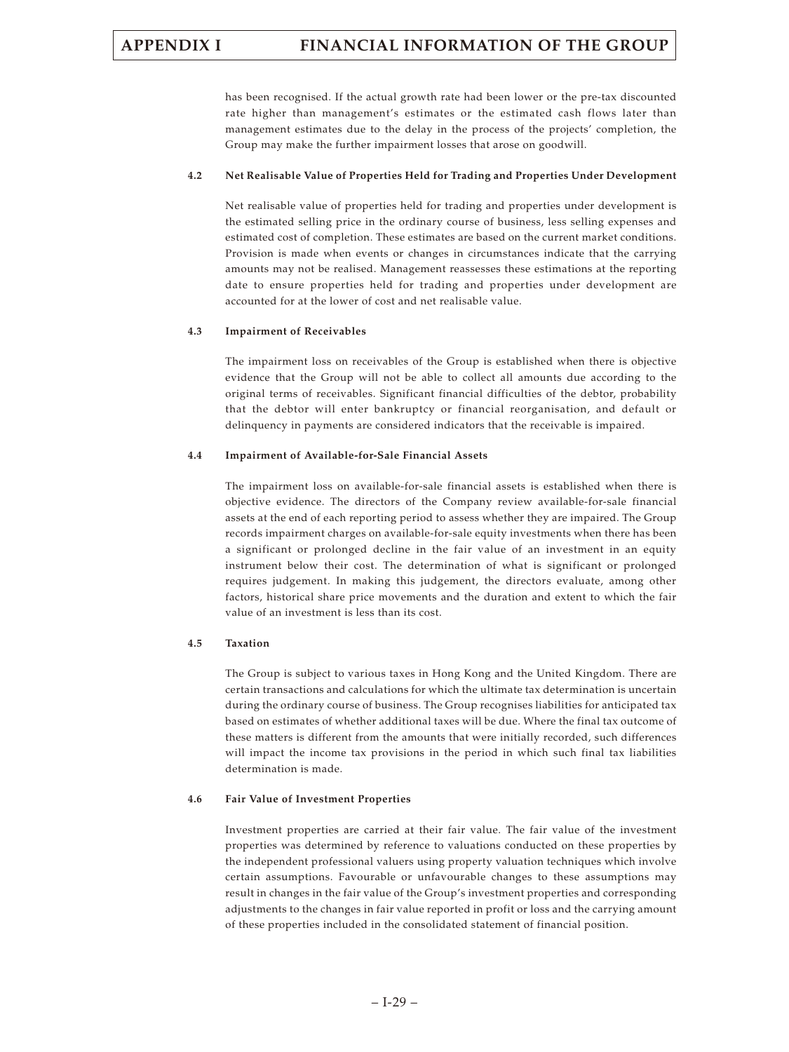has been recognised. If the actual growth rate had been lower or the pre-tax discounted rate higher than management's estimates or the estimated cash flows later than management estimates due to the delay in the process of the projects' completion, the Group may make the further impairment losses that arose on goodwill.

### **4.2 Net Realisable Value of Properties Held for Trading and Properties Under Development**

Net realisable value of properties held for trading and properties under development is the estimated selling price in the ordinary course of business, less selling expenses and estimated cost of completion. These estimates are based on the current market conditions. Provision is made when events or changes in circumstances indicate that the carrying amounts may not be realised. Management reassesses these estimations at the reporting date to ensure properties held for trading and properties under development are accounted for at the lower of cost and net realisable value.

### **4.3 Impairment of Receivables**

The impairment loss on receivables of the Group is established when there is objective evidence that the Group will not be able to collect all amounts due according to the original terms of receivables. Significant financial difficulties of the debtor, probability that the debtor will enter bankruptcy or financial reorganisation, and default or delinquency in payments are considered indicators that the receivable is impaired.

### **4.4 Impairment of Available-for-Sale Financial Assets**

The impairment loss on available-for-sale financial assets is established when there is objective evidence. The directors of the Company review available-for-sale financial assets at the end of each reporting period to assess whether they are impaired. The Group records impairment charges on available-for-sale equity investments when there has been a significant or prolonged decline in the fair value of an investment in an equity instrument below their cost. The determination of what is significant or prolonged requires judgement. In making this judgement, the directors evaluate, among other factors, historical share price movements and the duration and extent to which the fair value of an investment is less than its cost.

### **4.5 Taxation**

The Group is subject to various taxes in Hong Kong and the United Kingdom. There are certain transactions and calculations for which the ultimate tax determination is uncertain during the ordinary course of business. The Group recognises liabilities for anticipated tax based on estimates of whether additional taxes will be due. Where the final tax outcome of these matters is different from the amounts that were initially recorded, such differences will impact the income tax provisions in the period in which such final tax liabilities determination is made.

### **4.6 Fair Value of Investment Properties**

Investment properties are carried at their fair value. The fair value of the investment properties was determined by reference to valuations conducted on these properties by the independent professional valuers using property valuation techniques which involve certain assumptions. Favourable or unfavourable changes to these assumptions may result in changes in the fair value of the Group's investment properties and corresponding adjustments to the changes in fair value reported in profit or loss and the carrying amount of these properties included in the consolidated statement of financial position.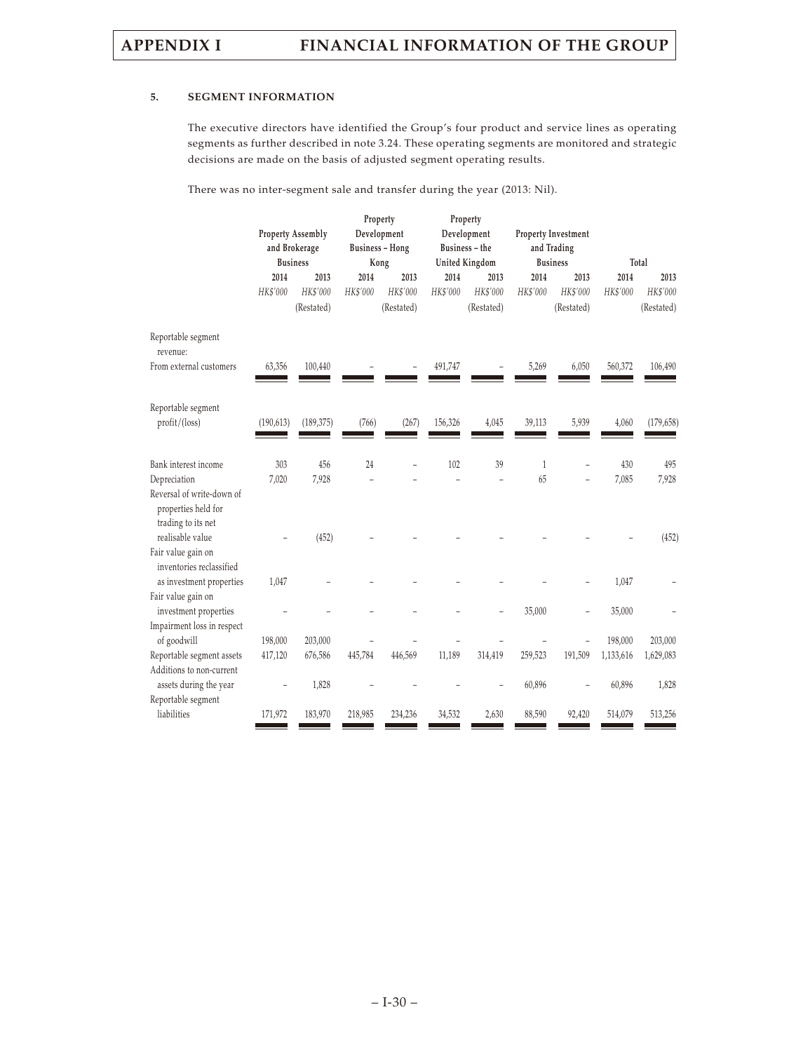### **5. SEGMENT INFORMATION**

The executive directors have identified the Group's four product and service lines as operating segments as further described in note 3.24. These operating segments are monitored and strategic decisions are made on the basis of adjusted segment operating results.

There was no inter-segment sale and transfer during the year (2013: Nil).

|                                                                                          | <b>Property Assembly</b><br>and Brokerage<br><b>Business</b> |                                |                  | Property<br>Development<br><b>Business - Hong</b><br>Kong |                  | Property<br>Development<br>Business - the<br>United Kingdom |                    | Property Investment<br>and Trading<br><b>Business</b> |                  | Total                          |
|------------------------------------------------------------------------------------------|--------------------------------------------------------------|--------------------------------|------------------|-----------------------------------------------------------|------------------|-------------------------------------------------------------|--------------------|-------------------------------------------------------|------------------|--------------------------------|
|                                                                                          | 2014<br>HK\$'000                                             | 2013<br>HK\$'000<br>(Restated) | 2014<br>HK\$'000 | 2013<br>HK\$'000<br>(Restated)                            | 2014<br>HK\$'000 | 2013<br>HK\$'000<br>(Restated)                              | 2014<br>HK\$'000   | 2013<br>HK\$'000<br>(Restated)                        | 2014<br>HK\$'000 | 2013<br>HK\$'000<br>(Restated) |
| Reportable segment<br>revenue:<br>From external customers                                | 63,356                                                       | 100,440                        |                  |                                                           | 491,747          |                                                             | 5,269              | 6,050                                                 | 560,372          | 106,490                        |
| Reportable segment<br>profit/(loss)                                                      | (190, 613)                                                   | (189, 375)                     | (766)            | (267)                                                     | 156,326          | 4,045                                                       | 39,113             | 5,939                                                 | 4,060            | (179, 658)                     |
| Bank interest income<br>Depreciation<br>Reversal of write-down of<br>properties held for | 303<br>7,020                                                 | 456<br>7,928                   | 24               | L,                                                        | 102              | 39                                                          | $\mathbf{1}$<br>65 |                                                       | 430<br>7,085     | 495<br>7,928                   |
| trading to its net<br>realisable value<br>Fair value gain on                             |                                                              | (452)                          |                  |                                                           |                  |                                                             |                    |                                                       |                  | (452)                          |
| inventories reclassified<br>as investment properties<br>Fair value gain on               | 1,047                                                        |                                |                  |                                                           |                  |                                                             |                    |                                                       | 1,047            |                                |
| investment properties<br>Impairment loss in respect                                      |                                                              |                                |                  |                                                           |                  |                                                             | 35,000             |                                                       | 35,000           |                                |
| of goodwill                                                                              | 198,000                                                      | 203,000                        |                  |                                                           |                  |                                                             |                    |                                                       | 198,000          | 203,000                        |
| Reportable segment assets<br>Additions to non-current                                    | 417,120                                                      | 676,586                        | 445,784          | 446,569                                                   | 11,189           | 314,419                                                     | 259,523            | 191,509                                               | 1,133,616        | 1,629,083                      |
| assets during the year<br>Reportable segment                                             |                                                              | 1,828                          |                  |                                                           |                  |                                                             | 60,896             |                                                       | 60,896           | 1,828                          |
| liabilities                                                                              | 171,972                                                      | 183,970                        | 218,985          | 234,236                                                   | 34,532           | 2,630                                                       | 88,590             | 92,420                                                | 514,079          | 513,256                        |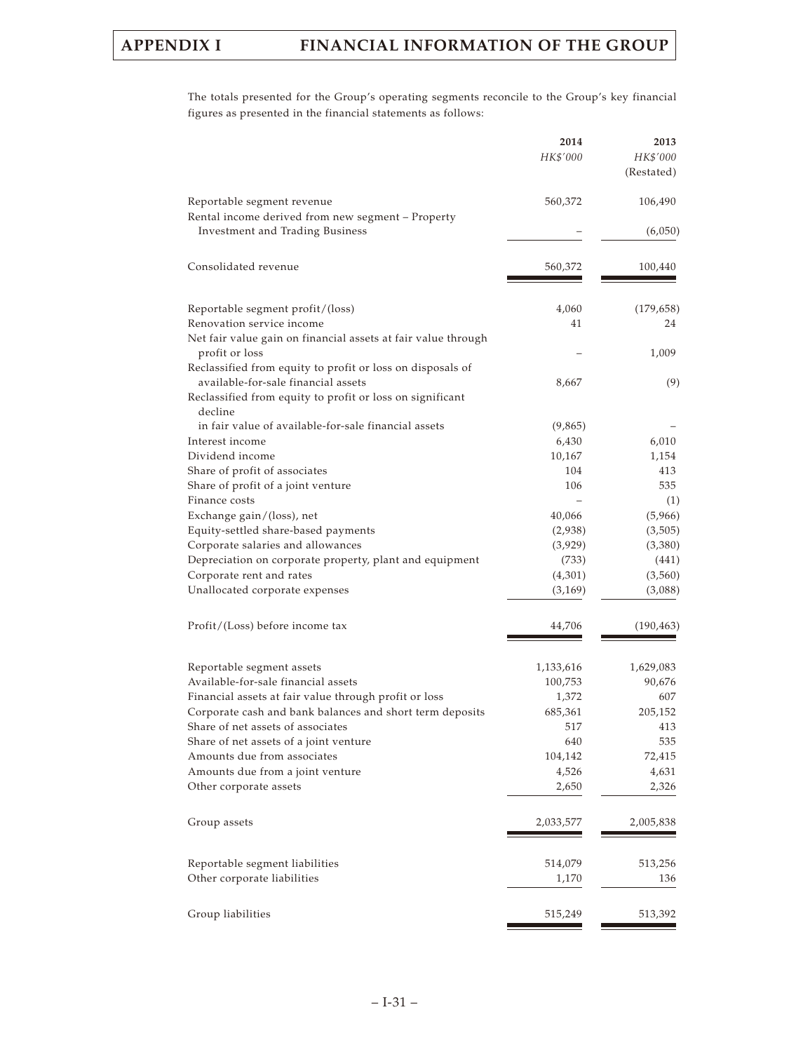The totals presented for the Group's operating segments reconcile to the Group's key financial figures as presented in the financial statements as follows:

|                                                                                 | 2014<br>HK\$'000 | 2013<br>HK\$'000<br>(Restated) |
|---------------------------------------------------------------------------------|------------------|--------------------------------|
| Reportable segment revenue<br>Rental income derived from new segment - Property | 560,372          | 106,490                        |
| Investment and Trading Business                                                 |                  | (6,050)                        |
| Consolidated revenue                                                            | 560,372          | 100,440                        |
| Reportable segment profit/(loss)                                                | 4,060            | (179, 658)                     |
| Renovation service income                                                       | 41               | 24                             |
| Net fair value gain on financial assets at fair value through                   |                  |                                |
| profit or loss                                                                  |                  | 1,009                          |
| Reclassified from equity to profit or loss on disposals of                      |                  |                                |
| available-for-sale financial assets                                             | 8,667            | (9)                            |
| Reclassified from equity to profit or loss on significant                       |                  |                                |
| decline                                                                         |                  |                                |
| in fair value of available-for-sale financial assets                            | (9,865)          |                                |
| Interest income                                                                 | 6,430            | 6,010                          |
| Dividend income                                                                 | 10,167           | 1,154                          |
| Share of profit of associates                                                   | 104<br>106       | 413<br>535                     |
| Share of profit of a joint venture<br>Finance costs                             |                  | (1)                            |
| Exchange gain/(loss), net                                                       | 40,066           | (5,966)                        |
| Equity-settled share-based payments                                             | (2,938)          | (3,505)                        |
| Corporate salaries and allowances                                               | (3,929)          | (3,380)                        |
| Depreciation on corporate property, plant and equipment                         | (733)            | (441)                          |
| Corporate rent and rates                                                        | (4,301)          | (3,560)                        |
| Unallocated corporate expenses                                                  | (3, 169)         | (3,088)                        |
| Profit/(Loss) before income tax                                                 | 44,706           | (190, 463)                     |
| Reportable segment assets                                                       | 1,133,616        | 1,629,083                      |
| Available-for-sale financial assets                                             | 100,753          | 90,676                         |
| Financial assets at fair value through profit or loss                           | 1,372            | 607                            |
| Corporate cash and bank balances and short term deposits                        | 685,361          | 205,152                        |
| Share of net assets of associates                                               | 517              | 413                            |
| Share of net assets of a joint venture                                          | 640              | 535                            |
| Amounts due from associates                                                     | 104,142          | 72,415                         |
| Amounts due from a joint venture                                                | 4,526            | 4,631                          |
| Other corporate assets                                                          | 2,650            | 2,326                          |
| Group assets                                                                    | 2,033,577        | 2,005,838                      |
| Reportable segment liabilities                                                  | 514,079          | 513,256                        |
| Other corporate liabilities                                                     | 1,170            | 136                            |
| Group liabilities                                                               | 515,249          | 513,392                        |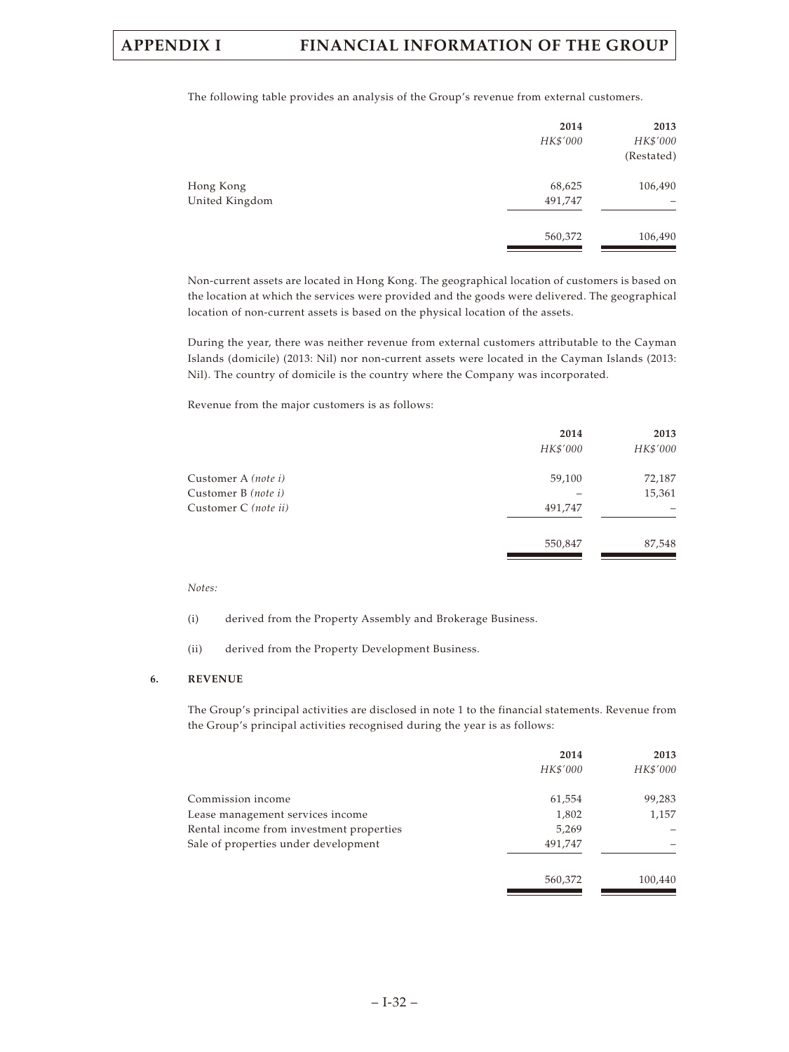The following table provides an analysis of the Group's revenue from external customers.

|                             | 2014<br>HK\$'000  | 2013<br>HK\$'000<br>(Restated) |
|-----------------------------|-------------------|--------------------------------|
| Hong Kong<br>United Kingdom | 68,625<br>491,747 | 106,490                        |
|                             | 560,372           | 106,490                        |

Non-current assets are located in Hong Kong. The geographical location of customers is based on the location at which the services were provided and the goods were delivered. The geographical location of non-current assets is based on the physical location of the assets.

During the year, there was neither revenue from external customers attributable to the Cayman Islands (domicile) (2013: Nil) nor non-current assets were located in the Cayman Islands (2013: Nil). The country of domicile is the country where the Company was incorporated.

Revenue from the major customers is as follows:

|                      | 2014     | 2013     |
|----------------------|----------|----------|
|                      | HK\$'000 | HK\$'000 |
| Customer A (note i)  | 59,100   | 72,187   |
| Customer B (note i)  |          | 15,361   |
| Customer C (note ii) | 491,747  |          |
|                      | 550,847  | 87,548   |

### *Notes:*

- (i) derived from the Property Assembly and Brokerage Business.
- (ii) derived from the Property Development Business.

### **6. REVENUE**

The Group's principal activities are disclosed in note 1 to the financial statements. Revenue from the Group's principal activities recognised during the year is as follows:

|                                          | 2014     | 2013     |
|------------------------------------------|----------|----------|
|                                          | HK\$'000 | HK\$'000 |
| Commission income                        | 61,554   | 99,283   |
| Lease management services income         | 1,802    | 1,157    |
| Rental income from investment properties | 5,269    |          |
| Sale of properties under development     | 491.747  |          |
|                                          | 560,372  | 100,440  |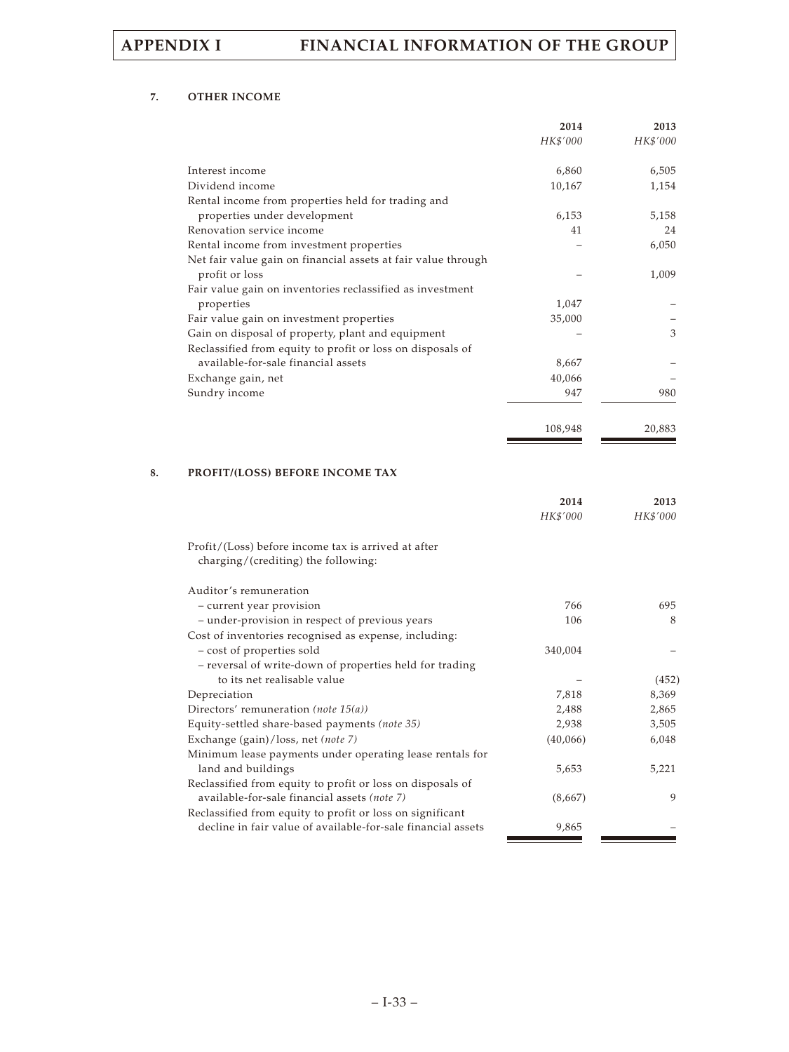### **7. OTHER INCOME**

|                                                               | 2014<br>HK\$'000 | 2013<br>HK\$'000 |
|---------------------------------------------------------------|------------------|------------------|
| Interest income                                               | 6,860            | 6,505            |
| Dividend income                                               | 10,167           | 1,154            |
| Rental income from properties held for trading and            |                  |                  |
| properties under development                                  | 6,153            | 5,158            |
| Renovation service income                                     | 41               | 24               |
| Rental income from investment properties                      |                  | 6,050            |
| Net fair value gain on financial assets at fair value through |                  |                  |
| profit or loss                                                |                  | 1,009            |
| Fair value gain on inventories reclassified as investment     |                  |                  |
| properties                                                    | 1,047            |                  |
| Fair value gain on investment properties                      | 35,000           |                  |
| Gain on disposal of property, plant and equipment             |                  | 3                |
| Reclassified from equity to profit or loss on disposals of    |                  |                  |
| available-for-sale financial assets                           | 8,667            |                  |
| Exchange gain, net                                            | 40,066           |                  |
| Sundry income                                                 | 947              | 980              |
|                                                               | 108,948          | 20,883           |

### **8. PROFIT/(LOSS) BEFORE INCOME TAX**

|                                                                                            | 2014     | 2013     |
|--------------------------------------------------------------------------------------------|----------|----------|
|                                                                                            | HK\$'000 | HK\$'000 |
| Profit/(Loss) before income tax is arrived at after<br>charging/(crediting) the following: |          |          |
| Auditor's remuneration                                                                     |          |          |
| - current year provision                                                                   | 766      | 695      |
| - under-provision in respect of previous years                                             | 106      | 8        |
| Cost of inventories recognised as expense, including:                                      |          |          |
| - cost of properties sold                                                                  | 340,004  |          |
| - reversal of write-down of properties held for trading                                    |          |          |
| to its net realisable value                                                                |          | (452)    |
| Depreciation                                                                               | 7,818    | 8,369    |
| Directors' remuneration (note $15(a)$ )                                                    | 2,488    | 2,865    |
| Equity-settled share-based payments (note 35)                                              | 2,938    | 3,505    |
| Exchange (gain)/loss, net (note 7)                                                         | (40,066) | 6,048    |
| Minimum lease payments under operating lease rentals for                                   |          |          |
| land and buildings                                                                         | 5,653    | 5,221    |
| Reclassified from equity to profit or loss on disposals of                                 |          |          |
| available-for-sale financial assets (note 7)                                               | (8,667)  | 9        |
| Reclassified from equity to profit or loss on significant                                  |          |          |
| decline in fair value of available-for-sale financial assets                               | 9,865    |          |
|                                                                                            |          |          |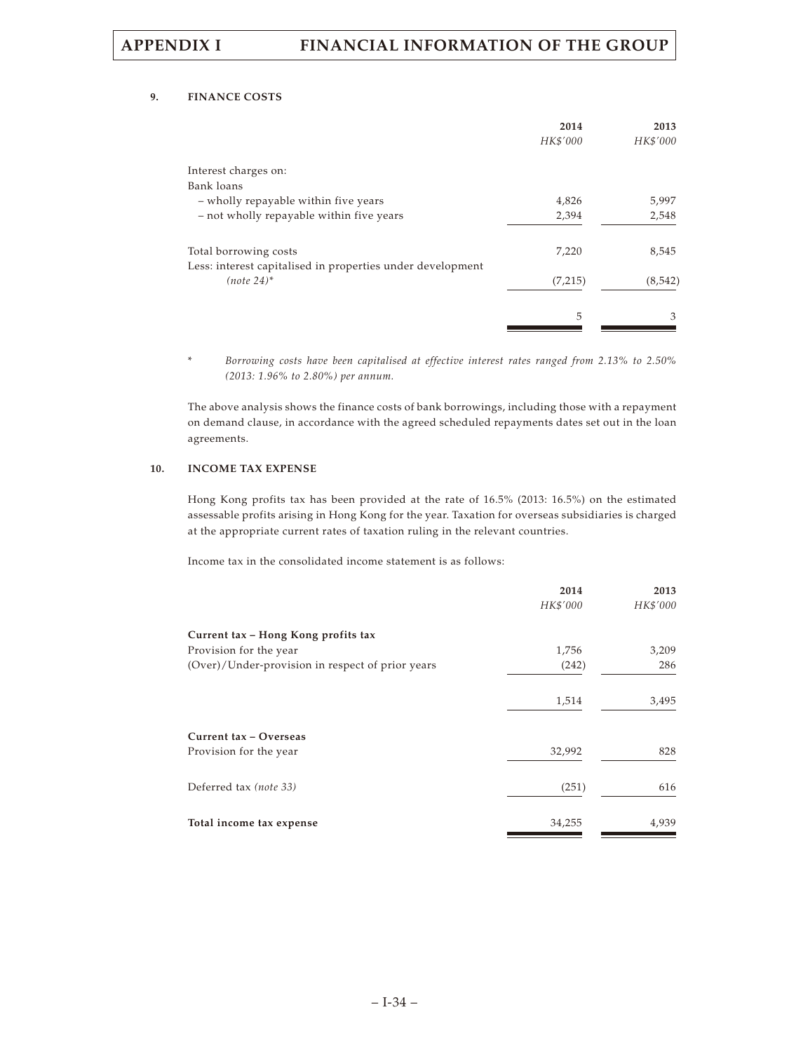### **9. FINANCE COSTS**

|                                                                             | 2014<br>HK\$'000 | 2013<br>HK\$'000 |
|-----------------------------------------------------------------------------|------------------|------------------|
| Interest charges on:                                                        |                  |                  |
| Bank loans                                                                  |                  |                  |
| - wholly repayable within five years                                        | 4,826            | 5,997            |
| - not wholly repayable within five years                                    | 2,394            | 2,548            |
| Total borrowing costs                                                       | 7,220            | 8,545            |
| Less: interest capitalised in properties under development<br>$(note 24)^*$ | (7,215)          | (8, 542)         |
|                                                                             | 5                | 3                |

\* *Borrowing costs have been capitalised at effective interest rates ranged from 2.13% to 2.50% (2013: 1.96% to 2.80%) per annum.*

The above analysis shows the finance costs of bank borrowings, including those with a repayment on demand clause, in accordance with the agreed scheduled repayments dates set out in the loan agreements.

### **10. INCOME TAX EXPENSE**

Hong Kong profits tax has been provided at the rate of 16.5% (2013: 16.5%) on the estimated assessable profits arising in Hong Kong for the year. Taxation for overseas subsidiaries is charged at the appropriate current rates of taxation ruling in the relevant countries.

Income tax in the consolidated income statement is as follows:

|                                                  | 2014     | 2013     |
|--------------------------------------------------|----------|----------|
|                                                  | HK\$'000 | HK\$'000 |
| Current tax - Hong Kong profits tax              |          |          |
| Provision for the year                           | 1,756    | 3,209    |
| (Over)/Under-provision in respect of prior years | (242)    | 286      |
|                                                  | 1,514    | 3,495    |
| Current tax - Overseas                           |          |          |
| Provision for the year                           | 32,992   | 828      |
| Deferred tax (note 33)                           | (251)    | 616      |
| Total income tax expense                         | 34,255   | 4,939    |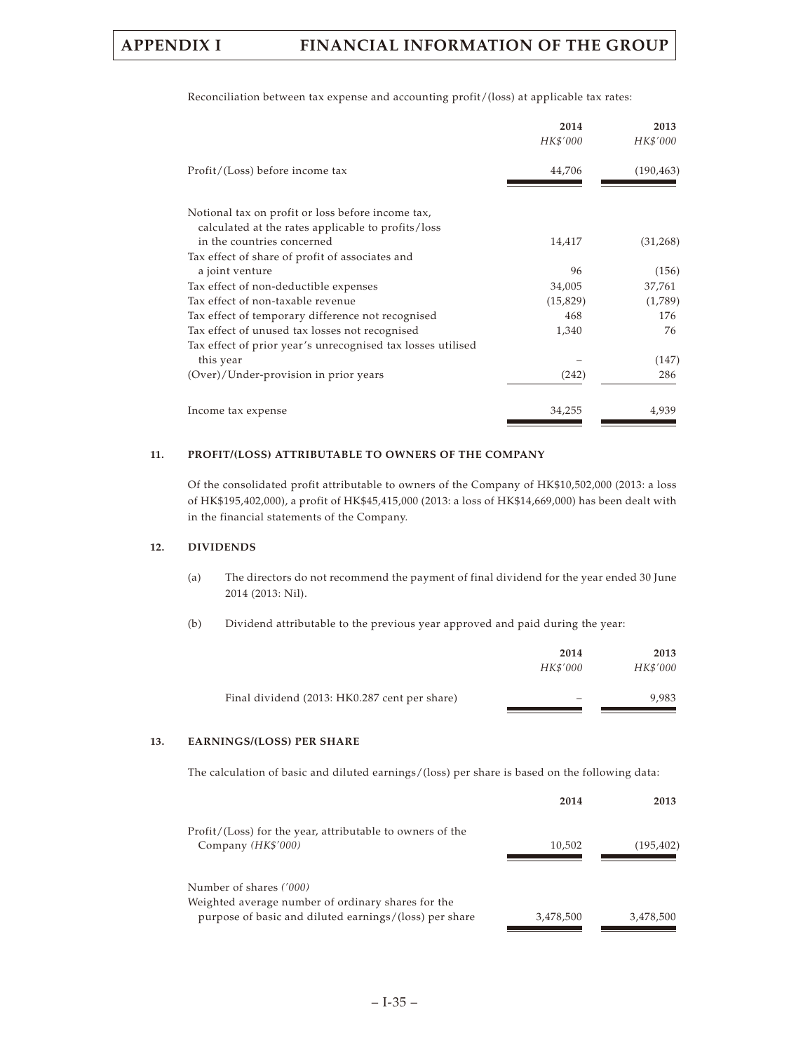|                                                             | 2014<br>HK\$'000 | 2013<br>HK\$'000 |
|-------------------------------------------------------------|------------------|------------------|
| Profit/(Loss) before income tax                             | 44,706           | (190, 463)       |
| Notional tax on profit or loss before income tax,           |                  |                  |
| calculated at the rates applicable to profits/loss          |                  |                  |
| in the countries concerned                                  | 14,417           | (31,268)         |
| Tax effect of share of profit of associates and             |                  |                  |
| a joint venture                                             | 96               | (156)            |
| Tax effect of non-deductible expenses                       | 34,005           | 37,761           |
| Tax effect of non-taxable revenue                           | (15, 829)        | (1,789)          |
| Tax effect of temporary difference not recognised           | 468              | 176              |
| Tax effect of unused tax losses not recognised              | 1,340            | 76               |
| Tax effect of prior year's unrecognised tax losses utilised |                  |                  |
| this year                                                   |                  | (147)            |
| (Over)/Under-provision in prior years                       | (242)            | 286              |
| Income tax expense                                          | 34,255           | 4,939            |

Reconciliation between tax expense and accounting profit/(loss) at applicable tax rates:

### **11. PROFIT/(LOSS) ATTRIBUTABLE TO OWNERS OF THE COMPANY**

Of the consolidated profit attributable to owners of the Company of HK\$10,502,000 (2013: a loss of HK\$195,402,000), a profit of HK\$45,415,000 (2013: a loss of HK\$14,669,000) has been dealt with in the financial statements of the Company.

### **12. DIVIDENDS**

(a) The directors do not recommend the payment of final dividend for the year ended 30 June 2014 (2013: Nil).

(b) Dividend attributable to the previous year approved and paid during the year:

|                                               | 2014                     | 2013     |
|-----------------------------------------------|--------------------------|----------|
|                                               | HK\$'000                 | HK\$'000 |
| Final dividend (2013: HK0.287 cent per share) | $\overline{\phantom{0}}$ | 9.983    |

### **13. EARNINGS/(LOSS) PER SHARE**

The calculation of basic and diluted earnings/(loss) per share is based on the following data:

|                                                           | 2014      | 2013       |
|-----------------------------------------------------------|-----------|------------|
| Profit/(Loss) for the year, attributable to owners of the |           |            |
| Company (HK\$'000)                                        | 10,502    | (195, 402) |
|                                                           |           |            |
| Number of shares ('000)                                   |           |            |
| Weighted average number of ordinary shares for the        |           |            |
| purpose of basic and diluted earnings/(loss) per share    | 3,478,500 | 3,478,500  |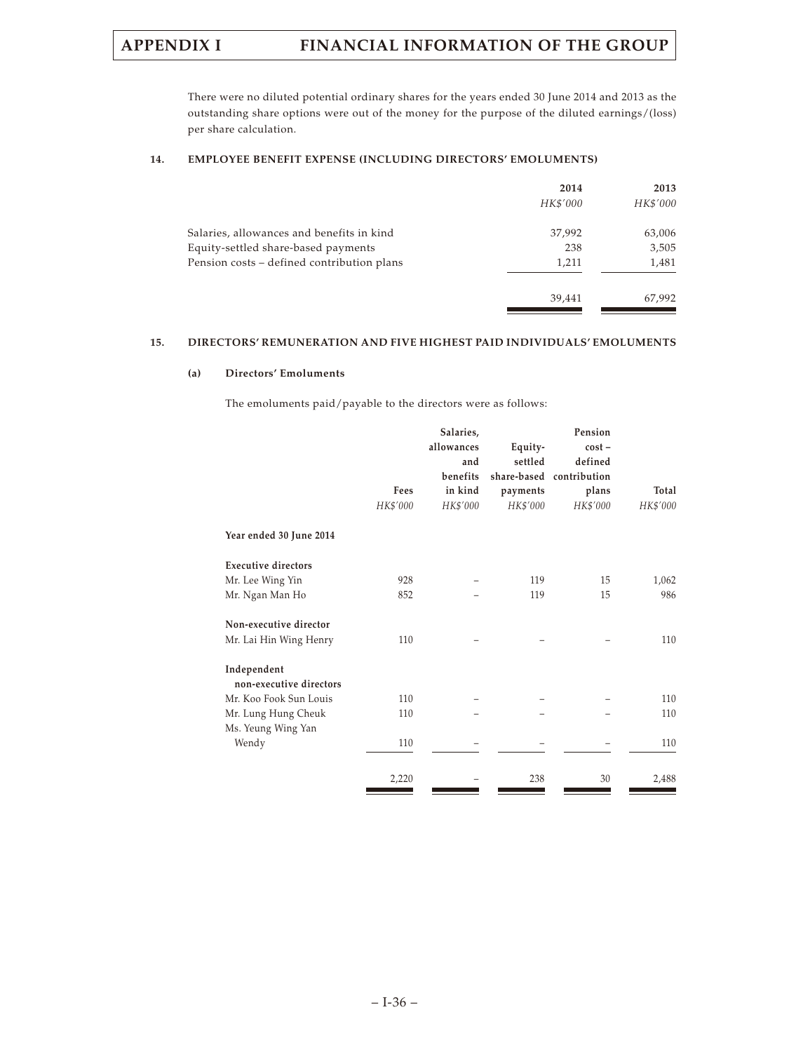There were no diluted potential ordinary shares for the years ended 30 June 2014 and 2013 as the outstanding share options were out of the money for the purpose of the diluted earnings/(loss) per share calculation.

### **14. EMPLOYEE BENEFIT EXPENSE (INCLUDING DIRECTORS' EMOLUMENTS)**

|                                            | 2014<br>HK\$'000 | 2013<br>HK\$'000 |
|--------------------------------------------|------------------|------------------|
| Salaries, allowances and benefits in kind  | 37,992           | 63,006           |
| Equity-settled share-based payments        | 238              | 3,505            |
| Pension costs – defined contribution plans | 1,211            | 1,481            |
|                                            | 39.441           | 67,992           |

### **15. DIRECTORS' REMUNERATION AND FIVE HIGHEST PAID INDIVIDUALS' EMOLUMENTS**

### **(a) Directors' Emoluments**

The emoluments paid/payable to the directors were as follows:

|                                        | Fees<br>HK\$'000 | Salaries,<br>allowances<br>and<br>benefits<br>in kind<br>HK\$'000 | Equity-<br>settled<br>payments<br>HK\$'000 | Pension<br>$cost -$<br>defined<br>share-based contribution<br>plans<br>HK\$'000 | Total<br>HK\$'000 |
|----------------------------------------|------------------|-------------------------------------------------------------------|--------------------------------------------|---------------------------------------------------------------------------------|-------------------|
| Year ended 30 June 2014                |                  |                                                                   |                                            |                                                                                 |                   |
| <b>Executive directors</b>             |                  |                                                                   |                                            |                                                                                 |                   |
| Mr. Lee Wing Yin                       | 928              |                                                                   | 119                                        | 15                                                                              | 1,062             |
| Mr. Ngan Man Ho                        | 852              |                                                                   | 119                                        | 15                                                                              | 986               |
| Non-executive director                 |                  |                                                                   |                                            |                                                                                 |                   |
| Mr. Lai Hin Wing Henry                 | 110              |                                                                   |                                            |                                                                                 | 110               |
| Independent<br>non-executive directors |                  |                                                                   |                                            |                                                                                 |                   |
| Mr. Koo Fook Sun Louis                 | 110              |                                                                   |                                            |                                                                                 | 110               |
| Mr. Lung Hung Cheuk                    | 110              |                                                                   |                                            |                                                                                 | 110               |
| Ms. Yeung Wing Yan                     |                  |                                                                   |                                            |                                                                                 |                   |
| Wendy                                  | 110              |                                                                   |                                            |                                                                                 | 110               |
|                                        | 2,220            |                                                                   | 238                                        | 30                                                                              | 2,488             |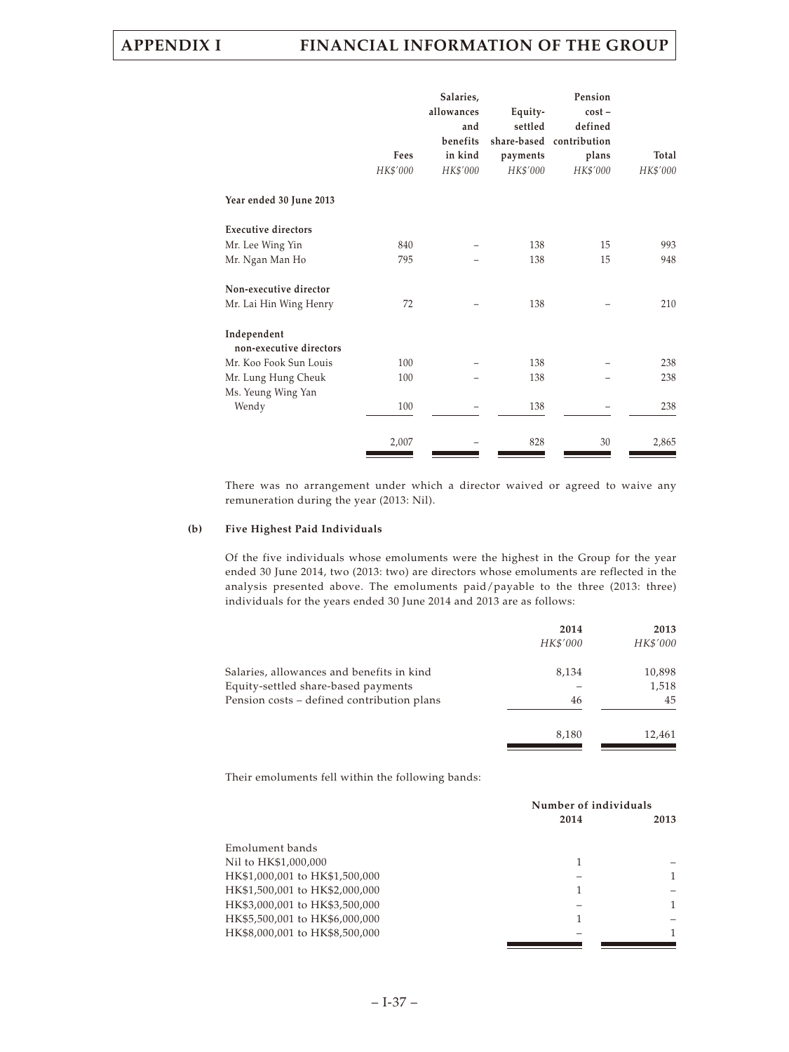|                                        | Fees<br>HK\$'000 | Salaries,<br>allowances<br>and<br>benefits<br>in kind<br>HK\$'000 | Equity-<br>settled<br>payments<br>HK\$'000 | Pension<br>$cost -$<br>defined<br>share-based contribution<br>plans<br>HK\$'000 | Total<br>HK\$'000 |
|----------------------------------------|------------------|-------------------------------------------------------------------|--------------------------------------------|---------------------------------------------------------------------------------|-------------------|
| Year ended 30 June 2013                |                  |                                                                   |                                            |                                                                                 |                   |
| <b>Executive directors</b>             |                  |                                                                   |                                            |                                                                                 |                   |
| Mr. Lee Wing Yin                       | 840              |                                                                   | 138                                        | 15                                                                              | 993               |
| Mr. Ngan Man Ho                        | 795              |                                                                   | 138                                        | 15                                                                              | 948               |
| Non-executive director                 |                  |                                                                   |                                            |                                                                                 |                   |
| Mr. Lai Hin Wing Henry                 | 72               |                                                                   | 138                                        |                                                                                 | 210               |
| Independent<br>non-executive directors |                  |                                                                   |                                            |                                                                                 |                   |
| Mr. Koo Fook Sun Louis                 | 100              |                                                                   | 138                                        |                                                                                 | 238               |
| Mr. Lung Hung Cheuk                    | 100              |                                                                   | 138                                        |                                                                                 | 238               |
| Ms. Yeung Wing Yan                     |                  |                                                                   |                                            |                                                                                 |                   |
| Wendy                                  | 100              |                                                                   | 138                                        |                                                                                 | 238               |
|                                        | 2,007            |                                                                   | 828                                        | 30                                                                              | 2,865             |

There was no arrangement under which a director waived or agreed to waive any remuneration during the year (2013: Nil).

### **(b) Five Highest Paid Individuals**

Of the five individuals whose emoluments were the highest in the Group for the year ended 30 June 2014, two (2013: two) are directors whose emoluments are reflected in the analysis presented above. The emoluments paid/payable to the three (2013: three) individuals for the years ended 30 June 2014 and 2013 are as follows:

|                                            | 2014     | 2013     |
|--------------------------------------------|----------|----------|
|                                            | HK\$'000 | HK\$'000 |
| Salaries, allowances and benefits in kind  | 8,134    | 10,898   |
| Equity-settled share-based payments        |          | 1,518    |
| Pension costs – defined contribution plans | 46       | 45       |
|                                            | 8,180    | 12,461   |

Their emoluments fell within the following bands:

|                                | Number of individuals |      |  |
|--------------------------------|-----------------------|------|--|
|                                | 2014                  | 2013 |  |
| Emolument bands                |                       |      |  |
| Nil to HK\$1,000,000           | 1                     |      |  |
| HK\$1,000,001 to HK\$1,500,000 |                       |      |  |
| HK\$1,500,001 to HK\$2,000,000 |                       |      |  |
| HK\$3,000,001 to HK\$3,500,000 |                       |      |  |
| HK\$5,500,001 to HK\$6,000,000 |                       |      |  |
| HK\$8,000,001 to HK\$8,500,000 |                       |      |  |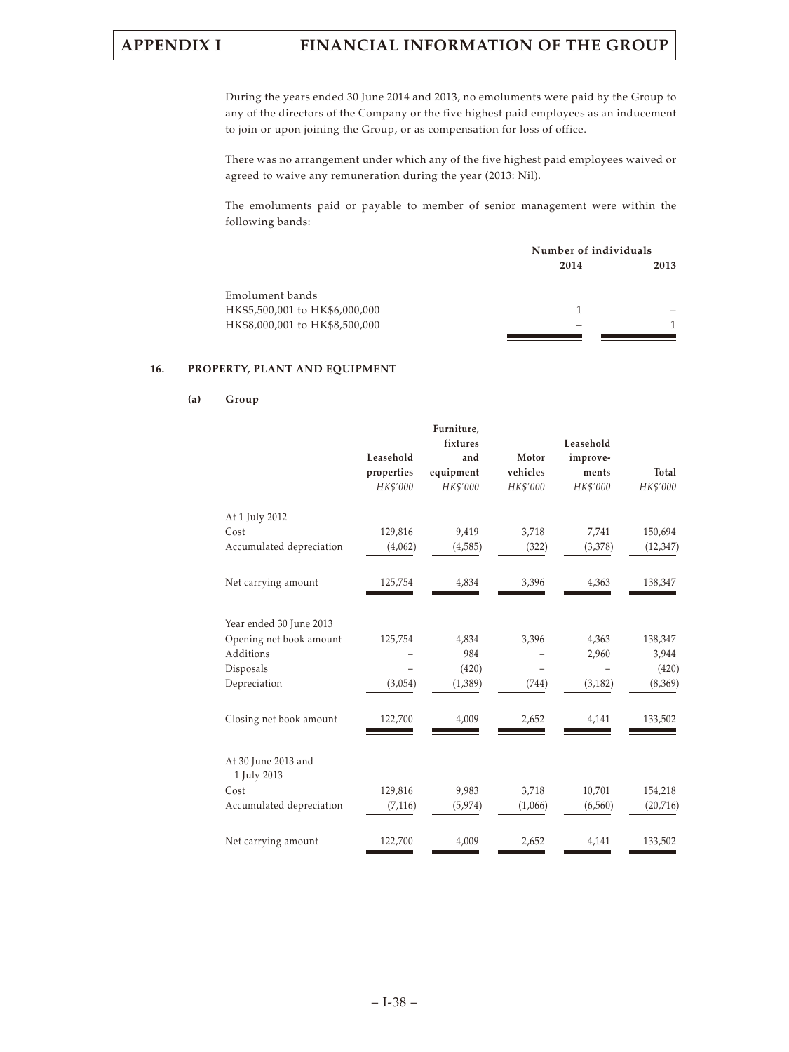During the years ended 30 June 2014 and 2013, no emoluments were paid by the Group to any of the directors of the Company or the five highest paid employees as an inducement to join or upon joining the Group, or as compensation for loss of office.

There was no arrangement under which any of the five highest paid employees waived or agreed to waive any remuneration during the year (2013: Nil).

The emoluments paid or payable to member of senior management were within the following bands:

|                                | Number of individuals |      |  |
|--------------------------------|-----------------------|------|--|
|                                | 2014                  | 2013 |  |
| Emolument bands                |                       |      |  |
| HK\$5,500,001 to HK\$6,000,000 |                       |      |  |
| HK\$8,000,001 to HK\$8,500,000 |                       |      |  |
|                                |                       |      |  |

### **16. PROPERTY, PLANT AND EQUIPMENT**

| Group |
|-------|
|       |

|                                    | Leasehold<br>properties<br>HK\$'000 | Furniture,<br>fixtures<br>and<br>equipment<br>HK\$'000 | Motor<br>vehicles<br>HK\$'000 | Leasehold<br>improve-<br>ments<br>HK\$'000 | Total<br>HK\$'000 |
|------------------------------------|-------------------------------------|--------------------------------------------------------|-------------------------------|--------------------------------------------|-------------------|
| At 1 July 2012<br>Cost             | 129,816                             | 9,419                                                  | 3,718                         | 7,741                                      | 150,694           |
| Accumulated depreciation           | (4,062)                             | (4,585)                                                | (322)                         | (3,378)                                    | (12, 347)         |
| Net carrying amount                | 125,754                             | 4,834                                                  | 3,396                         | 4,363                                      | 138,347           |
| Year ended 30 June 2013            |                                     |                                                        |                               |                                            |                   |
| Opening net book amount            | 125,754                             | 4,834                                                  | 3,396                         | 4,363                                      | 138,347           |
| Additions<br>Disposals             |                                     | 984<br>(420)                                           |                               | 2,960                                      | 3,944<br>(420)    |
| Depreciation                       | (3,054)                             | (1,389)                                                | (744)                         | (3, 182)                                   | (8,369)           |
| Closing net book amount            | 122,700                             | 4,009                                                  | 2,652                         | 4,141                                      | 133,502           |
| At 30 June 2013 and<br>1 July 2013 |                                     |                                                        |                               |                                            |                   |
| Cost                               | 129,816                             | 9,983                                                  | 3,718                         | 10,701                                     | 154,218           |
| Accumulated depreciation           | (7, 116)                            | (5, 974)                                               | (1,066)                       | (6, 560)                                   | (20, 716)         |
| Net carrying amount                | 122,700                             | 4,009                                                  | 2,652                         | 4,141                                      | 133,502           |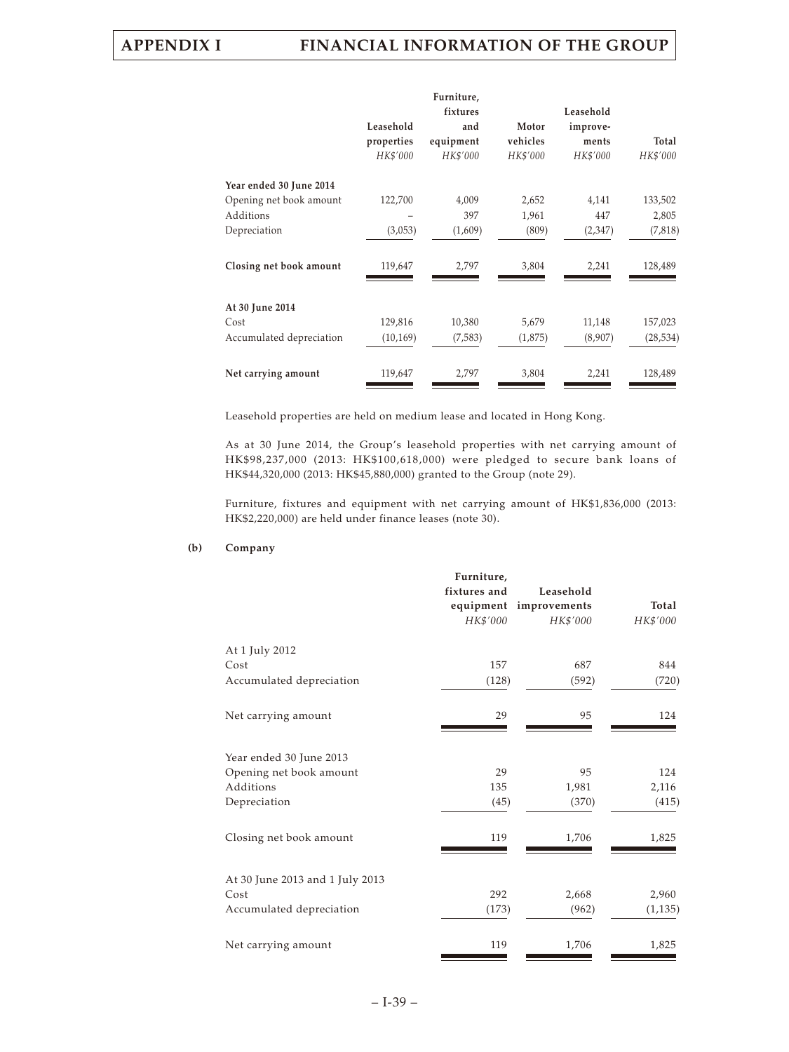|                          |            | Furniture,      |          |                       |           |
|--------------------------|------------|-----------------|----------|-----------------------|-----------|
|                          | Leasehold  | fixtures<br>and | Motor    | Leasehold<br>improve- |           |
|                          | properties | equipment       | vehicles | ments                 | Total     |
|                          | HK\$'000   | HK\$'000        | HK\$'000 | HK\$'000              | HK\$'000  |
| Year ended 30 June 2014  |            |                 |          |                       |           |
| Opening net book amount  | 122,700    | 4,009           | 2,652    | 4,141                 | 133,502   |
| Additions                |            | 397             | 1,961    | 447                   | 2,805     |
| Depreciation             | (3,053)    | (1,609)         | (809)    | (2,347)               | (7,818)   |
| Closing net book amount  | 119,647    | 2,797           | 3,804    | 2,241                 | 128,489   |
| At 30 June 2014          |            |                 |          |                       |           |
| Cost                     | 129,816    | 10,380          | 5,679    | 11,148                | 157,023   |
| Accumulated depreciation | (10, 169)  | (7,583)         | (1,875)  | (8,907)               | (28, 534) |
| Net carrying amount      | 119,647    | 2,797           | 3,804    | 2,241                 | 128,489   |

Leasehold properties are held on medium lease and located in Hong Kong.

As at 30 June 2014, the Group's leasehold properties with net carrying amount of HK\$98,237,000 (2013: HK\$100,618,000) were pledged to secure bank loans of HK\$44,320,000 (2013: HK\$45,880,000) granted to the Group (note 29).

Furniture, fixtures and equipment with net carrying amount of HK\$1,836,000 (2013: HK\$2,220,000) are held under finance leases (note 30).

### **(b) Company**

|                                 | Furniture,   |                        |          |
|---------------------------------|--------------|------------------------|----------|
|                                 | fixtures and | Leasehold              |          |
|                                 |              | equipment improvements | Total    |
|                                 | HK\$'000     | HK\$'000               | HK\$'000 |
| At 1 July 2012                  |              |                        |          |
| Cost                            | 157          | 687                    | 844      |
| Accumulated depreciation        | (128)        | (592)                  | (720)    |
| Net carrying amount             | 29           | 95                     | 124      |
| Year ended 30 June 2013         |              |                        |          |
| Opening net book amount         | 29           | 95                     | 124      |
| Additions                       | 135          | 1,981                  | 2,116    |
| Depreciation                    | (45)         | (370)                  | (415)    |
| Closing net book amount         | 119          | 1,706                  | 1,825    |
| At 30 June 2013 and 1 July 2013 |              |                        |          |
| Cost                            | 292          | 2,668                  | 2,960    |
| Accumulated depreciation        | (173)        | (962)                  | (1, 135) |
| Net carrying amount             | 119          | 1,706                  | 1,825    |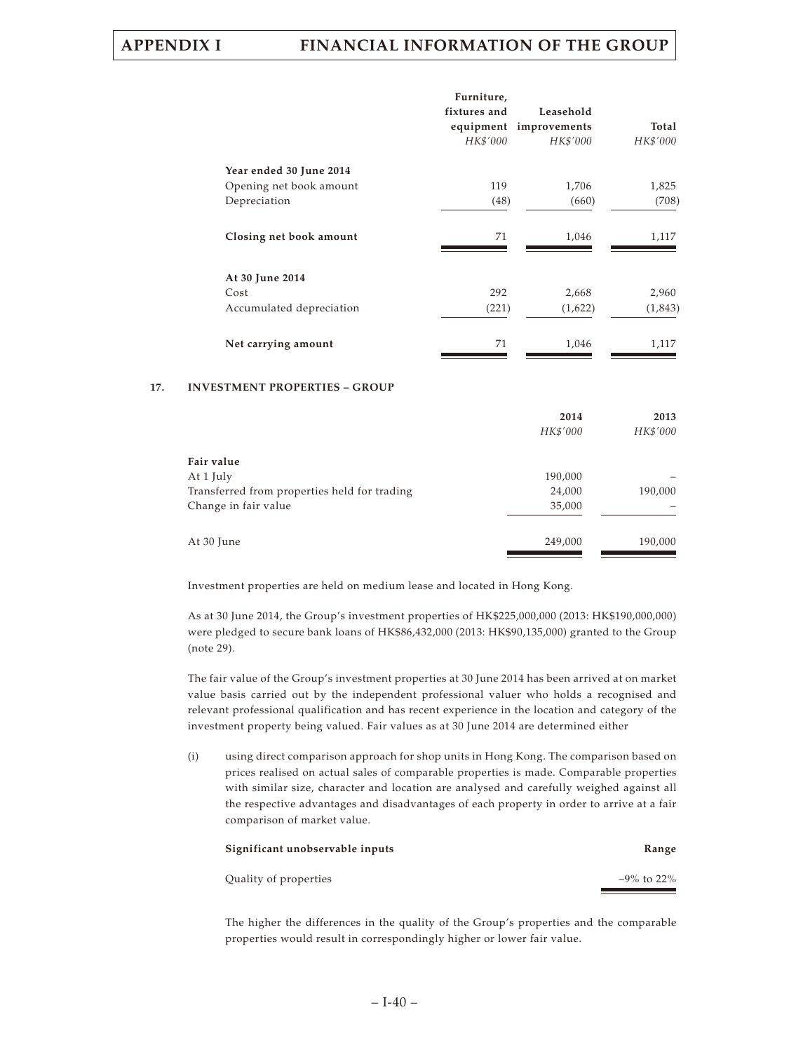|                          | Furniture,   |                        |          |
|--------------------------|--------------|------------------------|----------|
|                          | fixtures and | Leasehold              |          |
|                          |              | equipment improvements | Total    |
|                          | HK\$'000     | HK\$'000               | HK\$'000 |
| Year ended 30 June 2014  |              |                        |          |
| Opening net book amount  | 119          | 1,706                  | 1,825    |
| Depreciation             | (48)         | (660)                  | (708)    |
| Closing net book amount  | 71           | 1,046                  | 1,117    |
| At 30 June 2014          |              |                        |          |
| Cost                     | 292          | 2,668                  | 2,960    |
| Accumulated depreciation | (221)        | (1,622)                | (1,843)  |
| Net carrying amount      | 71           | 1,046                  | 1,117    |

### **17. INVESTMENT PROPERTIES – GROUP**

|                                              | 2014     | 2013     |
|----------------------------------------------|----------|----------|
|                                              | HK\$'000 | HK\$'000 |
|                                              |          |          |
| Fair value                                   |          |          |
| At 1 July                                    | 190,000  |          |
| Transferred from properties held for trading | 24,000   | 190,000  |
| Change in fair value                         | 35,000   |          |
|                                              |          |          |
| At 30 June                                   | 249,000  | 190,000  |

Investment properties are held on medium lease and located in Hong Kong.

As at 30 June 2014, the Group's investment properties of HK\$225,000,000 (2013: HK\$190,000,000) were pledged to secure bank loans of HK\$86,432,000 (2013: HK\$90,135,000) granted to the Group (note 29).

The fair value of the Group's investment properties at 30 June 2014 has been arrived at on market value basis carried out by the independent professional valuer who holds a recognised and relevant professional qualification and has recent experience in the location and category of the investment property being valued. Fair values as at 30 June 2014 are determined either

(i) using direct comparison approach for shop units in Hong Kong. The comparison based on prices realised on actual sales of comparable properties is made. Comparable properties with similar size, character and location are analysed and carefully weighed against all the respective advantages and disadvantages of each property in order to arrive at a fair comparison of market value.

| Significant unobservable inputs | Range          |
|---------------------------------|----------------|
| Quality of properties           | $-9\%$ to 22\% |

The higher the differences in the quality of the Group's properties and the comparable properties would result in correspondingly higher or lower fair value.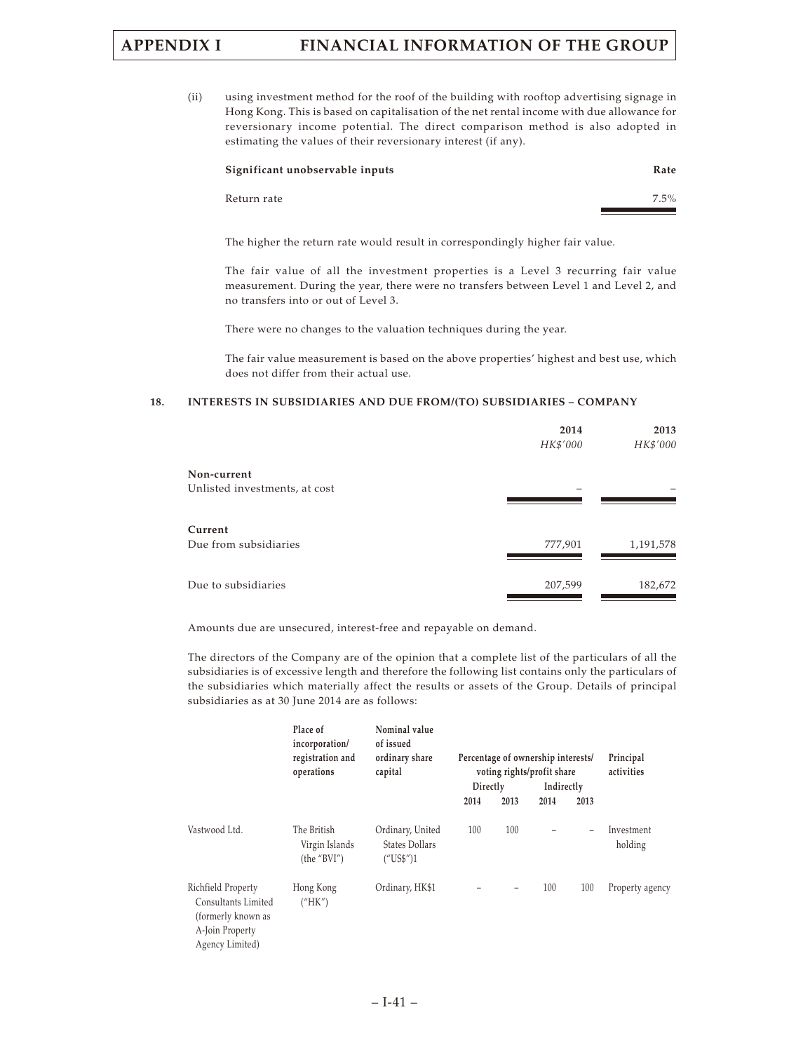(ii) using investment method for the roof of the building with rooftop advertising signage in Hong Kong. This is based on capitalisation of the net rental income with due allowance for reversionary income potential. The direct comparison method is also adopted in estimating the values of their reversionary interest (if any).

| Significant unobservable inputs | Rate    |
|---------------------------------|---------|
| Return rate                     | $7.5\%$ |

The higher the return rate would result in correspondingly higher fair value.

The fair value of all the investment properties is a Level 3 recurring fair value measurement. During the year, there were no transfers between Level 1 and Level 2, and no transfers into or out of Level 3.

There were no changes to the valuation techniques during the year.

The fair value measurement is based on the above properties' highest and best use, which does not differ from their actual use.

### **18. INTERESTS IN SUBSIDIARIES AND DUE FROM/(TO) SUBSIDIARIES – COMPANY**

|                               | 2014     | 2013      |
|-------------------------------|----------|-----------|
|                               | HK\$'000 | HK\$'000  |
| Non-current                   |          |           |
|                               |          |           |
| Unlisted investments, at cost |          |           |
|                               |          |           |
| Current                       |          |           |
| Due from subsidiaries         | 777,901  | 1,191,578 |
|                               |          |           |
|                               |          |           |
| Due to subsidiaries           | 207,599  | 182,672   |

Amounts due are unsecured, interest-free and repayable on demand.

The directors of the Company are of the opinion that a complete list of the particulars of all the subsidiaries is of excessive length and therefore the following list contains only the particulars of the subsidiaries which materially affect the results or assets of the Group. Details of principal subsidiaries as at 30 June 2014 are as follows:

|                                                                                                       | Place of<br>incorporation/<br>registration and<br>operations | Nominal value<br>of issued<br>ordinary share<br>capital |          |      | Percentage of ownership interests/<br>voting rights/profit share |                          | Principal<br>activities |
|-------------------------------------------------------------------------------------------------------|--------------------------------------------------------------|---------------------------------------------------------|----------|------|------------------------------------------------------------------|--------------------------|-------------------------|
|                                                                                                       |                                                              |                                                         | Directly |      | Indirectly                                                       |                          |                         |
|                                                                                                       |                                                              |                                                         | 2014     | 2013 | 2014                                                             | 2013                     |                         |
| Vastwood Ltd.                                                                                         | The British<br>Virgin Islands<br>(the "BVI")                 | Ordinary, United<br>States Dollars<br>("USS")1          | 100      | 100  |                                                                  | $\overline{\phantom{0}}$ | Investment<br>holding   |
| Richfield Property<br>Consultants Limited<br>(formerly known as<br>A-Join Property<br>Agency Limited) | Hong Kong<br>("HK")                                          | Ordinary, HK\$1                                         |          |      | 100                                                              | 100                      | Property agency         |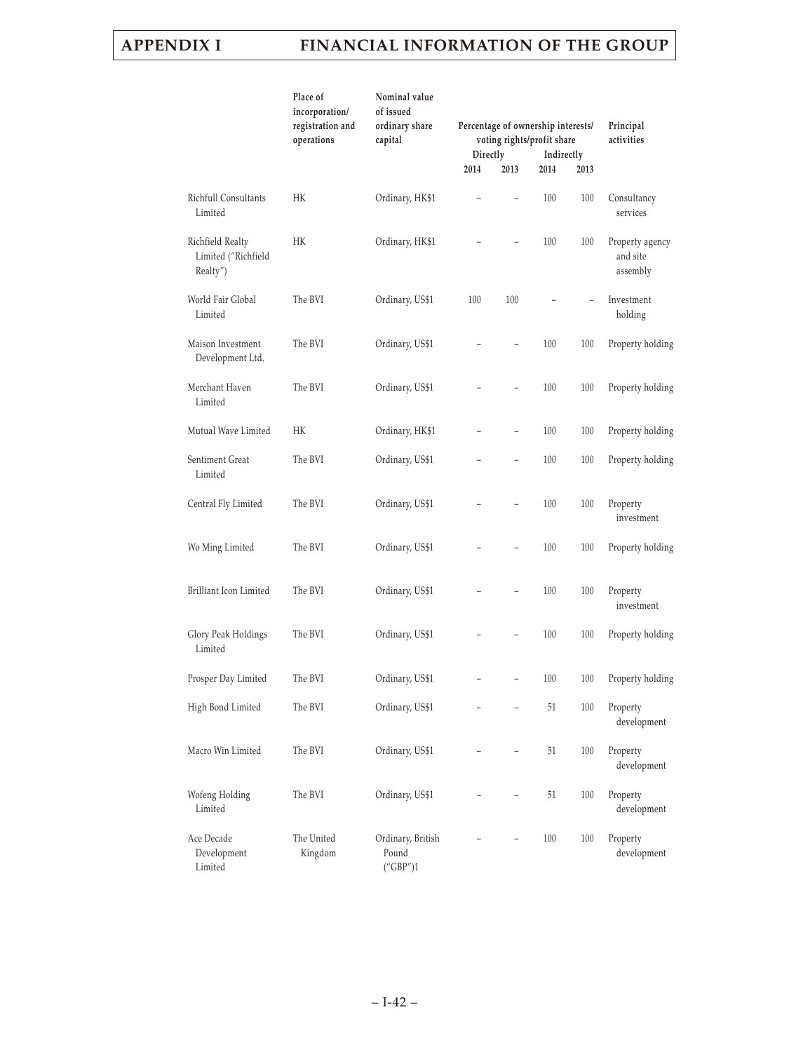|                                                     | Place of<br>incorporation/<br>registration and<br>operations | Nominal value<br>of issued<br>ordinary share<br>capital | Percentage of ownership interests/<br>voting rights/profit share<br>Directly<br>Indirectly<br>2014<br>2013<br>2014<br>2013 |                          |     | Principal<br>activities  |                                         |
|-----------------------------------------------------|--------------------------------------------------------------|---------------------------------------------------------|----------------------------------------------------------------------------------------------------------------------------|--------------------------|-----|--------------------------|-----------------------------------------|
| Richfull Consultants                                | HК                                                           | Ordinary, HK\$1                                         |                                                                                                                            | L,                       | 100 | 100                      | Consultancy                             |
| Limited                                             |                                                              |                                                         |                                                                                                                            |                          |     |                          | services                                |
| Richfield Realty<br>Limited ("Richfield<br>Realty") | HK                                                           | Ordinary, HK\$1                                         |                                                                                                                            |                          | 100 | 100                      | Property agency<br>and site<br>assembly |
| World Fair Global<br>Limited                        | The BVI                                                      | Ordinary, US\$1                                         | 100                                                                                                                        | 100                      |     | $\overline{\phantom{0}}$ | Investment<br>holding                   |
| Maison Investment<br>Development Ltd.               | The BVI                                                      | Ordinary, US\$1                                         |                                                                                                                            |                          | 100 | 100                      | Property holding                        |
| Merchant Haven<br>Limited                           | The BVI                                                      | Ordinary, US\$1                                         |                                                                                                                            | $\overline{\phantom{0}}$ | 100 | 100                      | Property holding                        |
| Mutual Wave Limited                                 | HK                                                           | Ordinary, HK\$1                                         |                                                                                                                            |                          | 100 | 100                      | Property holding                        |
| Sentiment Great<br>Limited                          | The BVI                                                      | Ordinary, US\$1                                         |                                                                                                                            | $\overline{a}$           | 100 | 100                      | Property holding                        |
| Central Fly Limited                                 | The BVI                                                      | Ordinary, US\$1                                         |                                                                                                                            |                          | 100 | 100                      | Property<br>investment                  |
| Wo Ming Limited                                     | The BVI                                                      | Ordinary, US\$1                                         |                                                                                                                            |                          | 100 | 100                      | Property holding                        |
| Brilliant Icon Limited                              | The BVI                                                      | Ordinary, US\$1                                         |                                                                                                                            |                          | 100 | 100                      | Property<br>investment                  |
| Glory Peak Holdings<br>Limited                      | The BVI                                                      | Ordinary, US\$1                                         |                                                                                                                            |                          | 100 | 100                      | Property holding                        |
| Prosper Day Limited                                 | The BVI                                                      | Ordinary, US\$1                                         |                                                                                                                            |                          | 100 | 100                      | Property holding                        |
| High Bond Limited                                   | The BVI                                                      | Ordinary, US\$1                                         |                                                                                                                            |                          | 51  | 100                      | Property<br>development                 |
| Macro Win Limited                                   | The BVI                                                      | Ordinary, US\$1                                         |                                                                                                                            |                          | 51  | 100                      | Property<br>development                 |
| Wofeng Holding<br>Limited                           | The BVI                                                      | Ordinary, US\$1                                         |                                                                                                                            |                          | 51  | 100                      | Property<br>development                 |
| Ace Decade<br>Development<br>Limited                | The United<br>Kingdom                                        | Ordinary, British<br>Pound<br>("GBP")1                  |                                                                                                                            |                          | 100 | 100                      | Property<br>development                 |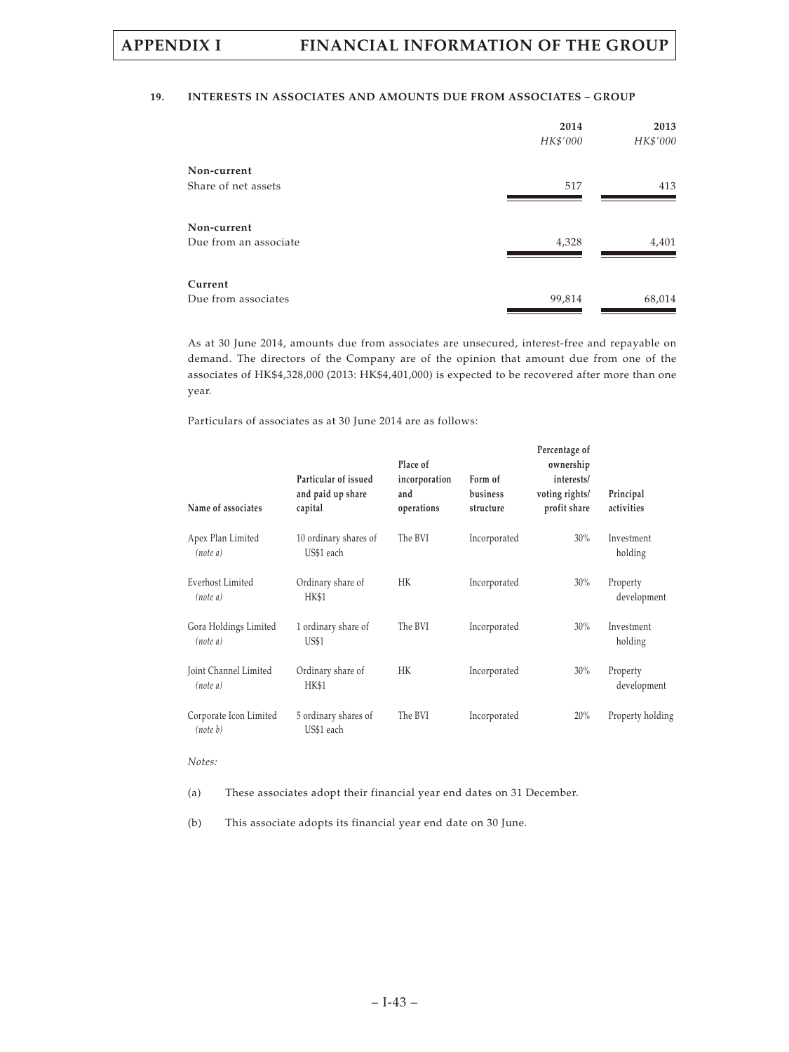### **19. INTERESTS IN ASSOCIATES AND AMOUNTS DUE FROM ASSOCIATES – GROUP**

|                       | 2014<br>HK\$'000 | 2013<br>HK\$'000 |
|-----------------------|------------------|------------------|
| Non-current           |                  |                  |
| Share of net assets   | 517              | 413              |
| Non-current           |                  |                  |
| Due from an associate | 4,328            | 4,401            |
| Current               |                  |                  |
| Due from associates   | 99,814           | 68,014           |

As at 30 June 2014, amounts due from associates are unsecured, interest-free and repayable on demand. The directors of the Company are of the opinion that amount due from one of the associates of HK\$4,328,000 (2013: HK\$4,401,000) is expected to be recovered after more than one year.

Particulars of associates as at 30 June 2014 are as follows:

| Name of associates                  | Particular of issued<br>and paid up share<br>capital | Place of<br>incorporation<br>and<br>operations | Form of<br>business<br>structure | Percentage of<br>ownership<br>interests/<br>voting rights/<br>profit share | Principal<br>activities |
|-------------------------------------|------------------------------------------------------|------------------------------------------------|----------------------------------|----------------------------------------------------------------------------|-------------------------|
| Apex Plan Limited<br>(note a)       | 10 ordinary shares of<br>US\$1 each                  | The BVI                                        | Incorporated                     | 30%                                                                        | Investment<br>holding   |
| <b>Everhost Limited</b><br>(note a) | Ordinary share of<br><b>HK\$1</b>                    | HK                                             | Incorporated                     | 30%                                                                        | Property<br>development |
| Gora Holdings Limited<br>(note a)   | 1 ordinary share of<br><b>US\$1</b>                  | The BVI                                        | Incorporated                     | 30%                                                                        | Investment<br>holding   |
| Joint Channel Limited<br>(note a)   | Ordinary share of<br>HK\$1                           | HK                                             | Incorporated                     | 30%                                                                        | Property<br>development |
| Corporate Icon Limited<br>(note b)  | 5 ordinary shares of<br>US\$1 each                   | The BVI                                        | Incorporated                     | 20%                                                                        | Property holding        |

### *Notes:*

(a) These associates adopt their financial year end dates on 31 December.

(b) This associate adopts its financial year end date on 30 June.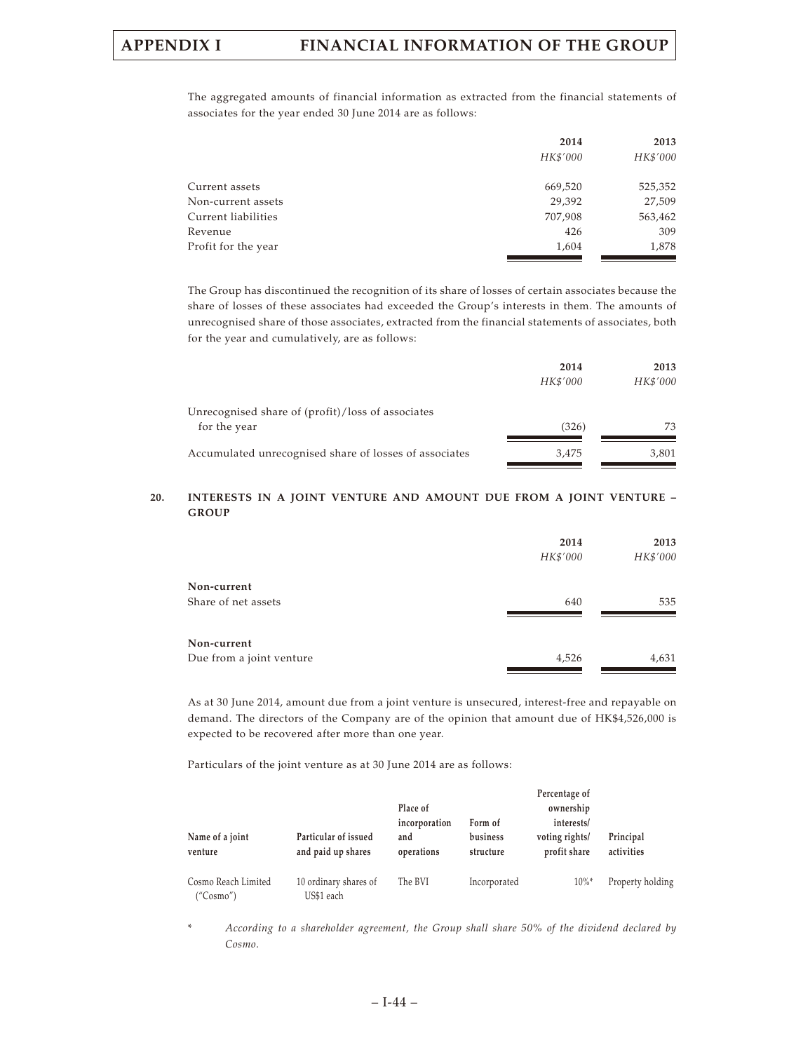The aggregated amounts of financial information as extracted from the financial statements of associates for the year ended 30 June 2014 are as follows:

|                     | 2014     | 2013     |
|---------------------|----------|----------|
|                     | HK\$'000 | HK\$'000 |
| Current assets      | 669,520  | 525,352  |
| Non-current assets  | 29,392   | 27,509   |
| Current liabilities | 707,908  | 563,462  |
| Revenue             | 426      | 309      |
| Profit for the year | 1,604    | 1,878    |

The Group has discontinued the recognition of its share of losses of certain associates because the share of losses of these associates had exceeded the Group's interests in them. The amounts of unrecognised share of those associates, extracted from the financial statements of associates, both for the year and cumulatively, are as follows:

| 2014     | 2013     |
|----------|----------|
| HK\$'000 | HK\$'000 |
|          |          |
| (326)    | 73       |
| 3.475    | 3,801    |
|          |          |

### **20. INTERESTS IN A JOINT VENTURE AND AMOUNT DUE FROM A JOINT VENTURE – GROUP**

|                          | 2014<br>HK\$'000 | 2013<br>HK\$'000 |
|--------------------------|------------------|------------------|
| Non-current              |                  |                  |
| Share of net assets      | 640              | 535              |
| Non-current              |                  |                  |
| Due from a joint venture | 4,526            | 4,631            |

As at 30 June 2014, amount due from a joint venture is unsecured, interest-free and repayable on demand. The directors of the Company are of the opinion that amount due of HK\$4,526,000 is expected to be recovered after more than one year.

Particulars of the joint venture as at 30 June 2014 are as follows:

|                                  |                                            | Place of                           |                                  | Percentage of<br>ownership                   |                         |
|----------------------------------|--------------------------------------------|------------------------------------|----------------------------------|----------------------------------------------|-------------------------|
| Name of a joint<br>venture       | Particular of issued<br>and paid up shares | incorporation<br>and<br>operations | Form of<br>business<br>structure | interests/<br>voting rights/<br>profit share | Principal<br>activities |
| Cosmo Reach Limited<br>("Cosmo") | 10 ordinary shares of<br>US\$1 each        | The BVI                            | Incorporated                     | $10\%$ <sup>*</sup>                          | Property holding        |

\* *According to a shareholder agreement, the Group shall share 50% of the dividend declared by Cosmo.*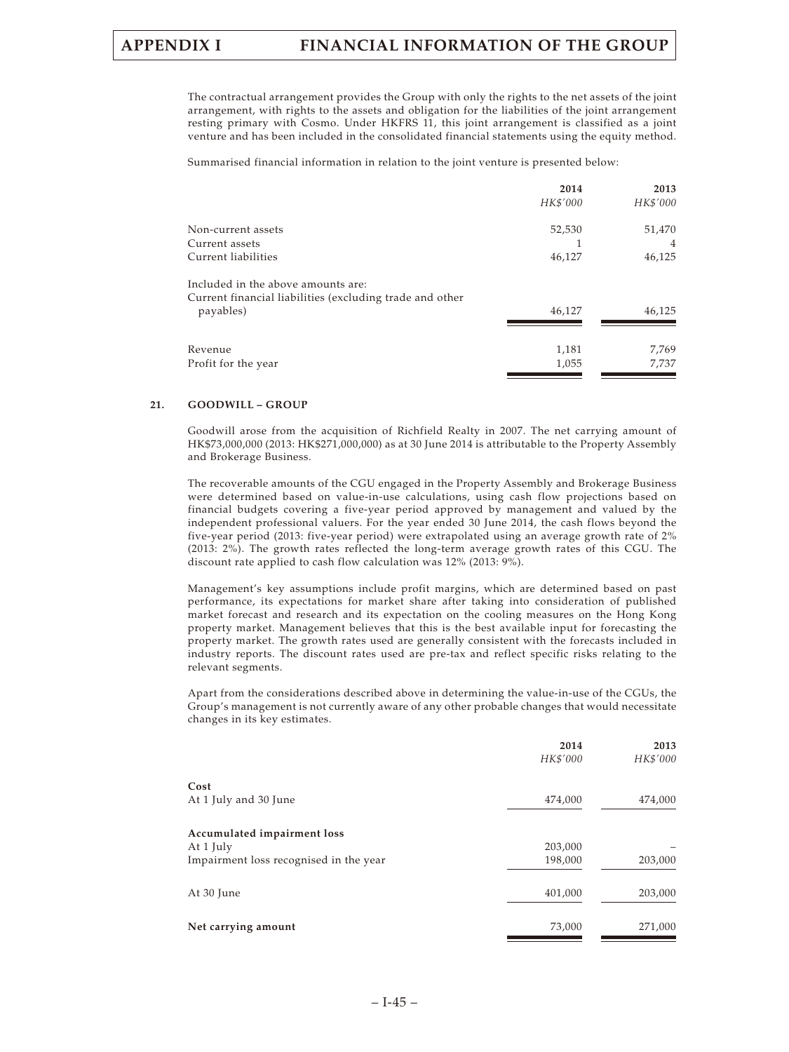The contractual arrangement provides the Group with only the rights to the net assets of the joint arrangement, with rights to the assets and obligation for the liabilities of the joint arrangement resting primary with Cosmo. Under HKFRS 11, this joint arrangement is classified as a joint venture and has been included in the consolidated financial statements using the equity method.

Summarised financial information in relation to the joint venture is presented below:

|                                                          | 2014     | 2013     |
|----------------------------------------------------------|----------|----------|
|                                                          | HK\$'000 | HK\$'000 |
| Non-current assets                                       | 52,530   | 51,470   |
| Current assets                                           |          | 4        |
| Current liabilities                                      | 46,127   | 46,125   |
| Included in the above amounts are:                       |          |          |
| Current financial liabilities (excluding trade and other |          |          |
| payables)                                                | 46,127   | 46,125   |
| Revenue                                                  | 1,181    | 7,769    |
| Profit for the year                                      | 1,055    | 7,737    |
|                                                          |          |          |

### **21. GOODWILL – GROUP**

Goodwill arose from the acquisition of Richfield Realty in 2007. The net carrying amount of HK\$73,000,000 (2013: HK\$271,000,000) as at 30 June 2014 is attributable to the Property Assembly and Brokerage Business.

The recoverable amounts of the CGU engaged in the Property Assembly and Brokerage Business were determined based on value-in-use calculations, using cash flow projections based on financial budgets covering a five-year period approved by management and valued by the independent professional valuers. For the year ended 30 June 2014, the cash flows beyond the five-year period (2013: five-year period) were extrapolated using an average growth rate of 2% (2013: 2%). The growth rates reflected the long-term average growth rates of this CGU. The discount rate applied to cash flow calculation was 12% (2013: 9%).

Management's key assumptions include profit margins, which are determined based on past performance, its expectations for market share after taking into consideration of published market forecast and research and its expectation on the cooling measures on the Hong Kong property market. Management believes that this is the best available input for forecasting the property market. The growth rates used are generally consistent with the forecasts included in industry reports. The discount rates used are pre-tax and reflect specific risks relating to the relevant segments.

Apart from the considerations described above in determining the value-in-use of the CGUs, the Group's management is not currently aware of any other probable changes that would necessitate changes in its key estimates.

|                                                                                    | 2014<br>HK\$'000   | 2013<br>HK\$'000 |
|------------------------------------------------------------------------------------|--------------------|------------------|
| Cost<br>At 1 July and 30 June                                                      | 474,000            | 474,000          |
| Accumulated impairment loss<br>At 1 July<br>Impairment loss recognised in the year | 203,000<br>198,000 | 203,000          |
| At 30 June                                                                         | 401,000            | 203,000          |
| Net carrying amount                                                                | 73,000             | 271,000          |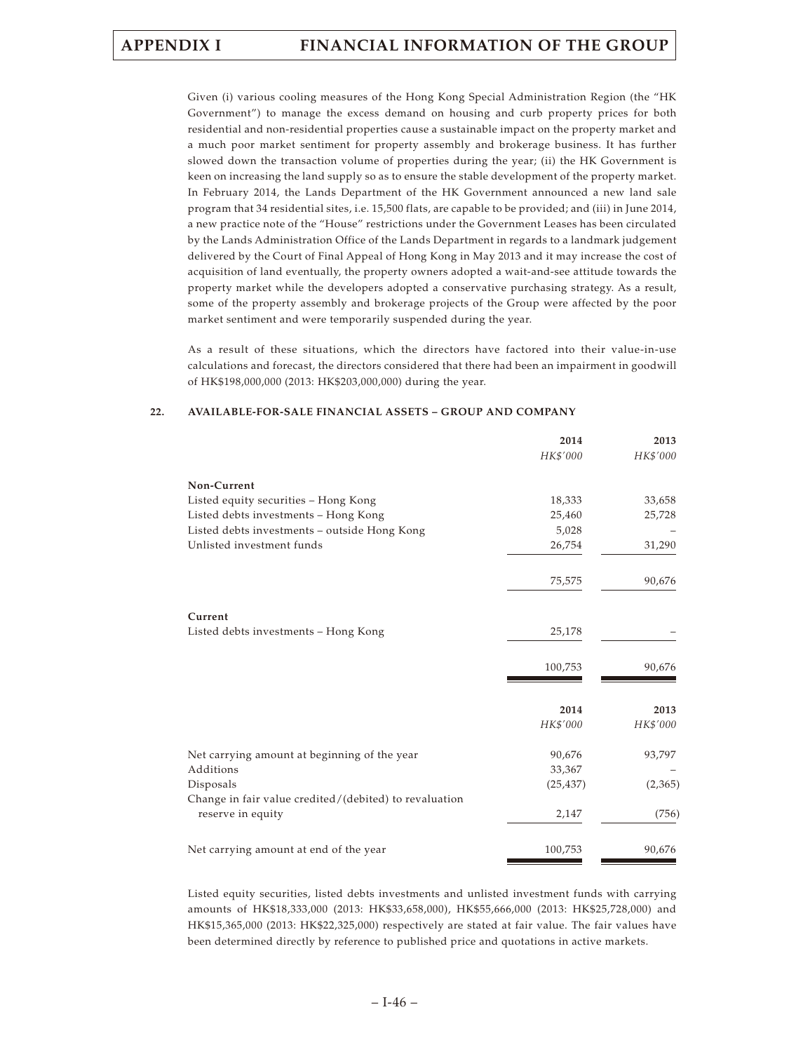Given (i) various cooling measures of the Hong Kong Special Administration Region (the "HK Government") to manage the excess demand on housing and curb property prices for both residential and non-residential properties cause a sustainable impact on the property market and a much poor market sentiment for property assembly and brokerage business. It has further slowed down the transaction volume of properties during the year; (ii) the HK Government is keen on increasing the land supply so as to ensure the stable development of the property market. In February 2014, the Lands Department of the HK Government announced a new land sale program that 34 residential sites, i.e. 15,500 flats, are capable to be provided; and (iii) in June 2014, a new practice note of the "House" restrictions under the Government Leases has been circulated by the Lands Administration Office of the Lands Department in regards to a landmark judgement delivered by the Court of Final Appeal of Hong Kong in May 2013 and it may increase the cost of acquisition of land eventually, the property owners adopted a wait-and-see attitude towards the property market while the developers adopted a conservative purchasing strategy. As a result, some of the property assembly and brokerage projects of the Group were affected by the poor market sentiment and were temporarily suspended during the year.

As a result of these situations, which the directors have factored into their value-in-use calculations and forecast, the directors considered that there had been an impairment in goodwill of HK\$198,000,000 (2013: HK\$203,000,000) during the year.

|                                                        | 2014<br>HK\$'000 | 2013<br>HK\$'000 |
|--------------------------------------------------------|------------------|------------------|
|                                                        |                  |                  |
| Non-Current                                            |                  |                  |
| Listed equity securities - Hong Kong                   | 18,333           | 33,658           |
| Listed debts investments - Hong Kong                   | 25,460           | 25,728           |
| Listed debts investments - outside Hong Kong           | 5,028            |                  |
| Unlisted investment funds                              | 26,754           | 31,290           |
|                                                        | 75,575           | 90,676           |
|                                                        |                  |                  |
| Current                                                |                  |                  |
| Listed debts investments - Hong Kong                   | 25,178           |                  |
|                                                        | 100,753          | 90,676           |
|                                                        |                  |                  |
|                                                        | 2014             | 2013             |
|                                                        | HK\$'000         | HK\$'000         |
| Net carrying amount at beginning of the year           | 90,676           | 93,797           |
| Additions                                              | 33,367           |                  |
| Disposals                                              | (25, 437)        | (2,365)          |
| Change in fair value credited/(debited) to revaluation |                  |                  |
| reserve in equity                                      | 2,147            | (756)            |
| Net carrying amount at end of the year                 | 100,753          | 90,676           |

### **22. AVAILABLE-FOR-SALE FINANCIAL ASSETS – GROUP AND COMPANY**

Listed equity securities, listed debts investments and unlisted investment funds with carrying amounts of HK\$18,333,000 (2013: HK\$33,658,000), HK\$55,666,000 (2013: HK\$25,728,000) and HK\$15,365,000 (2013: HK\$22,325,000) respectively are stated at fair value. The fair values have been determined directly by reference to published price and quotations in active markets.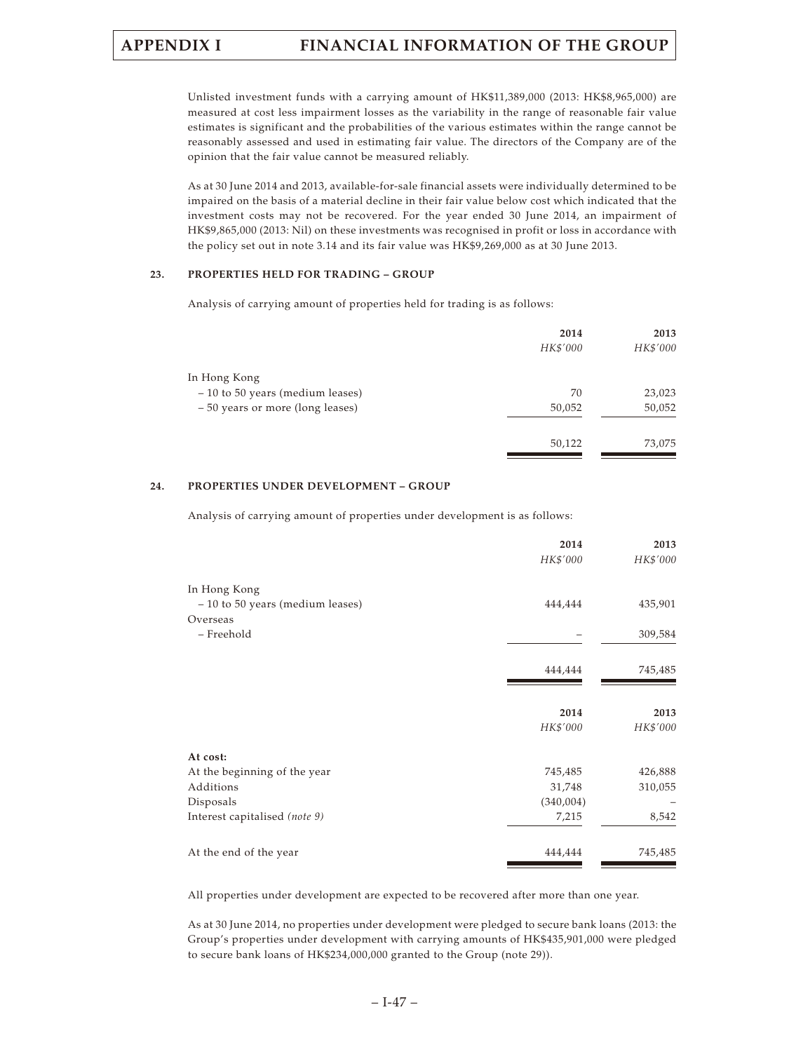Unlisted investment funds with a carrying amount of HK\$11,389,000 (2013: HK\$8,965,000) are measured at cost less impairment losses as the variability in the range of reasonable fair value estimates is significant and the probabilities of the various estimates within the range cannot be reasonably assessed and used in estimating fair value. The directors of the Company are of the opinion that the fair value cannot be measured reliably.

As at 30 June 2014 and 2013, available-for-sale financial assets were individually determined to be impaired on the basis of a material decline in their fair value below cost which indicated that the investment costs may not be recovered. For the year ended 30 June 2014, an impairment of HK\$9,865,000 (2013: Nil) on these investments was recognised in profit or loss in accordance with the policy set out in note 3.14 and its fair value was HK\$9,269,000 as at 30 June 2013.

### **23. PROPERTIES HELD FOR TRADING – GROUP**

Analysis of carrying amount of properties held for trading is as follows:

| 2014     | 2013     |
|----------|----------|
| HK\$'000 | HK\$'000 |
|          |          |
| 70       | 23,023   |
| 50,052   | 50,052   |
| 50,122   | 73,075   |
|          |          |

### **24. PROPERTIES UNDER DEVELOPMENT – GROUP**

Analysis of carrying amount of properties under development is as follows:

|                                  | 2014      | 2013     |
|----------------------------------|-----------|----------|
|                                  | HK\$'000  | HK\$'000 |
| In Hong Kong                     |           |          |
| - 10 to 50 years (medium leases) | 444,444   | 435,901  |
| Overseas                         |           |          |
| - Freehold                       |           | 309,584  |
|                                  | 444,444   | 745,485  |
|                                  |           |          |
|                                  | 2014      | 2013     |
|                                  | HK\$'000  | HK\$'000 |
| At cost:                         |           |          |
| At the beginning of the year     | 745,485   | 426,888  |
| Additions                        | 31,748    | 310,055  |
| Disposals                        | (340,004) |          |
| Interest capitalised (note 9)    | 7,215     | 8,542    |
| At the end of the year           | 444,444   | 745,485  |
|                                  |           |          |

All properties under development are expected to be recovered after more than one year.

As at 30 June 2014, no properties under development were pledged to secure bank loans (2013: the Group's properties under development with carrying amounts of HK\$435,901,000 were pledged to secure bank loans of HK\$234,000,000 granted to the Group (note 29)).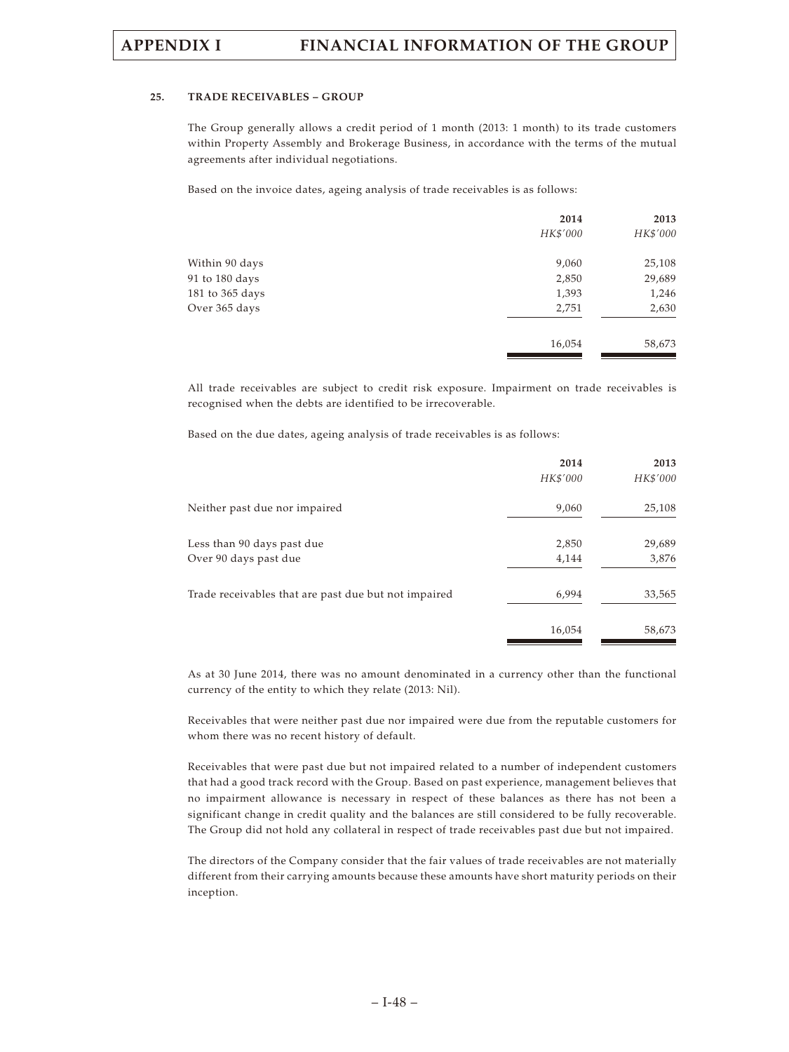### **25. TRADE RECEIVABLES – GROUP**

The Group generally allows a credit period of 1 month (2013: 1 month) to its trade customers within Property Assembly and Brokerage Business, in accordance with the terms of the mutual agreements after individual negotiations.

Based on the invoice dates, ageing analysis of trade receivables is as follows:

|                 | 2014     | 2013     |
|-----------------|----------|----------|
|                 | HK\$'000 | HK\$'000 |
| Within 90 days  | 9,060    | 25,108   |
| 91 to 180 days  | 2,850    | 29,689   |
| 181 to 365 days | 1,393    | 1,246    |
| Over 365 days   | 2,751    | 2,630    |
|                 | 16,054   | 58,673   |
|                 |          |          |

All trade receivables are subject to credit risk exposure. Impairment on trade receivables is recognised when the debts are identified to be irrecoverable.

Based on the due dates, ageing analysis of trade receivables is as follows:

|                                                      | 2014<br>HK\$'000 | 2013<br>HK\$'000 |
|------------------------------------------------------|------------------|------------------|
| Neither past due nor impaired                        | 9,060            | 25,108           |
| Less than 90 days past due                           | 2,850            | 29,689           |
| Over 90 days past due                                | 4,144            | 3,876            |
| Trade receivables that are past due but not impaired | 6,994            | 33,565           |
|                                                      | 16,054           | 58,673           |

As at 30 June 2014, there was no amount denominated in a currency other than the functional currency of the entity to which they relate (2013: Nil).

Receivables that were neither past due nor impaired were due from the reputable customers for whom there was no recent history of default.

Receivables that were past due but not impaired related to a number of independent customers that had a good track record with the Group. Based on past experience, management believes that no impairment allowance is necessary in respect of these balances as there has not been a significant change in credit quality and the balances are still considered to be fully recoverable. The Group did not hold any collateral in respect of trade receivables past due but not impaired.

The directors of the Company consider that the fair values of trade receivables are not materially different from their carrying amounts because these amounts have short maturity periods on their inception.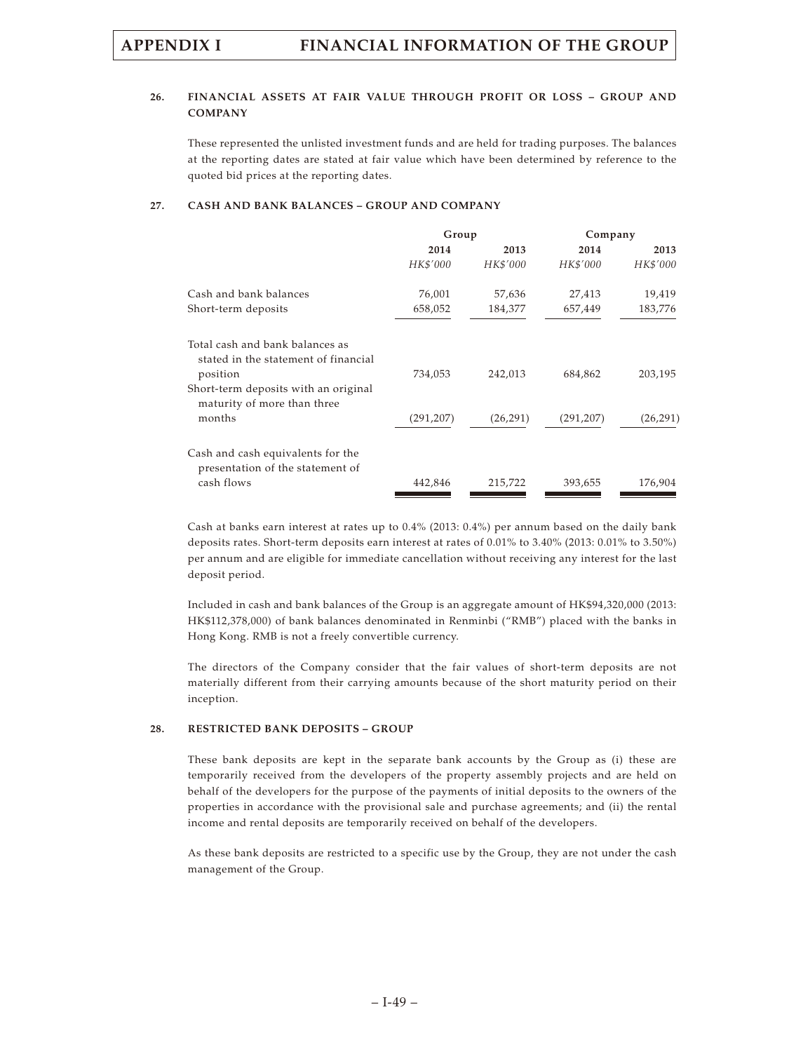### **26. FINANCIAL ASSETS AT FAIR VALUE THROUGH PROFIT OR LOSS – GROUP AND COMPANY**

These represented the unlisted investment funds and are held for trading purposes. The balances at the reporting dates are stated at fair value which have been determined by reference to the quoted bid prices at the reporting dates.

### **27. CASH AND BANK BALANCES – GROUP AND COMPANY**

|                                                                                     | Group      |           | Company    |           |
|-------------------------------------------------------------------------------------|------------|-----------|------------|-----------|
|                                                                                     | 2014       | 2013      | 2014       | 2013      |
|                                                                                     | HK\$'000   | HK\$'000  | HK\$'000   | HK\$'000  |
| Cash and bank balances                                                              | 76,001     | 57,636    | 27,413     | 19,419    |
| Short-term deposits                                                                 | 658,052    | 184,377   | 657,449    | 183,776   |
| Total cash and bank balances as<br>stated in the statement of financial<br>position | 734,053    | 242,013   | 684,862    | 203,195   |
| Short-term deposits with an original<br>maturity of more than three                 |            |           |            |           |
| months                                                                              | (291, 207) | (26, 291) | (291, 207) | (26, 291) |
| Cash and cash equivalents for the<br>presentation of the statement of               |            |           |            |           |
| cash flows                                                                          | 442,846    | 215,722   | 393,655    | 176,904   |

Cash at banks earn interest at rates up to 0.4% (2013: 0.4%) per annum based on the daily bank deposits rates. Short-term deposits earn interest at rates of 0.01% to 3.40% (2013: 0.01% to 3.50%) per annum and are eligible for immediate cancellation without receiving any interest for the last deposit period.

Included in cash and bank balances of the Group is an aggregate amount of HK\$94,320,000 (2013: HK\$112,378,000) of bank balances denominated in Renminbi ("RMB") placed with the banks in Hong Kong. RMB is not a freely convertible currency.

The directors of the Company consider that the fair values of short-term deposits are not materially different from their carrying amounts because of the short maturity period on their inception.

### **28. RESTRICTED BANK DEPOSITS – GROUP**

These bank deposits are kept in the separate bank accounts by the Group as (i) these are temporarily received from the developers of the property assembly projects and are held on behalf of the developers for the purpose of the payments of initial deposits to the owners of the properties in accordance with the provisional sale and purchase agreements; and (ii) the rental income and rental deposits are temporarily received on behalf of the developers.

As these bank deposits are restricted to a specific use by the Group, they are not under the cash management of the Group.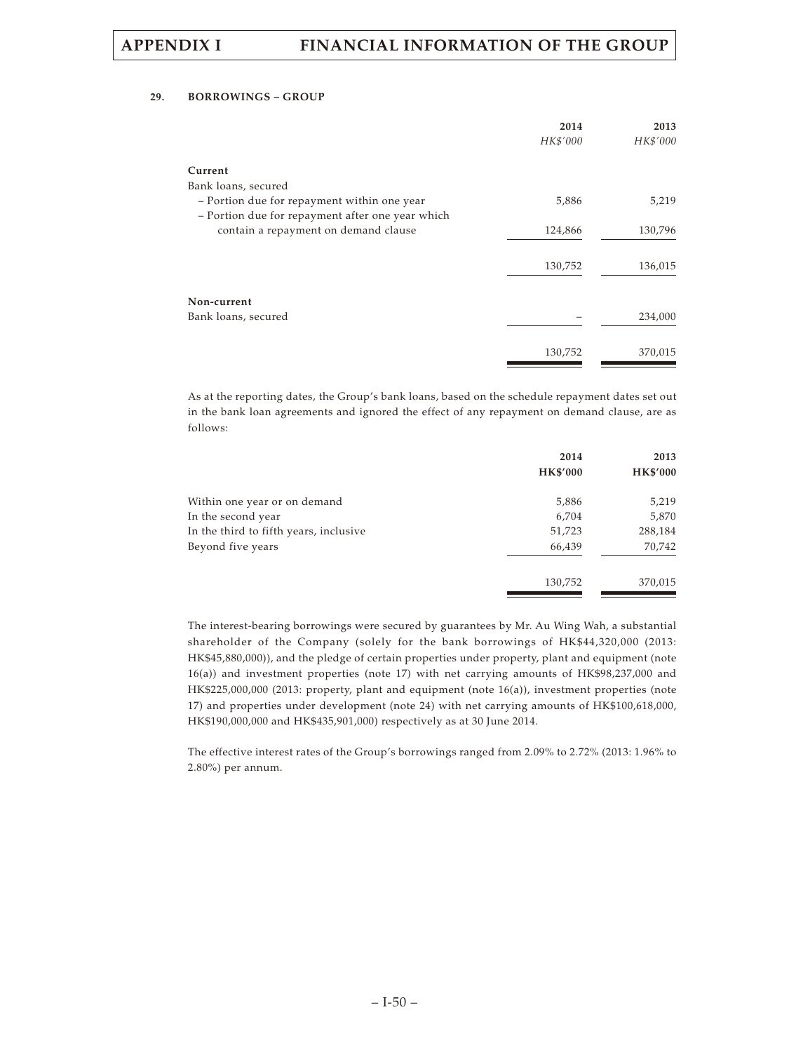### **29. BORROWINGS – GROUP**

| 2014<br>HK\$'000 | 2013<br>HK\$'000   |
|------------------|--------------------|
|                  |                    |
|                  |                    |
| 5,886            | 5,219              |
|                  |                    |
| 124,866          | 130,796            |
|                  |                    |
|                  | 136,015            |
|                  |                    |
|                  |                    |
|                  | 234,000            |
|                  |                    |
|                  |                    |
|                  | 370,015            |
|                  | 130,752<br>130,752 |

As at the reporting dates, the Group's bank loans, based on the schedule repayment dates set out in the bank loan agreements and ignored the effect of any repayment on demand clause, are as follows:

|                                        | 2014            | 2013            |
|----------------------------------------|-----------------|-----------------|
|                                        | <b>HK\$'000</b> | <b>HK\$'000</b> |
| Within one year or on demand           | 5,886           | 5,219           |
| In the second year                     | 6,704           | 5,870           |
| In the third to fifth years, inclusive | 51,723          | 288,184         |
| Beyond five years                      | 66,439          | 70,742          |
|                                        | 130,752         | 370,015         |

The interest-bearing borrowings were secured by guarantees by Mr. Au Wing Wah, a substantial shareholder of the Company (solely for the bank borrowings of HK\$44,320,000 (2013: HK\$45,880,000)), and the pledge of certain properties under property, plant and equipment (note 16(a)) and investment properties (note 17) with net carrying amounts of HK\$98,237,000 and HK\$225,000,000 (2013: property, plant and equipment (note 16(a)), investment properties (note 17) and properties under development (note 24) with net carrying amounts of HK\$100,618,000, HK\$190,000,000 and HK\$435,901,000) respectively as at 30 June 2014.

The effective interest rates of the Group's borrowings ranged from 2.09% to 2.72% (2013: 1.96% to 2.80%) per annum.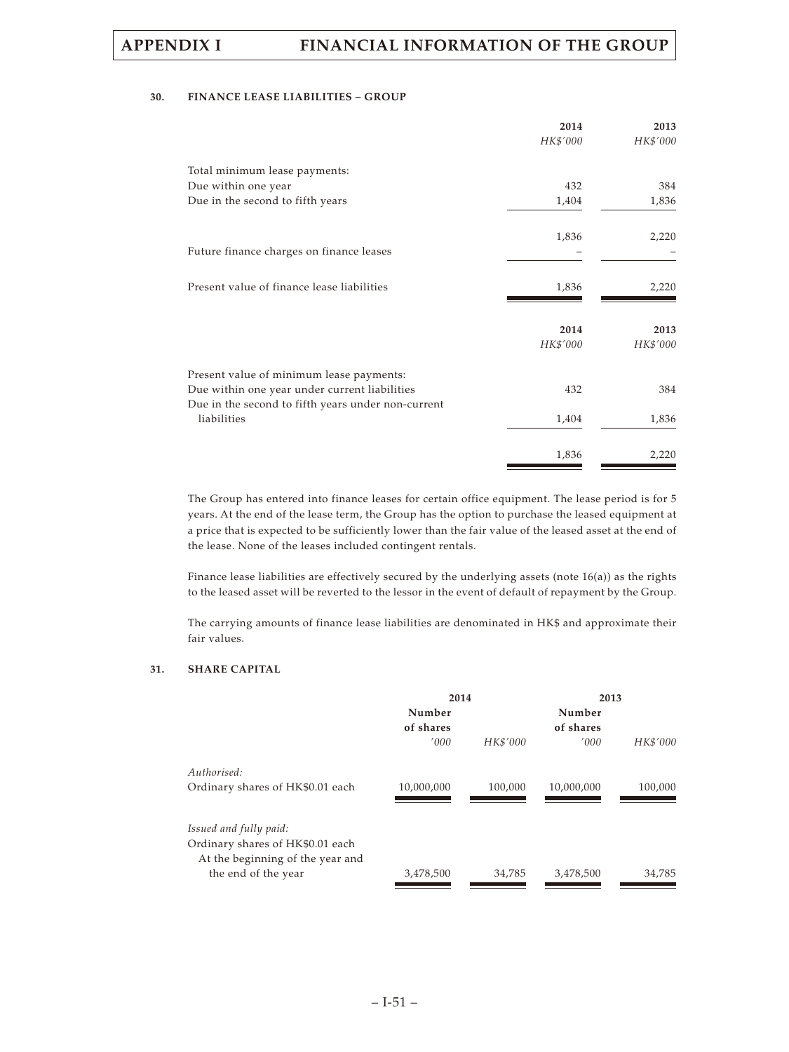### **30. FINANCE LEASE LIABILITIES – GROUP**

|                                                    | 2014     | 2013     |
|----------------------------------------------------|----------|----------|
|                                                    | HK\$'000 | HK\$'000 |
| Total minimum lease payments:                      |          |          |
| Due within one year                                | 432      | 384      |
| Due in the second to fifth years                   | 1,404    | 1,836    |
|                                                    | 1,836    | 2,220    |
| Future finance charges on finance leases           |          |          |
| Present value of finance lease liabilities         | 1,836    | 2,220    |
|                                                    | 2014     | 2013     |
|                                                    | HK\$'000 | HK\$'000 |
| Present value of minimum lease payments:           |          |          |
| Due within one year under current liabilities      | 432      | 384      |
| Due in the second to fifth years under non-current |          |          |
| liabilities                                        | 1,404    | 1,836    |
|                                                    | 1,836    | 2,220    |

The Group has entered into finance leases for certain office equipment. The lease period is for 5 years. At the end of the lease term, the Group has the option to purchase the leased equipment at a price that is expected to be sufficiently lower than the fair value of the leased asset at the end of the lease. None of the leases included contingent rentals.

Finance lease liabilities are effectively secured by the underlying assets (note 16(a)) as the rights to the leased asset will be reverted to the lessor in the event of default of repayment by the Group.

The carrying amounts of finance lease liabilities are denominated in HK\$ and approximate their fair values.

### **31. SHARE CAPITAL**

|                                  | 2014       |          | 2013       |          |  |
|----------------------------------|------------|----------|------------|----------|--|
|                                  | Number     |          | Number     |          |  |
|                                  | of shares  |          | of shares  |          |  |
|                                  | '000       | HK\$'000 | '000       | HK\$'000 |  |
| Authorised:                      |            |          |            |          |  |
| Ordinary shares of HK\$0.01 each | 10,000,000 | 100,000  | 10,000,000 | 100,000  |  |
| Issued and fully paid:           |            |          |            |          |  |
| Ordinary shares of HK\$0.01 each |            |          |            |          |  |
| At the beginning of the year and |            |          |            |          |  |
| the end of the year              | 3,478,500  | 34,785   | 3,478,500  | 34,785   |  |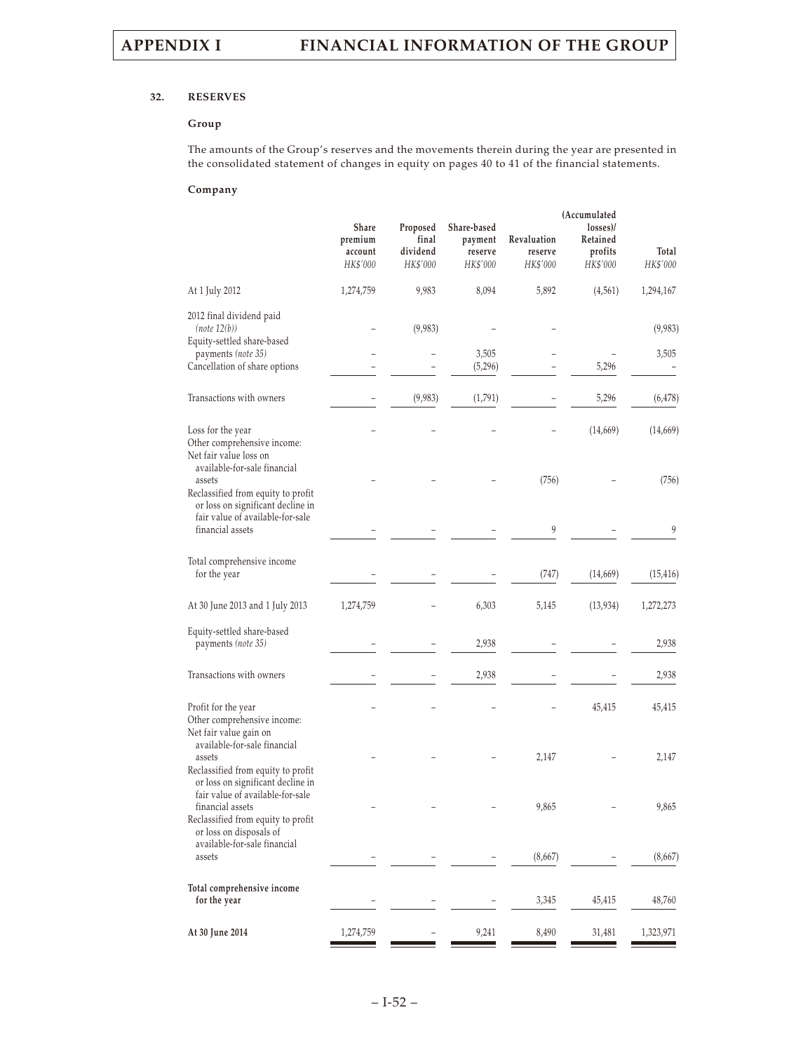### **32. RESERVES**

### **Group**

The amounts of the Group's reserves and the movements therein during the year are presented in the consolidated statement of changes in equity on pages 40 to 41 of the financial statements.

### **Company**

|                                                                                                                                                       | Share<br>premium<br>account<br>HK\$'000 | Proposed<br>final<br>dividend<br>HK\$'000 | Share-based<br>payment<br>reserve<br>HK\$'000 | Revaluation<br>reserve<br>HK\$'000 | (Accumulated<br>losses)/<br>Retained<br>profits<br>HK\$'000 | Total<br>HK\$'000 |
|-------------------------------------------------------------------------------------------------------------------------------------------------------|-----------------------------------------|-------------------------------------------|-----------------------------------------------|------------------------------------|-------------------------------------------------------------|-------------------|
| At 1 July 2012                                                                                                                                        | 1,274,759                               | 9,983                                     | 8,094                                         | 5,892                              | (4, 561)                                                    | 1,294,167         |
| 2012 final dividend paid<br>(note 12(b))<br>Equity-settled share-based                                                                                |                                         | (9,983)                                   |                                               |                                    |                                                             | (9,983)           |
| payments (note 35)<br>Cancellation of share options                                                                                                   |                                         |                                           | 3,505<br>(5,296)                              |                                    | 5,296                                                       | 3,505             |
| Transactions with owners                                                                                                                              |                                         | (9,983)                                   | (1,791)                                       |                                    | 5,296                                                       | (6, 478)          |
| Loss for the year<br>Other comprehensive income:<br>Net fair value loss on                                                                            |                                         |                                           |                                               |                                    | (14,669)                                                    | (14,669)          |
| available-for-sale financial<br>assets<br>Reclassified from equity to profit<br>or loss on significant decline in<br>fair value of available-for-sale |                                         |                                           |                                               | (756)                              |                                                             | (756)             |
| financial assets                                                                                                                                      |                                         |                                           |                                               | 9                                  |                                                             | 9                 |
| Total comprehensive income<br>for the year                                                                                                            |                                         |                                           |                                               | (747)                              | (14,669)                                                    | (15, 416)         |
| At 30 June 2013 and 1 July 2013                                                                                                                       | 1,274,759                               |                                           | 6,303                                         | 5,145                              | (13, 934)                                                   | 1,272,273         |
| Equity-settled share-based<br>payments (note 35)                                                                                                      |                                         |                                           | 2,938                                         |                                    |                                                             | 2,938             |
| Transactions with owners                                                                                                                              |                                         |                                           | 2,938                                         |                                    |                                                             | 2,938             |
| Profit for the year<br>Other comprehensive income:<br>Net fair value gain on                                                                          |                                         |                                           |                                               |                                    | 45,415                                                      | 45,415            |
| available-for-sale financial<br>assets<br>Reclassified from equity to profit<br>or loss on significant decline in                                     |                                         |                                           |                                               | 2,147                              |                                                             | 2,147             |
| fair value of available-for-sale<br>financial assets<br>Reclassified from equity to profit<br>or loss on disposals of                                 |                                         |                                           |                                               | 9,865                              |                                                             | 9,865             |
| available-for-sale financial<br>assets                                                                                                                |                                         |                                           |                                               | (8,667)                            |                                                             | (8,667)           |
| Total comprehensive income<br>for the year                                                                                                            |                                         |                                           |                                               | 3,345                              | 45,415                                                      | 48,760            |
| At 30 June 2014                                                                                                                                       | 1,274,759                               |                                           | 9,241                                         | 8,490                              | 31,481                                                      | 1,323,971         |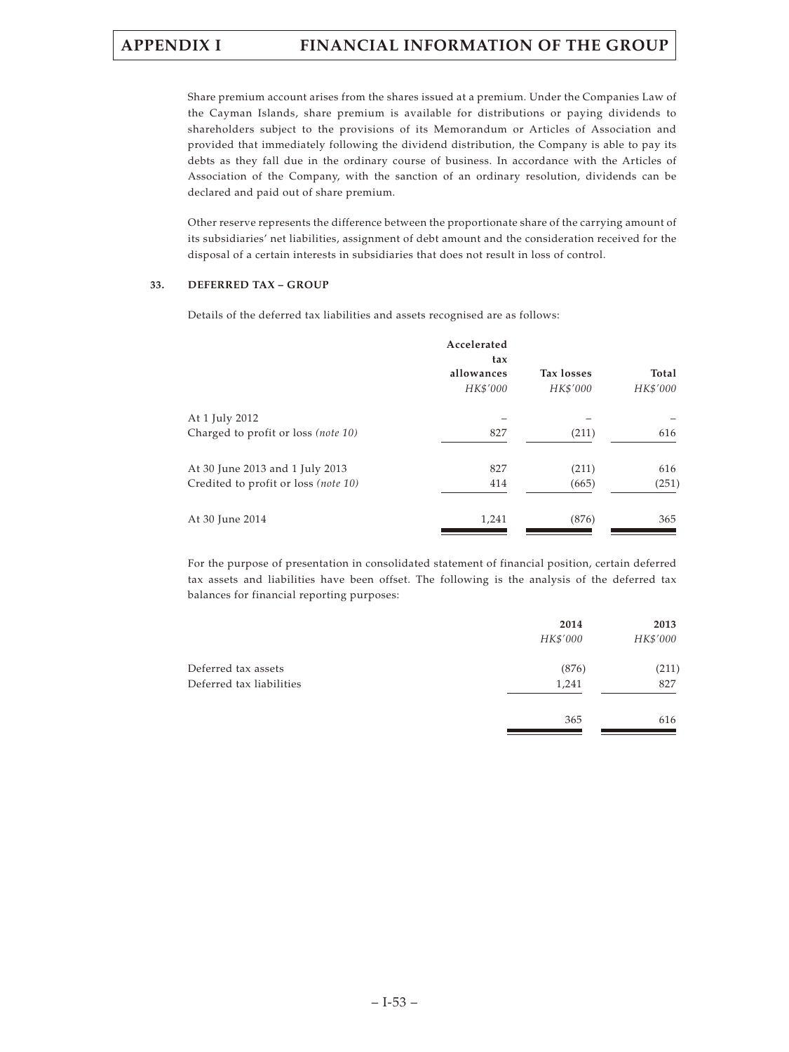Share premium account arises from the shares issued at a premium. Under the Companies Law of the Cayman Islands, share premium is available for distributions or paying dividends to shareholders subject to the provisions of its Memorandum or Articles of Association and provided that immediately following the dividend distribution, the Company is able to pay its debts as they fall due in the ordinary course of business. In accordance with the Articles of Association of the Company, with the sanction of an ordinary resolution, dividends can be declared and paid out of share premium.

Other reserve represents the difference between the proportionate share of the carrying amount of its subsidiaries' net liabilities, assignment of debt amount and the consideration received for the disposal of a certain interests in subsidiaries that does not result in loss of control.

### **33. DEFERRED TAX – GROUP**

Details of the deferred tax liabilities and assets recognised are as follows:

|                                      | Accelerated<br>tax<br>allowances<br>HK\$'000 | <b>Tax losses</b><br>HK\$'000 | Total<br>HK\$'000 |
|--------------------------------------|----------------------------------------------|-------------------------------|-------------------|
| At 1 July 2012                       |                                              |                               |                   |
| Charged to profit or loss (note 10)  | 827                                          | (211)                         | 616               |
| At 30 June 2013 and 1 July 2013      | 827                                          | (211)                         | 616               |
| Credited to profit or loss (note 10) | 414                                          | (665)                         | (251)             |
| At 30 June 2014                      | 1,241                                        | (876)                         | 365               |

For the purpose of presentation in consolidated statement of financial position, certain deferred tax assets and liabilities have been offset. The following is the analysis of the deferred tax balances for financial reporting purposes:

|                          | 2014     | 2013     |
|--------------------------|----------|----------|
|                          | HK\$'000 | HK\$'000 |
| Deferred tax assets      | (876)    | (211)    |
| Deferred tax liabilities | 1,241    | 827      |
|                          | 365      | 616      |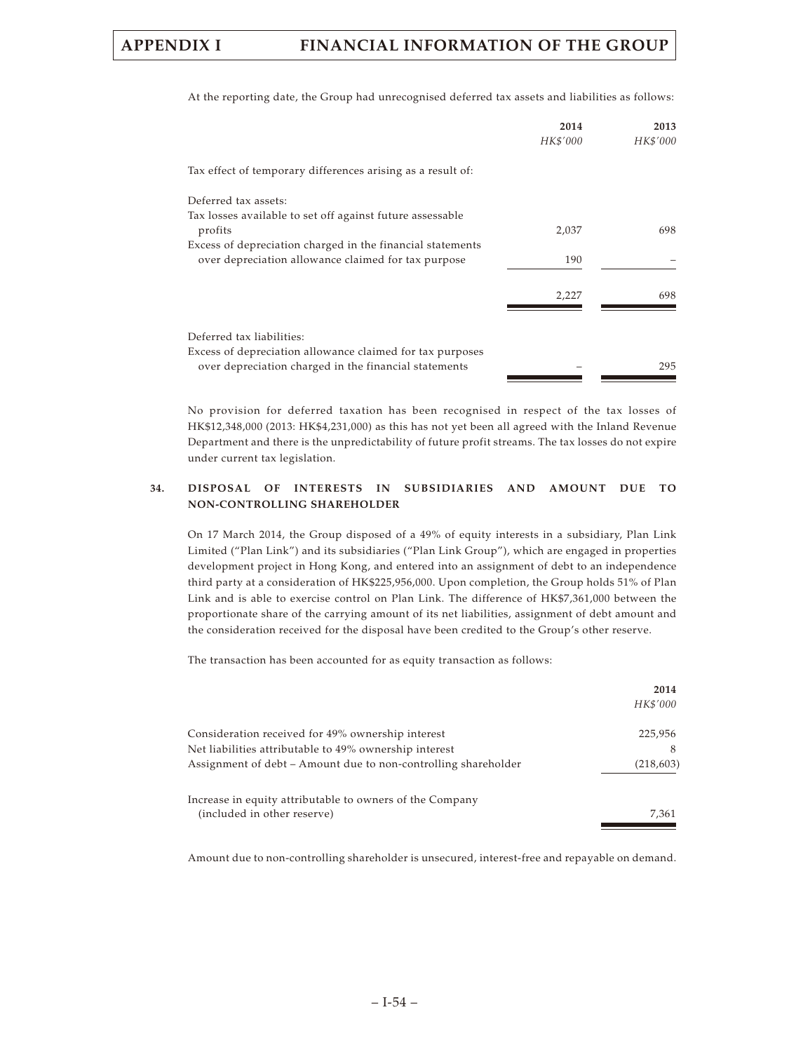|                                                             | 2014<br>HK\$'000 | 2013<br>HK\$'000 |
|-------------------------------------------------------------|------------------|------------------|
| Tax effect of temporary differences arising as a result of: |                  |                  |
| Deferred tax assets:                                        |                  |                  |
| Tax losses available to set off against future assessable   |                  |                  |
| profits                                                     | 2,037            | 698              |
| Excess of depreciation charged in the financial statements  |                  |                  |
| over depreciation allowance claimed for tax purpose         | 190              |                  |
|                                                             | 2.227            | 698              |
|                                                             |                  |                  |
| Deferred tax liabilities:                                   |                  |                  |
| Excess of depreciation allowance claimed for tax purposes   |                  |                  |
| over depreciation charged in the financial statements       |                  | 295              |
|                                                             |                  |                  |

At the reporting date, the Group had unrecognised deferred tax assets and liabilities as follows:

No provision for deferred taxation has been recognised in respect of the tax losses of HK\$12,348,000 (2013: HK\$4,231,000) as this has not yet been all agreed with the Inland Revenue Department and there is the unpredictability of future profit streams. The tax losses do not expire under current tax legislation.

### **34. DISPOSAL OF INTERESTS IN SUBSIDIARIES AND AMOUNT DUE TO NON-CONTROLLING SHAREHOLDER**

On 17 March 2014, the Group disposed of a 49% of equity interests in a subsidiary, Plan Link Limited ("Plan Link") and its subsidiaries ("Plan Link Group"), which are engaged in properties development project in Hong Kong, and entered into an assignment of debt to an independence third party at a consideration of HK\$225,956,000. Upon completion, the Group holds 51% of Plan Link and is able to exercise control on Plan Link. The difference of HK\$7,361,000 between the proportionate share of the carrying amount of its net liabilities, assignment of debt amount and the consideration received for the disposal have been credited to the Group's other reserve.

The transaction has been accounted for as equity transaction as follows:

|                                                                | 2014       |
|----------------------------------------------------------------|------------|
|                                                                | HK\$'000   |
| Consideration received for 49% ownership interest              | 225,956    |
| Net liabilities attributable to 49% ownership interest         |            |
| Assignment of debt – Amount due to non-controlling shareholder | (218, 603) |
| Increase in equity attributable to owners of the Company       |            |
| (included in other reserve)                                    | 7,361      |

Amount due to non-controlling shareholder is unsecured, interest-free and repayable on demand.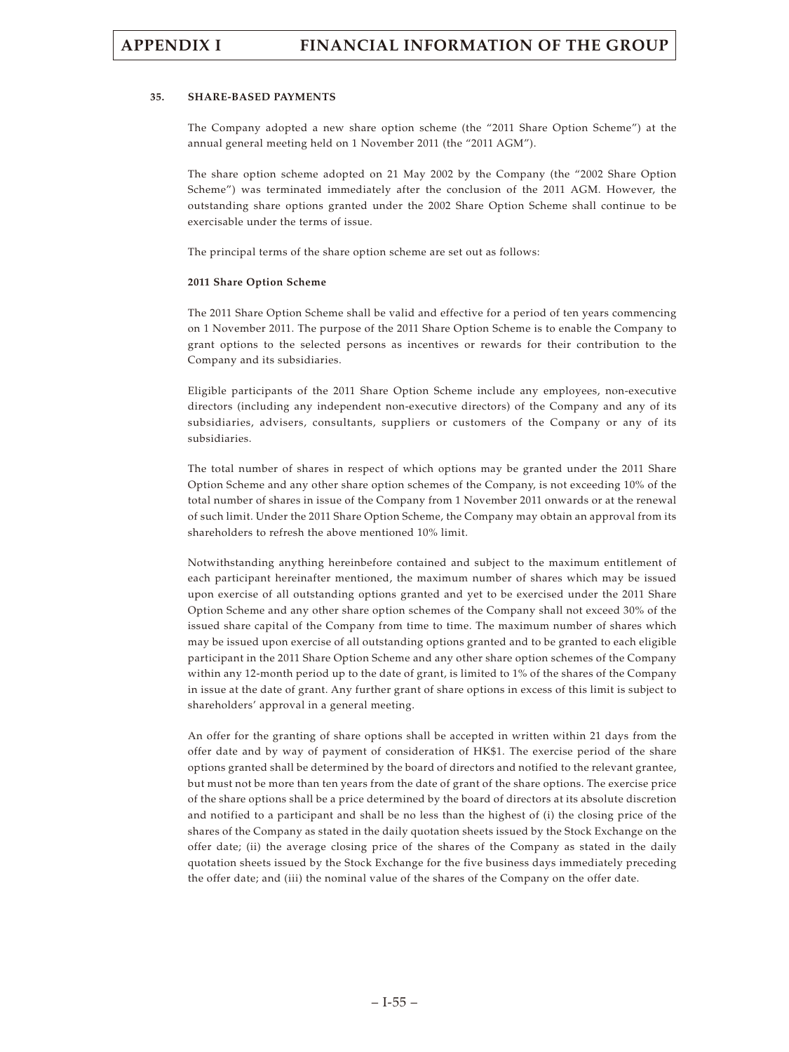### **35. SHARE-BASED PAYMENTS**

The Company adopted a new share option scheme (the "2011 Share Option Scheme") at the annual general meeting held on 1 November 2011 (the "2011 AGM").

The share option scheme adopted on 21 May 2002 by the Company (the "2002 Share Option Scheme") was terminated immediately after the conclusion of the 2011 AGM. However, the outstanding share options granted under the 2002 Share Option Scheme shall continue to be exercisable under the terms of issue.

The principal terms of the share option scheme are set out as follows:

### **2011 Share Option Scheme**

The 2011 Share Option Scheme shall be valid and effective for a period of ten years commencing on 1 November 2011. The purpose of the 2011 Share Option Scheme is to enable the Company to grant options to the selected persons as incentives or rewards for their contribution to the Company and its subsidiaries.

Eligible participants of the 2011 Share Option Scheme include any employees, non-executive directors (including any independent non-executive directors) of the Company and any of its subsidiaries, advisers, consultants, suppliers or customers of the Company or any of its subsidiaries.

The total number of shares in respect of which options may be granted under the 2011 Share Option Scheme and any other share option schemes of the Company, is not exceeding 10% of the total number of shares in issue of the Company from 1 November 2011 onwards or at the renewal of such limit. Under the 2011 Share Option Scheme, the Company may obtain an approval from its shareholders to refresh the above mentioned 10% limit.

Notwithstanding anything hereinbefore contained and subject to the maximum entitlement of each participant hereinafter mentioned, the maximum number of shares which may be issued upon exercise of all outstanding options granted and yet to be exercised under the 2011 Share Option Scheme and any other share option schemes of the Company shall not exceed 30% of the issued share capital of the Company from time to time. The maximum number of shares which may be issued upon exercise of all outstanding options granted and to be granted to each eligible participant in the 2011 Share Option Scheme and any other share option schemes of the Company within any 12-month period up to the date of grant, is limited to 1% of the shares of the Company in issue at the date of grant. Any further grant of share options in excess of this limit is subject to shareholders' approval in a general meeting.

An offer for the granting of share options shall be accepted in written within 21 days from the offer date and by way of payment of consideration of HK\$1. The exercise period of the share options granted shall be determined by the board of directors and notified to the relevant grantee, but must not be more than ten years from the date of grant of the share options. The exercise price of the share options shall be a price determined by the board of directors at its absolute discretion and notified to a participant and shall be no less than the highest of (i) the closing price of the shares of the Company as stated in the daily quotation sheets issued by the Stock Exchange on the offer date; (ii) the average closing price of the shares of the Company as stated in the daily quotation sheets issued by the Stock Exchange for the five business days immediately preceding the offer date; and (iii) the nominal value of the shares of the Company on the offer date.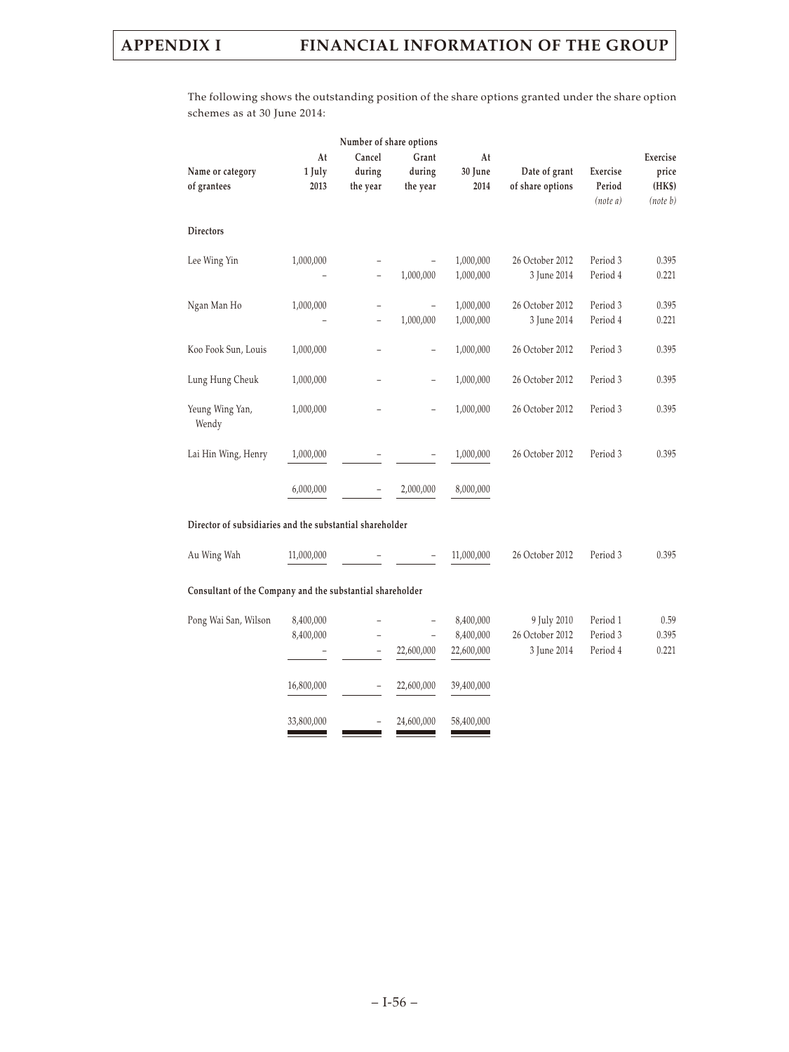The following shows the outstanding position of the share options granted under the share option schemes as at 30 June 2014:

|                                                           |                      | Number of share options       |                             |                        |                                   |                                |                                         |
|-----------------------------------------------------------|----------------------|-------------------------------|-----------------------------|------------------------|-----------------------------------|--------------------------------|-----------------------------------------|
| Name or category<br>of grantees                           | At<br>1 July<br>2013 | Cancel<br>during<br>the year  | Grant<br>during<br>the year | At<br>30 June<br>2014  | Date of grant<br>of share options | Exercise<br>Period<br>(note a) | Exercise<br>price<br>(HK\$)<br>(note b) |
| <b>Directors</b>                                          |                      |                               |                             |                        |                                   |                                |                                         |
| Lee Wing Yin                                              | 1,000,000            | $\overline{\phantom{0}}$      | 1,000,000                   | 1,000,000<br>1,000,000 | 26 October 2012<br>3 June 2014    | Period 3<br>Period 4           | 0.395<br>0.221                          |
| Ngan Man Ho                                               | 1,000,000            | -<br>$\overline{\phantom{0}}$ | 1,000,000                   | 1,000,000<br>1,000,000 | 26 October 2012<br>3 June 2014    | Period 3<br>Period 4           | 0.395<br>0.221                          |
| Koo Fook Sun, Louis                                       | 1,000,000            | -                             | $\overline{a}$              | 1,000,000              | 26 October 2012                   | Period 3                       | 0.395                                   |
| Lung Hung Cheuk                                           | 1,000,000            |                               | $\overline{a}$              | 1,000,000              | 26 October 2012                   | Period 3                       | 0.395                                   |
| Yeung Wing Yan,<br>Wendy                                  | 1,000,000            |                               | $\overline{\phantom{0}}$    | 1,000,000              | 26 October 2012                   | Period 3                       | 0.395                                   |
| Lai Hin Wing, Henry                                       | 1,000,000            |                               |                             | 1,000,000              | 26 October 2012                   | Period 3                       | 0.395                                   |
|                                                           | 6,000,000            |                               | 2,000,000                   | 8,000,000              |                                   |                                |                                         |
| Director of subsidiaries and the substantial shareholder  |                      |                               |                             |                        |                                   |                                |                                         |
| Au Wing Wah                                               | 11,000,000           |                               |                             | 11,000,000             | 26 October 2012                   | Period 3                       | 0.395                                   |
| Consultant of the Company and the substantial shareholder |                      |                               |                             |                        |                                   |                                |                                         |

| Pong Wai San, Wilson | 8,400,000<br>8,400,000 |   | -<br>-<br>22,600,000 | 8,400,000<br>8,400,000<br>22,600,000 | 9 July 2010<br>26 October 2012<br>3 June 2014 | Period 1<br>Period 3<br>Period 4 | 0.59<br>0.395<br>0.221 |
|----------------------|------------------------|---|----------------------|--------------------------------------|-----------------------------------------------|----------------------------------|------------------------|
|                      | 16,800,000             |   | 22,600,000           | 39,400,000                           |                                               |                                  |                        |
|                      | 33,800,000             | - | 24,600,000           | 58,400,000                           |                                               |                                  |                        |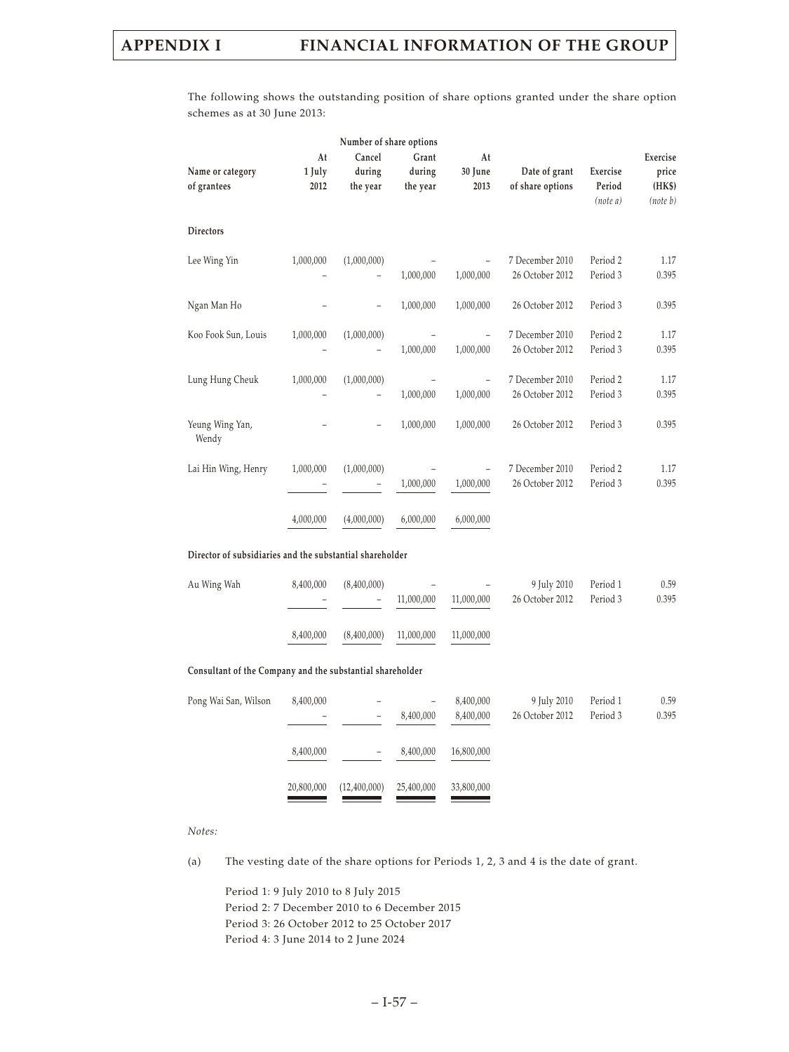The following shows the outstanding position of share options granted under the share option schemes as at 30 June 2013:

| At<br>1 July<br>2012 | Cancel<br>during<br>the year            | Number of share options<br>Grant<br>during<br>the year | At<br>30 June<br>2013                                                                                                 | Date of grant<br>of share options  | Exercise<br>Period<br>(note a) | Exercise<br>price<br>(HK\$)<br>(note b) |
|----------------------|-----------------------------------------|--------------------------------------------------------|-----------------------------------------------------------------------------------------------------------------------|------------------------------------|--------------------------------|-----------------------------------------|
|                      |                                         |                                                        |                                                                                                                       |                                    |                                |                                         |
| 1,000,000            | (1,000,000)<br>$\overline{\phantom{0}}$ | 1,000,000                                              | 1,000,000                                                                                                             | 7 December 2010<br>26 October 2012 | Period 2<br>Period 3           | 1.17<br>0.395                           |
|                      |                                         | 1,000,000                                              | 1,000,000                                                                                                             | 26 October 2012                    | Period 3                       | 0.395                                   |
| 1,000,000            | (1,000,000)<br>$\overline{\phantom{0}}$ | 1,000,000                                              | 1,000,000                                                                                                             | 7 December 2010<br>26 October 2012 | Period 2<br>Period 3           | 1.17<br>0.395                           |
| 1,000,000            | (1,000,000)                             | 1,000,000                                              | $\qquad \qquad -$<br>1,000,000                                                                                        | 7 December 2010<br>26 October 2012 | Period 2<br>Period 3           | 1.17<br>0.395                           |
|                      |                                         | 1,000,000                                              | 1,000,000                                                                                                             | 26 October 2012                    | Period 3                       | 0.395                                   |
| 1,000,000            | (1,000,000)                             | 1,000,000                                              | 1,000,000                                                                                                             | 7 December 2010<br>26 October 2012 | Period 2<br>Period 3           | 1.17<br>0.395                           |
| 4,000,000            | (4,000,000)                             | 6,000,000                                              | 6,000,000                                                                                                             |                                    |                                |                                         |
|                      |                                         |                                                        |                                                                                                                       |                                    |                                |                                         |
| 8,400,000            | (8,400,000)                             | 11,000,000                                             | 11,000,000                                                                                                            | 9 July 2010<br>26 October 2012     | Period 1<br>Period 3           | 0.59<br>0.395                           |
| 8,400,000            | (8,400,000)                             | 11,000,000                                             | 11,000,000                                                                                                            |                                    |                                |                                         |
|                      |                                         |                                                        |                                                                                                                       |                                    |                                |                                         |
| 8,400,000            | $\qquad \qquad -$                       | ÷,<br>8,400,000                                        | 8,400,000<br>8,400,000                                                                                                | 9 July 2010<br>26 October 2012     | Period 1<br>Period 3           | 0.59<br>0.395                           |
| 8,400,000            |                                         | 8,400,000                                              | 16,800,000                                                                                                            |                                    |                                |                                         |
| 20,800,000           | (12,400,000)                            | 25,400,000                                             | 33,800,000                                                                                                            |                                    |                                |                                         |
|                      |                                         |                                                        | Director of subsidiaries and the substantial shareholder<br>Consultant of the Company and the substantial shareholder |                                    |                                |                                         |

### *Notes:*

(a) The vesting date of the share options for Periods 1, 2, 3 and 4 is the date of grant.

Period 1: 9 July 2010 to 8 July 2015 Period 2: 7 December 2010 to 6 December 2015 Period 3: 26 October 2012 to 25 October 2017 Period 4: 3 June 2014 to 2 June 2024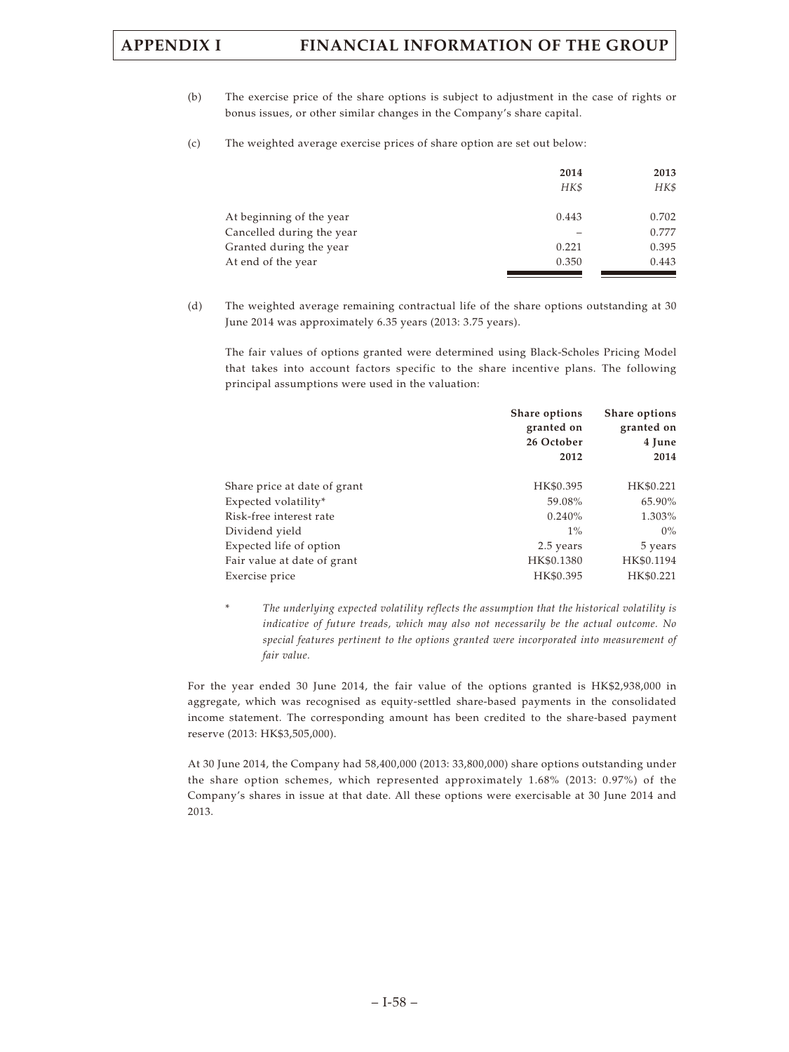- (b) The exercise price of the share options is subject to adjustment in the case of rights or bonus issues, or other similar changes in the Company's share capital.
- (c) The weighted average exercise prices of share option are set out below:

|                           | 2014<br>HK\$ | 2013<br>HK\$ |
|---------------------------|--------------|--------------|
| At beginning of the year  | 0.443        | 0.702        |
| Cancelled during the year |              | 0.777        |
| Granted during the year   | 0.221        | 0.395        |
| At end of the year        | 0.350        | 0.443        |

(d) The weighted average remaining contractual life of the share options outstanding at 30 June 2014 was approximately 6.35 years (2013: 3.75 years).

The fair values of options granted were determined using Black-Scholes Pricing Model that takes into account factors specific to the share incentive plans. The following principal assumptions were used in the valuation:

|                              | Share options<br>granted on<br>26 October<br>2012 | Share options<br>granted on<br>4 June<br>2014 |
|------------------------------|---------------------------------------------------|-----------------------------------------------|
| Share price at date of grant | HK\$0.395                                         | HK\$0.221                                     |
| Expected volatility*         | 59.08%                                            | 65.90%                                        |
| Risk-free interest rate      | 0.240%                                            | 1.303%                                        |
| Dividend yield               | $1\%$                                             | $0\%$                                         |
| Expected life of option      | 2.5 years                                         | 5 years                                       |
| Fair value at date of grant  | HK\$0.1380                                        | HK\$0.1194                                    |
| Exercise price               | HK\$0.395                                         | HK\$0.221                                     |

The underlying expected volatility reflects the assumption that the historical volatility is *indicative of future treads, which may also not necessarily be the actual outcome. No special features pertinent to the options granted were incorporated into measurement of fair value.*

For the year ended 30 June 2014, the fair value of the options granted is HK\$2,938,000 in aggregate, which was recognised as equity-settled share-based payments in the consolidated income statement. The corresponding amount has been credited to the share-based payment reserve (2013: HK\$3,505,000).

At 30 June 2014, the Company had 58,400,000 (2013: 33,800,000) share options outstanding under the share option schemes, which represented approximately 1.68% (2013: 0.97%) of the Company's shares in issue at that date. All these options were exercisable at 30 June 2014 and 2013.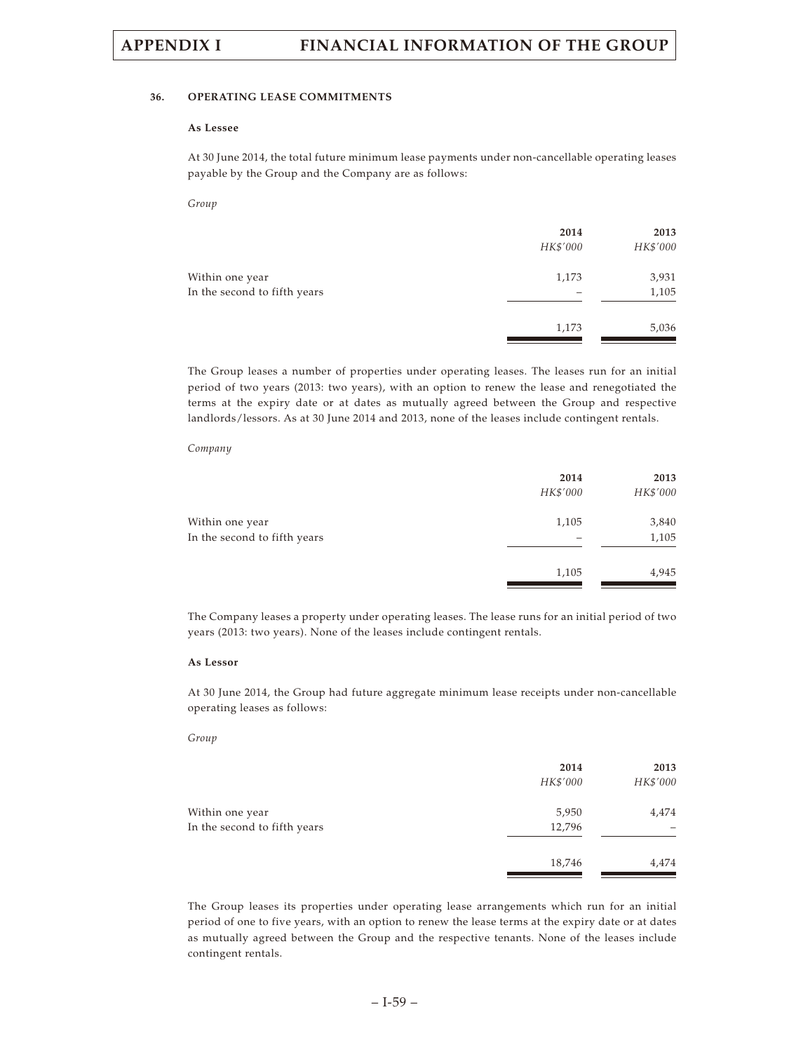### **36. OPERATING LEASE COMMITMENTS**

### **As Lessee**

At 30 June 2014, the total future minimum lease payments under non-cancellable operating leases payable by the Group and the Company are as follows:

*Group*

|                                                 | 2014<br>HK\$'000 | 2013<br>HK\$'000 |
|-------------------------------------------------|------------------|------------------|
| Within one year<br>In the second to fifth years | 1,173            | 3,931<br>1,105   |
|                                                 | 1,173            | 5,036            |

The Group leases a number of properties under operating leases. The leases run for an initial period of two years (2013: two years), with an option to renew the lease and renegotiated the terms at the expiry date or at dates as mutually agreed between the Group and respective landlords/lessors. As at 30 June 2014 and 2013, none of the leases include contingent rentals.

### *Company*

|                                                 | 2014<br>HK\$'000 | 2013<br>HK\$'000 |
|-------------------------------------------------|------------------|------------------|
| Within one year<br>In the second to fifth years | 1,105            | 3,840<br>1,105   |
|                                                 | 1,105            | 4,945            |

The Company leases a property under operating leases. The lease runs for an initial period of two years (2013: two years). None of the leases include contingent rentals.

### **As Lessor**

At 30 June 2014, the Group had future aggregate minimum lease receipts under non-cancellable operating leases as follows:

### *Group*

|                                                 | 2014<br>HK\$'000 | 2013<br>HK\$'000 |
|-------------------------------------------------|------------------|------------------|
| Within one year<br>In the second to fifth years | 5,950<br>12,796  | 4,474            |
|                                                 | 18,746           | 4,474            |

The Group leases its properties under operating lease arrangements which run for an initial period of one to five years, with an option to renew the lease terms at the expiry date or at dates as mutually agreed between the Group and the respective tenants. None of the leases include contingent rentals.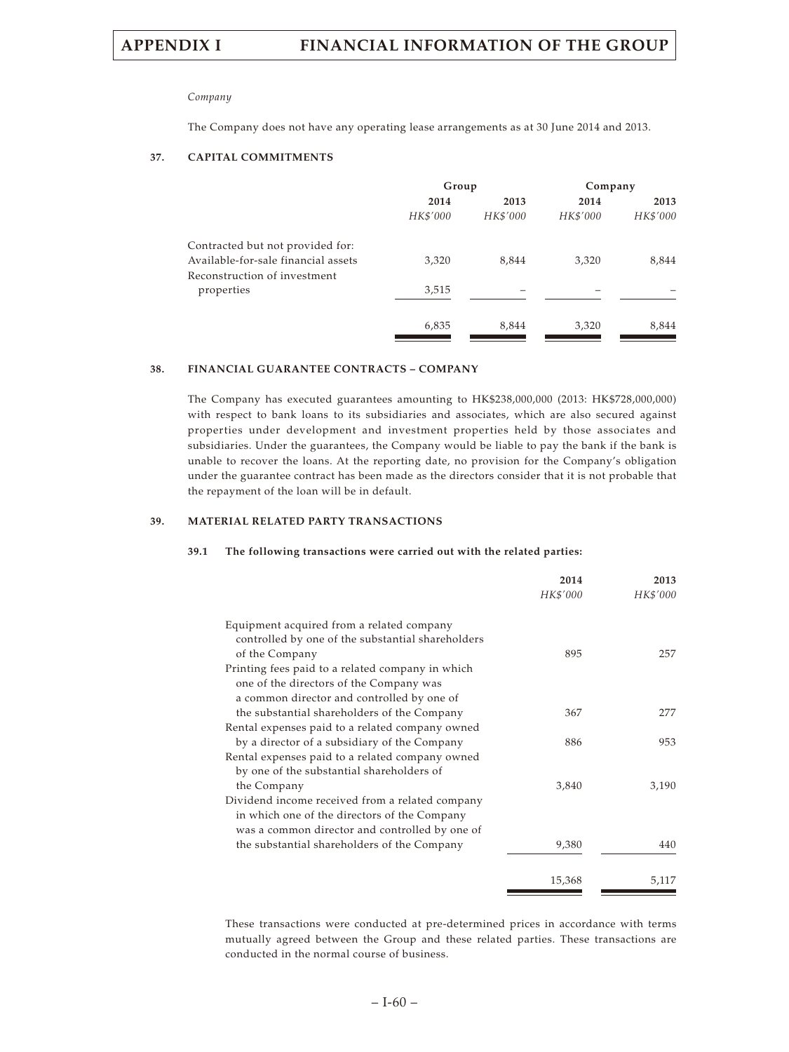### *Company*

The Company does not have any operating lease arrangements as at 30 June 2014 and 2013.

### **37. CAPITAL COMMITMENTS**

|                                     | Group    |          | Company  |          |
|-------------------------------------|----------|----------|----------|----------|
|                                     | 2014     | 2013     | 2014     | 2013     |
|                                     | HK\$'000 | HK\$'000 | HK\$'000 | HK\$'000 |
| Contracted but not provided for:    |          |          |          |          |
| Available-for-sale financial assets | 3,320    | 8,844    | 3,320    | 8,844    |
| Reconstruction of investment        |          |          |          |          |
| properties                          | 3,515    |          |          |          |
|                                     | 6,835    | 8,844    | 3,320    | 8,844    |

### **38. FINANCIAL GUARANTEE CONTRACTS – COMPANY**

The Company has executed guarantees amounting to HK\$238,000,000 (2013: HK\$728,000,000) with respect to bank loans to its subsidiaries and associates, which are also secured against properties under development and investment properties held by those associates and subsidiaries. Under the guarantees, the Company would be liable to pay the bank if the bank is unable to recover the loans. At the reporting date, no provision for the Company's obligation under the guarantee contract has been made as the directors consider that it is not probable that the repayment of the loan will be in default.

### **39. MATERIAL RELATED PARTY TRANSACTIONS**

### **39.1 The following transactions were carried out with the related parties:**

|                                                   | 2014     | 2013     |
|---------------------------------------------------|----------|----------|
|                                                   | HK\$'000 | HK\$'000 |
| Equipment acquired from a related company         |          |          |
| controlled by one of the substantial shareholders |          |          |
| of the Company                                    | 895      | 257      |
| Printing fees paid to a related company in which  |          |          |
| one of the directors of the Company was           |          |          |
| a common director and controlled by one of        |          |          |
| the substantial shareholders of the Company       | 367      | 277      |
| Rental expenses paid to a related company owned   |          |          |
| by a director of a subsidiary of the Company      | 886      | 953      |
| Rental expenses paid to a related company owned   |          |          |
| by one of the substantial shareholders of         |          |          |
| the Company                                       | 3,840    | 3,190    |
| Dividend income received from a related company   |          |          |
| in which one of the directors of the Company      |          |          |
| was a common director and controlled by one of    |          |          |
| the substantial shareholders of the Company       | 9,380    | 440      |
|                                                   | 15,368   | 5,117    |

These transactions were conducted at pre-determined prices in accordance with terms mutually agreed between the Group and these related parties. These transactions are conducted in the normal course of business.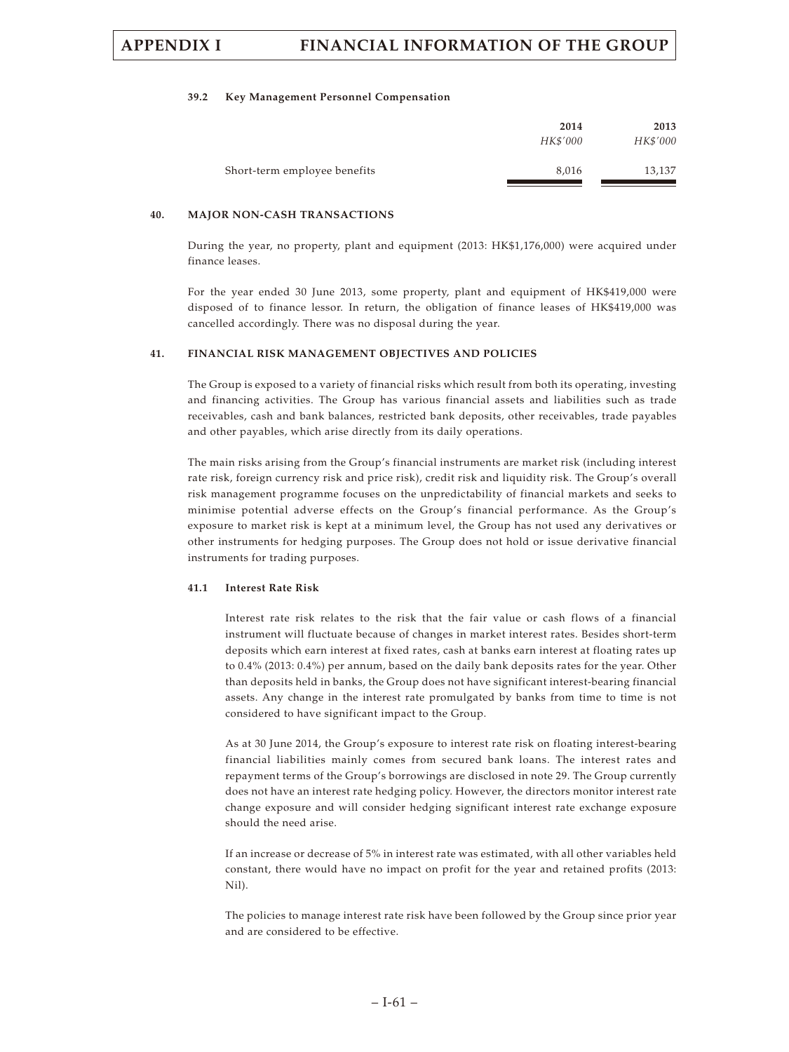### **39.2 Key Management Personnel Compensation**

|                              | 2014<br>HK\$'000 | 2013<br>HK\$'000 |
|------------------------------|------------------|------------------|
| Short-term employee benefits | 8,016            | 13,137           |

### **40. MAJOR NON-CASH TRANSACTIONS**

During the year, no property, plant and equipment (2013: HK\$1,176,000) were acquired under finance leases.

For the year ended 30 June 2013, some property, plant and equipment of HK\$419,000 were disposed of to finance lessor. In return, the obligation of finance leases of HK\$419,000 was cancelled accordingly. There was no disposal during the year.

### **41. FINANCIAL RISK MANAGEMENT OBJECTIVES AND POLICIES**

The Group is exposed to a variety of financial risks which result from both its operating, investing and financing activities. The Group has various financial assets and liabilities such as trade receivables, cash and bank balances, restricted bank deposits, other receivables, trade payables and other payables, which arise directly from its daily operations.

The main risks arising from the Group's financial instruments are market risk (including interest rate risk, foreign currency risk and price risk), credit risk and liquidity risk. The Group's overall risk management programme focuses on the unpredictability of financial markets and seeks to minimise potential adverse effects on the Group's financial performance. As the Group's exposure to market risk is kept at a minimum level, the Group has not used any derivatives or other instruments for hedging purposes. The Group does not hold or issue derivative financial instruments for trading purposes.

### **41.1 Interest Rate Risk**

Interest rate risk relates to the risk that the fair value or cash flows of a financial instrument will fluctuate because of changes in market interest rates. Besides short-term deposits which earn interest at fixed rates, cash at banks earn interest at floating rates up to 0.4% (2013: 0.4%) per annum, based on the daily bank deposits rates for the year. Other than deposits held in banks, the Group does not have significant interest-bearing financial assets. Any change in the interest rate promulgated by banks from time to time is not considered to have significant impact to the Group.

As at 30 June 2014, the Group's exposure to interest rate risk on floating interest-bearing financial liabilities mainly comes from secured bank loans. The interest rates and repayment terms of the Group's borrowings are disclosed in note 29. The Group currently does not have an interest rate hedging policy. However, the directors monitor interest rate change exposure and will consider hedging significant interest rate exchange exposure should the need arise.

If an increase or decrease of 5% in interest rate was estimated, with all other variables held constant, there would have no impact on profit for the year and retained profits (2013: Nil).

The policies to manage interest rate risk have been followed by the Group since prior year and are considered to be effective.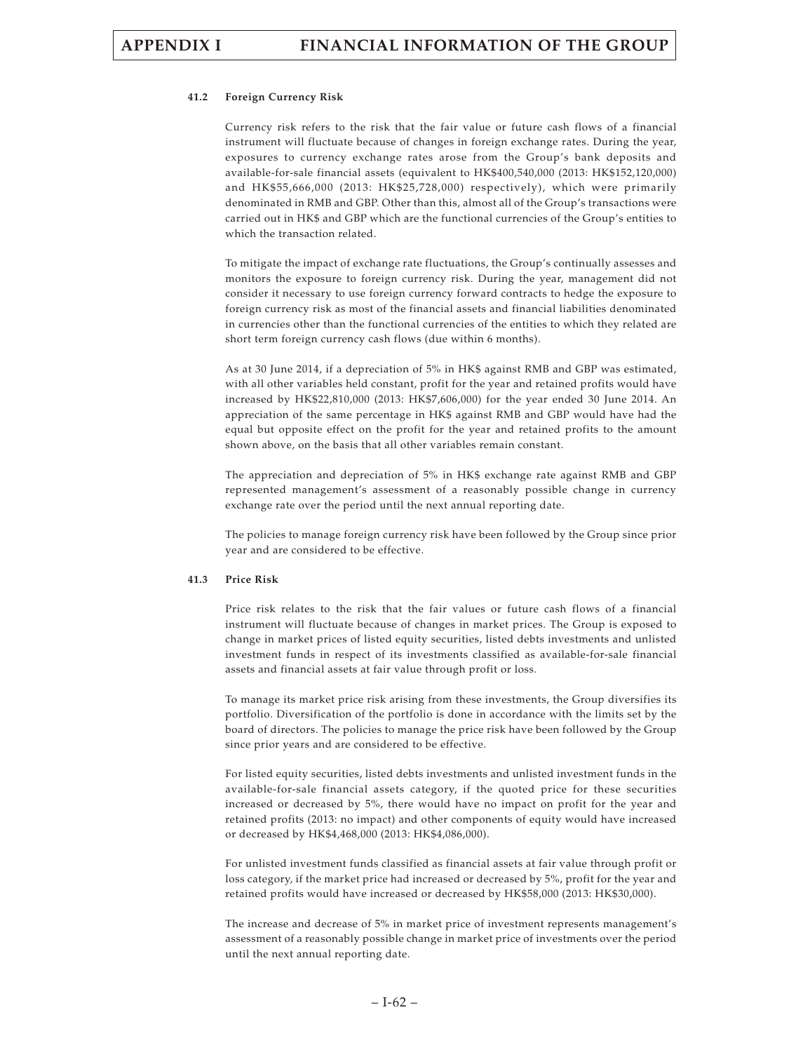### **41.2 Foreign Currency Risk**

Currency risk refers to the risk that the fair value or future cash flows of a financial instrument will fluctuate because of changes in foreign exchange rates. During the year, exposures to currency exchange rates arose from the Group's bank deposits and available-for-sale financial assets (equivalent to HK\$400,540,000 (2013: HK\$152,120,000) and HK\$55,666,000 (2013: HK\$25,728,000) respectively), which were primarily denominated in RMB and GBP. Other than this, almost all of the Group's transactions were carried out in HK\$ and GBP which are the functional currencies of the Group's entities to which the transaction related.

To mitigate the impact of exchange rate fluctuations, the Group's continually assesses and monitors the exposure to foreign currency risk. During the year, management did not consider it necessary to use foreign currency forward contracts to hedge the exposure to foreign currency risk as most of the financial assets and financial liabilities denominated in currencies other than the functional currencies of the entities to which they related are short term foreign currency cash flows (due within 6 months).

As at 30 June 2014, if a depreciation of 5% in HK\$ against RMB and GBP was estimated, with all other variables held constant, profit for the year and retained profits would have increased by HK\$22,810,000 (2013: HK\$7,606,000) for the year ended 30 June 2014. An appreciation of the same percentage in HK\$ against RMB and GBP would have had the equal but opposite effect on the profit for the year and retained profits to the amount shown above, on the basis that all other variables remain constant.

The appreciation and depreciation of 5% in HK\$ exchange rate against RMB and GBP represented management's assessment of a reasonably possible change in currency exchange rate over the period until the next annual reporting date.

The policies to manage foreign currency risk have been followed by the Group since prior year and are considered to be effective.

### **41.3 Price Risk**

Price risk relates to the risk that the fair values or future cash flows of a financial instrument will fluctuate because of changes in market prices. The Group is exposed to change in market prices of listed equity securities, listed debts investments and unlisted investment funds in respect of its investments classified as available-for-sale financial assets and financial assets at fair value through profit or loss.

To manage its market price risk arising from these investments, the Group diversifies its portfolio. Diversification of the portfolio is done in accordance with the limits set by the board of directors. The policies to manage the price risk have been followed by the Group since prior years and are considered to be effective.

For listed equity securities, listed debts investments and unlisted investment funds in the available-for-sale financial assets category, if the quoted price for these securities increased or decreased by 5%, there would have no impact on profit for the year and retained profits (2013: no impact) and other components of equity would have increased or decreased by HK\$4,468,000 (2013: HK\$4,086,000).

For unlisted investment funds classified as financial assets at fair value through profit or loss category, if the market price had increased or decreased by 5%, profit for the year and retained profits would have increased or decreased by HK\$58,000 (2013: HK\$30,000).

The increase and decrease of 5% in market price of investment represents management's assessment of a reasonably possible change in market price of investments over the period until the next annual reporting date.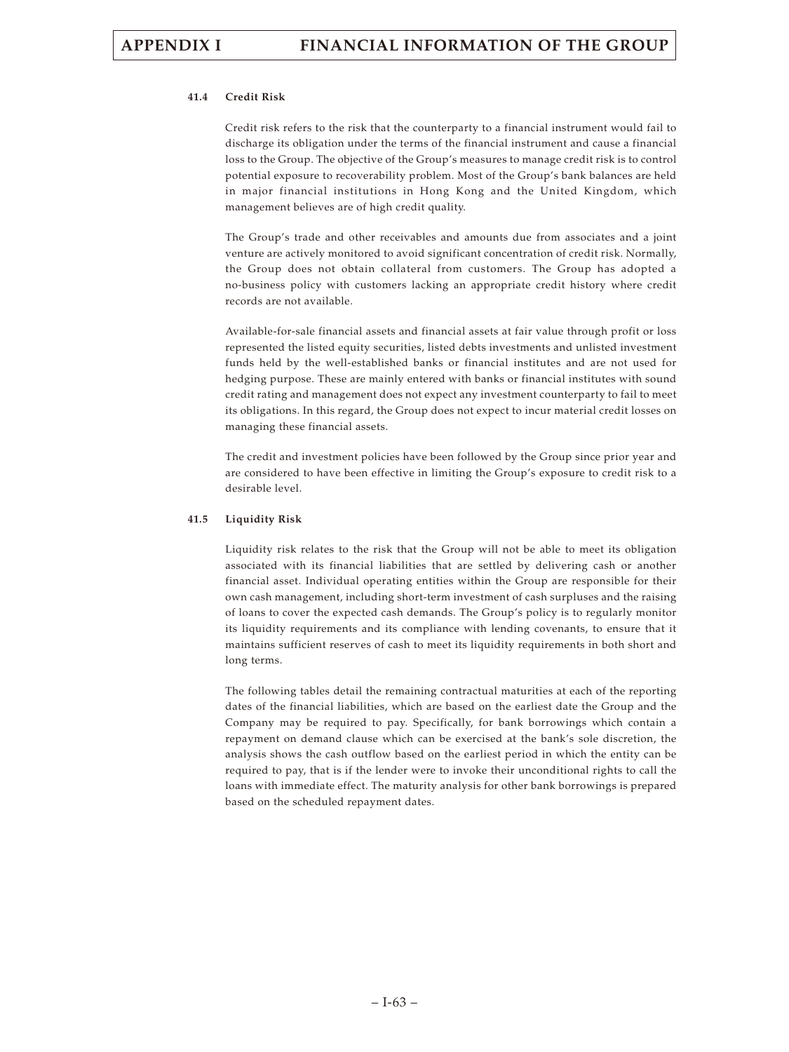### **41.4 Credit Risk**

Credit risk refers to the risk that the counterparty to a financial instrument would fail to discharge its obligation under the terms of the financial instrument and cause a financial loss to the Group. The objective of the Group's measures to manage credit risk is to control potential exposure to recoverability problem. Most of the Group's bank balances are held in major financial institutions in Hong Kong and the United Kingdom, which management believes are of high credit quality.

The Group's trade and other receivables and amounts due from associates and a joint venture are actively monitored to avoid significant concentration of credit risk. Normally, the Group does not obtain collateral from customers. The Group has adopted a no-business policy with customers lacking an appropriate credit history where credit records are not available.

Available-for-sale financial assets and financial assets at fair value through profit or loss represented the listed equity securities, listed debts investments and unlisted investment funds held by the well-established banks or financial institutes and are not used for hedging purpose. These are mainly entered with banks or financial institutes with sound credit rating and management does not expect any investment counterparty to fail to meet its obligations. In this regard, the Group does not expect to incur material credit losses on managing these financial assets.

The credit and investment policies have been followed by the Group since prior year and are considered to have been effective in limiting the Group's exposure to credit risk to a desirable level.

### **41.5 Liquidity Risk**

Liquidity risk relates to the risk that the Group will not be able to meet its obligation associated with its financial liabilities that are settled by delivering cash or another financial asset. Individual operating entities within the Group are responsible for their own cash management, including short-term investment of cash surpluses and the raising of loans to cover the expected cash demands. The Group's policy is to regularly monitor its liquidity requirements and its compliance with lending covenants, to ensure that it maintains sufficient reserves of cash to meet its liquidity requirements in both short and long terms.

The following tables detail the remaining contractual maturities at each of the reporting dates of the financial liabilities, which are based on the earliest date the Group and the Company may be required to pay. Specifically, for bank borrowings which contain a repayment on demand clause which can be exercised at the bank's sole discretion, the analysis shows the cash outflow based on the earliest period in which the entity can be required to pay, that is if the lender were to invoke their unconditional rights to call the loans with immediate effect. The maturity analysis for other bank borrowings is prepared based on the scheduled repayment dates.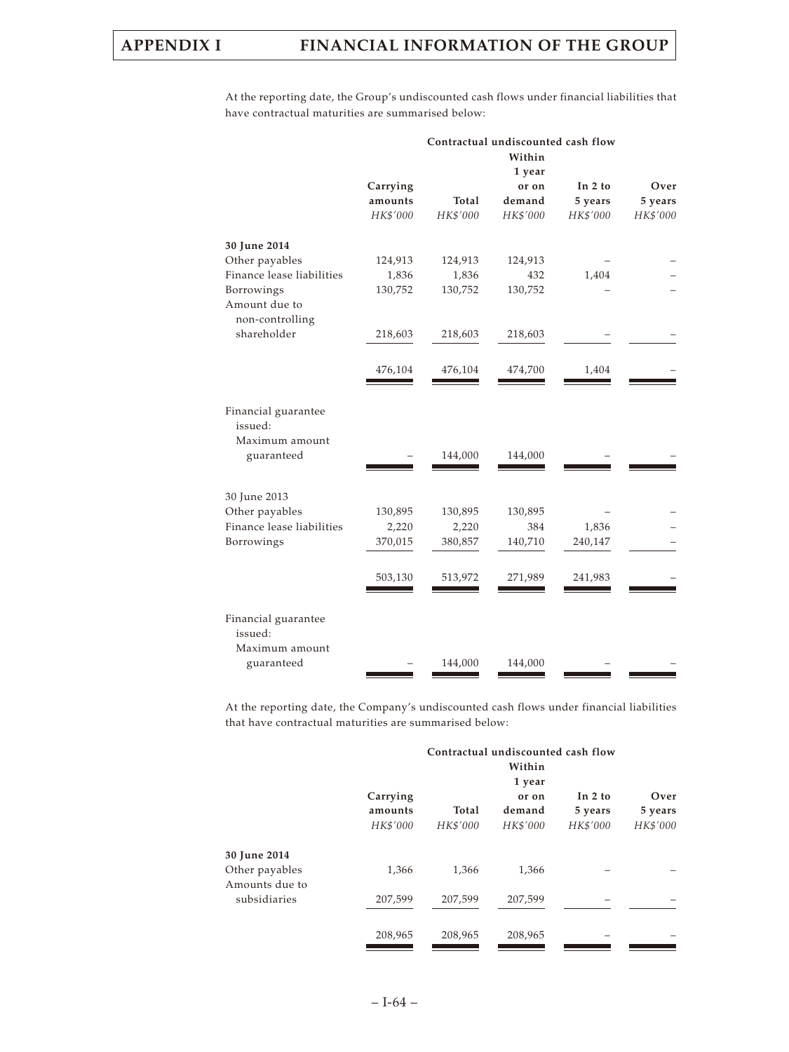At the reporting date, the Group's undiscounted cash flows under financial liabilities that have contractual maturities are summarised below:

|                                |          |          | Contractual undiscounted cash flow |          |          |
|--------------------------------|----------|----------|------------------------------------|----------|----------|
|                                |          |          | Within                             |          |          |
|                                |          |          | 1 year                             |          |          |
|                                | Carrying |          | or on                              | In 2 to  | Over     |
|                                | amounts  | Total    | demand                             | 5 years  | 5 years  |
|                                | HK\$'000 | HK\$'000 | HK\$'000                           | HK\$'000 | HK\$'000 |
| 30 June 2014                   |          |          |                                    |          |          |
| Other payables                 | 124,913  | 124,913  | 124,913                            |          |          |
| Finance lease liabilities      | 1,836    | 1,836    | 432                                | 1,404    |          |
| Borrowings                     | 130,752  | 130,752  | 130,752                            |          |          |
| Amount due to                  |          |          |                                    |          |          |
| non-controlling                |          |          |                                    |          |          |
| shareholder                    | 218,603  | 218,603  | 218,603                            |          |          |
|                                | 476,104  | 476,104  | 474,700                            | 1,404    |          |
|                                |          |          |                                    |          |          |
| Financial guarantee<br>issued: |          |          |                                    |          |          |
| Maximum amount                 |          |          |                                    |          |          |
| guaranteed                     |          | 144,000  | 144,000                            |          |          |
|                                |          |          |                                    |          |          |
| 30 June 2013                   |          |          |                                    |          |          |
| Other payables                 | 130,895  | 130,895  | 130,895                            |          |          |
| Finance lease liabilities      | 2,220    | 2,220    | 384                                | 1,836    |          |
| Borrowings                     | 370,015  | 380,857  | 140,710                            | 240,147  |          |
|                                | 503,130  | 513,972  | 271,989                            | 241,983  |          |
|                                |          |          |                                    |          |          |
| Financial guarantee<br>issued: |          |          |                                    |          |          |
| Maximum amount<br>guaranteed   |          | 144,000  | 144,000                            |          |          |
|                                |          |          |                                    |          |          |

At the reporting date, the Company's undiscounted cash flows under financial liabilities that have contractual maturities are summarised below:

|                                | Contractual undiscounted cash flow |          |          |           |          |
|--------------------------------|------------------------------------|----------|----------|-----------|----------|
|                                |                                    |          | Within   |           |          |
|                                |                                    |          | 1 year   |           |          |
|                                | Carrying                           |          | or on    | In $2$ to | Over     |
|                                | amounts                            | Total    | demand   | 5 years   | 5 years  |
|                                | HK\$'000                           | HK\$'000 | HK\$'000 | HK\$'000  | HK\$'000 |
| 30 June 2014                   |                                    |          |          |           |          |
| Other payables                 | 1,366                              | 1,366    | 1,366    |           |          |
| Amounts due to<br>subsidiaries | 207,599                            | 207,599  | 207,599  |           |          |
|                                |                                    |          |          |           |          |
|                                | 208,965                            | 208,965  | 208,965  |           |          |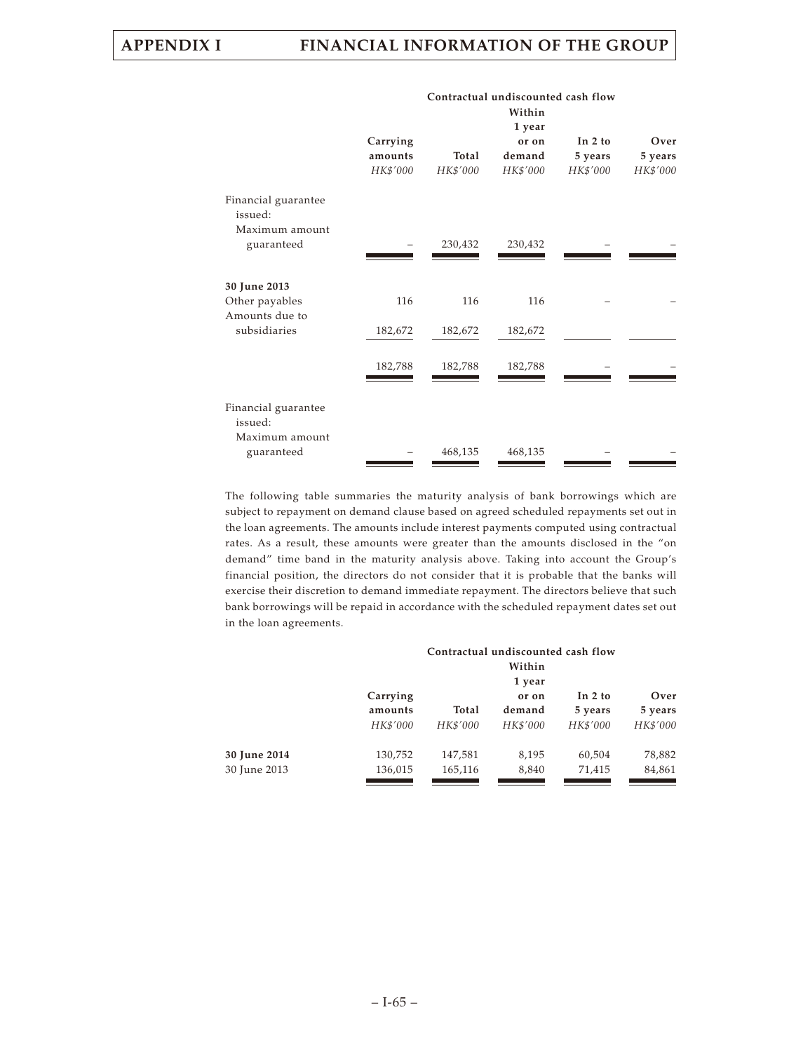**Contractual undiscounted cash flow**

|     |                                                       | or on    | In 2 to           | Over     |
|-----|-------------------------------------------------------|----------|-------------------|----------|
|     | Total                                                 | demand   | 5 years           | 5 years  |
|     | HK\$'000                                              | HK\$'000 | HK\$'000          | HK\$'000 |
|     |                                                       |          |                   |          |
|     |                                                       |          |                   |          |
|     |                                                       |          |                   |          |
|     |                                                       |          |                   |          |
|     |                                                       |          |                   |          |
| 116 | 116                                                   | 116      |                   |          |
|     | 182,672                                               | 182,672  |                   |          |
|     |                                                       |          |                   |          |
|     | 182,788                                               | 182,788  |                   |          |
|     |                                                       |          |                   |          |
|     |                                                       |          |                   |          |
|     | 468,135                                               | 468,135  |                   |          |
|     | Carrying<br>amounts<br>HK\$'000<br>182,672<br>182,788 | 230,432  | 1 year<br>230,432 |          |

The following table summaries the maturity analysis of bank borrowings which are subject to repayment on demand clause based on agreed scheduled repayments set out in the loan agreements. The amounts include interest payments computed using contractual rates. As a result, these amounts were greater than the amounts disclosed in the "on demand" time band in the maturity analysis above. Taking into account the Group's financial position, the directors do not consider that it is probable that the banks will exercise their discretion to demand immediate repayment. The directors believe that such bank borrowings will be repaid in accordance with the scheduled repayment dates set out in the loan agreements.

|              |          | Contractual undiscounted cash flow<br>Within<br>1 year |          |           |          |
|--------------|----------|--------------------------------------------------------|----------|-----------|----------|
|              | Carrying |                                                        | or on    | In $2$ to | Over     |
|              | amounts  | Total                                                  | demand   | 5 years   | 5 years  |
|              | HK\$'000 | HK\$'000                                               | HK\$'000 | HK\$'000  | HK\$'000 |
| 30 June 2014 | 130,752  | 147,581                                                | 8,195    | 60,504    | 78,882   |
| 30 June 2013 | 136,015  | 165,116                                                | 8,840    | 71,415    | 84,861   |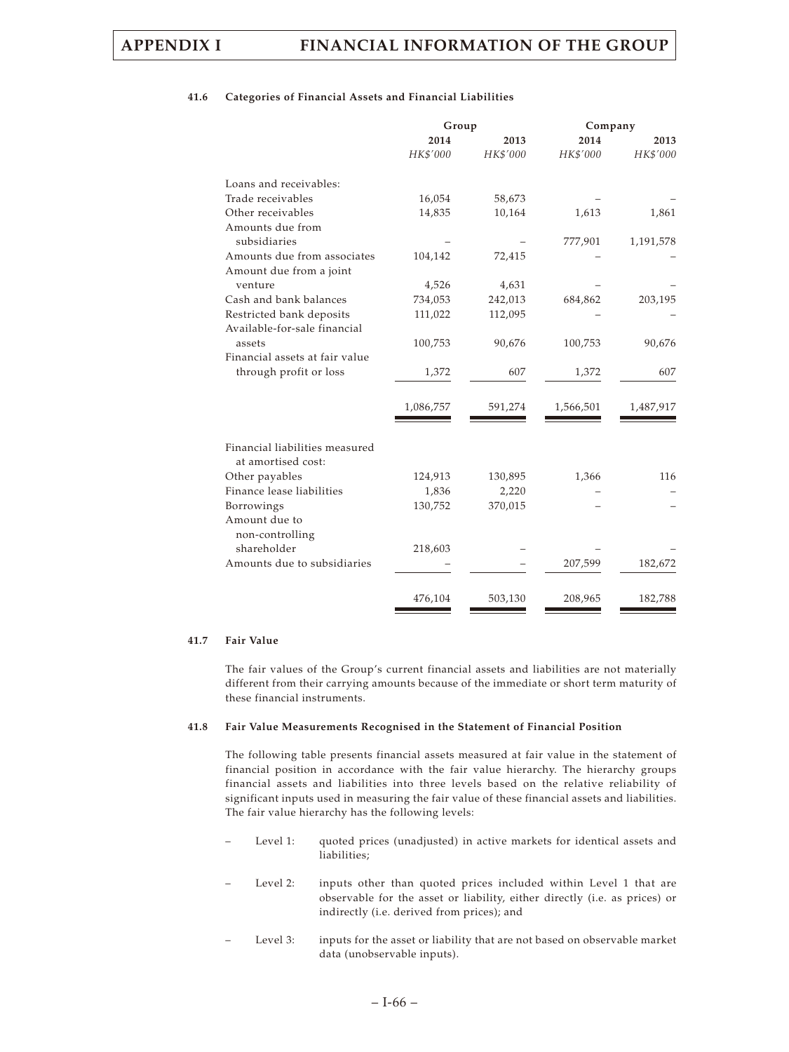### **41.6 Categories of Financial Assets and Financial Liabilities**

|                                  | Group     |          | Company   |           |
|----------------------------------|-----------|----------|-----------|-----------|
|                                  | 2014      | 2013     | 2014      | 2013      |
|                                  | HK\$'000  | HK\$'000 | HK\$'000  | HK\$'000  |
| Loans and receivables:           |           |          |           |           |
| Trade receivables                | 16,054    | 58,673   |           |           |
| Other receivables                | 14,835    | 10,164   | 1,613     | 1,861     |
| Amounts due from                 |           |          |           |           |
| subsidiaries                     |           |          | 777,901   | 1,191,578 |
| Amounts due from associates      | 104,142   | 72,415   |           |           |
| Amount due from a joint          |           |          |           |           |
| venture                          | 4,526     | 4,631    |           |           |
| Cash and bank balances           | 734,053   | 242,013  | 684,862   | 203,195   |
| Restricted bank deposits         | 111,022   | 112,095  |           |           |
| Available-for-sale financial     |           |          |           |           |
| assets                           | 100,753   | 90,676   | 100,753   | 90,676    |
| Financial assets at fair value   |           |          |           |           |
| through profit or loss           | 1,372     | 607      | 1,372     | 607       |
|                                  | 1,086,757 | 591,274  | 1,566,501 | 1,487,917 |
|                                  |           |          |           |           |
| Financial liabilities measured   |           |          |           |           |
| at amortised cost:               |           |          |           |           |
| Other payables                   | 124,913   | 130,895  | 1,366     | 116       |
| Finance lease liabilities        | 1,836     | 2,220    |           |           |
| Borrowings                       | 130,752   | 370,015  |           |           |
| Amount due to<br>non-controlling |           |          |           |           |
| shareholder                      | 218,603   |          |           |           |
| Amounts due to subsidiaries      |           |          | 207,599   | 182,672   |
|                                  |           |          |           |           |
|                                  | 476,104   | 503,130  | 208,965   | 182,788   |

### **41.7 Fair Value**

The fair values of the Group's current financial assets and liabilities are not materially different from their carrying amounts because of the immediate or short term maturity of these financial instruments.

### **41.8 Fair Value Measurements Recognised in the Statement of Financial Position**

The following table presents financial assets measured at fair value in the statement of financial position in accordance with the fair value hierarchy. The hierarchy groups financial assets and liabilities into three levels based on the relative reliability of significant inputs used in measuring the fair value of these financial assets and liabilities. The fair value hierarchy has the following levels:

- Level 1: quoted prices (unadjusted) in active markets for identical assets and liabilities;
- Level 2: inputs other than quoted prices included within Level 1 that are observable for the asset or liability, either directly (i.e. as prices) or indirectly (i.e. derived from prices); and
- Level 3: inputs for the asset or liability that are not based on observable market data (unobservable inputs).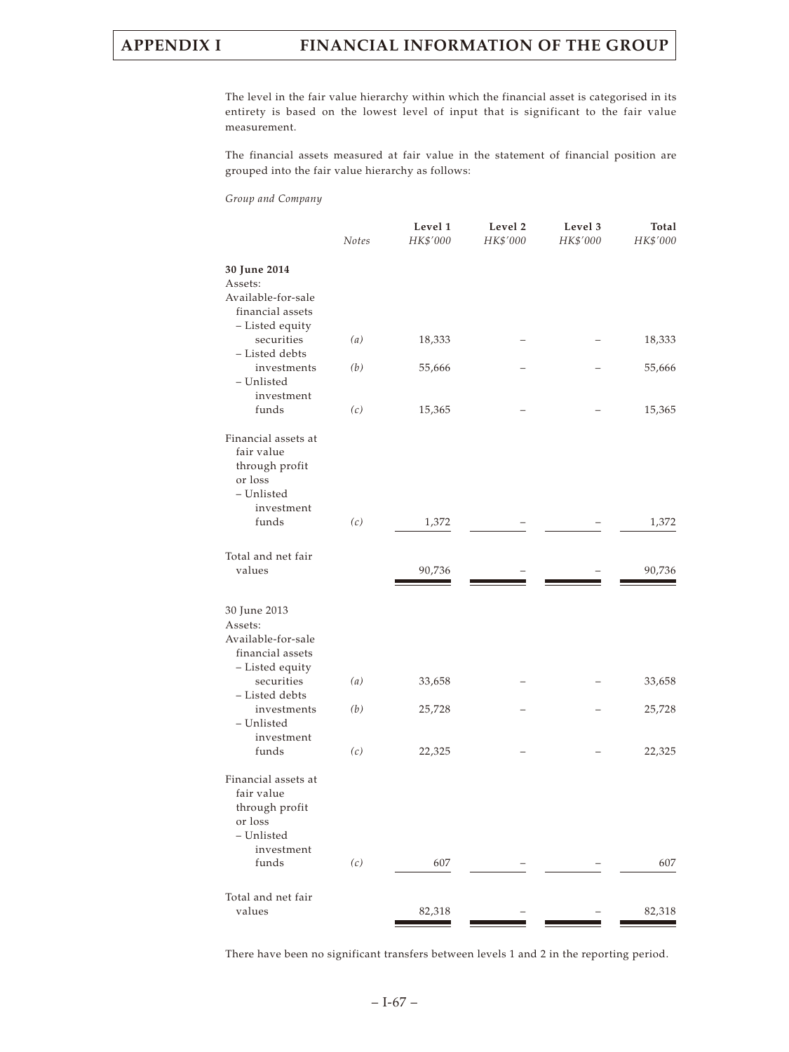# **APPENDIX I FINANCIAL INFORMATION OF THE GROUP**

The level in the fair value hierarchy within which the financial asset is categorised in its entirety is based on the lowest level of input that is significant to the fair value measurement.

The financial assets measured at fair value in the statement of financial position are grouped into the fair value hierarchy as follows:

*Group and Company*

|                                                                                                     | <b>Notes</b> | Level 1<br>HK\$'000 | Level 2<br>HK\$'000 | Level 3<br>HK\$'000 | Total<br>HK\$'000 |
|-----------------------------------------------------------------------------------------------------|--------------|---------------------|---------------------|---------------------|-------------------|
| 30 June 2014<br>Assets:<br>Available-for-sale<br>financial assets                                   |              |                     |                     |                     |                   |
| - Listed equity<br>securities<br>- Listed debts                                                     | (a)          | 18,333              |                     |                     | 18,333            |
| investments<br>– Unlisted<br>investment                                                             | (b)          | 55,666              |                     |                     | 55,666            |
| funds                                                                                               | (c)          | 15,365              |                     |                     | 15,365            |
| Financial assets at<br>fair value<br>through profit<br>or loss<br>- Unlisted<br>investment          |              |                     |                     |                     |                   |
| funds                                                                                               | (c)          | 1,372               |                     |                     | 1,372             |
| Total and net fair<br>values                                                                        |              | 90,736              |                     |                     | 90,736            |
| 30 June 2013<br>Assets:<br>Available-for-sale<br>financial assets<br>- Listed equity                |              |                     |                     |                     |                   |
| securities<br>- Listed debts                                                                        | (a)          | 33,658              |                     |                     | 33,658            |
| investments<br>– Unlisted<br>investment                                                             | (b)          | 25,728              |                     |                     | 25,728            |
| funds                                                                                               | (c)          | 22,325              |                     |                     | 22,325            |
| Financial assets at<br>fair value<br>through profit<br>or loss<br>- Unlisted<br>investment<br>funds | (c)          | 607                 |                     |                     | 607               |
| Total and net fair                                                                                  |              |                     |                     |                     |                   |
| values                                                                                              |              | 82,318              |                     |                     | 82,318            |

There have been no significant transfers between levels 1 and 2 in the reporting period.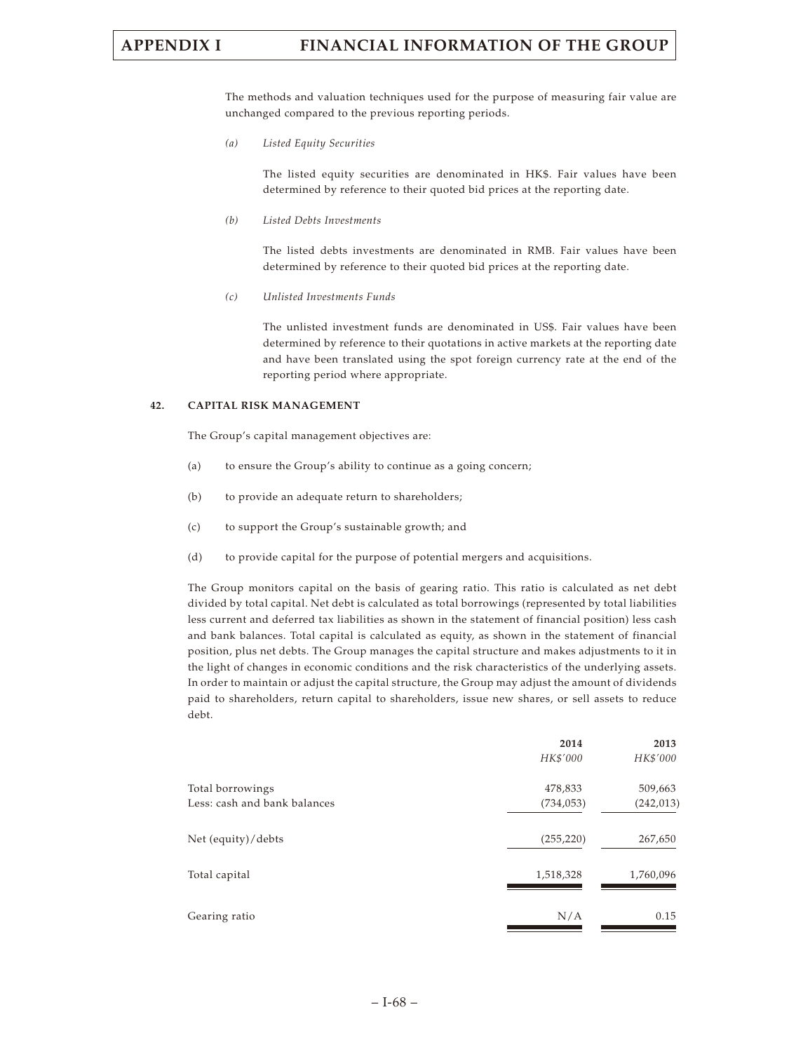# **APPENDIX I FINANCIAL INFORMATION OF THE GROUP**

The methods and valuation techniques used for the purpose of measuring fair value are unchanged compared to the previous reporting periods.

*(a) Listed Equity Securities*

The listed equity securities are denominated in HK\$. Fair values have been determined by reference to their quoted bid prices at the reporting date.

*(b) Listed Debts Investments*

The listed debts investments are denominated in RMB. Fair values have been determined by reference to their quoted bid prices at the reporting date.

*(c) Unlisted Investments Funds*

The unlisted investment funds are denominated in US\$. Fair values have been determined by reference to their quotations in active markets at the reporting date and have been translated using the spot foreign currency rate at the end of the reporting period where appropriate.

### **42. CAPITAL RISK MANAGEMENT**

The Group's capital management objectives are:

- (a) to ensure the Group's ability to continue as a going concern;
- (b) to provide an adequate return to shareholders;
- (c) to support the Group's sustainable growth; and
- (d) to provide capital for the purpose of potential mergers and acquisitions.

The Group monitors capital on the basis of gearing ratio. This ratio is calculated as net debt divided by total capital. Net debt is calculated as total borrowings (represented by total liabilities less current and deferred tax liabilities as shown in the statement of financial position) less cash and bank balances. Total capital is calculated as equity, as shown in the statement of financial position, plus net debts. The Group manages the capital structure and makes adjustments to it in the light of changes in economic conditions and the risk characteristics of the underlying assets. In order to maintain or adjust the capital structure, the Group may adjust the amount of dividends paid to shareholders, return capital to shareholders, issue new shares, or sell assets to reduce debt.

|                              | 2014       | 2013       |
|------------------------------|------------|------------|
|                              | HK\$'000   | HK\$'000   |
| Total borrowings             | 478,833    | 509,663    |
| Less: cash and bank balances | (734, 053) | (242, 013) |
| Net (equity)/debts           | (255, 220) | 267,650    |
| Total capital                | 1,518,328  | 1,760,096  |
| Gearing ratio                | N/A        | 0.15       |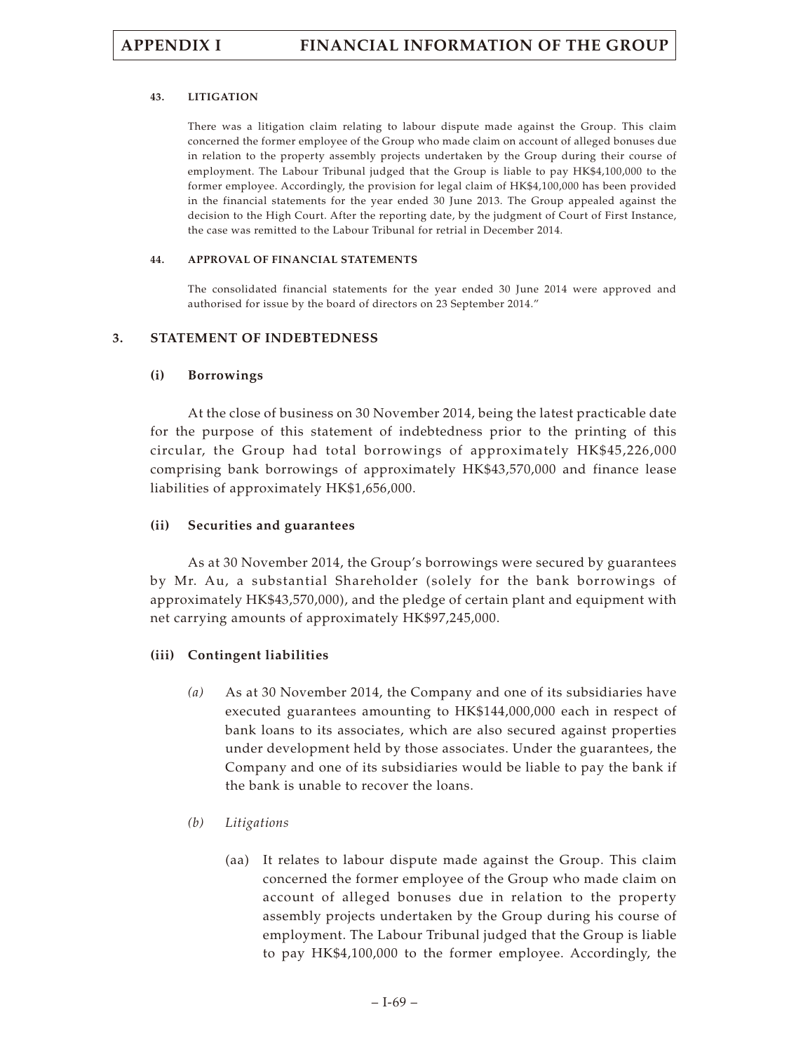### **43. LITIGATION**

There was a litigation claim relating to labour dispute made against the Group. This claim concerned the former employee of the Group who made claim on account of alleged bonuses due in relation to the property assembly projects undertaken by the Group during their course of employment. The Labour Tribunal judged that the Group is liable to pay HK\$4,100,000 to the former employee. Accordingly, the provision for legal claim of HK\$4,100,000 has been provided in the financial statements for the year ended 30 June 2013. The Group appealed against the decision to the High Court. After the reporting date, by the judgment of Court of First Instance, the case was remitted to the Labour Tribunal for retrial in December 2014.

### **44. APPROVAL OF FINANCIAL STATEMENTS**

The consolidated financial statements for the year ended 30 June 2014 were approved and authorised for issue by the board of directors on 23 September 2014."

### **3. STATEMENT OF INDEBTEDNESS**

## **(i) Borrowings**

At the close of business on 30 November 2014, being the latest practicable date for the purpose of this statement of indebtedness prior to the printing of this circular, the Group had total borrowings of approximately HK\$45,226,000 comprising bank borrowings of approximately HK\$43,570,000 and finance lease liabilities of approximately HK\$1,656,000.

## **(ii) Securities and guarantees**

As at 30 November 2014, the Group's borrowings were secured by guarantees by Mr. Au, a substantial Shareholder (solely for the bank borrowings of approximately HK\$43,570,000), and the pledge of certain plant and equipment with net carrying amounts of approximately HK\$97,245,000.

## **(iii) Contingent liabilities**

- *(a)* As at 30 November 2014, the Company and one of its subsidiaries have executed guarantees amounting to HK\$144,000,000 each in respect of bank loans to its associates, which are also secured against properties under development held by those associates. Under the guarantees, the Company and one of its subsidiaries would be liable to pay the bank if the bank is unable to recover the loans.
- *(b) Litigations*
	- (aa) It relates to labour dispute made against the Group. This claim concerned the former employee of the Group who made claim on account of alleged bonuses due in relation to the property assembly projects undertaken by the Group during his course of employment. The Labour Tribunal judged that the Group is liable to pay HK\$4,100,000 to the former employee. Accordingly, the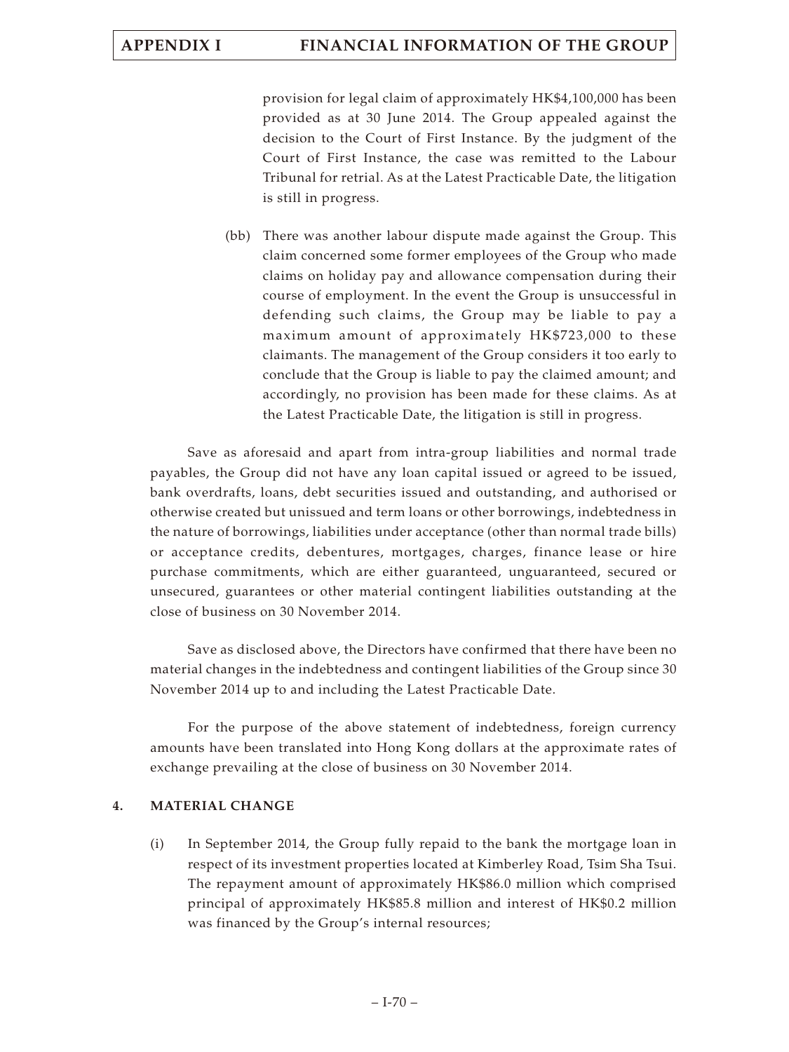# **APPENDIX I FINANCIAL INFORMATION OF THE GROUP**

provision for legal claim of approximately HK\$4,100,000 has been provided as at 30 June 2014. The Group appealed against the decision to the Court of First Instance. By the judgment of the Court of First Instance, the case was remitted to the Labour Tribunal for retrial. As at the Latest Practicable Date, the litigation is still in progress.

(bb) There was another labour dispute made against the Group. This claim concerned some former employees of the Group who made claims on holiday pay and allowance compensation during their course of employment. In the event the Group is unsuccessful in defending such claims, the Group may be liable to pay a maximum amount of approximately HK\$723,000 to these claimants. The management of the Group considers it too early to conclude that the Group is liable to pay the claimed amount; and accordingly, no provision has been made for these claims. As at the Latest Practicable Date, the litigation is still in progress.

Save as aforesaid and apart from intra-group liabilities and normal trade payables, the Group did not have any loan capital issued or agreed to be issued, bank overdrafts, loans, debt securities issued and outstanding, and authorised or otherwise created but unissued and term loans or other borrowings, indebtedness in the nature of borrowings, liabilities under acceptance (other than normal trade bills) or acceptance credits, debentures, mortgages, charges, finance lease or hire purchase commitments, which are either guaranteed, unguaranteed, secured or unsecured, guarantees or other material contingent liabilities outstanding at the close of business on 30 November 2014.

Save as disclosed above, the Directors have confirmed that there have been no material changes in the indebtedness and contingent liabilities of the Group since 30 November 2014 up to and including the Latest Practicable Date.

For the purpose of the above statement of indebtedness, foreign currency amounts have been translated into Hong Kong dollars at the approximate rates of exchange prevailing at the close of business on 30 November 2014.

## **4. MATERIAL CHANGE**

(i) In September 2014, the Group fully repaid to the bank the mortgage loan in respect of its investment properties located at Kimberley Road, Tsim Sha Tsui. The repayment amount of approximately HK\$86.0 million which comprised principal of approximately HK\$85.8 million and interest of HK\$0.2 million was financed by the Group's internal resources;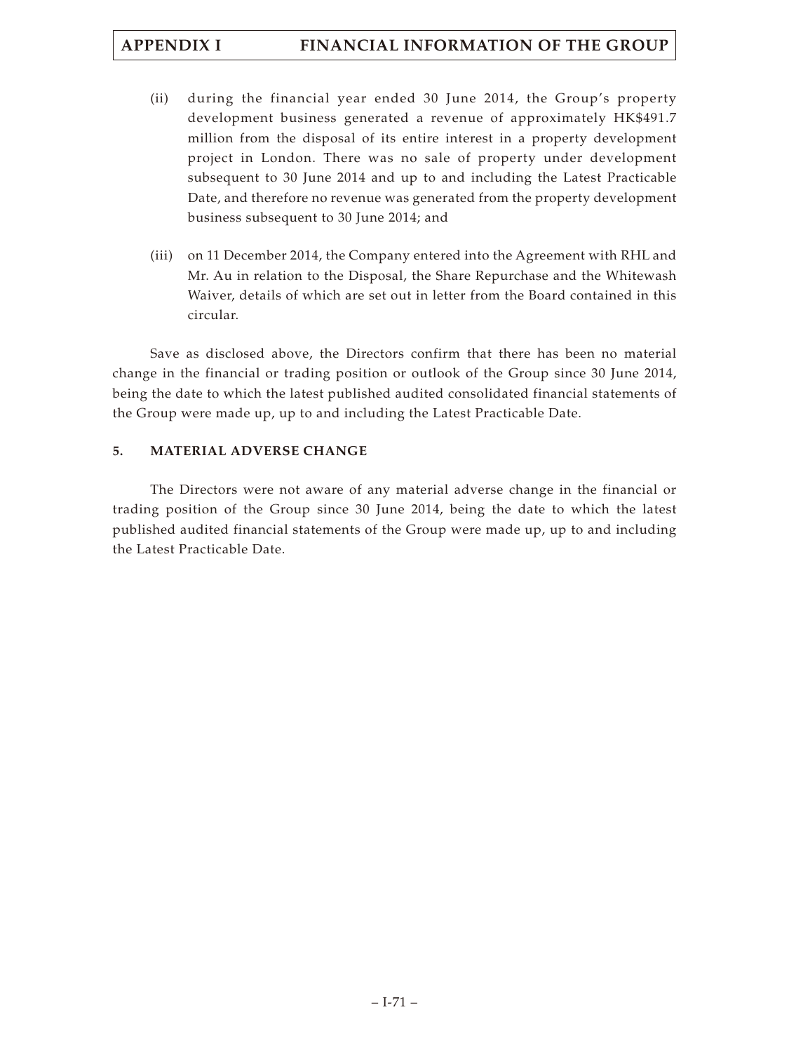# **APPENDIX I FINANCIAL INFORMATION OF THE GROUP**

- (ii) during the financial year ended 30 June 2014, the Group's property development business generated a revenue of approximately HK\$491.7 million from the disposal of its entire interest in a property development project in London. There was no sale of property under development subsequent to 30 June 2014 and up to and including the Latest Practicable Date, and therefore no revenue was generated from the property development business subsequent to 30 June 2014; and
- (iii) on 11 December 2014, the Company entered into the Agreement with RHL and Mr. Au in relation to the Disposal, the Share Repurchase and the Whitewash Waiver, details of which are set out in letter from the Board contained in this circular.

Save as disclosed above, the Directors confirm that there has been no material change in the financial or trading position or outlook of the Group since 30 June 2014, being the date to which the latest published audited consolidated financial statements of the Group were made up, up to and including the Latest Practicable Date.

## **5. MATERIAL ADVERSE CHANGE**

The Directors were not aware of any material adverse change in the financial or trading position of the Group since 30 June 2014, being the date to which the latest published audited financial statements of the Group were made up, up to and including the Latest Practicable Date.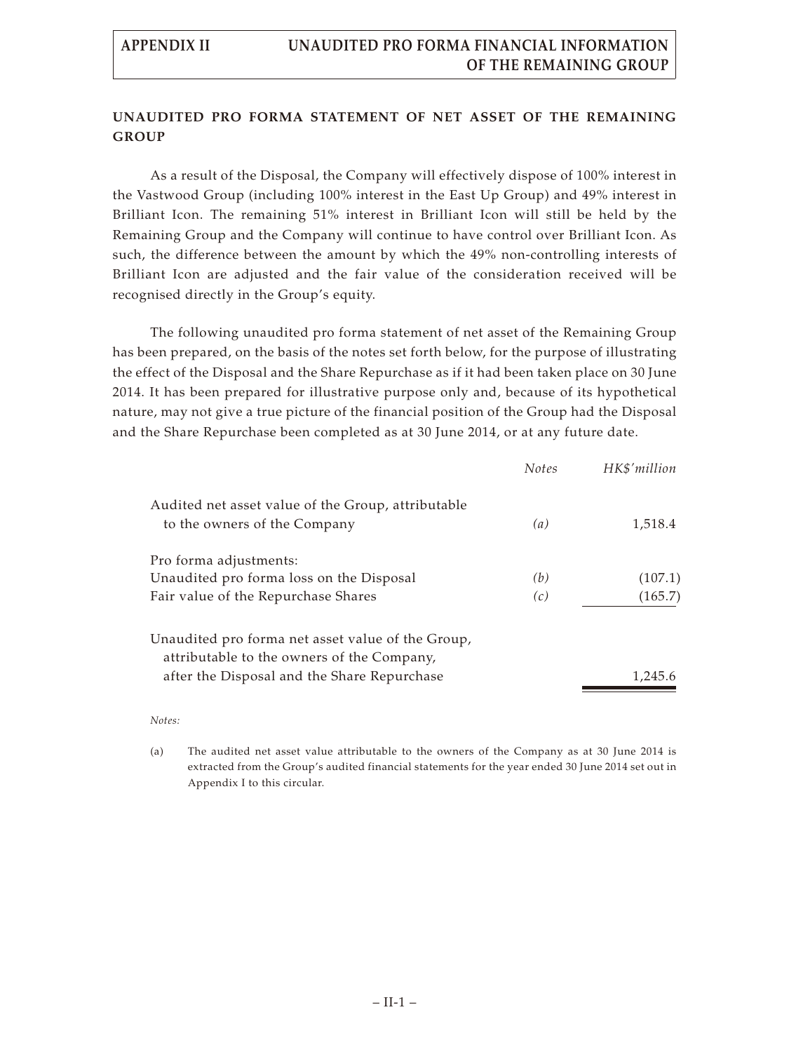## **UNAUDITED PRO FORMA STATEMENT OF NET ASSET OF THE REMAINING GROUP**

As a result of the Disposal, the Company will effectively dispose of 100% interest in the Vastwood Group (including 100% interest in the East Up Group) and 49% interest in Brilliant Icon. The remaining 51% interest in Brilliant Icon will still be held by the Remaining Group and the Company will continue to have control over Brilliant Icon. As such, the difference between the amount by which the 49% non-controlling interests of Brilliant Icon are adjusted and the fair value of the consideration received will be recognised directly in the Group's equity.

The following unaudited pro forma statement of net asset of the Remaining Group has been prepared, on the basis of the notes set forth below, for the purpose of illustrating the effect of the Disposal and the Share Repurchase as if it had been taken place on 30 June 2014. It has been prepared for illustrative purpose only and, because of its hypothetical nature, may not give a true picture of the financial position of the Group had the Disposal and the Share Repurchase been completed as at 30 June 2014, or at any future date.

|                                                                                           | <b>Notes</b> | HK\$'million |
|-------------------------------------------------------------------------------------------|--------------|--------------|
| Audited net asset value of the Group, attributable<br>to the owners of the Company        | (a)          | 1,518.4      |
| Pro forma adjustments:                                                                    |              |              |
| Unaudited pro forma loss on the Disposal                                                  | (b)          | (107.1)      |
| Fair value of the Repurchase Shares                                                       | (c)          | (165.7)      |
| Unaudited pro forma net asset value of the Group,                                         |              |              |
| attributable to the owners of the Company,<br>after the Disposal and the Share Repurchase |              | 1,245.6      |
|                                                                                           |              |              |

### *Notes:*

(a) The audited net asset value attributable to the owners of the Company as at 30 June 2014 is extracted from the Group's audited financial statements for the year ended 30 June 2014 set out in Appendix I to this circular.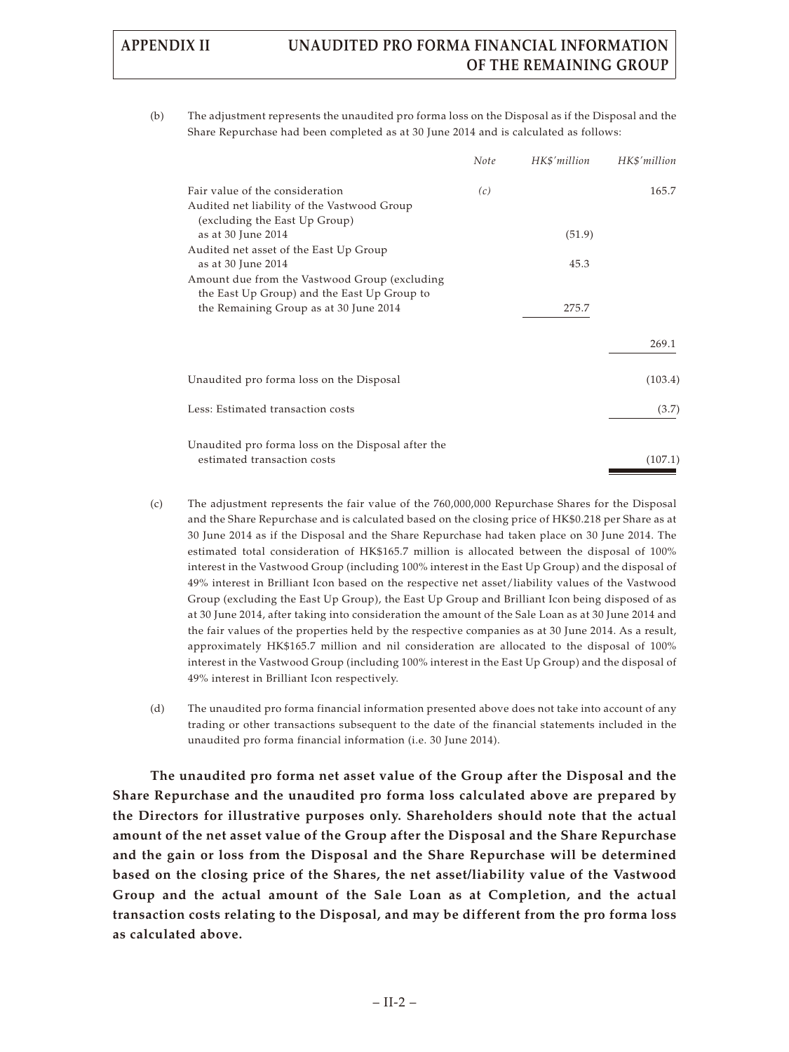# **APPENDIX II UNAUDITED PRO FORMA FINANCIAL INFORMATION OF THE REMAINING GROUP**

(b) The adjustment represents the unaudited pro forma loss on the Disposal as if the Disposal and the Share Repurchase had been completed as at 30 June 2014 and is calculated as follows:

|                                                                                                                                                              | Note | HK\$'million | HK\$'million |
|--------------------------------------------------------------------------------------------------------------------------------------------------------------|------|--------------|--------------|
| Fair value of the consideration<br>Audited net liability of the Vastwood Group<br>(excluding the East Up Group)                                              | (c)  |              | 165.7        |
| as at 30 June 2014                                                                                                                                           |      | (51.9)       |              |
| Audited net asset of the East Up Group<br>as at 30 June 2014<br>Amount due from the Vastwood Group (excluding<br>the East Up Group) and the East Up Group to |      | 45.3         |              |
| the Remaining Group as at 30 June 2014                                                                                                                       |      | 275.7        |              |
|                                                                                                                                                              |      |              | 269.1        |
| Unaudited pro forma loss on the Disposal                                                                                                                     |      |              | (103.4)      |
| Less: Estimated transaction costs                                                                                                                            |      |              | (3.7)        |
| Unaudited pro forma loss on the Disposal after the<br>estimated transaction costs                                                                            |      |              | (107.1)      |

- (c) The adjustment represents the fair value of the 760,000,000 Repurchase Shares for the Disposal and the Share Repurchase and is calculated based on the closing price of HK\$0.218 per Share as at 30 June 2014 as if the Disposal and the Share Repurchase had taken place on 30 June 2014. The estimated total consideration of HK\$165.7 million is allocated between the disposal of 100% interest in the Vastwood Group (including 100% interest in the East Up Group) and the disposal of 49% interest in Brilliant Icon based on the respective net asset/liability values of the Vastwood Group (excluding the East Up Group), the East Up Group and Brilliant Icon being disposed of as at 30 June 2014, after taking into consideration the amount of the Sale Loan as at 30 June 2014 and the fair values of the properties held by the respective companies as at 30 June 2014. As a result, approximately HK\$165.7 million and nil consideration are allocated to the disposal of 100% interest in the Vastwood Group (including 100% interest in the East Up Group) and the disposal of 49% interest in Brilliant Icon respectively.
- (d) The unaudited pro forma financial information presented above does not take into account of any trading or other transactions subsequent to the date of the financial statements included in the unaudited pro forma financial information (i.e. 30 June 2014).

**The unaudited pro forma net asset value of the Group after the Disposal and the Share Repurchase and the unaudited pro forma loss calculated above are prepared by the Directors for illustrative purposes only. Shareholders should note that the actual amount of the net asset value of the Group after the Disposal and the Share Repurchase and the gain or loss from the Disposal and the Share Repurchase will be determined based on the closing price of the Shares, the net asset/liability value of the Vastwood Group and the actual amount of the Sale Loan as at Completion, and the actual transaction costs relating to the Disposal, and may be different from the pro forma loss as calculated above.**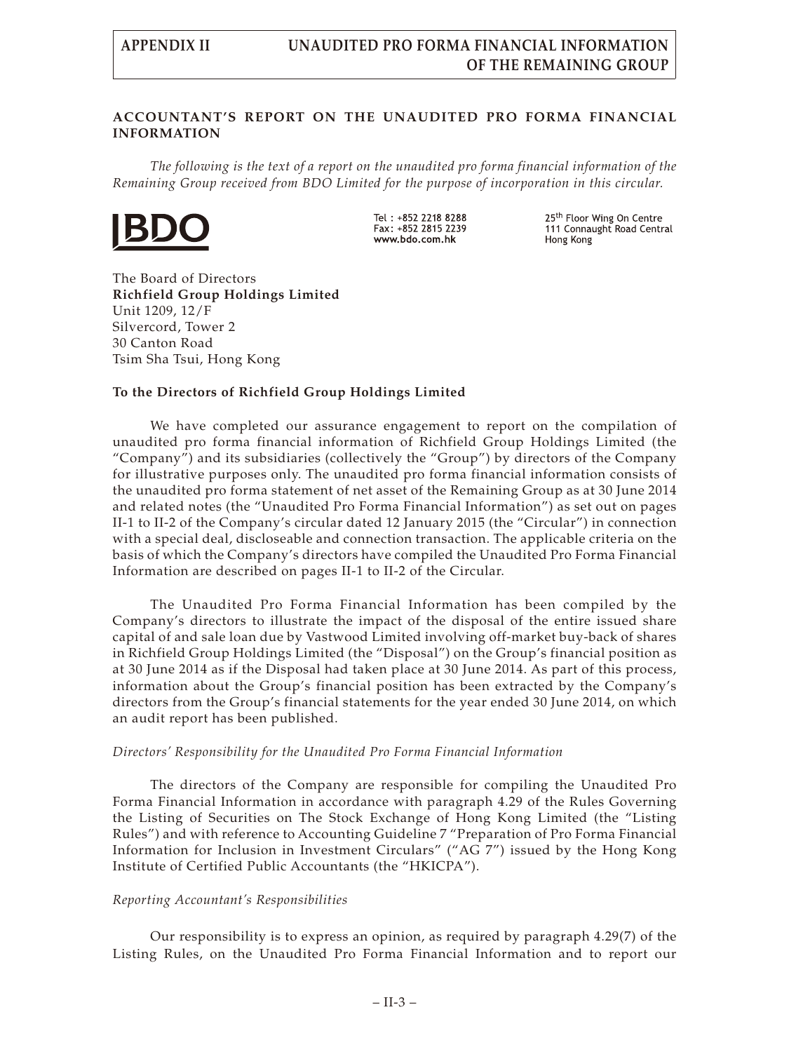## **ACCOUNTANT'S REPORT ON THE UNAUDITED PRO FORMA FINANCIAL INFORMATION**

*The following is the text of a report on the unaudited pro forma financial information of the Remaining Group received from BDO Limited for the purpose of incorporation in this circular.*



Tel: +852 2218 8288 Fax: +852 2815 2239 www.bdo.com.hk

25<sup>th</sup> Floor Wing On Centre 111 Connaught Road Central Hong Kong

The Board of Directors **Richfield Group Holdings Limited** Unit 1209, 12/F Silvercord, Tower 2 30 Canton Road Tsim Sha Tsui, Hong Kong

### **To the Directors of Richfield Group Holdings Limited**

We have completed our assurance engagement to report on the compilation of unaudited pro forma financial information of Richfield Group Holdings Limited (the "Company") and its subsidiaries (collectively the "Group") by directors of the Company for illustrative purposes only. The unaudited pro forma financial information consists of the unaudited pro forma statement of net asset of the Remaining Group as at 30 June 2014 and related notes (the "Unaudited Pro Forma Financial Information") as set out on pages II-1 to II-2 of the Company's circular dated 12 January 2015 (the "Circular") in connection with a special deal, discloseable and connection transaction. The applicable criteria on the basis of which the Company's directors have compiled the Unaudited Pro Forma Financial Information are described on pages II-1 to II-2 of the Circular.

The Unaudited Pro Forma Financial Information has been compiled by the Company's directors to illustrate the impact of the disposal of the entire issued share capital of and sale loan due by Vastwood Limited involving off-market buy-back of shares in Richfield Group Holdings Limited (the "Disposal") on the Group's financial position as at 30 June 2014 as if the Disposal had taken place at 30 June 2014. As part of this process, information about the Group's financial position has been extracted by the Company's directors from the Group's financial statements for the year ended 30 June 2014, on which an audit report has been published.

### *Directors' Responsibility for the Unaudited Pro Forma Financial Information*

The directors of the Company are responsible for compiling the Unaudited Pro Forma Financial Information in accordance with paragraph 4.29 of the Rules Governing the Listing of Securities on The Stock Exchange of Hong Kong Limited (the "Listing Rules") and with reference to Accounting Guideline 7 "Preparation of Pro Forma Financial Information for Inclusion in Investment Circulars" ("AG 7") issued by the Hong Kong Institute of Certified Public Accountants (the "HKICPA").

### *Reporting Accountant's Responsibilities*

Our responsibility is to express an opinion, as required by paragraph 4.29(7) of the Listing Rules, on the Unaudited Pro Forma Financial Information and to report our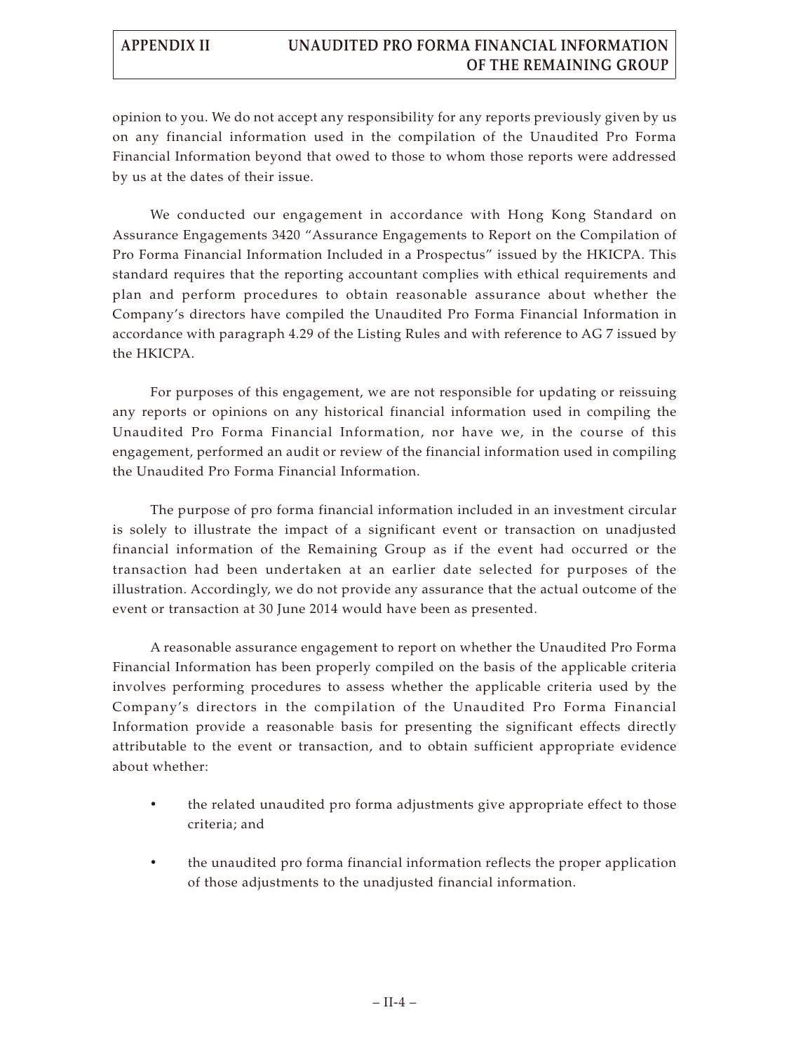# **APPENDIX II UNAUDITED PRO FORMA FINANCIAL INFORMATION OF THE REMAINING GROUP**

opinion to you. We do not accept any responsibility for any reports previously given by us on any financial information used in the compilation of the Unaudited Pro Forma Financial Information beyond that owed to those to whom those reports were addressed by us at the dates of their issue.

We conducted our engagement in accordance with Hong Kong Standard on Assurance Engagements 3420 "Assurance Engagements to Report on the Compilation of Pro Forma Financial Information Included in a Prospectus" issued by the HKICPA. This standard requires that the reporting accountant complies with ethical requirements and plan and perform procedures to obtain reasonable assurance about whether the Company's directors have compiled the Unaudited Pro Forma Financial Information in accordance with paragraph 4.29 of the Listing Rules and with reference to AG 7 issued by the HKICPA.

For purposes of this engagement, we are not responsible for updating or reissuing any reports or opinions on any historical financial information used in compiling the Unaudited Pro Forma Financial Information, nor have we, in the course of this engagement, performed an audit or review of the financial information used in compiling the Unaudited Pro Forma Financial Information.

The purpose of pro forma financial information included in an investment circular is solely to illustrate the impact of a significant event or transaction on unadjusted financial information of the Remaining Group as if the event had occurred or the transaction had been undertaken at an earlier date selected for purposes of the illustration. Accordingly, we do not provide any assurance that the actual outcome of the event or transaction at 30 June 2014 would have been as presented.

A reasonable assurance engagement to report on whether the Unaudited Pro Forma Financial Information has been properly compiled on the basis of the applicable criteria involves performing procedures to assess whether the applicable criteria used by the Company's directors in the compilation of the Unaudited Pro Forma Financial Information provide a reasonable basis for presenting the significant effects directly attributable to the event or transaction, and to obtain sufficient appropriate evidence about whether:

- the related unaudited pro forma adjustments give appropriate effect to those criteria; and
- the unaudited pro forma financial information reflects the proper application of those adjustments to the unadjusted financial information.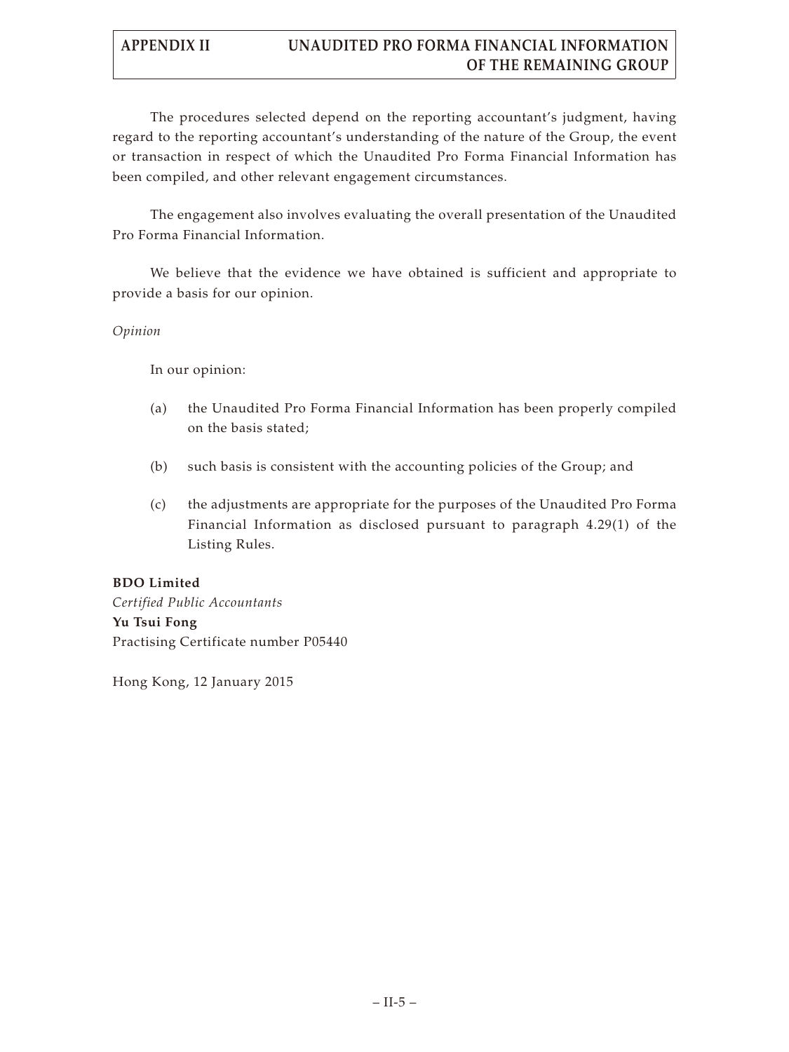# **APPENDIX II UNAUDITED PRO FORMA FINANCIAL INFORMATION OF THE REMAINING GROUP**

The procedures selected depend on the reporting accountant's judgment, having regard to the reporting accountant's understanding of the nature of the Group, the event or transaction in respect of which the Unaudited Pro Forma Financial Information has been compiled, and other relevant engagement circumstances.

The engagement also involves evaluating the overall presentation of the Unaudited Pro Forma Financial Information.

We believe that the evidence we have obtained is sufficient and appropriate to provide a basis for our opinion.

## *Opinion*

In our opinion:

- (a) the Unaudited Pro Forma Financial Information has been properly compiled on the basis stated;
- (b) such basis is consistent with the accounting policies of the Group; and
- (c) the adjustments are appropriate for the purposes of the Unaudited Pro Forma Financial Information as disclosed pursuant to paragraph 4.29(1) of the Listing Rules.

## **BDO Limited**

*Certified Public Accountants* **Yu Tsui Fong** Practising Certificate number P05440

Hong Kong, 12 January 2015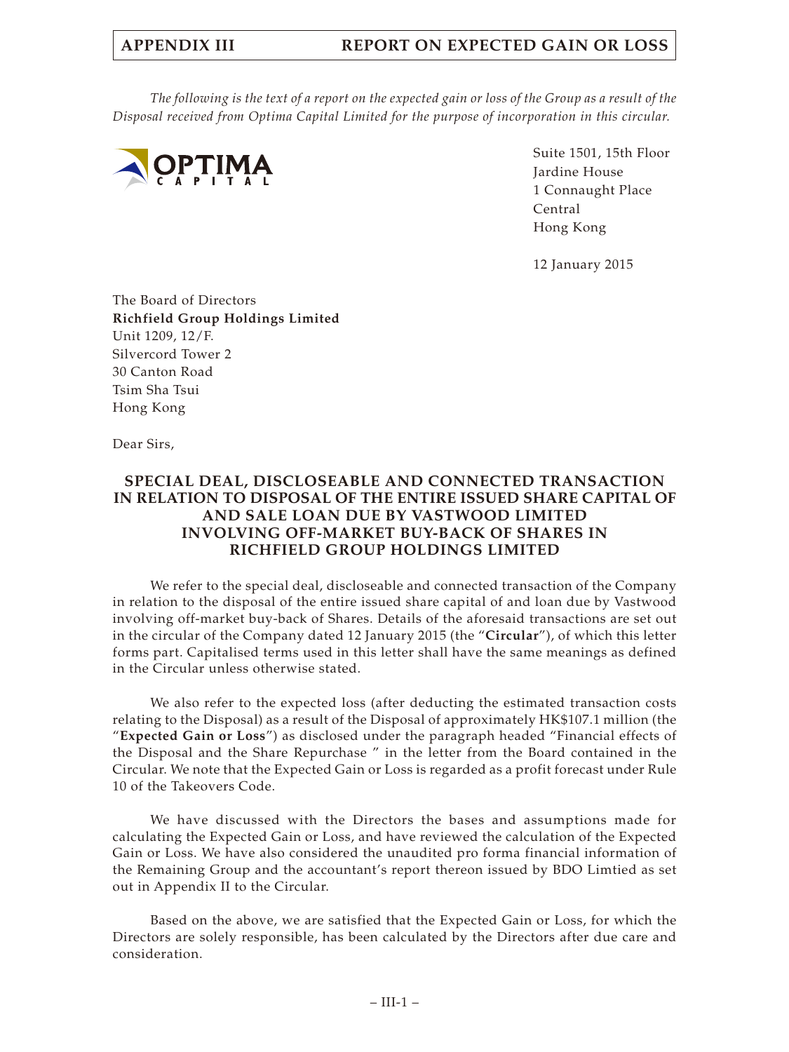# **APPENDIX III REPORT ON EXPECTED GAIN OR LOSS**

*The following is the text of a report on the expected gain or loss of the Group as a result of the Disposal received from Optima Capital Limited for the purpose of incorporation in this circular.*



Suite 1501, 15th Floor Jardine House 1 Connaught Place Central Hong Kong

12 January 2015

The Board of Directors **Richfield Group Holdings Limited** Unit 1209, 12/F. Silvercord Tower 2 30 Canton Road Tsim Sha Tsui Hong Kong

Dear Sirs,

## **SPECIAL DEAL, DISCLOSEABLE AND CONNECTED TRANSACTION IN RELATION TO DISPOSAL OF THE ENTIRE ISSUED SHARE CAPITAL OF AND SALE LOAN DUE BY VASTWOOD LIMITED INVOLVING OFF-MARKET BUY-BACK OF SHARES IN RICHFIELD GROUP HOLDINGS LIMITED**

We refer to the special deal, discloseable and connected transaction of the Company in relation to the disposal of the entire issued share capital of and loan due by Vastwood involving off-market buy-back of Shares. Details of the aforesaid transactions are set out in the circular of the Company dated 12 January 2015 (the "**Circular**"), of which this letter forms part. Capitalised terms used in this letter shall have the same meanings as defined in the Circular unless otherwise stated.

We also refer to the expected loss (after deducting the estimated transaction costs relating to the Disposal) as a result of the Disposal of approximately HK\$107.1 million (the "**Expected Gain or Loss**") as disclosed under the paragraph headed "Financial effects of the Disposal and the Share Repurchase " in the letter from the Board contained in the Circular. We note that the Expected Gain or Loss is regarded as a profit forecast under Rule 10 of the Takeovers Code.

We have discussed with the Directors the bases and assumptions made for calculating the Expected Gain or Loss, and have reviewed the calculation of the Expected Gain or Loss. We have also considered the unaudited pro forma financial information of the Remaining Group and the accountant's report thereon issued by BDO Limtied as set out in Appendix II to the Circular.

Based on the above, we are satisfied that the Expected Gain or Loss, for which the Directors are solely responsible, has been calculated by the Directors after due care and consideration.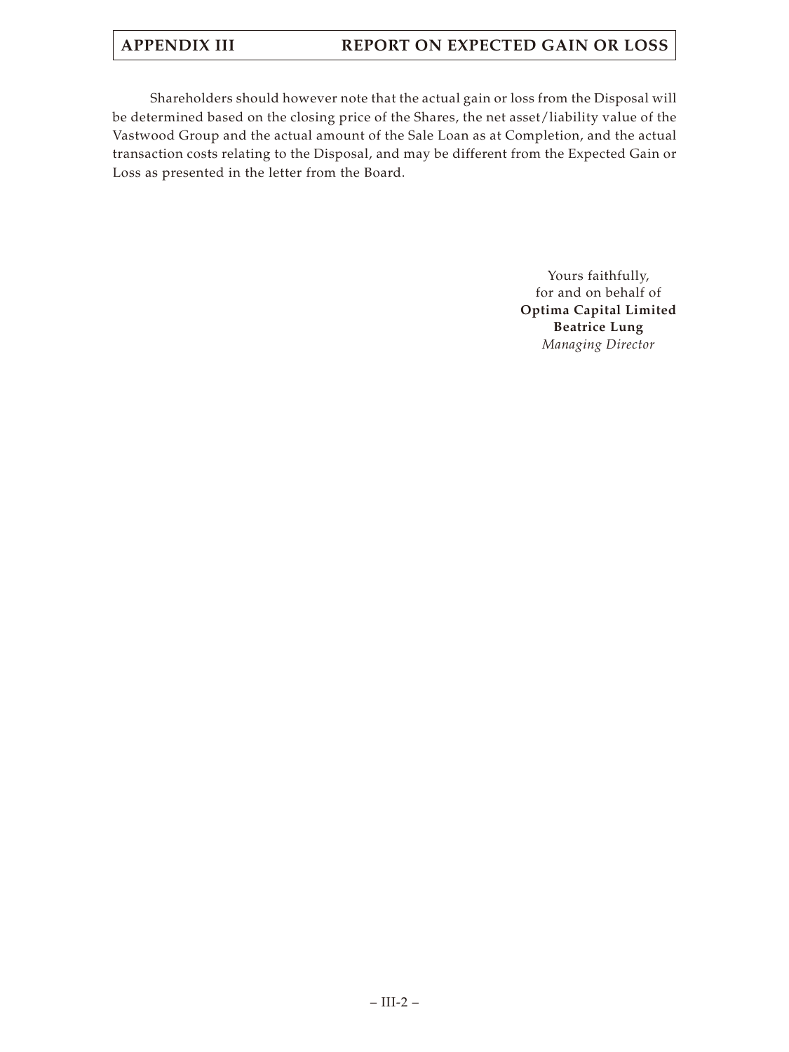# **APPENDIX III REPORT ON EXPECTED GAIN OR LOSS**

Shareholders should however note that the actual gain or loss from the Disposal will be determined based on the closing price of the Shares, the net asset/liability value of the Vastwood Group and the actual amount of the Sale Loan as at Completion, and the actual transaction costs relating to the Disposal, and may be different from the Expected Gain or Loss as presented in the letter from the Board.

> Yours faithfully, for and on behalf of **Optima Capital Limited Beatrice Lung** *Managing Director*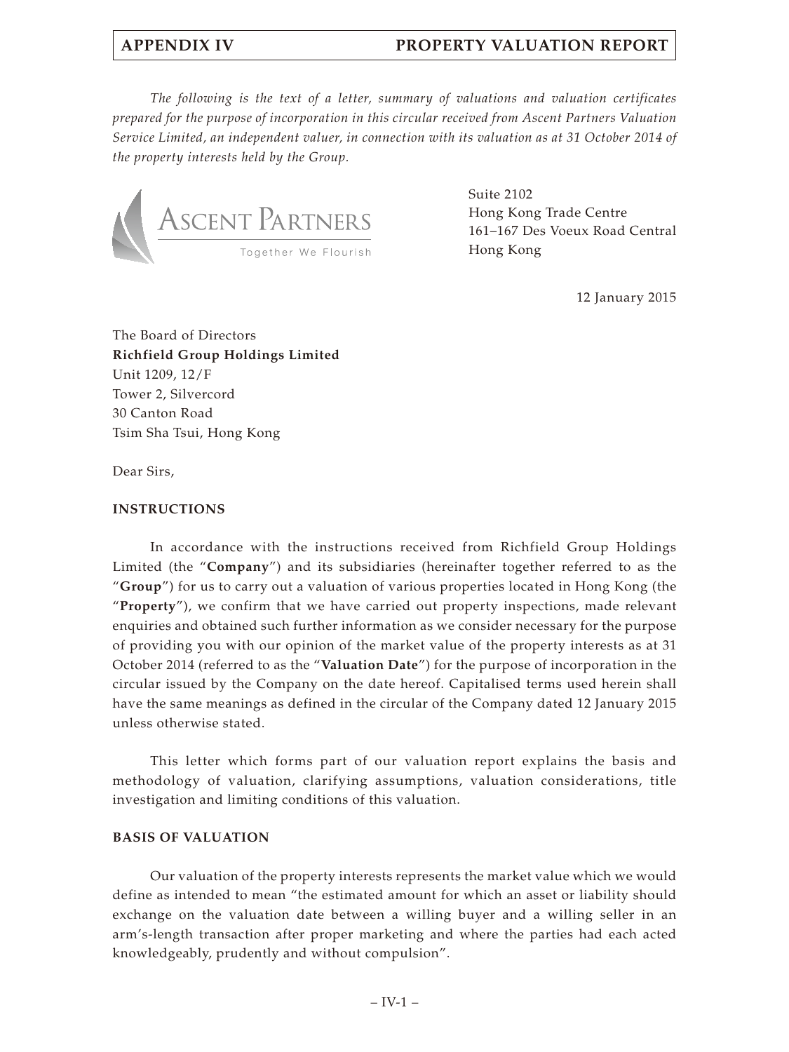*The following is the text of a letter, summary of valuations and valuation certificates prepared for the purpose of incorporation in this circular received from Ascent Partners Valuation Service Limited, an independent valuer, in connection with its valuation as at 31 October 2014 of the property interests held by the Group.*



Suite 2102 Hong Kong Trade Centre 161–167 Des Voeux Road Central Hong Kong

12 January 2015

The Board of Directors **Richfield Group Holdings Limited** Unit 1209, 12/F Tower 2, Silvercord 30 Canton Road Tsim Sha Tsui, Hong Kong

Dear Sirs,

### **INSTRUCTIONS**

In accordance with the instructions received from Richfield Group Holdings Limited (the "**Company**") and its subsidiaries (hereinafter together referred to as the "**Group**") for us to carry out a valuation of various properties located in Hong Kong (the "**Property**"), we confirm that we have carried out property inspections, made relevant enquiries and obtained such further information as we consider necessary for the purpose of providing you with our opinion of the market value of the property interests as at 31 October 2014 (referred to as the "**Valuation Date**") for the purpose of incorporation in the circular issued by the Company on the date hereof. Capitalised terms used herein shall have the same meanings as defined in the circular of the Company dated 12 January 2015 unless otherwise stated.

This letter which forms part of our valuation report explains the basis and methodology of valuation, clarifying assumptions, valuation considerations, title investigation and limiting conditions of this valuation.

### **BASIS OF VALUATION**

Our valuation of the property interests represents the market value which we would define as intended to mean "the estimated amount for which an asset or liability should exchange on the valuation date between a willing buyer and a willing seller in an arm's-length transaction after proper marketing and where the parties had each acted knowledgeably, prudently and without compulsion".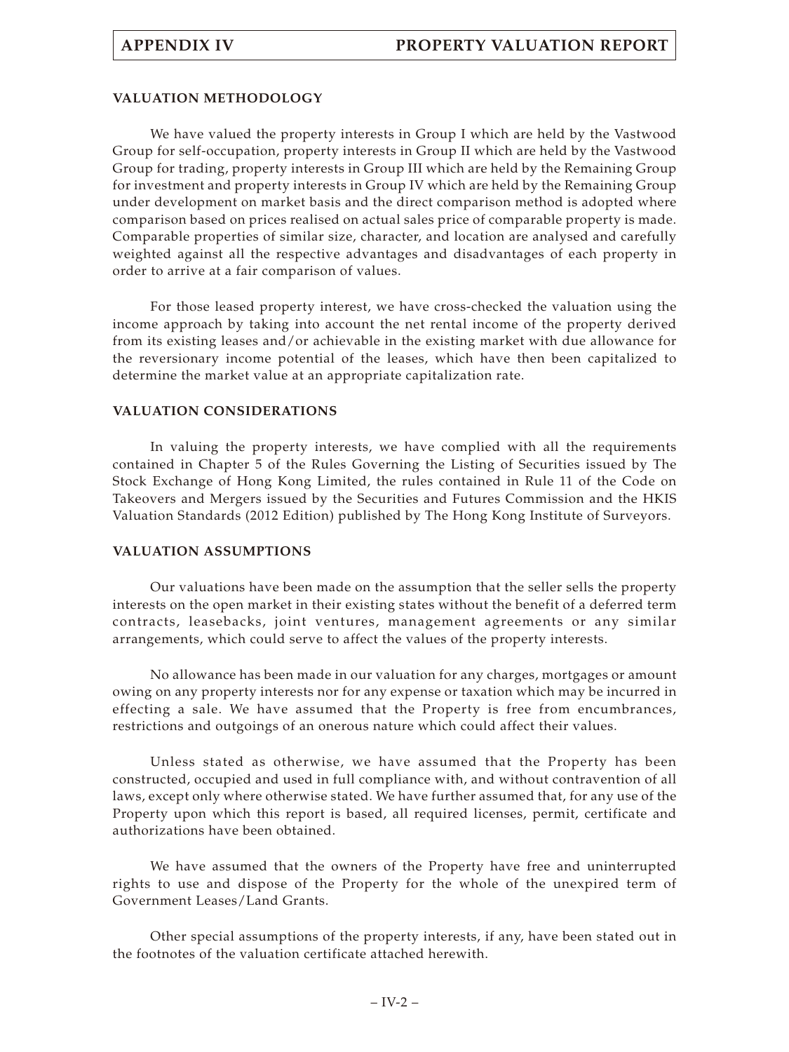## **VALUATION METHODOLOGY**

We have valued the property interests in Group I which are held by the Vastwood Group for self-occupation, property interests in Group II which are held by the Vastwood Group for trading, property interests in Group III which are held by the Remaining Group for investment and property interests in Group IV which are held by the Remaining Group under development on market basis and the direct comparison method is adopted where comparison based on prices realised on actual sales price of comparable property is made. Comparable properties of similar size, character, and location are analysed and carefully weighted against all the respective advantages and disadvantages of each property in order to arrive at a fair comparison of values.

For those leased property interest, we have cross-checked the valuation using the income approach by taking into account the net rental income of the property derived from its existing leases and/or achievable in the existing market with due allowance for the reversionary income potential of the leases, which have then been capitalized to determine the market value at an appropriate capitalization rate.

## **VALUATION CONSIDERATIONS**

In valuing the property interests, we have complied with all the requirements contained in Chapter 5 of the Rules Governing the Listing of Securities issued by The Stock Exchange of Hong Kong Limited, the rules contained in Rule 11 of the Code on Takeovers and Mergers issued by the Securities and Futures Commission and the HKIS Valuation Standards (2012 Edition) published by The Hong Kong Institute of Surveyors.

### **VALUATION ASSUMPTIONS**

Our valuations have been made on the assumption that the seller sells the property interests on the open market in their existing states without the benefit of a deferred term contracts, leasebacks, joint ventures, management agreements or any similar arrangements, which could serve to affect the values of the property interests.

No allowance has been made in our valuation for any charges, mortgages or amount owing on any property interests nor for any expense or taxation which may be incurred in effecting a sale. We have assumed that the Property is free from encumbrances, restrictions and outgoings of an onerous nature which could affect their values.

Unless stated as otherwise, we have assumed that the Property has been constructed, occupied and used in full compliance with, and without contravention of all laws, except only where otherwise stated. We have further assumed that, for any use of the Property upon which this report is based, all required licenses, permit, certificate and authorizations have been obtained.

We have assumed that the owners of the Property have free and uninterrupted rights to use and dispose of the Property for the whole of the unexpired term of Government Leases/Land Grants.

Other special assumptions of the property interests, if any, have been stated out in the footnotes of the valuation certificate attached herewith.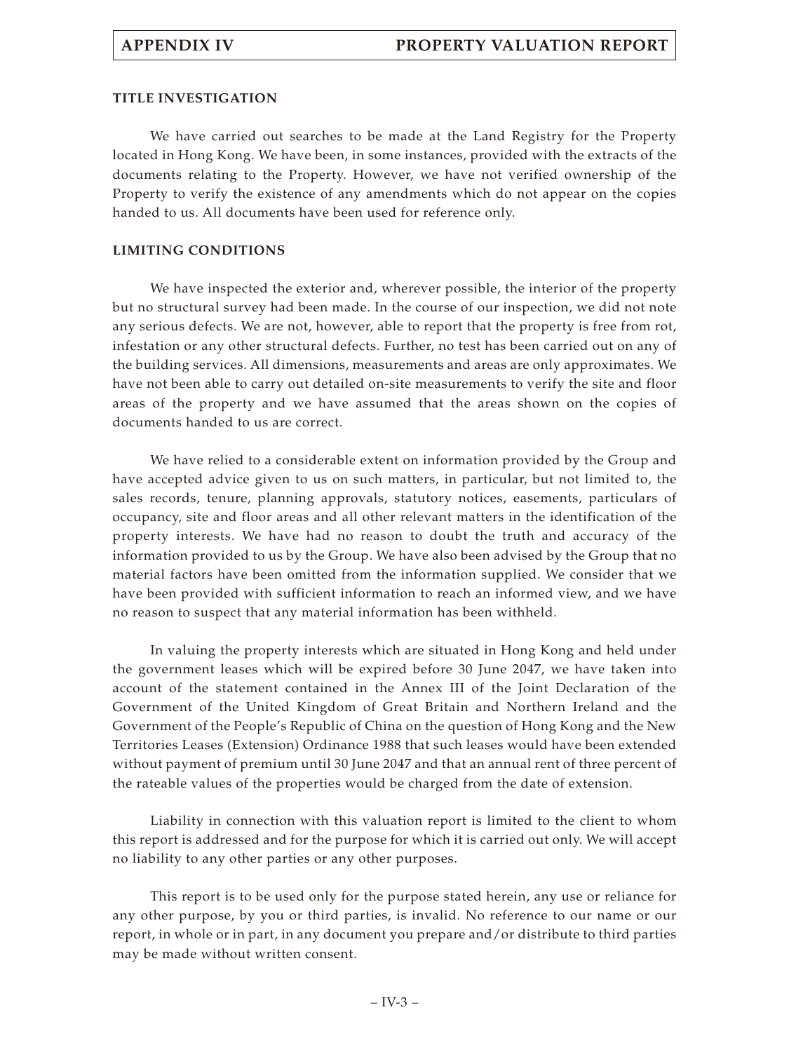### **TITLE INVESTIGATION**

We have carried out searches to be made at the Land Registry for the Property located in Hong Kong. We have been, in some instances, provided with the extracts of the documents relating to the Property. However, we have not verified ownership of the Property to verify the existence of any amendments which do not appear on the copies handed to us. All documents have been used for reference only.

### **LIMITING CONDITIONS**

We have inspected the exterior and, wherever possible, the interior of the property but no structural survey had been made. In the course of our inspection, we did not note any serious defects. We are not, however, able to report that the property is free from rot, infestation or any other structural defects. Further, no test has been carried out on any of the building services. All dimensions, measurements and areas are only approximates. We have not been able to carry out detailed on-site measurements to verify the site and floor areas of the property and we have assumed that the areas shown on the copies of documents handed to us are correct.

We have relied to a considerable extent on information provided by the Group and have accepted advice given to us on such matters, in particular, but not limited to, the sales records, tenure, planning approvals, statutory notices, easements, particulars of occupancy, site and floor areas and all other relevant matters in the identification of the property interests. We have had no reason to doubt the truth and accuracy of the information provided to us by the Group. We have also been advised by the Group that no material factors have been omitted from the information supplied. We consider that we have been provided with sufficient information to reach an informed view, and we have no reason to suspect that any material information has been withheld.

In valuing the property interests which are situated in Hong Kong and held under the government leases which will be expired before 30 June 2047, we have taken into account of the statement contained in the Annex III of the Joint Declaration of the Government of the United Kingdom of Great Britain and Northern Ireland and the Government of the People's Republic of China on the question of Hong Kong and the New Territories Leases (Extension) Ordinance 1988 that such leases would have been extended without payment of premium until 30 June 2047 and that an annual rent of three percent of the rateable values of the properties would be charged from the date of extension.

Liability in connection with this valuation report is limited to the client to whom this report is addressed and for the purpose for which it is carried out only. We will accept no liability to any other parties or any other purposes.

This report is to be used only for the purpose stated herein, any use or reliance for any other purpose, by you or third parties, is invalid. No reference to our name or our report, in whole or in part, in any document you prepare and/or distribute to third parties may be made without written consent.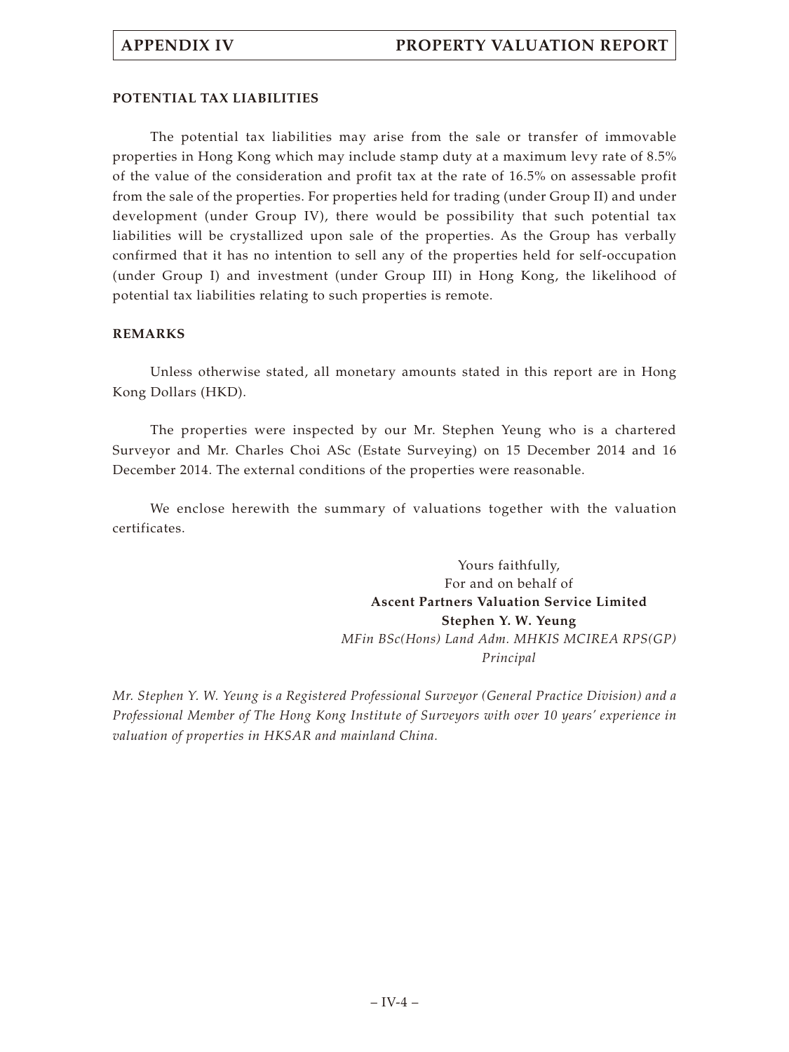## **POTENTIAL TAX LIABILITIES**

The potential tax liabilities may arise from the sale or transfer of immovable properties in Hong Kong which may include stamp duty at a maximum levy rate of 8.5% of the value of the consideration and profit tax at the rate of 16.5% on assessable profit from the sale of the properties. For properties held for trading (under Group II) and under development (under Group IV), there would be possibility that such potential tax liabilities will be crystallized upon sale of the properties. As the Group has verbally confirmed that it has no intention to sell any of the properties held for self-occupation (under Group I) and investment (under Group III) in Hong Kong, the likelihood of potential tax liabilities relating to such properties is remote.

## **REMARKS**

Unless otherwise stated, all monetary amounts stated in this report are in Hong Kong Dollars (HKD).

The properties were inspected by our Mr. Stephen Yeung who is a chartered Surveyor and Mr. Charles Choi ASc (Estate Surveying) on 15 December 2014 and 16 December 2014. The external conditions of the properties were reasonable.

We enclose herewith the summary of valuations together with the valuation certificates.

> Yours faithfully, For and on behalf of **Ascent Partners Valuation Service Limited Stephen Y. W. Yeung** *MFin BSc(Hons) Land Adm. MHKIS MCIREA RPS(GP) Principal*

*Mr. Stephen Y. W. Yeung is a Registered Professional Surveyor (General Practice Division) and a Professional Member of The Hong Kong Institute of Surveyors with over 10 years' experience in valuation of properties in HKSAR and mainland China.*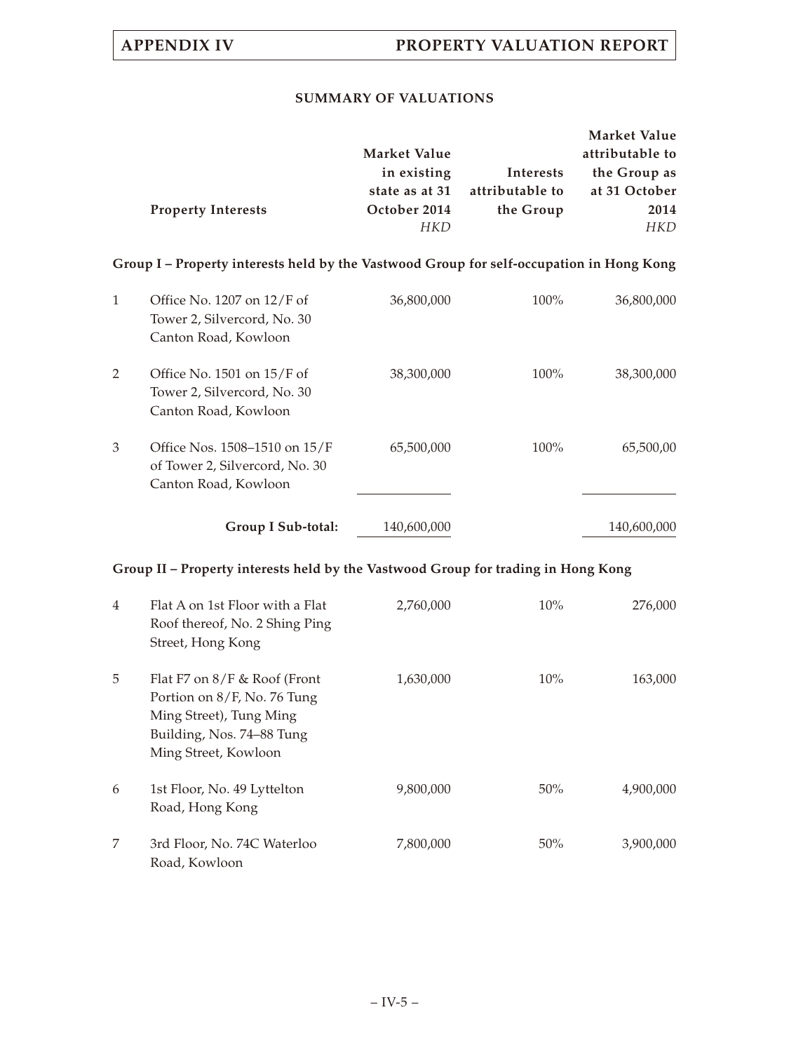## **SUMMARY OF VALUATIONS**

|                           |                                                                                          |                 | <b>Market Value</b> |
|---------------------------|------------------------------------------------------------------------------------------|-----------------|---------------------|
|                           | <b>Market Value</b>                                                                      |                 | attributable to     |
|                           | in existing                                                                              | Interests       | the Group as        |
|                           | state as at 31                                                                           | attributable to | at 31 October       |
| <b>Property Interests</b> | October 2014                                                                             | the Group       | 2014                |
|                           | HKD                                                                                      |                 | <b>HKD</b>          |
|                           | Group I – Property interests held by the Vastwood Group for self-occupation in Hong Kong |                 |                     |

|   | Group I Sub-total:                                                                      | 140,600,000 |         | 140,600,000 |
|---|-----------------------------------------------------------------------------------------|-------------|---------|-------------|
| 3 | Office Nos. 1508–1510 on 15/F<br>of Tower 2, Silvercord, No. 30<br>Canton Road, Kowloon | 65,500,000  | $100\%$ | 65,500,00   |
| 2 | Office No. $1501$ on $15/F$ of<br>Tower 2, Silvercord, No. 30<br>Canton Road, Kowloon   | 38,300,000  | $100\%$ | 38,300,000  |
| 1 | Office No. 1207 on $12/F$ of<br>Tower 2, Silvercord, No. 30<br>Canton Road, Kowloon     | 36,800,000  | $100\%$ | 36,800,000  |

# **Group II – Property interests held by the Vastwood Group for trading in Hong Kong**

| 4 | Flat A on 1st Floor with a Flat<br>Roof thereof, No. 2 Shing Ping<br>Street, Hong Kong                                                        | 2,760,000 | $10\%$ | 276,000   |
|---|-----------------------------------------------------------------------------------------------------------------------------------------------|-----------|--------|-----------|
| 5 | Flat F7 on $8/F$ & Roof (Front<br>Portion on 8/F, No. 76 Tung<br>Ming Street), Tung Ming<br>Building, Nos. 74–88 Tung<br>Ming Street, Kowloon | 1,630,000 | $10\%$ | 163,000   |
| 6 | 1st Floor, No. 49 Lyttelton<br>Road, Hong Kong                                                                                                | 9,800,000 | $50\%$ | 4,900,000 |
| 7 | 3rd Floor, No. 74C Waterloo<br>Road, Kowloon                                                                                                  | 7,800,000 | $50\%$ | 3,900,000 |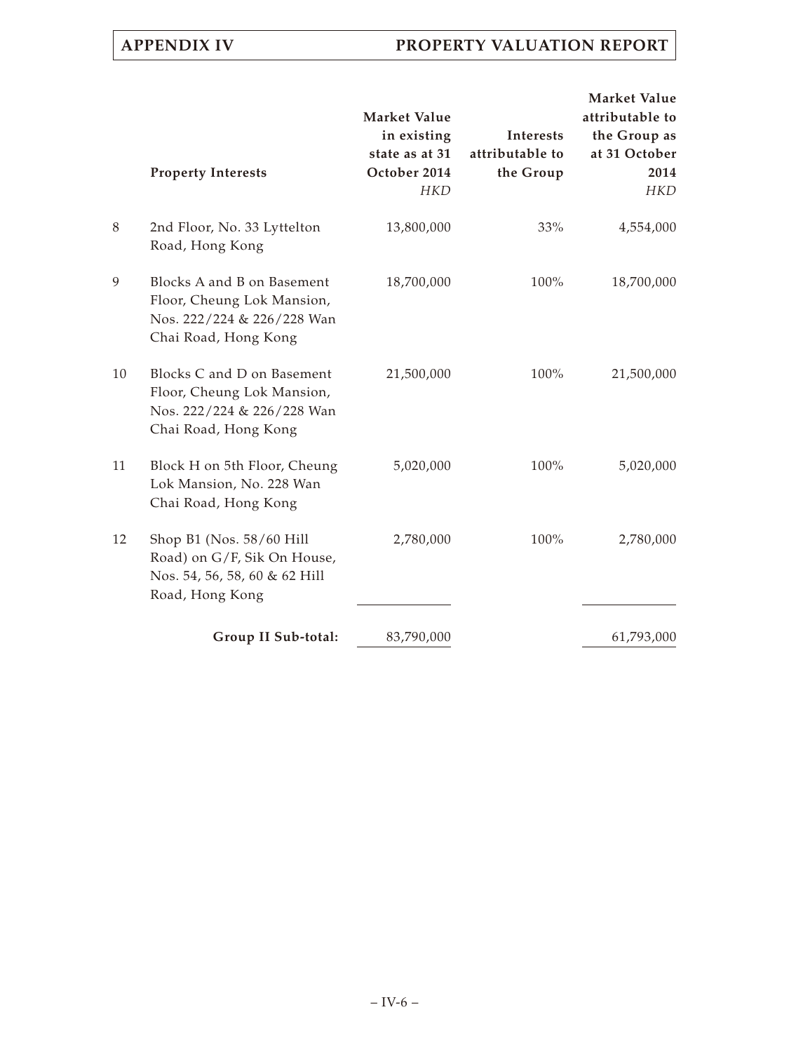|    | <b>Property Interests</b>                                                                                      | Market Value<br>in existing<br>state as at 31<br>October 2014<br><b>HKD</b> | Interests<br>attributable to<br>the Group | <b>Market Value</b><br>attributable to<br>the Group as<br>at 31 October<br>2014<br><b>HKD</b> |
|----|----------------------------------------------------------------------------------------------------------------|-----------------------------------------------------------------------------|-------------------------------------------|-----------------------------------------------------------------------------------------------|
| 8  | 2nd Floor, No. 33 Lyttelton<br>Road, Hong Kong                                                                 | 13,800,000                                                                  | 33%                                       | 4,554,000                                                                                     |
| 9  | Blocks A and B on Basement<br>Floor, Cheung Lok Mansion,<br>Nos. 222/224 & 226/228 Wan<br>Chai Road, Hong Kong | 18,700,000                                                                  | 100%                                      | 18,700,000                                                                                    |
| 10 | Blocks C and D on Basement<br>Floor, Cheung Lok Mansion,<br>Nos. 222/224 & 226/228 Wan<br>Chai Road, Hong Kong | 21,500,000                                                                  | $100\%$                                   | 21,500,000                                                                                    |
| 11 | Block H on 5th Floor, Cheung<br>Lok Mansion, No. 228 Wan<br>Chai Road, Hong Kong                               | 5,020,000                                                                   | 100%                                      | 5,020,000                                                                                     |
| 12 | Shop B1 (Nos. 58/60 Hill<br>Road) on G/F, Sik On House,<br>Nos. 54, 56, 58, 60 & 62 Hill<br>Road, Hong Kong    | 2,780,000                                                                   | 100%                                      | 2,780,000                                                                                     |
|    | Group II Sub-total:                                                                                            | 83,790,000                                                                  |                                           | 61,793,000                                                                                    |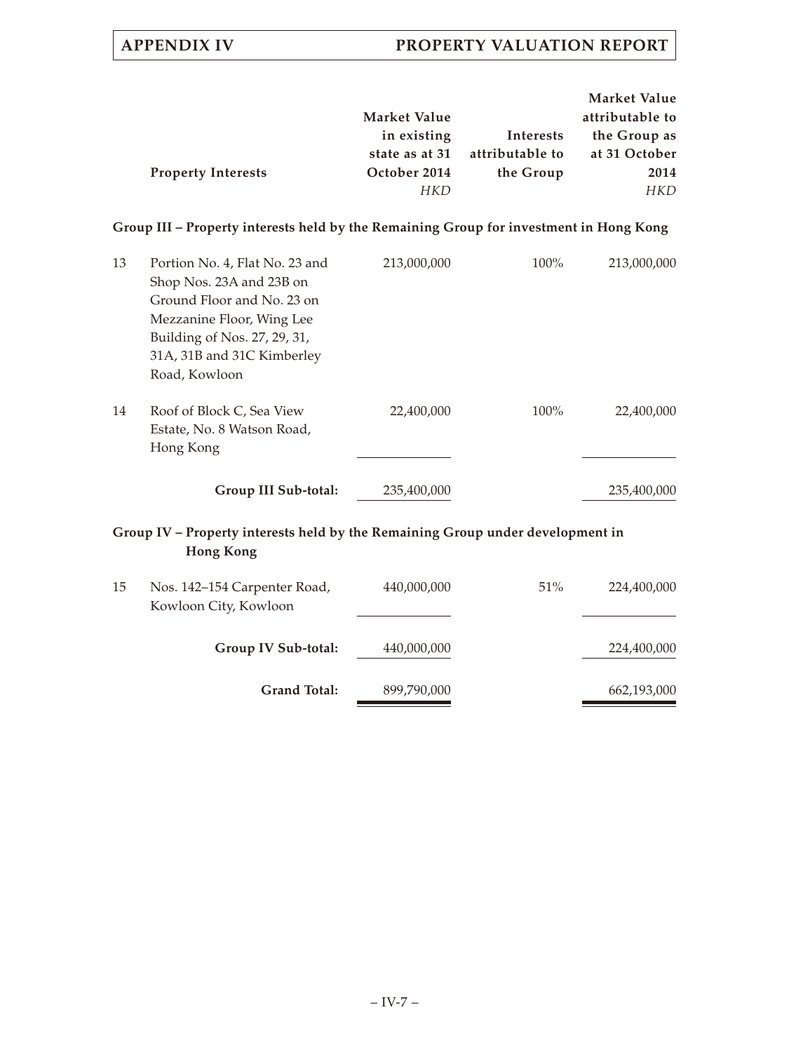|    | <b>Property Interests</b>                                                                                                                                                                            | <b>Market Value</b><br>in existing<br>state as at 31<br>October 2014<br><b>HKD</b> | Interests<br>attributable to<br>the Group | Market Value<br>attributable to<br>the Group as<br>at 31 October<br>2014<br><b>HKD</b> |
|----|------------------------------------------------------------------------------------------------------------------------------------------------------------------------------------------------------|------------------------------------------------------------------------------------|-------------------------------------------|----------------------------------------------------------------------------------------|
|    | Group III – Property interests held by the Remaining Group for investment in Hong Kong                                                                                                               |                                                                                    |                                           |                                                                                        |
| 13 | Portion No. 4, Flat No. 23 and<br>Shop Nos. 23A and 23B on<br>Ground Floor and No. 23 on<br>Mezzanine Floor, Wing Lee<br>Building of Nos. 27, 29, 31,<br>31A, 31B and 31C Kimberley<br>Road, Kowloon | 213,000,000                                                                        | 100%                                      | 213,000,000                                                                            |
| 14 | Roof of Block C, Sea View<br>Estate, No. 8 Watson Road,<br>Hong Kong                                                                                                                                 | 22,400,000                                                                         | 100%                                      | 22,400,000                                                                             |
|    | Group III Sub-total:                                                                                                                                                                                 | 235,400,000                                                                        |                                           | 235,400,000                                                                            |
|    | Group IV – Property interests held by the Remaining Group under development in<br><b>Hong Kong</b>                                                                                                   |                                                                                    |                                           |                                                                                        |
| 15 | Nos. 142-154 Carpenter Road,<br>Kowloon City, Kowloon                                                                                                                                                | 440,000,000                                                                        | 51%                                       | 224,400,000                                                                            |
|    | Group IV Sub-total:                                                                                                                                                                                  | 440,000,000                                                                        |                                           | 224,400,000                                                                            |
|    | <b>Grand Total:</b>                                                                                                                                                                                  | 899,790,000                                                                        |                                           | 662,193,000                                                                            |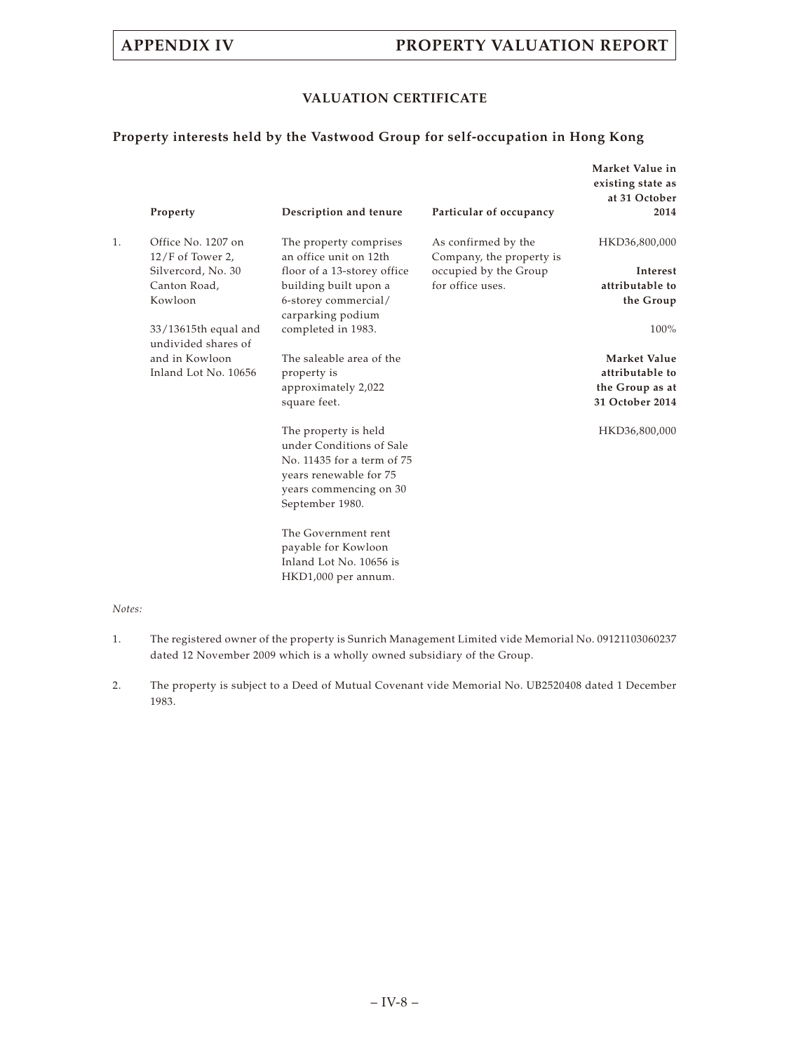## **VALUATION CERTIFICATE**

## **Property interests held by the Vastwood Group for self-occupation in Hong Kong**

|    | Property                                    | Description and tenure                                                                                                                                | Particular of occupancy                         | Market Value in<br>existing state as<br>at 31 October<br>2014 |
|----|---------------------------------------------|-------------------------------------------------------------------------------------------------------------------------------------------------------|-------------------------------------------------|---------------------------------------------------------------|
| 1. | Office No. 1207 on<br>$12/F$ of Tower 2,    | The property comprises<br>an office unit on 12th                                                                                                      | As confirmed by the<br>Company, the property is | HKD36,800,000                                                 |
|    | Silvercord, No. 30                          | floor of a 13-storey office                                                                                                                           | occupied by the Group                           | Interest                                                      |
|    | Canton Road,                                | building built upon a                                                                                                                                 | for office uses.                                | attributable to                                               |
|    | Kowloon                                     | 6-storey commercial/<br>carparking podium                                                                                                             |                                                 | the Group                                                     |
|    | 33/13615th equal and<br>undivided shares of | completed in 1983.                                                                                                                                    |                                                 | 100%                                                          |
|    | and in Kowloon                              | The saleable area of the                                                                                                                              |                                                 | Market Value                                                  |
|    | Inland Lot No. 10656                        | property is                                                                                                                                           |                                                 | attributable to                                               |
|    |                                             | approximately 2,022                                                                                                                                   |                                                 | the Group as at                                               |
|    |                                             | square feet.                                                                                                                                          |                                                 | 31 October 2014                                               |
|    |                                             | The property is held<br>under Conditions of Sale<br>No. 11435 for a term of 75<br>years renewable for 75<br>years commencing on 30<br>September 1980. |                                                 | HKD36,800,000                                                 |
|    |                                             | The Government rent<br>payable for Kowloon<br>Inland Lot No. 10656 is<br>HKD1,000 per annum.                                                          |                                                 |                                                               |

- 1. The registered owner of the property is Sunrich Management Limited vide Memorial No. 09121103060237 dated 12 November 2009 which is a wholly owned subsidiary of the Group.
- 2. The property is subject to a Deed of Mutual Covenant vide Memorial No. UB2520408 dated 1 December 1983.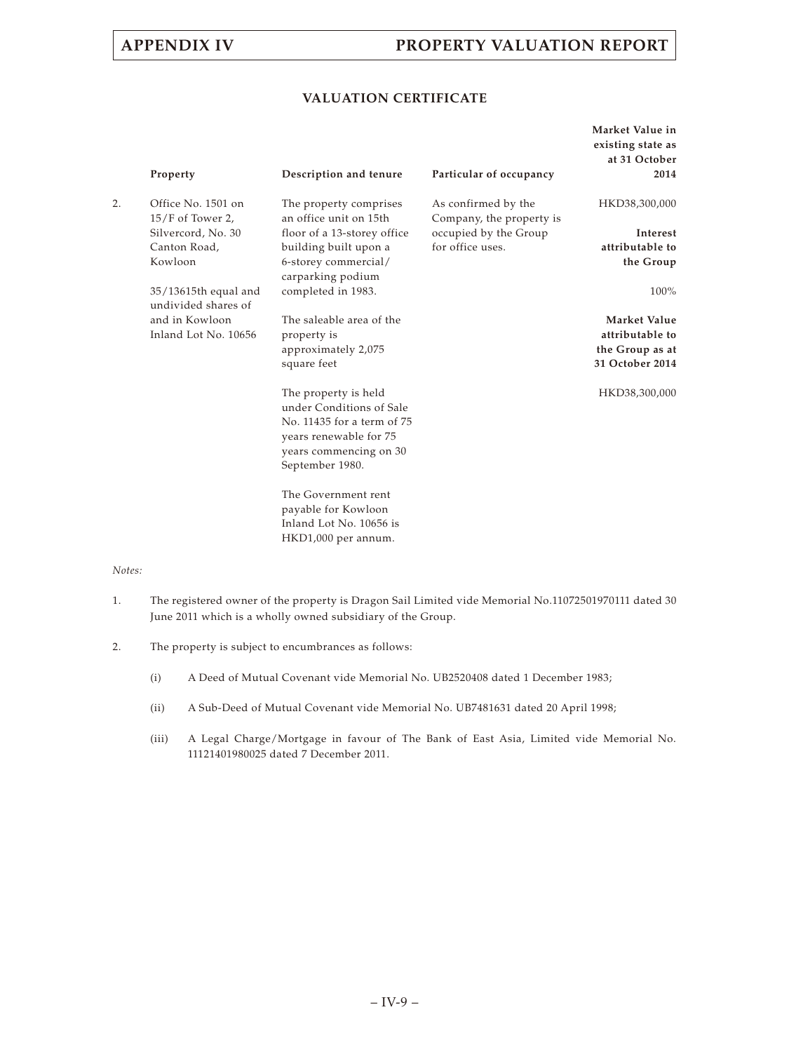## **VALUATION CERTIFICATE**

|    | Property                                    | Description and tenure                                                                                                                                | Particular of occupancy                         | Market Value in<br>existing state as<br>at 31 October<br>2014 |
|----|---------------------------------------------|-------------------------------------------------------------------------------------------------------------------------------------------------------|-------------------------------------------------|---------------------------------------------------------------|
| 2. | Office No. 1501 on<br>$15/F$ of Tower 2,    | The property comprises<br>an office unit on 15th                                                                                                      | As confirmed by the<br>Company, the property is | HKD38,300,000                                                 |
|    | Silvercord, No. 30                          | floor of a 13-storey office                                                                                                                           | occupied by the Group                           | Interest                                                      |
|    | Canton Road,                                | building built upon a                                                                                                                                 | for office uses.                                | attributable to                                               |
|    | Kowloon                                     | 6-storey commercial/<br>carparking podium                                                                                                             |                                                 | the Group                                                     |
|    | 35/13615th equal and<br>undivided shares of | completed in 1983.                                                                                                                                    |                                                 | 100%                                                          |
|    | and in Kowloon                              | The saleable area of the                                                                                                                              |                                                 | Market Value                                                  |
|    | Inland Lot No. 10656                        | property is                                                                                                                                           |                                                 | attributable to                                               |
|    |                                             | approximately 2,075                                                                                                                                   |                                                 | the Group as at                                               |
|    |                                             | square feet                                                                                                                                           |                                                 | 31 October 2014                                               |
|    |                                             | The property is held<br>under Conditions of Sale<br>No. 11435 for a term of 75<br>years renewable for 75<br>years commencing on 30<br>September 1980. |                                                 | HKD38,300,000                                                 |
|    |                                             | The Government rent<br>payable for Kowloon<br>Inland Lot No. 10656 is<br>HKD1,000 per annum.                                                          |                                                 |                                                               |

- 1. The registered owner of the property is Dragon Sail Limited vide Memorial No.11072501970111 dated 30 June 2011 which is a wholly owned subsidiary of the Group.
- 2. The property is subject to encumbrances as follows:
	- (i) A Deed of Mutual Covenant vide Memorial No. UB2520408 dated 1 December 1983;
	- (ii) A Sub-Deed of Mutual Covenant vide Memorial No. UB7481631 dated 20 April 1998;
	- (iii) A Legal Charge/Mortgage in favour of The Bank of East Asia, Limited vide Memorial No. 11121401980025 dated 7 December 2011.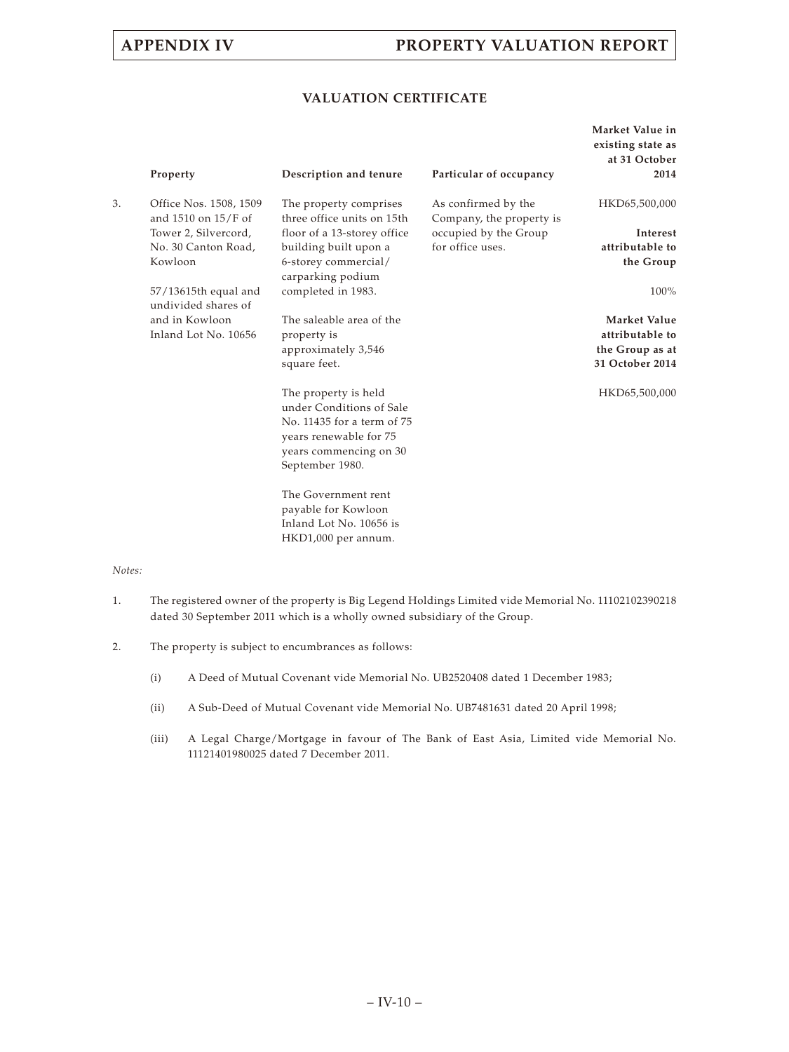## **VALUATION CERTIFICATE**

|    | Property                                      | Description and tenure                                                                                                                                | Particular of occupancy                         | Market Value in<br>existing state as<br>at 31 October<br>2014 |
|----|-----------------------------------------------|-------------------------------------------------------------------------------------------------------------------------------------------------------|-------------------------------------------------|---------------------------------------------------------------|
| 3. | Office Nos. 1508, 1509<br>and 1510 on 15/F of | The property comprises<br>three office units on 15th                                                                                                  | As confirmed by the<br>Company, the property is | HKD65,500,000                                                 |
|    | Tower 2, Silvercord,                          | floor of a 13-storey office                                                                                                                           | occupied by the Group                           | Interest                                                      |
|    | No. 30 Canton Road,                           | building built upon a                                                                                                                                 | for office uses.                                | attributable to                                               |
|    | Kowloon                                       | 6-storey commercial/<br>carparking podium                                                                                                             |                                                 | the Group                                                     |
|    | 57/13615th equal and<br>undivided shares of   | completed in 1983.                                                                                                                                    |                                                 | 100%                                                          |
|    | and in Kowloon                                | The saleable area of the                                                                                                                              |                                                 | Market Value                                                  |
|    | Inland Lot No. 10656                          | property is                                                                                                                                           |                                                 | attributable to                                               |
|    |                                               | approximately 3,546                                                                                                                                   |                                                 | the Group as at                                               |
|    |                                               | square feet.                                                                                                                                          |                                                 | 31 October 2014                                               |
|    |                                               | The property is held<br>under Conditions of Sale<br>No. 11435 for a term of 75<br>years renewable for 75<br>years commencing on 30<br>September 1980. |                                                 | HKD65,500,000                                                 |
|    |                                               | The Government rent<br>payable for Kowloon<br>Inland Lot No. 10656 is<br>HKD1,000 per annum.                                                          |                                                 |                                                               |

- 1. The registered owner of the property is Big Legend Holdings Limited vide Memorial No. 11102102390218 dated 30 September 2011 which is a wholly owned subsidiary of the Group.
- 2. The property is subject to encumbrances as follows:
	- (i) A Deed of Mutual Covenant vide Memorial No. UB2520408 dated 1 December 1983;
	- (ii) A Sub-Deed of Mutual Covenant vide Memorial No. UB7481631 dated 20 April 1998;
	- (iii) A Legal Charge/Mortgage in favour of The Bank of East Asia, Limited vide Memorial No. 11121401980025 dated 7 December 2011.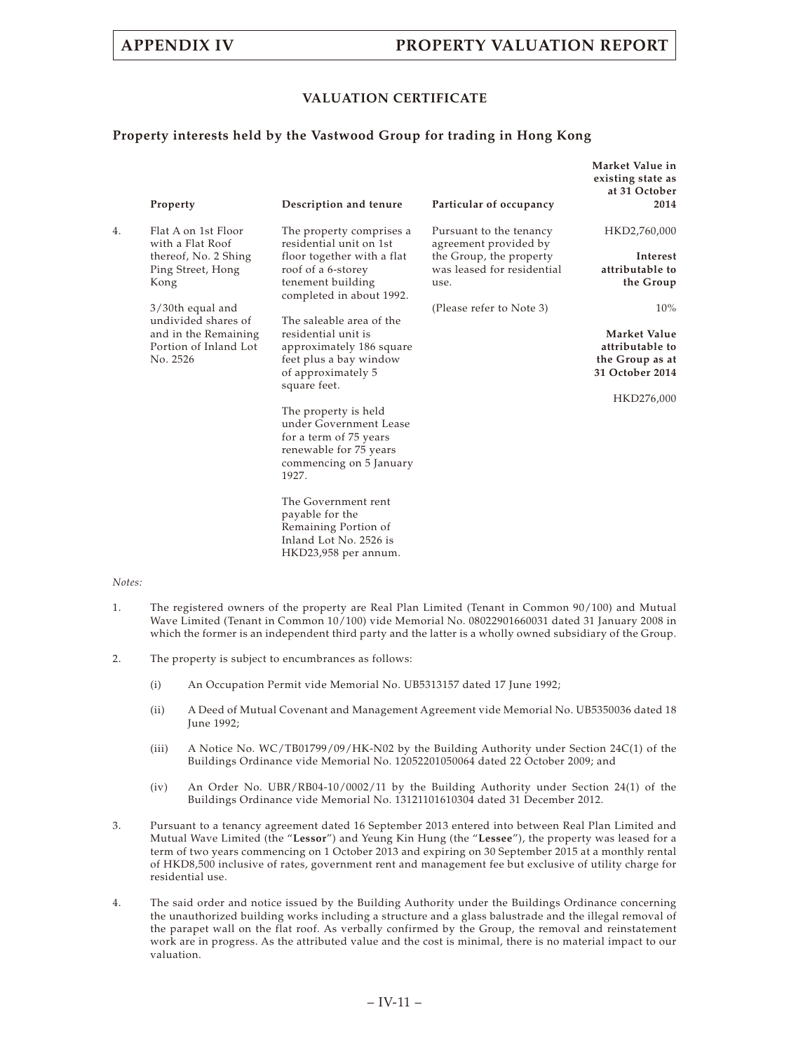### **VALUATION CERTIFICATE**

### **Property interests held by the Vastwood Group for trading in Hong Kong**

|    | Property                                                  | Description and tenure                                                                                                                 | Particular of occupancy                                       | Market Value in<br>existing state as<br>at 31 October<br>2014         |
|----|-----------------------------------------------------------|----------------------------------------------------------------------------------------------------------------------------------------|---------------------------------------------------------------|-----------------------------------------------------------------------|
| 4. | Flat A on 1st Floor<br>with a Flat Roof                   | The property comprises a<br>residential unit on 1st                                                                                    | Pursuant to the tenancy<br>agreement provided by              | HKD2,760,000                                                          |
|    | thereof, No. 2 Shing<br>Ping Street, Hong<br>Kong         | floor together with a flat<br>roof of a 6-storey<br>tenement building<br>completed in about 1992.                                      | the Group, the property<br>was leased for residential<br>use. | Interest<br>attributable to<br>the Group                              |
|    | 3/30th equal and<br>undivided shares of                   | The saleable area of the                                                                                                               | (Please refer to Note 3)                                      | 10%                                                                   |
|    | and in the Remaining<br>Portion of Inland Lot<br>No. 2526 | residential unit is<br>approximately 186 square<br>feet plus a bay window<br>of approximately 5<br>square feet.                        |                                                               | Market Value<br>attributable to<br>the Group as at<br>31 October 2014 |
|    |                                                           | The property is held<br>under Government Lease<br>for a term of 75 years<br>renewable for 75 years<br>commencing on 5 January<br>1927. |                                                               | HKD276,000                                                            |
|    |                                                           | The Government rent<br>payable for the<br>Remaining Portion of<br>Inland Lot No. 2526 is<br>HKD23,958 per annum.                       |                                                               |                                                                       |

- 1. The registered owners of the property are Real Plan Limited (Tenant in Common 90/100) and Mutual Wave Limited (Tenant in Common 10/100) vide Memorial No. 08022901660031 dated 31 January 2008 in which the former is an independent third party and the latter is a wholly owned subsidiary of the Group.
- 2. The property is subject to encumbrances as follows:
	- (i) An Occupation Permit vide Memorial No. UB5313157 dated 17 June 1992;
	- (ii) A Deed of Mutual Covenant and Management Agreement vide Memorial No. UB5350036 dated 18 June 1992;
	- (iii) A Notice No. WC/TB01799/09/HK-N02 by the Building Authority under Section 24C(1) of the Buildings Ordinance vide Memorial No. 12052201050064 dated 22 October 2009; and
	- (iv) An Order No. UBR/RB04-10/0002/11 by the Building Authority under Section 24(1) of the Buildings Ordinance vide Memorial No. 13121101610304 dated 31 December 2012.
- 3. Pursuant to a tenancy agreement dated 16 September 2013 entered into between Real Plan Limited and Mutual Wave Limited (the "**Lessor**") and Yeung Kin Hung (the "**Lessee**"), the property was leased for a term of two years commencing on 1 October 2013 and expiring on 30 September 2015 at a monthly rental of HKD8,500 inclusive of rates, government rent and management fee but exclusive of utility charge for residential use.
- 4. The said order and notice issued by the Building Authority under the Buildings Ordinance concerning the unauthorized building works including a structure and a glass balustrade and the illegal removal of the parapet wall on the flat roof. As verbally confirmed by the Group, the removal and reinstatement work are in progress. As the attributed value and the cost is minimal, there is no material impact to our valuation.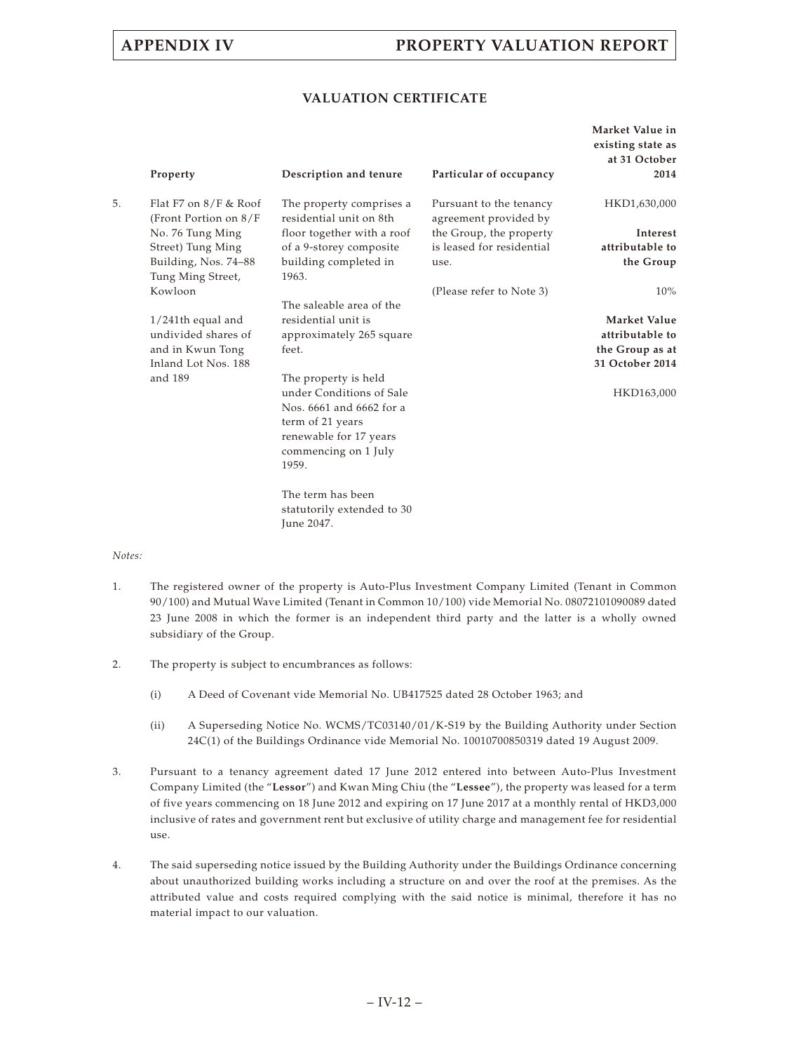### **VALUATION CERTIFICATE**

| Market Value in<br>existing state as<br>at 31 October<br>2014                       | Particular of occupancy                          | Description and tenure                                                                                                                                                                                                                     | Property                                                                                          |    |
|-------------------------------------------------------------------------------------|--------------------------------------------------|--------------------------------------------------------------------------------------------------------------------------------------------------------------------------------------------------------------------------------------------|---------------------------------------------------------------------------------------------------|----|
| HKD1,630,000                                                                        | Pursuant to the tenancy<br>agreement provided by | The property comprises a<br>residential unit on 8th                                                                                                                                                                                        | Flat F7 on $8/F$ & Roof<br>(Front Portion on 8/F                                                  | 5. |
| Interest                                                                            | the Group, the property                          | floor together with a roof                                                                                                                                                                                                                 | No. 76 Tung Ming                                                                                  |    |
| attributable to<br>the Group                                                        | is leased for residential<br>use.                | of a 9-storey composite<br>building completed in<br>1963.                                                                                                                                                                                  | Street) Tung Ming<br>Building, Nos. 74-88<br>Tung Ming Street,                                    |    |
| $10\%$                                                                              | (Please refer to Note 3)                         |                                                                                                                                                                                                                                            | Kowloon                                                                                           |    |
| Market Value<br>attributable to<br>the Group as at<br>31 October 2014<br>HKD163,000 |                                                  | The saleable area of the<br>residential unit is<br>approximately 265 square<br>feet.<br>The property is held<br>under Conditions of Sale<br>Nos. 6661 and 6662 for a<br>term of 21 years<br>renewable for 17 years<br>commencing on 1 July | $1/241$ th equal and<br>undivided shares of<br>and in Kwun Tong<br>Inland Lot Nos. 188<br>and 189 |    |
|                                                                                     |                                                  | 1959.<br>The term has been<br>statutorily extended to 30<br>June 2047.                                                                                                                                                                     |                                                                                                   |    |

- 1. The registered owner of the property is Auto-Plus Investment Company Limited (Tenant in Common 90/100) and Mutual Wave Limited (Tenant in Common 10/100) vide Memorial No. 08072101090089 dated 23 June 2008 in which the former is an independent third party and the latter is a wholly owned subsidiary of the Group.
- 2. The property is subject to encumbrances as follows:
	- (i) A Deed of Covenant vide Memorial No. UB417525 dated 28 October 1963; and
	- (ii) A Superseding Notice No. WCMS/TC03140/01/K-S19 by the Building Authority under Section 24C(1) of the Buildings Ordinance vide Memorial No. 10010700850319 dated 19 August 2009.
- 3. Pursuant to a tenancy agreement dated 17 June 2012 entered into between Auto-Plus Investment Company Limited (the "**Lessor**") and Kwan Ming Chiu (the "**Lessee**"), the property was leased for a term of five years commencing on 18 June 2012 and expiring on 17 June 2017 at a monthly rental of HKD3,000 inclusive of rates and government rent but exclusive of utility charge and management fee for residential use.
- 4. The said superseding notice issued by the Building Authority under the Buildings Ordinance concerning about unauthorized building works including a structure on and over the roof at the premises. As the attributed value and costs required complying with the said notice is minimal, therefore it has no material impact to our valuation.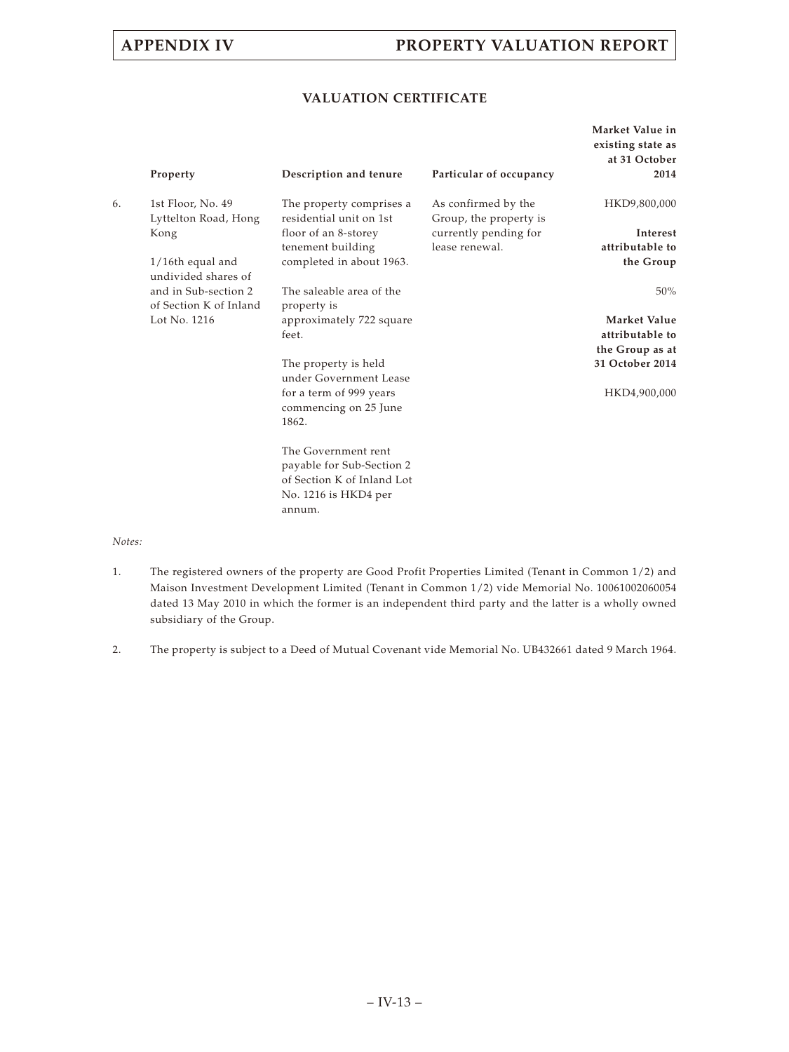## **VALUATION CERTIFICATE**

|    | Property                                       | Description and tenure                                                                                           | Particular of occupancy                 | Market Value in<br>existing state as<br>at 31 October<br>2014 |
|----|------------------------------------------------|------------------------------------------------------------------------------------------------------------------|-----------------------------------------|---------------------------------------------------------------|
| 6. | 1st Floor, No. 49                              | The property comprises a                                                                                         | As confirmed by the                     | HKD9,800,000                                                  |
|    | Lyttelton Road, Hong                           | residential unit on 1st                                                                                          | Group, the property is                  |                                                               |
|    | Kong                                           | floor of an 8-storey<br>tenement building                                                                        | currently pending for<br>lease renewal. | Interest<br>attributable to                                   |
|    | $1/16$ th equal and<br>undivided shares of     | completed in about 1963.                                                                                         |                                         | the Group                                                     |
|    | and in Sub-section 2<br>of Section K of Inland | The saleable area of the<br>property is                                                                          |                                         | $50\%$                                                        |
|    | Lot No. 1216                                   | approximately 722 square                                                                                         |                                         | Market Value                                                  |
|    |                                                | feet.                                                                                                            |                                         | attributable to                                               |
|    |                                                |                                                                                                                  |                                         | the Group as at                                               |
|    |                                                | The property is held<br>under Government Lease                                                                   |                                         | 31 October 2014                                               |
|    |                                                | for a term of 999 years<br>commencing on 25 June<br>1862.                                                        |                                         | HKD4,900,000                                                  |
|    |                                                | The Government rent<br>payable for Sub-Section 2<br>of Section K of Inland Lot<br>No. 1216 is HKD4 per<br>annum. |                                         |                                                               |

- 1. The registered owners of the property are Good Profit Properties Limited (Tenant in Common 1/2) and Maison Investment Development Limited (Tenant in Common 1/2) vide Memorial No. 10061002060054 dated 13 May 2010 in which the former is an independent third party and the latter is a wholly owned subsidiary of the Group.
- 2. The property is subject to a Deed of Mutual Covenant vide Memorial No. UB432661 dated 9 March 1964.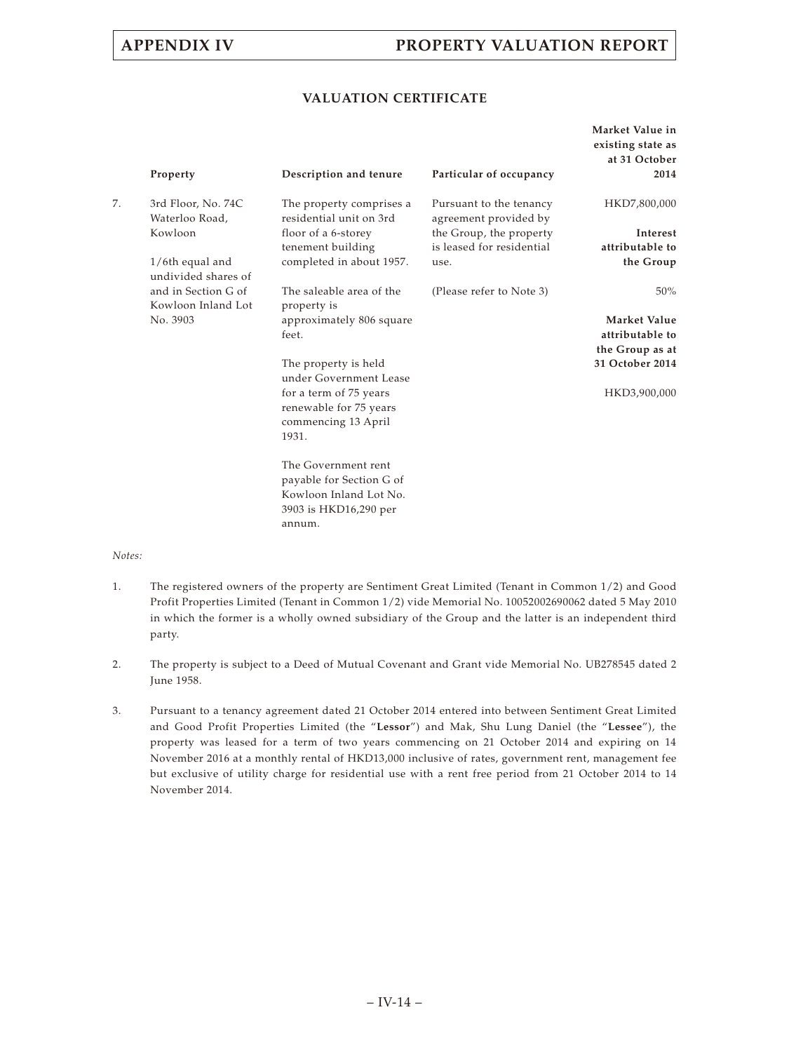### **VALUATION CERTIFICATE**

|    | Property                                  | Description and tenure                                                           | Particular of occupancy                              | Market Value in<br>existing state as<br>at 31 October<br>2014 |
|----|-------------------------------------------|----------------------------------------------------------------------------------|------------------------------------------------------|---------------------------------------------------------------|
| 7. | 3rd Floor, No. 74C<br>Waterloo Road,      | The property comprises a<br>residential unit on 3rd                              | Pursuant to the tenancy<br>agreement provided by     | HKD7,800,000                                                  |
|    | Kowloon                                   | floor of a 6-storey<br>tenement building                                         | the Group, the property<br>is leased for residential | Interest<br>attributable to                                   |
|    | $1/6$ th equal and<br>undivided shares of | completed in about 1957.                                                         | use.                                                 | the Group                                                     |
|    | and in Section G of<br>Kowloon Inland Lot | The saleable area of the<br>property is                                          | (Please refer to Note 3)                             | 50%                                                           |
|    | No. 3903                                  | approximately 806 square<br>feet.                                                |                                                      | Market Value<br>attributable to                               |
|    |                                           |                                                                                  |                                                      | the Group as at                                               |
|    |                                           | The property is held<br>under Government Lease                                   |                                                      | 31 October 2014                                               |
|    |                                           | for a term of 75 years<br>renewable for 75 years<br>commencing 13 April<br>1931. |                                                      | HKD3,900,000                                                  |
|    |                                           | The Government rent                                                              |                                                      |                                                               |
|    |                                           | payable for Section G of<br>Kowloon Inland Lot No.                               |                                                      |                                                               |
|    |                                           | 3903 is HKD16,290 per<br>annum.                                                  |                                                      |                                                               |

- 1. The registered owners of the property are Sentiment Great Limited (Tenant in Common 1/2) and Good Profit Properties Limited (Tenant in Common 1/2) vide Memorial No. 10052002690062 dated 5 May 2010 in which the former is a wholly owned subsidiary of the Group and the latter is an independent third party.
- 2. The property is subject to a Deed of Mutual Covenant and Grant vide Memorial No. UB278545 dated 2 June 1958.
- 3. Pursuant to a tenancy agreement dated 21 October 2014 entered into between Sentiment Great Limited and Good Profit Properties Limited (the "**Lessor**") and Mak, Shu Lung Daniel (the "**Lessee**"), the property was leased for a term of two years commencing on 21 October 2014 and expiring on 14 November 2016 at a monthly rental of HKD13,000 inclusive of rates, government rent, management fee but exclusive of utility charge for residential use with a rent free period from 21 October 2014 to 14 November 2014.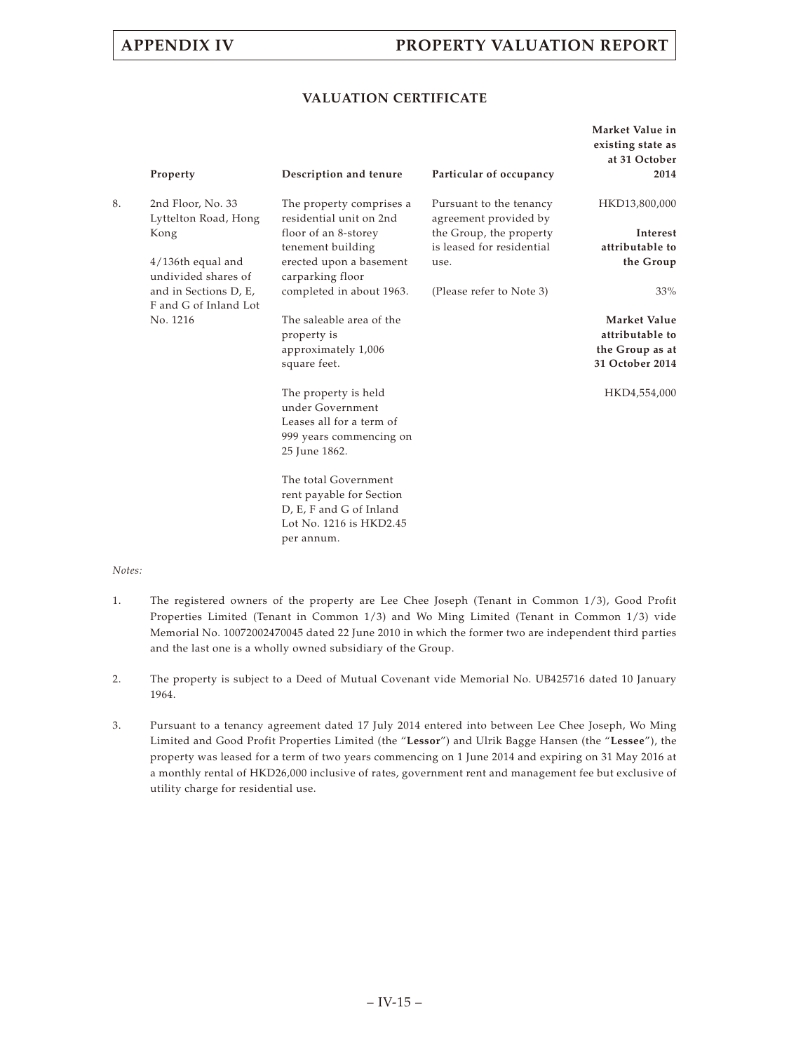### **VALUATION CERTIFICATE**

|    | Property                                       | Description and tenure                              | Particular of occupancy                          | Market Value in<br>existing state as<br>at 31 October<br>2014 |
|----|------------------------------------------------|-----------------------------------------------------|--------------------------------------------------|---------------------------------------------------------------|
| 8. | 2nd Floor, No. 33<br>Lyttelton Road, Hong      | The property comprises a<br>residential unit on 2nd | Pursuant to the tenancy<br>agreement provided by | HKD13,800,000                                                 |
|    | Kong                                           | floor of an 8-storey                                | the Group, the property                          | Interest                                                      |
|    |                                                | tenement building                                   | is leased for residential                        | attributable to                                               |
|    | $4/136$ th equal and<br>undivided shares of    | erected upon a basement<br>carparking floor         | use.                                             | the Group                                                     |
|    | and in Sections D, E,<br>F and G of Inland Lot | completed in about 1963.                            | (Please refer to Note 3)                         | 33%                                                           |
|    | No. 1216                                       | The saleable area of the                            |                                                  | Market Value                                                  |
|    |                                                | property is                                         |                                                  | attributable to                                               |
|    |                                                | approximately 1,006                                 |                                                  | the Group as at                                               |
|    |                                                | square feet.                                        |                                                  | 31 October 2014                                               |
|    |                                                | The property is held<br>under Government            |                                                  | HKD4,554,000                                                  |
|    |                                                | Leases all for a term of                            |                                                  |                                                               |
|    |                                                | 999 years commencing on                             |                                                  |                                                               |
|    |                                                | 25 June 1862.                                       |                                                  |                                                               |
|    |                                                | The total Government                                |                                                  |                                                               |
|    |                                                | rent payable for Section                            |                                                  |                                                               |
|    |                                                | D, E, F and G of Inland<br>Lot No. 1216 is HKD2.45  |                                                  |                                                               |
|    |                                                | per annum.                                          |                                                  |                                                               |
|    |                                                |                                                     |                                                  |                                                               |

- 1. The registered owners of the property are Lee Chee Joseph (Tenant in Common 1/3), Good Profit Properties Limited (Tenant in Common 1/3) and Wo Ming Limited (Tenant in Common 1/3) vide Memorial No. 10072002470045 dated 22 June 2010 in which the former two are independent third parties and the last one is a wholly owned subsidiary of the Group.
- 2. The property is subject to a Deed of Mutual Covenant vide Memorial No. UB425716 dated 10 January 1964.
- 3. Pursuant to a tenancy agreement dated 17 July 2014 entered into between Lee Chee Joseph, Wo Ming Limited and Good Profit Properties Limited (the "**Lessor**") and Ulrik Bagge Hansen (the "**Lessee**"), the property was leased for a term of two years commencing on 1 June 2014 and expiring on 31 May 2016 at a monthly rental of HKD26,000 inclusive of rates, government rent and management fee but exclusive of utility charge for residential use.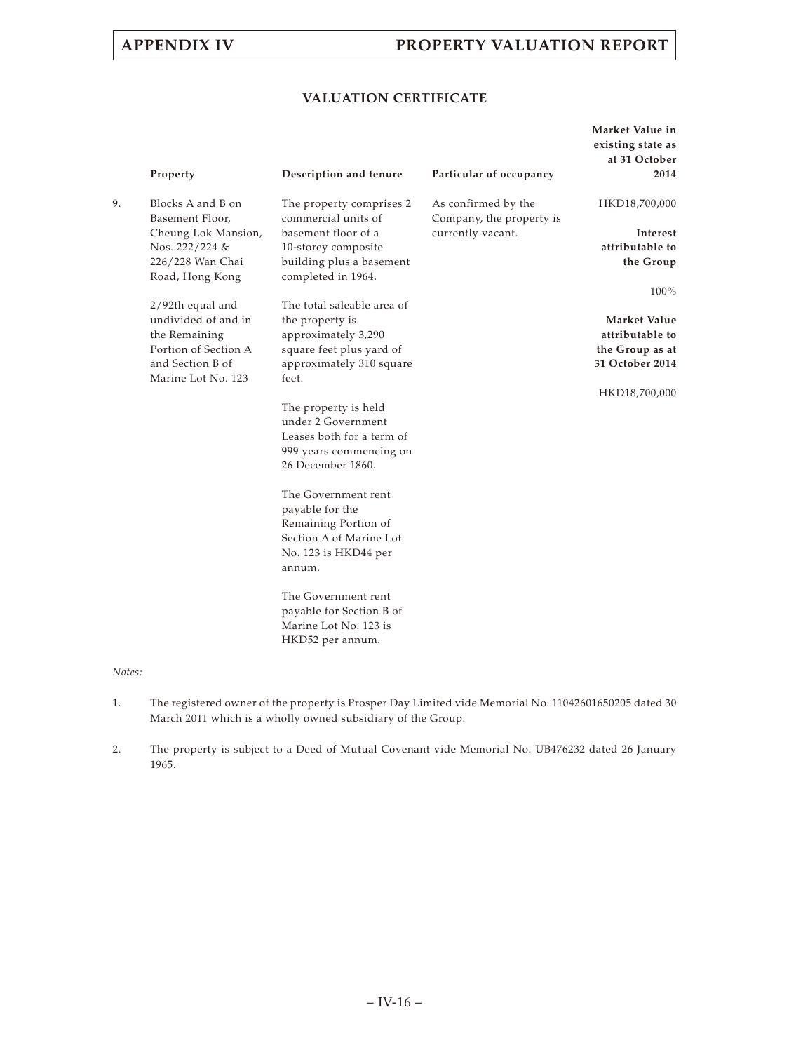## **VALUATION CERTIFICATE**

|    | Property                               | Description and tenure                          | Particular of occupancy                         | Market Value in<br>existing state as<br>at 31 October<br>2014 |
|----|----------------------------------------|-------------------------------------------------|-------------------------------------------------|---------------------------------------------------------------|
| 9. | Blocks A and B on<br>Basement Floor,   | The property comprises 2<br>commercial units of | As confirmed by the<br>Company, the property is | HKD18,700,000                                                 |
|    | Cheung Lok Mansion,                    | basement floor of a                             | currently vacant.                               | Interest                                                      |
|    | Nos. 222/224 &                         | 10-storey composite                             |                                                 | attributable to                                               |
|    | 226/228 Wan Chai<br>Road, Hong Kong    | building plus a basement<br>completed in 1964.  |                                                 | the Group                                                     |
|    | 2/92th equal and                       | The total saleable area of                      |                                                 | 100%                                                          |
|    | undivided of and in                    | the property is                                 |                                                 | Market Value                                                  |
|    | the Remaining                          | approximately 3,290                             |                                                 | attributable to                                               |
|    | Portion of Section A                   | square feet plus yard of                        |                                                 | the Group as at                                               |
|    | and Section B of<br>Marine Lot No. 123 | approximately 310 square<br>feet.               |                                                 | 31 October 2014                                               |
|    |                                        |                                                 |                                                 | HKD18,700,000                                                 |
|    |                                        | The property is held<br>under 2 Government      |                                                 |                                                               |
|    |                                        | Leases both for a term of                       |                                                 |                                                               |
|    |                                        | 999 years commencing on                         |                                                 |                                                               |
|    |                                        | 26 December 1860.                               |                                                 |                                                               |
|    |                                        | The Government rent                             |                                                 |                                                               |
|    |                                        | payable for the                                 |                                                 |                                                               |
|    |                                        | Remaining Portion of                            |                                                 |                                                               |
|    |                                        | Section A of Marine Lot                         |                                                 |                                                               |
|    |                                        | No. 123 is HKD44 per<br>annum.                  |                                                 |                                                               |
|    |                                        | The Government rent<br>payable for Section B of |                                                 |                                                               |
|    |                                        | Marine Lot No. 123 is                           |                                                 |                                                               |
|    |                                        | HKD52 per annum.                                |                                                 |                                                               |

- 1. The registered owner of the property is Prosper Day Limited vide Memorial No. 11042601650205 dated 30 March 2011 which is a wholly owned subsidiary of the Group.
- 2. The property is subject to a Deed of Mutual Covenant vide Memorial No. UB476232 dated 26 January 1965.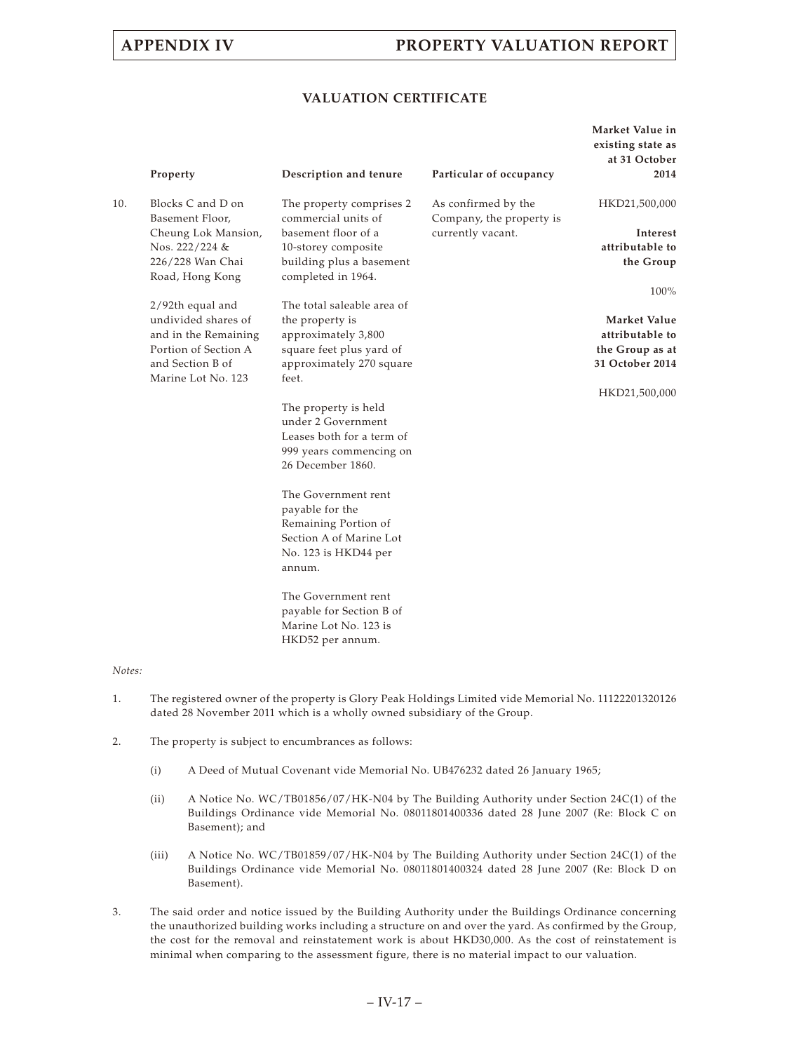### **VALUATION CERTIFICATE**

|     | Property                               | Description and tenure                          | Particular of occupancy                         | Market Value in<br>existing state as<br>at 31 October<br>2014 |
|-----|----------------------------------------|-------------------------------------------------|-------------------------------------------------|---------------------------------------------------------------|
| 10. | Blocks C and D on<br>Basement Floor,   | The property comprises 2<br>commercial units of | As confirmed by the<br>Company, the property is | HKD21,500,000                                                 |
|     | Cheung Lok Mansion,                    | basement floor of a                             | currently vacant.                               | <b>Interest</b>                                               |
|     | Nos. 222/224 &                         | 10-storey composite                             |                                                 | attributable to                                               |
|     | 226/228 Wan Chai<br>Road, Hong Kong    | building plus a basement<br>completed in 1964.  |                                                 | the Group                                                     |
|     | 2/92th equal and                       | The total saleable area of                      |                                                 | 100%                                                          |
|     | undivided shares of                    | the property is                                 |                                                 | Market Value                                                  |
|     | and in the Remaining                   | approximately 3,800                             |                                                 | attributable to                                               |
|     | Portion of Section A                   | square feet plus yard of                        |                                                 | the Group as at                                               |
|     | and Section B of<br>Marine Lot No. 123 | approximately 270 square<br>feet.               |                                                 | 31 October 2014                                               |
|     |                                        |                                                 |                                                 | HKD21,500,000                                                 |
|     |                                        | The property is held                            |                                                 |                                                               |
|     |                                        | under 2 Government                              |                                                 |                                                               |
|     |                                        | Leases both for a term of                       |                                                 |                                                               |
|     |                                        | 999 years commencing on                         |                                                 |                                                               |
|     |                                        | 26 December 1860.                               |                                                 |                                                               |
|     |                                        | The Government rent                             |                                                 |                                                               |
|     |                                        | payable for the                                 |                                                 |                                                               |
|     |                                        | Remaining Portion of                            |                                                 |                                                               |
|     |                                        | Section A of Marine Lot                         |                                                 |                                                               |
|     |                                        | No. 123 is HKD44 per<br>annum.                  |                                                 |                                                               |
|     |                                        | The Government rent                             |                                                 |                                                               |
|     |                                        | payable for Section B of                        |                                                 |                                                               |
|     |                                        | Marine Lot No. 123 is<br>HKD52 per annum.       |                                                 |                                                               |
|     |                                        |                                                 |                                                 |                                                               |

- 1. The registered owner of the property is Glory Peak Holdings Limited vide Memorial No. 11122201320126 dated 28 November 2011 which is a wholly owned subsidiary of the Group.
- 2. The property is subject to encumbrances as follows:
	- (i) A Deed of Mutual Covenant vide Memorial No. UB476232 dated 26 January 1965;
	- (ii) A Notice No. WC/TB01856/07/HK-N04 by The Building Authority under Section 24C(1) of the Buildings Ordinance vide Memorial No. 08011801400336 dated 28 June 2007 (Re: Block C on Basement); and
	- (iii) A Notice No. WC/TB01859/07/HK-N04 by The Building Authority under Section 24C(1) of the Buildings Ordinance vide Memorial No. 08011801400324 dated 28 June 2007 (Re: Block D on Basement).
- 3. The said order and notice issued by the Building Authority under the Buildings Ordinance concerning the unauthorized building works including a structure on and over the yard. As confirmed by the Group, the cost for the removal and reinstatement work is about HKD30,000. As the cost of reinstatement is minimal when comparing to the assessment figure, there is no material impact to our valuation.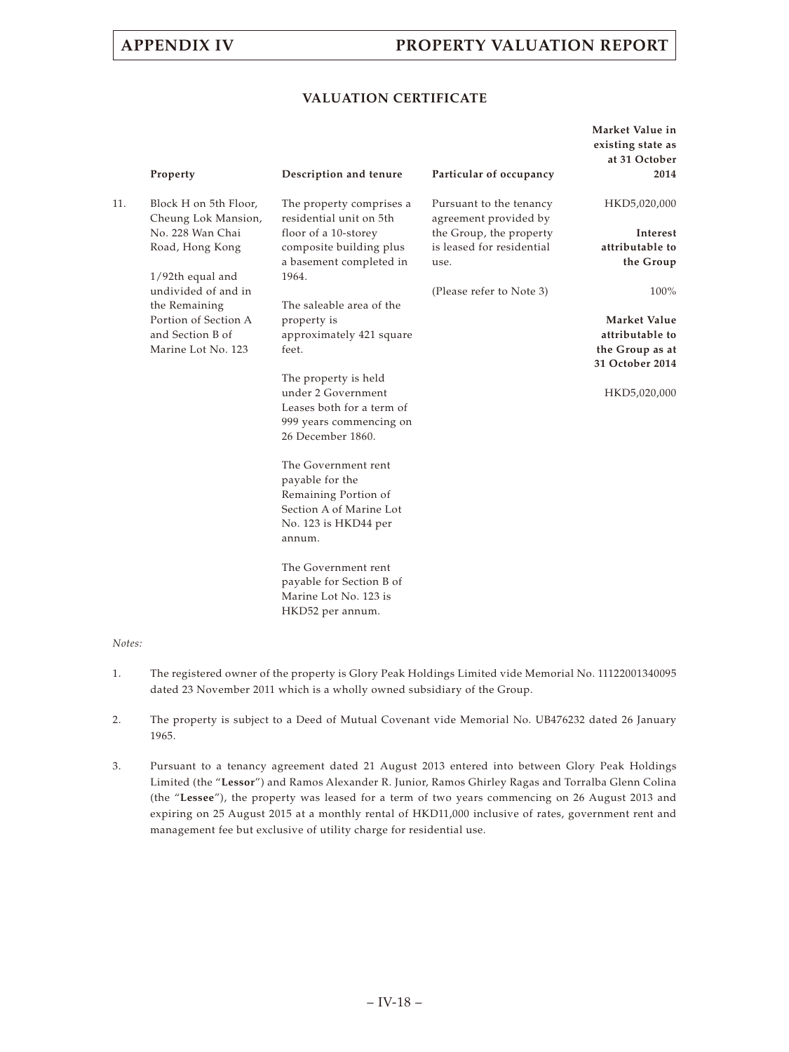### **VALUATION CERTIFICATE**

|     | Property                                     | Description and tenure                                                                                                      | Particular of occupancy                          | Market Value in<br>existing state as<br>at 31 October<br>2014 |
|-----|----------------------------------------------|-----------------------------------------------------------------------------------------------------------------------------|--------------------------------------------------|---------------------------------------------------------------|
| 11. | Block H on 5th Floor,<br>Cheung Lok Mansion, | The property comprises a<br>residential unit on 5th                                                                         | Pursuant to the tenancy<br>agreement provided by | HKD5,020,000                                                  |
|     | No. 228 Wan Chai                             | floor of a 10-storey                                                                                                        | the Group, the property                          | Interest                                                      |
|     | Road, Hong Kong                              | composite building plus                                                                                                     | is leased for residential                        | attributable to                                               |
|     | $1/92$ th equal and                          | a basement completed in<br>1964.                                                                                            | use.                                             | the Group                                                     |
|     | undivided of and in<br>the Remaining         | The saleable area of the                                                                                                    | (Please refer to Note 3)                         | 100%                                                          |
|     | Portion of Section A                         | property is                                                                                                                 |                                                  | <b>Market Value</b>                                           |
|     | and Section B of                             | approximately 421 square                                                                                                    |                                                  | attributable to                                               |
|     | Marine Lot No. 123                           | feet.                                                                                                                       |                                                  | the Group as at                                               |
|     |                                              |                                                                                                                             |                                                  | 31 October 2014                                               |
|     |                                              | The property is held<br>under 2 Government<br>Leases both for a term of<br>999 years commencing on<br>26 December 1860.     |                                                  | HKD5,020,000                                                  |
|     |                                              | The Government rent<br>payable for the<br>Remaining Portion of<br>Section A of Marine Lot<br>No. 123 is HKD44 per<br>annum. |                                                  |                                                               |
|     |                                              | The Government rent<br>payable for Section B of<br>Marine Lot No. 123 is<br>HKD52 per annum.                                |                                                  |                                                               |

- 1. The registered owner of the property is Glory Peak Holdings Limited vide Memorial No. 11122001340095 dated 23 November 2011 which is a wholly owned subsidiary of the Group.
- 2. The property is subject to a Deed of Mutual Covenant vide Memorial No. UB476232 dated 26 January 1965.
- 3. Pursuant to a tenancy agreement dated 21 August 2013 entered into between Glory Peak Holdings Limited (the "**Lessor**") and Ramos Alexander R. Junior, Ramos Ghirley Ragas and Torralba Glenn Colina (the "**Lessee**"), the property was leased for a term of two years commencing on 26 August 2013 and expiring on 25 August 2015 at a monthly rental of HKD11,000 inclusive of rates, government rent and management fee but exclusive of utility charge for residential use.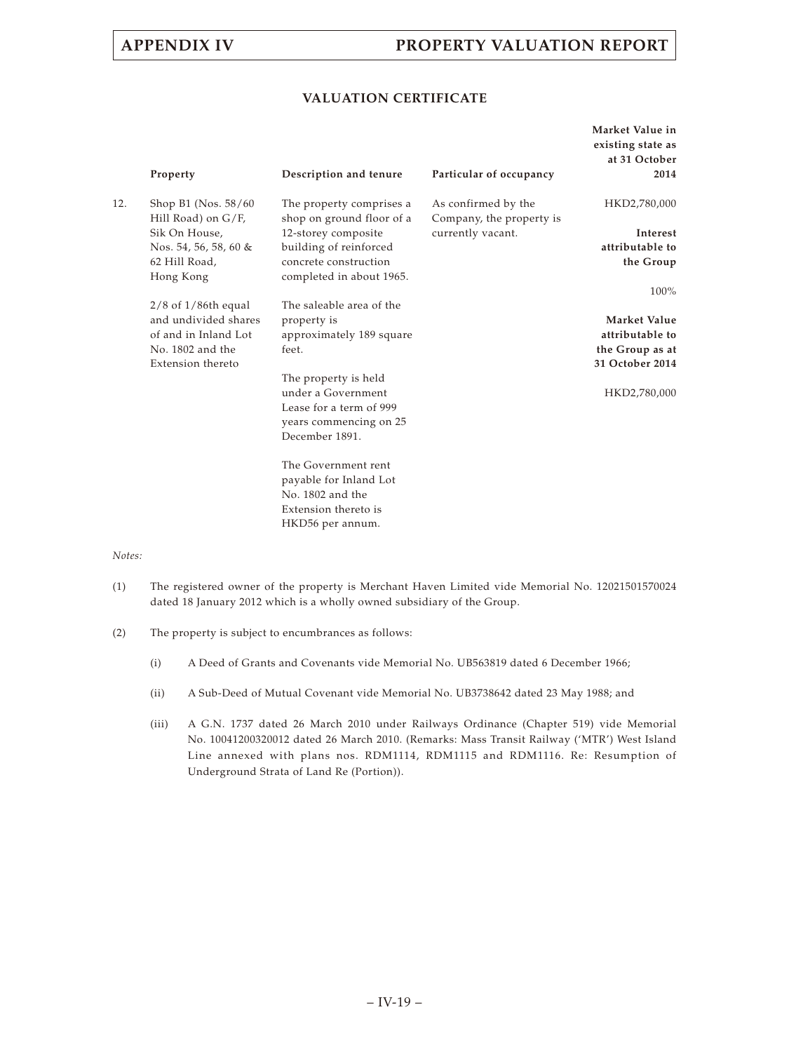### **VALUATION CERTIFICATE**

|     | Property                                                                 | Description and tenure                                                                                            | Particular of occupancy                                              | Market Value in<br>existing state as<br>at 31 October<br>2014 |
|-----|--------------------------------------------------------------------------|-------------------------------------------------------------------------------------------------------------------|----------------------------------------------------------------------|---------------------------------------------------------------|
| 12. | Shop B1 (Nos. 58/60)<br>Hill Road) on G/F,<br>Sik On House,              | The property comprises a<br>shop on ground floor of a<br>12-storey composite                                      | As confirmed by the<br>Company, the property is<br>currently vacant. | HKD2,780,000<br>Interest                                      |
|     | Nos. 54, 56, 58, 60 &<br>62 Hill Road,<br>Hong Kong                      | building of reinforced<br>concrete construction<br>completed in about 1965.                                       |                                                                      | attributable to<br>the Group                                  |
|     |                                                                          |                                                                                                                   |                                                                      | 100%                                                          |
|     | $2/8$ of $1/86$ th equal<br>and undivided shares<br>of and in Inland Lot | The saleable area of the<br>property is<br>approximately 189 square                                               |                                                                      | Market Value<br>attributable to                               |
|     | No. 1802 and the<br>Extension thereto                                    | feet.                                                                                                             |                                                                      | the Group as at<br>31 October 2014                            |
|     |                                                                          | The property is held<br>under a Government<br>Lease for a term of 999<br>years commencing on 25<br>December 1891. |                                                                      | HKD2,780,000                                                  |
|     |                                                                          | The Government rent<br>payable for Inland Lot<br>No. 1802 and the<br>Extension thereto is<br>HKD56 per annum.     |                                                                      |                                                               |

- (1) The registered owner of the property is Merchant Haven Limited vide Memorial No. 12021501570024 dated 18 January 2012 which is a wholly owned subsidiary of the Group.
- (2) The property is subject to encumbrances as follows:
	- (i) A Deed of Grants and Covenants vide Memorial No. UB563819 dated 6 December 1966;
	- (ii) A Sub-Deed of Mutual Covenant vide Memorial No. UB3738642 dated 23 May 1988; and
	- (iii) A G.N. 1737 dated 26 March 2010 under Railways Ordinance (Chapter 519) vide Memorial No. 10041200320012 dated 26 March 2010. (Remarks: Mass Transit Railway ('MTR') West Island Line annexed with plans nos. RDM1114, RDM1115 and RDM1116. Re: Resumption of Underground Strata of Land Re (Portion)).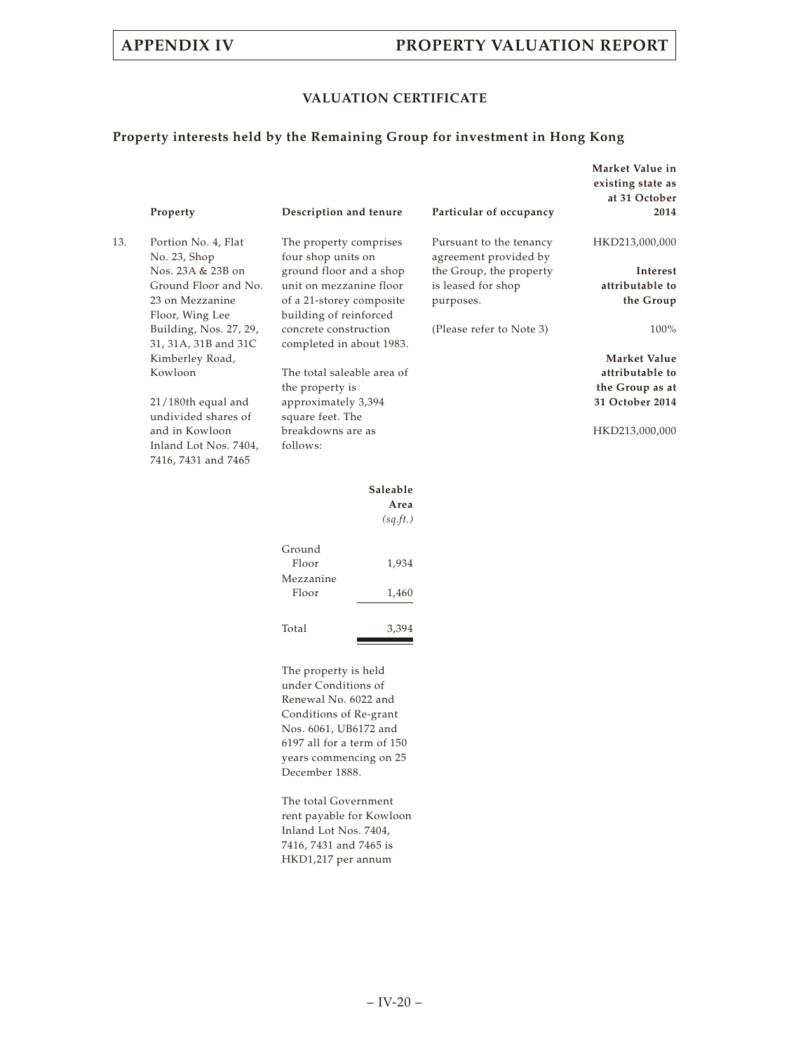## **VALUATION CERTIFICATE**

### **Property interests held by the Remaining Group for investment in Hong Kong**

|     | Property                                       | Description and tenure                             |          | Particular of occupancy                          | Market Value in<br>existing state as<br>at 31 October<br>2014 |
|-----|------------------------------------------------|----------------------------------------------------|----------|--------------------------------------------------|---------------------------------------------------------------|
| 13. | Portion No. 4, Flat<br>No. 23, Shop            | The property comprises<br>four shop units on       |          | Pursuant to the tenancy<br>agreement provided by | HKD213,000,000                                                |
|     | Nos. 23A & 23B on                              | ground floor and a shop                            |          | the Group, the property                          | Interest                                                      |
|     | Ground Floor and No.                           | unit on mezzanine floor                            |          | is leased for shop                               | attributable to                                               |
|     | 23 on Mezzanine<br>Floor, Wing Lee             | of a 21-storey composite<br>building of reinforced |          | purposes.                                        | the Group                                                     |
|     | Building, Nos. 27, 29,<br>31, 31A, 31B and 31C | concrete construction<br>completed in about 1983.  |          | (Please refer to Note 3)                         | 100%                                                          |
|     | Kimberley Road,                                |                                                    |          |                                                  | Market Value                                                  |
|     | Kowloon                                        | The total saleable area of                         |          |                                                  | attributable to                                               |
|     |                                                | the property is                                    |          |                                                  | the Group as at                                               |
|     | $21/180$ th equal and<br>undivided shares of   | approximately 3,394<br>square feet. The            |          |                                                  | 31 October 2014                                               |
|     | and in Kowloon                                 | breakdowns are as                                  |          |                                                  | HKD213,000,000                                                |
|     | Inland Lot Nos. 7404,<br>7416, 7431 and 7465   | follows:                                           |          |                                                  |                                                               |
|     |                                                |                                                    | Saleable |                                                  |                                                               |
|     |                                                |                                                    | Area     |                                                  |                                                               |
|     |                                                |                                                    | (sq.ft.) |                                                  |                                                               |
|     |                                                | Ground                                             |          |                                                  |                                                               |
|     |                                                | Floor                                              | 1,934    |                                                  |                                                               |
|     |                                                | Mezzanine                                          |          |                                                  |                                                               |
|     |                                                | Floor                                              | 1,460    |                                                  |                                                               |

Total 3,394 ـ

The property is held under Conditions of Renewal No. 6022 and Conditions of Re-grant Nos. 6061, UB6172 and 6197 all for a term of 150 years commencing on 25 December 1888.

The total Government rent payable for Kowloon Inland Lot Nos. 7404, 7416, 7431 and 7465 is HKD1,217 per annum

– IV-20 –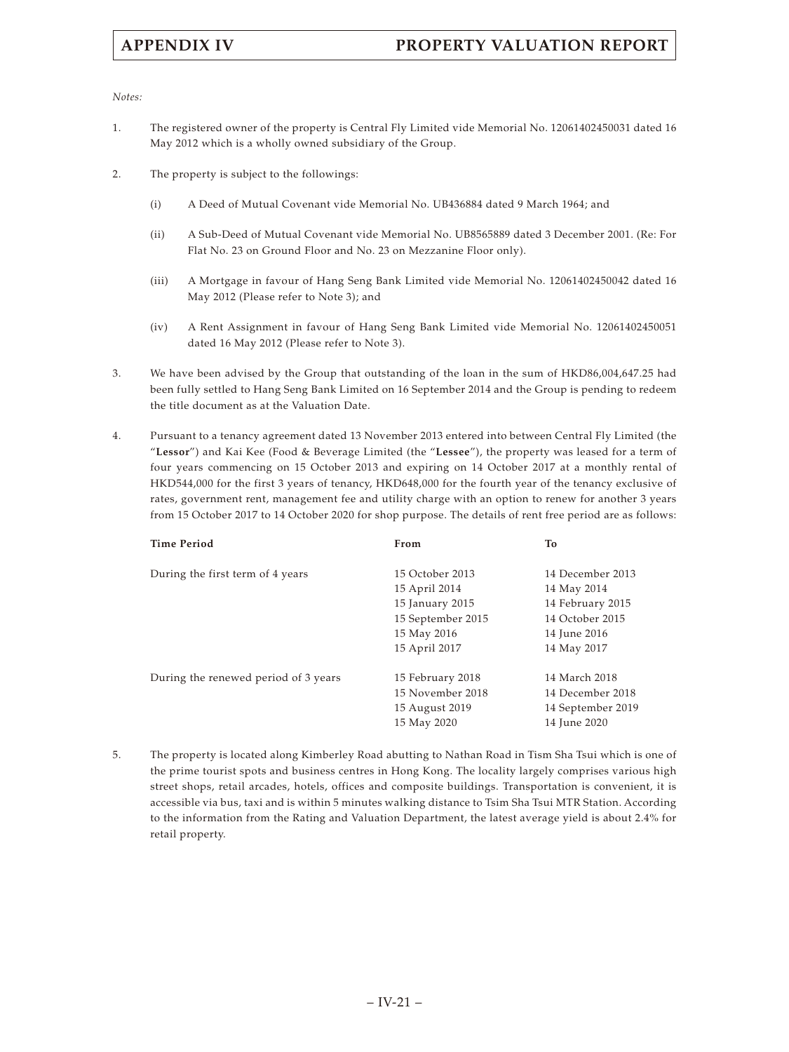*Notes:*

- 1. The registered owner of the property is Central Fly Limited vide Memorial No. 12061402450031 dated 16 May 2012 which is a wholly owned subsidiary of the Group.
- 2. The property is subject to the followings:
	- (i) A Deed of Mutual Covenant vide Memorial No. UB436884 dated 9 March 1964; and
	- (ii) A Sub-Deed of Mutual Covenant vide Memorial No. UB8565889 dated 3 December 2001. (Re: For Flat No. 23 on Ground Floor and No. 23 on Mezzanine Floor only).
	- (iii) A Mortgage in favour of Hang Seng Bank Limited vide Memorial No. 12061402450042 dated 16 May 2012 (Please refer to Note 3); and
	- (iv) A Rent Assignment in favour of Hang Seng Bank Limited vide Memorial No. 12061402450051 dated 16 May 2012 (Please refer to Note 3).
- 3. We have been advised by the Group that outstanding of the loan in the sum of HKD86,004,647.25 had been fully settled to Hang Seng Bank Limited on 16 September 2014 and the Group is pending to redeem the title document as at the Valuation Date.
- 4. Pursuant to a tenancy agreement dated 13 November 2013 entered into between Central Fly Limited (the "**Lessor**") and Kai Kee (Food & Beverage Limited (the "**Lessee**"), the property was leased for a term of four years commencing on 15 October 2013 and expiring on 14 October 2017 at a monthly rental of HKD544,000 for the first 3 years of tenancy, HKD648,000 for the fourth year of the tenancy exclusive of rates, government rent, management fee and utility charge with an option to renew for another 3 years from 15 October 2017 to 14 October 2020 for shop purpose. The details of rent free period are as follows:

| <b>Time Period</b>                   | From              | To                |
|--------------------------------------|-------------------|-------------------|
|                                      |                   |                   |
| During the first term of 4 years     | 15 October 2013   | 14 December 2013  |
|                                      | 15 April 2014     | 14 May 2014       |
|                                      | 15 January 2015   | 14 February 2015  |
|                                      | 15 September 2015 | 14 October 2015   |
|                                      | 15 May 2016       | 14 June 2016      |
|                                      | 15 April 2017     | 14 May 2017       |
|                                      |                   |                   |
| During the renewed period of 3 years | 15 February 2018  | 14 March 2018     |
|                                      | 15 November 2018  | 14 December 2018  |
|                                      | 15 August 2019    | 14 September 2019 |
|                                      | 15 May 2020       | 14 June 2020      |

5. The property is located along Kimberley Road abutting to Nathan Road in Tism Sha Tsui which is one of the prime tourist spots and business centres in Hong Kong. The locality largely comprises various high street shops, retail arcades, hotels, offices and composite buildings. Transportation is convenient, it is accessible via bus, taxi and is within 5 minutes walking distance to Tsim Sha Tsui MTR Station. According to the information from the Rating and Valuation Department, the latest average yield is about 2.4% for retail property.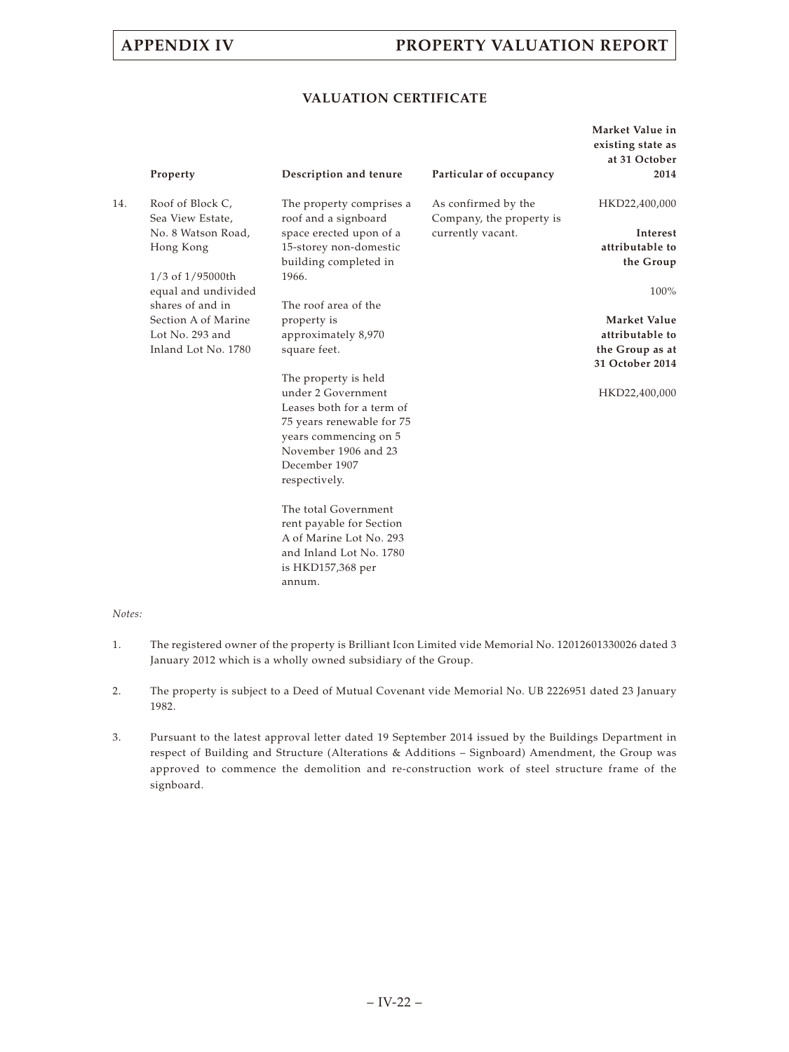# **APPENDIX IV PROPERTY VALUATION REPORT**

## **VALUATION CERTIFICATE**

|     | Property            | Description and tenure    | Particular of occupancy  | Market Value in<br>existing state as<br>at 31 October<br>2014 |
|-----|---------------------|---------------------------|--------------------------|---------------------------------------------------------------|
| 14. | Roof of Block C,    | The property comprises a  | As confirmed by the      | HKD22,400,000                                                 |
|     | Sea View Estate,    | roof and a signboard      | Company, the property is |                                                               |
|     | No. 8 Watson Road,  | space erected upon of a   | currently vacant.        | Interest                                                      |
|     | Hong Kong           | 15-storey non-domestic    |                          | attributable to                                               |
|     |                     | building completed in     |                          | the Group                                                     |
|     | 1/3 of 1/95000th    | 1966.                     |                          |                                                               |
|     | equal and undivided |                           |                          | 100%                                                          |
|     | shares of and in    | The roof area of the      |                          |                                                               |
|     | Section A of Marine | property is               |                          | Market Value                                                  |
|     | Lot No. 293 and     | approximately 8,970       |                          | attributable to                                               |
|     | Inland Lot No. 1780 | square feet.              |                          | the Group as at                                               |
|     |                     |                           |                          | 31 October 2014                                               |
|     |                     | The property is held      |                          |                                                               |
|     |                     | under 2 Government        |                          | HKD22,400,000                                                 |
|     |                     | Leases both for a term of |                          |                                                               |
|     |                     | 75 years renewable for 75 |                          |                                                               |
|     |                     | years commencing on 5     |                          |                                                               |
|     |                     | November 1906 and 23      |                          |                                                               |
|     |                     | December 1907             |                          |                                                               |
|     |                     | respectively.             |                          |                                                               |
|     |                     | The total Government      |                          |                                                               |
|     |                     | rent payable for Section  |                          |                                                               |
|     |                     | A of Marine Lot No. 293   |                          |                                                               |
|     |                     | and Inland Lot No. 1780   |                          |                                                               |
|     |                     | is HKD157,368 per         |                          |                                                               |
|     |                     | annum.                    |                          |                                                               |

## *Notes:*

- 1. The registered owner of the property is Brilliant Icon Limited vide Memorial No. 12012601330026 dated 3 January 2012 which is a wholly owned subsidiary of the Group.
- 2. The property is subject to a Deed of Mutual Covenant vide Memorial No. UB 2226951 dated 23 January 1982.
- 3. Pursuant to the latest approval letter dated 19 September 2014 issued by the Buildings Department in respect of Building and Structure (Alterations & Additions – Signboard) Amendment, the Group was approved to commence the demolition and re-construction work of steel structure frame of the signboard.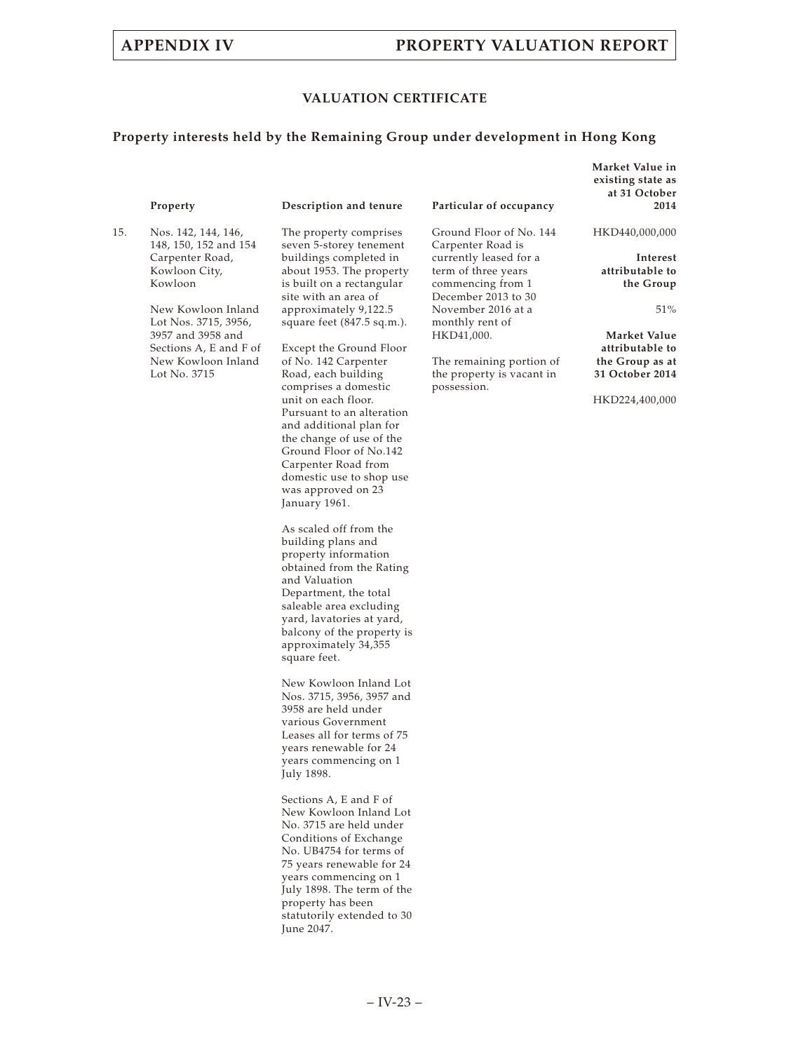# **APPENDIX IV PROPERTY VALUATION REPORT**

**Market Value in**

## **VALUATION CERTIFICATE**

# **Property interests held by the Remaining Group under development in Hong Kong**

|     | Property                                                                                                                                                                                                                       | Description and tenure                                                                                                                                                                                                                                                                                                                                                                                                                                                                                                                                                                                                                                                                                                                                                                                                                                                                                                                                                                                                                                                                                                                                                                                                                                                                                                       | Particular of occupancy                                                                                                                                                                                                                                                  | existing state as<br>at 31 October<br>2014                                                                                                                   |
|-----|--------------------------------------------------------------------------------------------------------------------------------------------------------------------------------------------------------------------------------|------------------------------------------------------------------------------------------------------------------------------------------------------------------------------------------------------------------------------------------------------------------------------------------------------------------------------------------------------------------------------------------------------------------------------------------------------------------------------------------------------------------------------------------------------------------------------------------------------------------------------------------------------------------------------------------------------------------------------------------------------------------------------------------------------------------------------------------------------------------------------------------------------------------------------------------------------------------------------------------------------------------------------------------------------------------------------------------------------------------------------------------------------------------------------------------------------------------------------------------------------------------------------------------------------------------------------|--------------------------------------------------------------------------------------------------------------------------------------------------------------------------------------------------------------------------------------------------------------------------|--------------------------------------------------------------------------------------------------------------------------------------------------------------|
| 15. | Nos. 142, 144, 146,<br>148, 150, 152 and 154<br>Carpenter Road,<br>Kowloon City,<br>Kowloon<br>New Kowloon Inland<br>Lot Nos. 3715, 3956,<br>3957 and 3958 and<br>Sections A, E and F of<br>New Kowloon Inland<br>Lot No. 3715 | The property comprises<br>seven 5-storey tenement<br>buildings completed in<br>about 1953. The property<br>is built on a rectangular<br>site with an area of<br>approximately 9,122.5<br>square feet (847.5 sq.m.).<br>Except the Ground Floor<br>of No. 142 Carpenter<br>Road, each building<br>comprises a domestic<br>unit on each floor.<br>Pursuant to an alteration<br>and additional plan for<br>the change of use of the<br>Ground Floor of No.142<br>Carpenter Road from<br>domestic use to shop use<br>was approved on 23<br>January 1961.<br>As scaled off from the<br>building plans and<br>property information<br>obtained from the Rating<br>and Valuation<br>Department, the total<br>saleable area excluding<br>yard, lavatories at yard,<br>balcony of the property is<br>approximately 34,355<br>square feet.<br>New Kowloon Inland Lot<br>Nos. 3715, 3956, 3957 and<br>3958 are held under<br>various Government<br>Leases all for terms of 75<br>years renewable for 24<br>years commencing on 1<br>July 1898.<br>Sections A, E and F of<br>New Kowloon Inland Lot<br>No. 3715 are held under<br>Conditions of Exchange<br>No. UB4754 for terms of<br>75 years renewable for 24<br>years commencing on 1<br>July 1898. The term of the<br>property has been<br>statutorily extended to 30<br>June 2047. | Ground Floor of No. 144<br>Carpenter Road is<br>currently leased for a<br>term of three years<br>commencing from 1<br>December 2013 to 30<br>November 2016 at a<br>monthly rent of<br>HKD41,000.<br>The remaining portion of<br>the property is vacant in<br>possession. | HKD440,000,000<br>Interest<br>attributable to<br>the Group<br>51%<br>Market Value<br>attributable to<br>the Group as at<br>31 October 2014<br>HKD224,400,000 |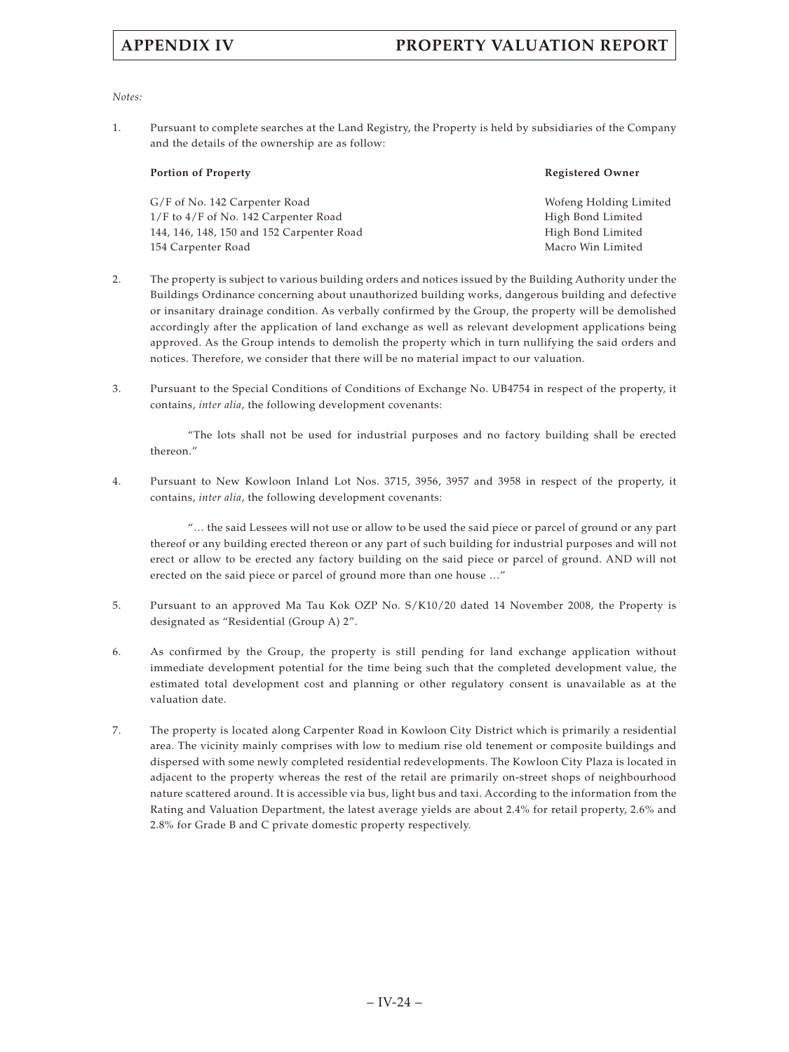# **APPENDIX IV PROPERTY VALUATION REPORT**

*Notes:*

1. Pursuant to complete searches at the Land Registry, the Property is held by subsidiaries of the Company and the details of the ownership are as follow:

| <b>Portion of Property</b>                | <b>Registered Owner</b> |
|-------------------------------------------|-------------------------|
| G/F of No. 142 Carpenter Road             | Wofeng Holding Limited  |
| $1/F$ to $4/F$ of No. 142 Carpenter Road  | High Bond Limited       |
| 144, 146, 148, 150 and 152 Carpenter Road | High Bond Limited       |
| 154 Carpenter Road                        | Macro Win Limited       |

- 2. The property is subject to various building orders and notices issued by the Building Authority under the Buildings Ordinance concerning about unauthorized building works, dangerous building and defective or insanitary drainage condition. As verbally confirmed by the Group, the property will be demolished accordingly after the application of land exchange as well as relevant development applications being approved. As the Group intends to demolish the property which in turn nullifying the said orders and notices. Therefore, we consider that there will be no material impact to our valuation.
- 3. Pursuant to the Special Conditions of Conditions of Exchange No. UB4754 in respect of the property, it contains, *inter alia*, the following development covenants:

"The lots shall not be used for industrial purposes and no factory building shall be erected thereon."

4. Pursuant to New Kowloon Inland Lot Nos. 3715, 3956, 3957 and 3958 in respect of the property, it contains, *inter alia*, the following development covenants:

"… the said Lessees will not use or allow to be used the said piece or parcel of ground or any part thereof or any building erected thereon or any part of such building for industrial purposes and will not erect or allow to be erected any factory building on the said piece or parcel of ground. AND will not erected on the said piece or parcel of ground more than one house …"

- 5. Pursuant to an approved Ma Tau Kok OZP No. S/K10/20 dated 14 November 2008, the Property is designated as "Residential (Group A) 2".
- 6. As confirmed by the Group, the property is still pending for land exchange application without immediate development potential for the time being such that the completed development value, the estimated total development cost and planning or other regulatory consent is unavailable as at the valuation date.
- 7. The property is located along Carpenter Road in Kowloon City District which is primarily a residential area. The vicinity mainly comprises with low to medium rise old tenement or composite buildings and dispersed with some newly completed residential redevelopments. The Kowloon City Plaza is located in adjacent to the property whereas the rest of the retail are primarily on-street shops of neighbourhood nature scattered around. It is accessible via bus, light bus and taxi. According to the information from the Rating and Valuation Department, the latest average yields are about 2.4% for retail property, 2.6% and 2.8% for Grade B and C private domestic property respectively.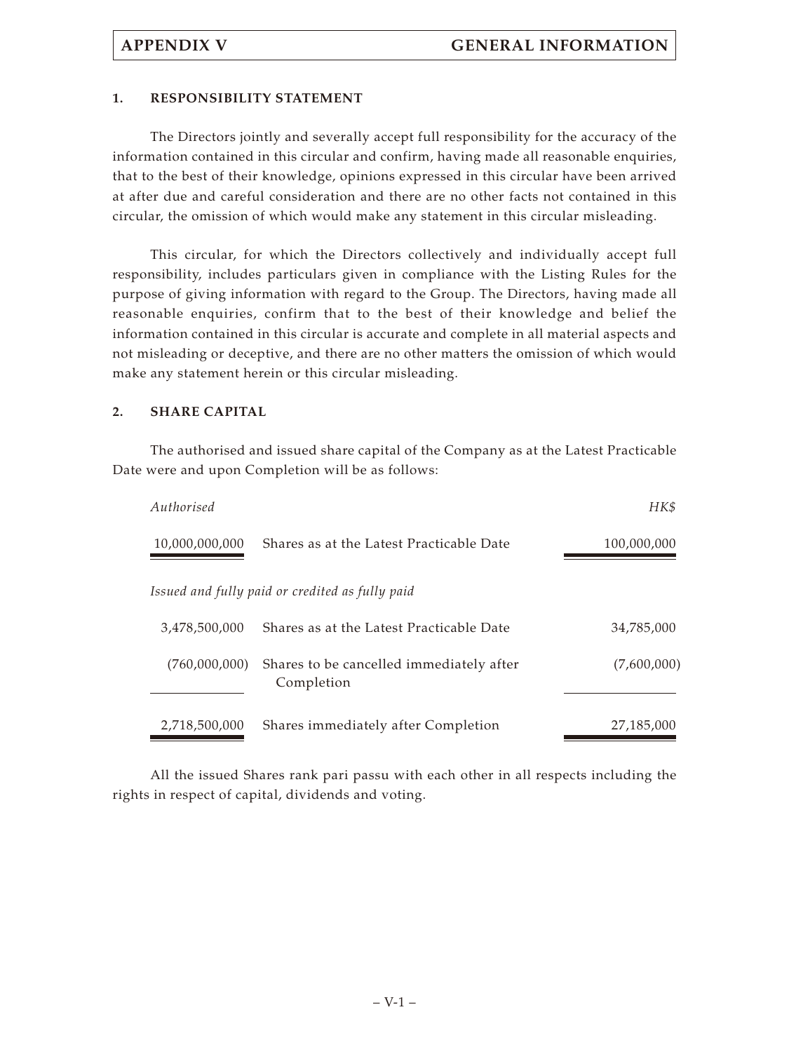## **1. RESPONSIBILITY STATEMENT**

The Directors jointly and severally accept full responsibility for the accuracy of the information contained in this circular and confirm, having made all reasonable enquiries, that to the best of their knowledge, opinions expressed in this circular have been arrived at after due and careful consideration and there are no other facts not contained in this circular, the omission of which would make any statement in this circular misleading.

This circular, for which the Directors collectively and individually accept full responsibility, includes particulars given in compliance with the Listing Rules for the purpose of giving information with regard to the Group. The Directors, having made all reasonable enquiries, confirm that to the best of their knowledge and belief the information contained in this circular is accurate and complete in all material aspects and not misleading or deceptive, and there are no other matters the omission of which would make any statement herein or this circular misleading.

## **2. SHARE CAPITAL**

The authorised and issued share capital of the Company as at the Latest Practicable Date were and upon Completion will be as follows:

| Authorised     |                                                        | HK\$        |
|----------------|--------------------------------------------------------|-------------|
| 10,000,000,000 | Shares as at the Latest Practicable Date               | 100,000,000 |
|                | Issued and fully paid or credited as fully paid        |             |
| 3.478.500.000  | Shares as at the Latest Practicable Date               | 34,785,000  |
| (760,000,000)  | Shares to be cancelled immediately after<br>Completion | (7,600,000) |
| 2,718,500,000  | Shares immediately after Completion                    | 27,185,000  |

All the issued Shares rank pari passu with each other in all respects including the rights in respect of capital, dividends and voting.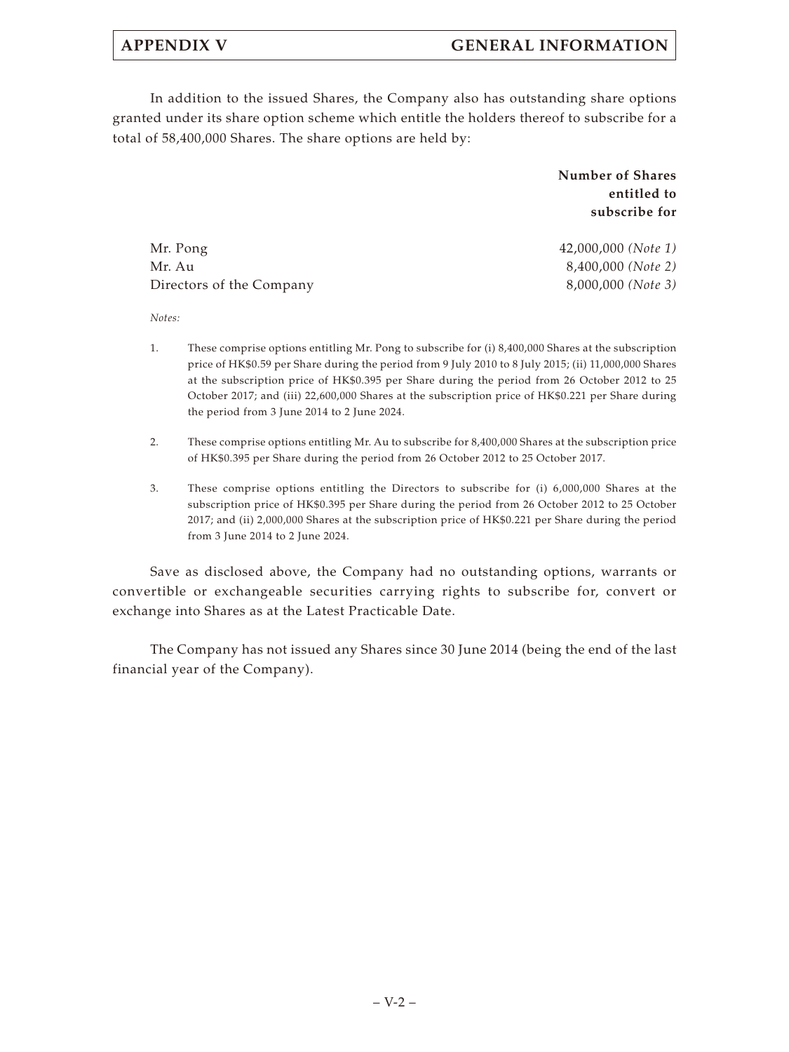In addition to the issued Shares, the Company also has outstanding share options granted under its share option scheme which entitle the holders thereof to subscribe for a total of 58,400,000 Shares. The share options are held by:

> **Number of Shares entitled to subscribe for**

Mr. Pong 42,000,000 *(Note 1)* Mr. Au 8,400,000 *(Note 2)* Directors of the Company 8,000,000 *(Note 3)*

*Notes:*

- 1. These comprise options entitling Mr. Pong to subscribe for (i) 8,400,000 Shares at the subscription price of HK\$0.59 per Share during the period from 9 July 2010 to 8 July 2015; (ii) 11,000,000 Shares at the subscription price of HK\$0.395 per Share during the period from 26 October 2012 to 25 October 2017; and (iii) 22,600,000 Shares at the subscription price of HK\$0.221 per Share during the period from 3 June 2014 to 2 June 2024.
- 2. These comprise options entitling Mr. Au to subscribe for 8,400,000 Shares at the subscription price of HK\$0.395 per Share during the period from 26 October 2012 to 25 October 2017.
- 3. These comprise options entitling the Directors to subscribe for (i) 6,000,000 Shares at the subscription price of HK\$0.395 per Share during the period from 26 October 2012 to 25 October 2017; and (ii) 2,000,000 Shares at the subscription price of HK\$0.221 per Share during the period from 3 June 2014 to 2 June 2024.

Save as disclosed above, the Company had no outstanding options, warrants or convertible or exchangeable securities carrying rights to subscribe for, convert or exchange into Shares as at the Latest Practicable Date.

The Company has not issued any Shares since 30 June 2014 (being the end of the last financial year of the Company).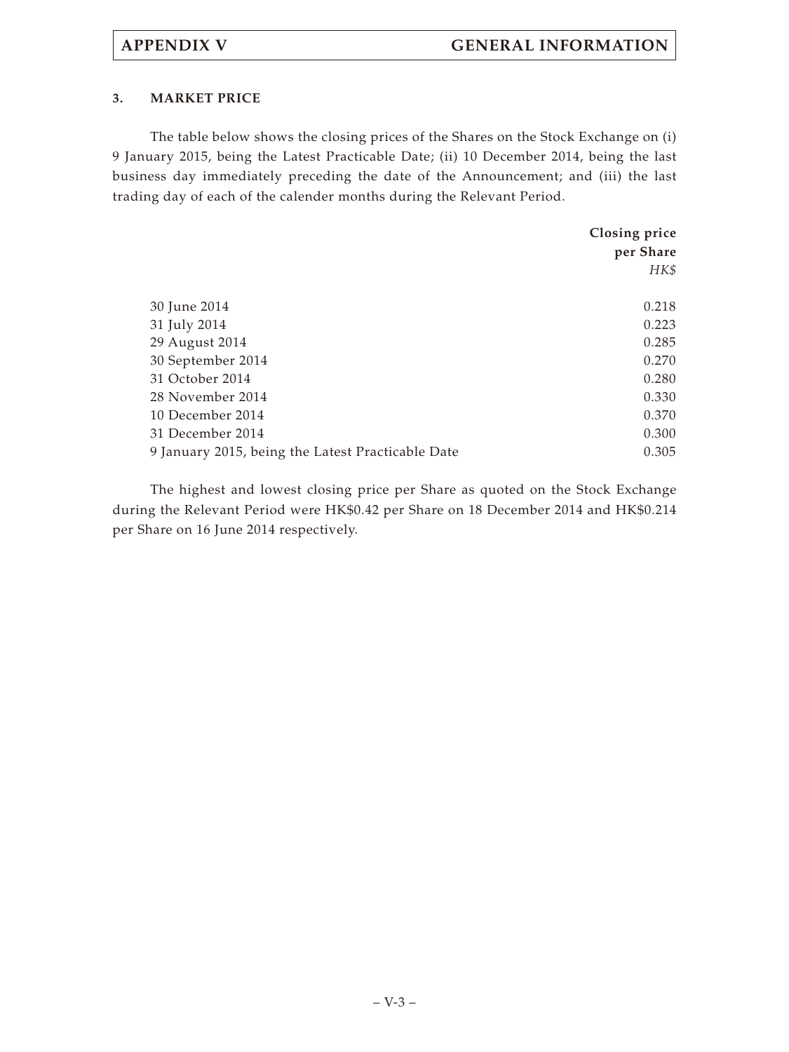## **3. MARKET PRICE**

The table below shows the closing prices of the Shares on the Stock Exchange on (i) 9 January 2015, being the Latest Practicable Date; (ii) 10 December 2014, being the last business day immediately preceding the date of the Announcement; and (iii) the last trading day of each of the calender months during the Relevant Period.

|                                                   | Closing price |
|---------------------------------------------------|---------------|
|                                                   | per Share     |
|                                                   | HK\$          |
|                                                   |               |
| 30 June 2014                                      | 0.218         |
| 31 July 2014                                      | 0.223         |
| 29 August 2014                                    | 0.285         |
| 30 September 2014                                 | 0.270         |
| 31 October 2014                                   | 0.280         |
| 28 November 2014                                  | 0.330         |
| 10 December 2014                                  | 0.370         |
| 31 December 2014                                  | 0.300         |
| 9 January 2015, being the Latest Practicable Date | 0.305         |

The highest and lowest closing price per Share as quoted on the Stock Exchange during the Relevant Period were HK\$0.42 per Share on 18 December 2014 and HK\$0.214 per Share on 16 June 2014 respectively.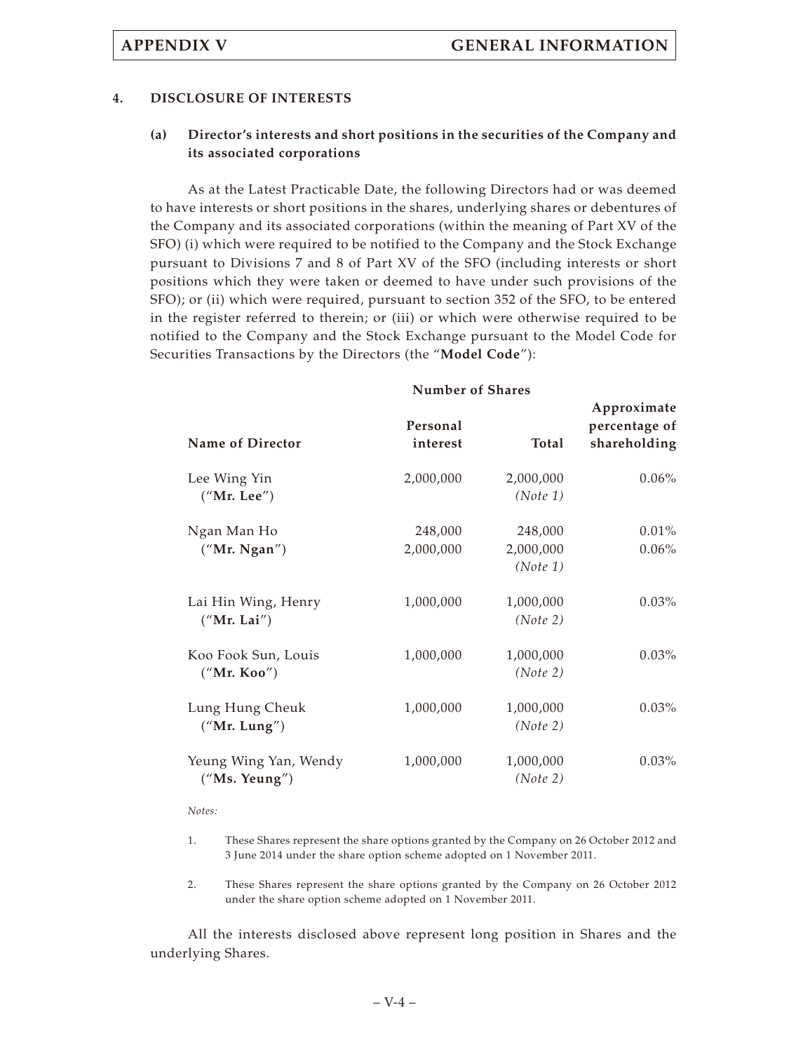## **4. DISCLOSURE OF INTERESTS**

## **(a) Director's interests and short positions in the securities of the Company and its associated corporations**

As at the Latest Practicable Date, the following Directors had or was deemed to have interests or short positions in the shares, underlying shares or debentures of the Company and its associated corporations (within the meaning of Part XV of the SFO) (i) which were required to be notified to the Company and the Stock Exchange pursuant to Divisions 7 and 8 of Part XV of the SFO (including interests or short positions which they were taken or deemed to have under such provisions of the SFO); or (ii) which were required, pursuant to section 352 of the SFO, to be entered in the register referred to therein; or (iii) or which were otherwise required to be notified to the Company and the Stock Exchange pursuant to the Model Code for Securities Transactions by the Directors (the "**Model Code**"):

| <b>Number of Shares</b>                |                      |                                  |                                              |
|----------------------------------------|----------------------|----------------------------------|----------------------------------------------|
| <b>Name of Director</b>                | Personal<br>interest | Total                            | Approximate<br>percentage of<br>shareholding |
| Lee Wing Yin<br>("Mr. Lee")            | 2,000,000            | 2,000,000<br>(Note 1)            | $0.06\%$                                     |
| Ngan Man Ho<br>("Mr. Ngan")            | 248,000<br>2,000,000 | 248,000<br>2,000,000<br>(Note 1) | 0.01%<br>0.06%                               |
| Lai Hin Wing, Henry<br>("Mr. Lai")     | 1,000,000            | 1,000,000<br>(Note 2)            | $0.03\%$                                     |
| Koo Fook Sun, Louis<br>("Mr. Koo")     | 1,000,000            | 1,000,000<br>(Note 2)            | $0.03\%$                                     |
| Lung Hung Cheuk<br>("Mr. Lung")        | 1,000,000            | 1,000,000<br>(Note 2)            | $0.03\%$                                     |
| Yeung Wing Yan, Wendy<br>("Ms. Yeung") | 1,000,000            | 1,000,000<br>(Note 2)            | $0.03\%$                                     |

## *Notes:*

- 1. These Shares represent the share options granted by the Company on 26 October 2012 and 3 June 2014 under the share option scheme adopted on 1 November 2011.
- 2. These Shares represent the share options granted by the Company on 26 October 2012 under the share option scheme adopted on 1 November 2011.

All the interests disclosed above represent long position in Shares and the underlying Shares.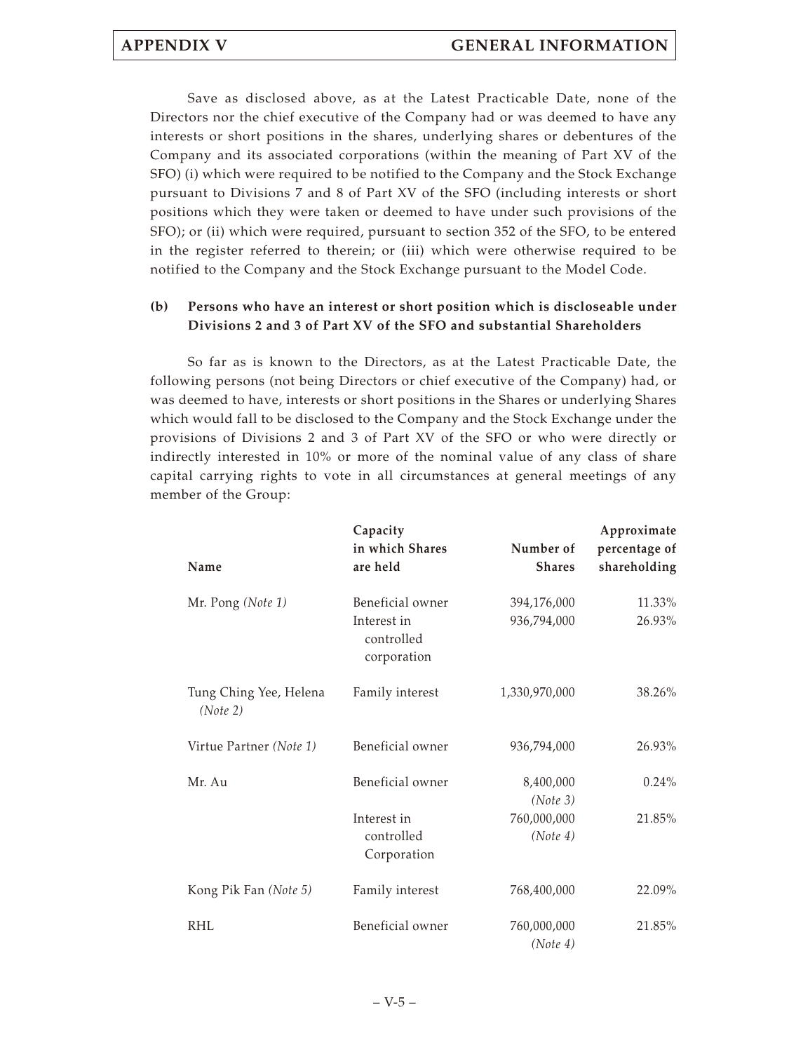Save as disclosed above, as at the Latest Practicable Date, none of the Directors nor the chief executive of the Company had or was deemed to have any interests or short positions in the shares, underlying shares or debentures of the Company and its associated corporations (within the meaning of Part XV of the SFO) (i) which were required to be notified to the Company and the Stock Exchange pursuant to Divisions 7 and 8 of Part XV of the SFO (including interests or short positions which they were taken or deemed to have under such provisions of the SFO); or (ii) which were required, pursuant to section 352 of the SFO, to be entered in the register referred to therein; or (iii) which were otherwise required to be notified to the Company and the Stock Exchange pursuant to the Model Code.

## **(b) Persons who have an interest or short position which is discloseable under Divisions 2 and 3 of Part XV of the SFO and substantial Shareholders**

So far as is known to the Directors, as at the Latest Practicable Date, the following persons (not being Directors or chief executive of the Company) had, or was deemed to have, interests or short positions in the Shares or underlying Shares which would fall to be disclosed to the Company and the Stock Exchange under the provisions of Divisions 2 and 3 of Part XV of the SFO or who were directly or indirectly interested in 10% or more of the nominal value of any class of share capital carrying rights to vote in all circumstances at general meetings of any member of the Group:

| Name                               | Capacity<br>in which Shares<br>are held                      | Number of<br><b>Shares</b> | Approximate<br>percentage of<br>shareholding |
|------------------------------------|--------------------------------------------------------------|----------------------------|----------------------------------------------|
| Mr. Pong (Note 1)                  | Beneficial owner<br>Interest in<br>controlled<br>corporation | 394,176,000<br>936,794,000 | 11.33%<br>26.93%                             |
| Tung Ching Yee, Helena<br>(Note 2) | Family interest                                              | 1,330,970,000              | 38.26%                                       |
| Virtue Partner (Note 1)            | Beneficial owner                                             | 936,794,000                | 26.93%                                       |
| Mr. Au                             | Beneficial owner                                             | 8,400,000<br>(Note 3)      | 0.24%                                        |
|                                    | Interest in<br>controlled<br>Corporation                     | 760,000,000<br>(Note 4)    | 21.85%                                       |
| Kong Pik Fan (Note 5)              | Family interest                                              | 768,400,000                | 22.09%                                       |
| <b>RHL</b>                         | Beneficial owner                                             | 760,000,000<br>(Note 4)    | 21.85%                                       |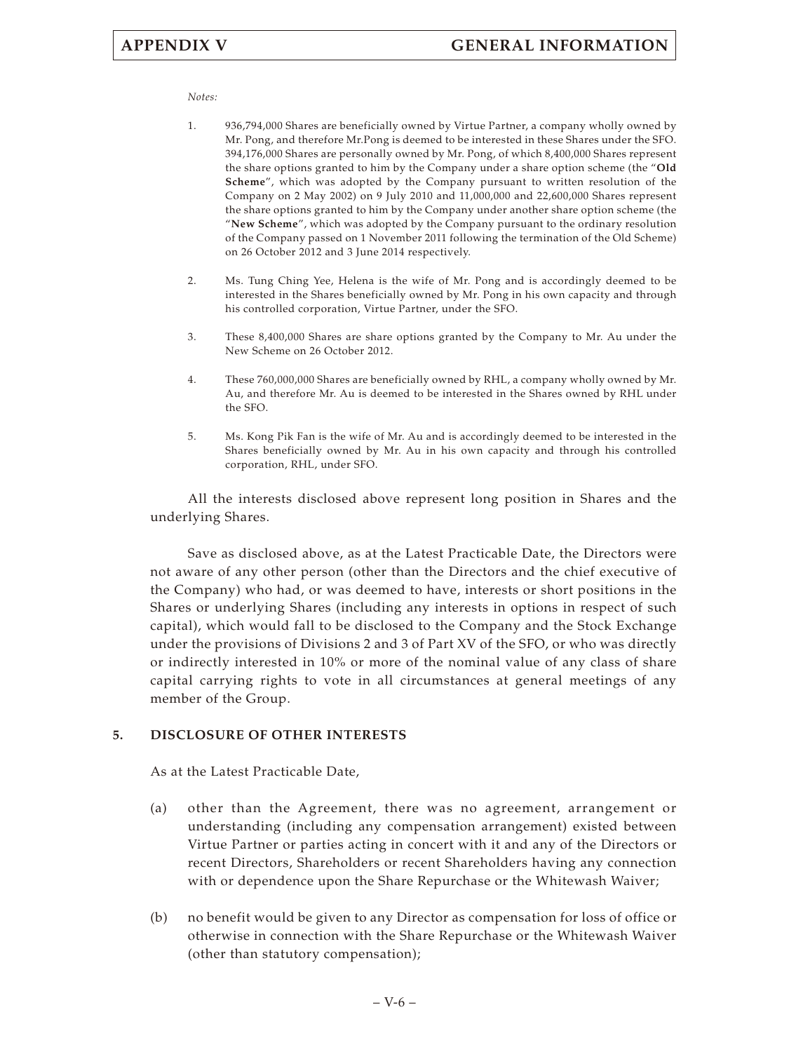## *Notes:*

- 1. 936,794,000 Shares are beneficially owned by Virtue Partner, a company wholly owned by Mr. Pong, and therefore Mr.Pong is deemed to be interested in these Shares under the SFO. 394,176,000 Shares are personally owned by Mr. Pong, of which 8,400,000 Shares represent the share options granted to him by the Company under a share option scheme (the "**Old Scheme**", which was adopted by the Company pursuant to written resolution of the Company on 2 May 2002) on 9 July 2010 and 11,000,000 and 22,600,000 Shares represent the share options granted to him by the Company under another share option scheme (the "**New Scheme**", which was adopted by the Company pursuant to the ordinary resolution of the Company passed on 1 November 2011 following the termination of the Old Scheme) on 26 October 2012 and 3 June 2014 respectively.
- 2. Ms. Tung Ching Yee, Helena is the wife of Mr. Pong and is accordingly deemed to be interested in the Shares beneficially owned by Mr. Pong in his own capacity and through his controlled corporation, Virtue Partner, under the SFO.
- 3. These 8,400,000 Shares are share options granted by the Company to Mr. Au under the New Scheme on 26 October 2012.
- 4. These 760,000,000 Shares are beneficially owned by RHL, a company wholly owned by Mr. Au, and therefore Mr. Au is deemed to be interested in the Shares owned by RHL under the SFO.
- 5. Ms. Kong Pik Fan is the wife of Mr. Au and is accordingly deemed to be interested in the Shares beneficially owned by Mr. Au in his own capacity and through his controlled corporation, RHL, under SFO.

All the interests disclosed above represent long position in Shares and the underlying Shares.

Save as disclosed above, as at the Latest Practicable Date, the Directors were not aware of any other person (other than the Directors and the chief executive of the Company) who had, or was deemed to have, interests or short positions in the Shares or underlying Shares (including any interests in options in respect of such capital), which would fall to be disclosed to the Company and the Stock Exchange under the provisions of Divisions 2 and 3 of Part XV of the SFO, or who was directly or indirectly interested in 10% or more of the nominal value of any class of share capital carrying rights to vote in all circumstances at general meetings of any member of the Group.

## **5. DISCLOSURE OF OTHER INTERESTS**

As at the Latest Practicable Date,

- (a) other than the Agreement, there was no agreement, arrangement or understanding (including any compensation arrangement) existed between Virtue Partner or parties acting in concert with it and any of the Directors or recent Directors, Shareholders or recent Shareholders having any connection with or dependence upon the Share Repurchase or the Whitewash Waiver;
- (b) no benefit would be given to any Director as compensation for loss of office or otherwise in connection with the Share Repurchase or the Whitewash Waiver (other than statutory compensation);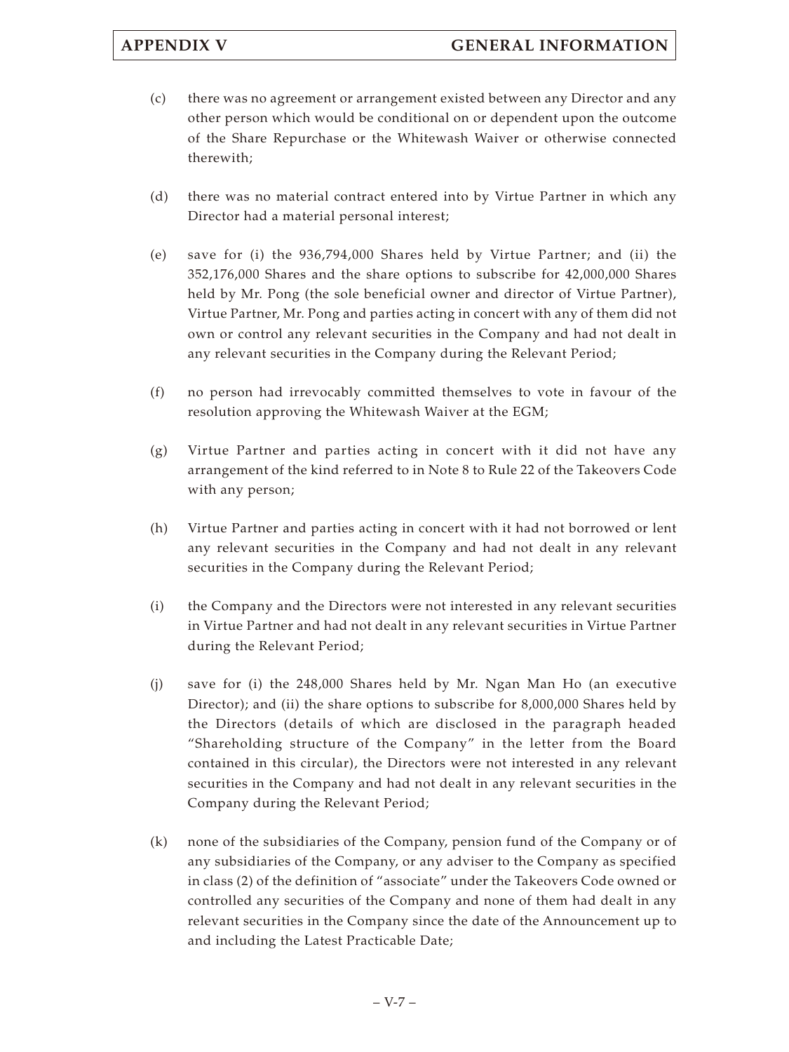- (c) there was no agreement or arrangement existed between any Director and any other person which would be conditional on or dependent upon the outcome of the Share Repurchase or the Whitewash Waiver or otherwise connected therewith;
- (d) there was no material contract entered into by Virtue Partner in which any Director had a material personal interest;
- (e) save for (i) the 936,794,000 Shares held by Virtue Partner; and (ii) the 352,176,000 Shares and the share options to subscribe for 42,000,000 Shares held by Mr. Pong (the sole beneficial owner and director of Virtue Partner), Virtue Partner, Mr. Pong and parties acting in concert with any of them did not own or control any relevant securities in the Company and had not dealt in any relevant securities in the Company during the Relevant Period;
- (f) no person had irrevocably committed themselves to vote in favour of the resolution approving the Whitewash Waiver at the EGM;
- (g) Virtue Partner and parties acting in concert with it did not have any arrangement of the kind referred to in Note 8 to Rule 22 of the Takeovers Code with any person;
- (h) Virtue Partner and parties acting in concert with it had not borrowed or lent any relevant securities in the Company and had not dealt in any relevant securities in the Company during the Relevant Period;
- (i) the Company and the Directors were not interested in any relevant securities in Virtue Partner and had not dealt in any relevant securities in Virtue Partner during the Relevant Period;
- (j) save for (i) the 248,000 Shares held by Mr. Ngan Man Ho (an executive Director); and (ii) the share options to subscribe for 8,000,000 Shares held by the Directors (details of which are disclosed in the paragraph headed "Shareholding structure of the Company" in the letter from the Board contained in this circular), the Directors were not interested in any relevant securities in the Company and had not dealt in any relevant securities in the Company during the Relevant Period;
- (k) none of the subsidiaries of the Company, pension fund of the Company or of any subsidiaries of the Company, or any adviser to the Company as specified in class (2) of the definition of "associate" under the Takeovers Code owned or controlled any securities of the Company and none of them had dealt in any relevant securities in the Company since the date of the Announcement up to and including the Latest Practicable Date;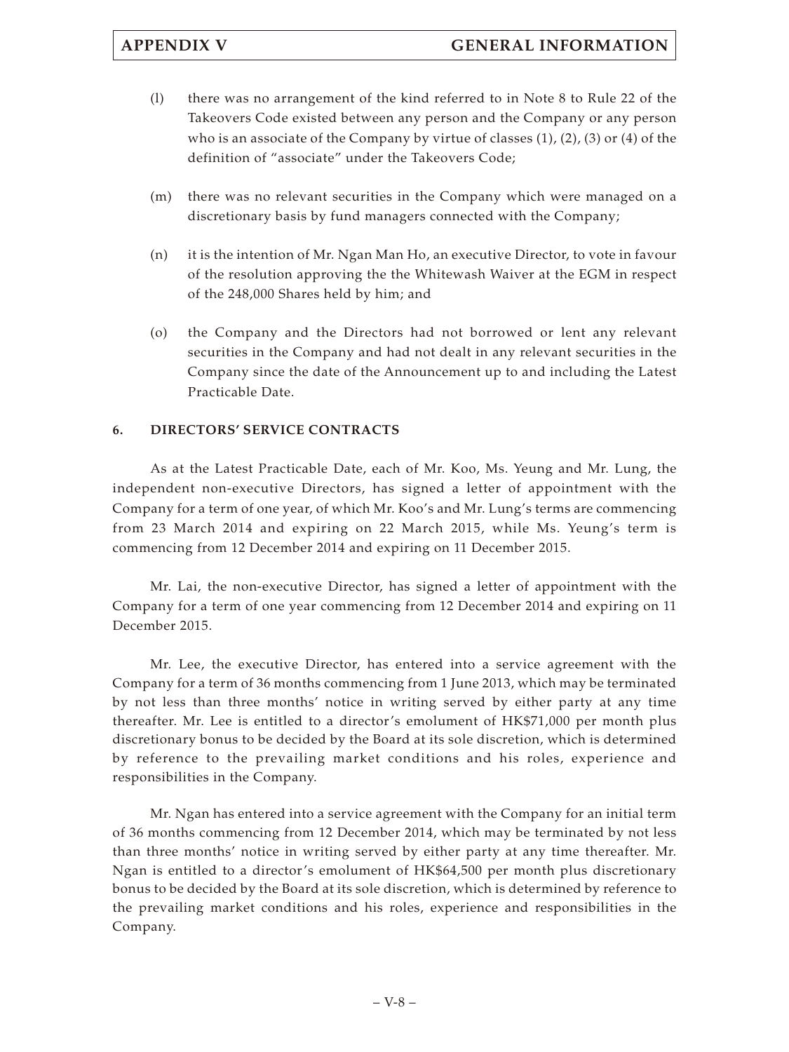- (l) there was no arrangement of the kind referred to in Note 8 to Rule 22 of the Takeovers Code existed between any person and the Company or any person who is an associate of the Company by virtue of classes  $(1)$ ,  $(2)$ ,  $(3)$  or  $(4)$  of the definition of "associate" under the Takeovers Code;
- (m) there was no relevant securities in the Company which were managed on a discretionary basis by fund managers connected with the Company;
- (n) it is the intention of Mr. Ngan Man Ho, an executive Director, to vote in favour of the resolution approving the the Whitewash Waiver at the EGM in respect of the 248,000 Shares held by him; and
- (o) the Company and the Directors had not borrowed or lent any relevant securities in the Company and had not dealt in any relevant securities in the Company since the date of the Announcement up to and including the Latest Practicable Date.

## **6. DIRECTORS' SERVICE CONTRACTS**

As at the Latest Practicable Date, each of Mr. Koo, Ms. Yeung and Mr. Lung, the independent non-executive Directors, has signed a letter of appointment with the Company for a term of one year, of which Mr. Koo's and Mr. Lung's terms are commencing from 23 March 2014 and expiring on 22 March 2015, while Ms. Yeung's term is commencing from 12 December 2014 and expiring on 11 December 2015.

Mr. Lai, the non-executive Director, has signed a letter of appointment with the Company for a term of one year commencing from 12 December 2014 and expiring on 11 December 2015.

Mr. Lee, the executive Director, has entered into a service agreement with the Company for a term of 36 months commencing from 1 June 2013, which may be terminated by not less than three months' notice in writing served by either party at any time thereafter. Mr. Lee is entitled to a director's emolument of HK\$71,000 per month plus discretionary bonus to be decided by the Board at its sole discretion, which is determined by reference to the prevailing market conditions and his roles, experience and responsibilities in the Company.

Mr. Ngan has entered into a service agreement with the Company for an initial term of 36 months commencing from 12 December 2014, which may be terminated by not less than three months' notice in writing served by either party at any time thereafter. Mr. Ngan is entitled to a director's emolument of HK\$64,500 per month plus discretionary bonus to be decided by the Board at its sole discretion, which is determined by reference to the prevailing market conditions and his roles, experience and responsibilities in the Company.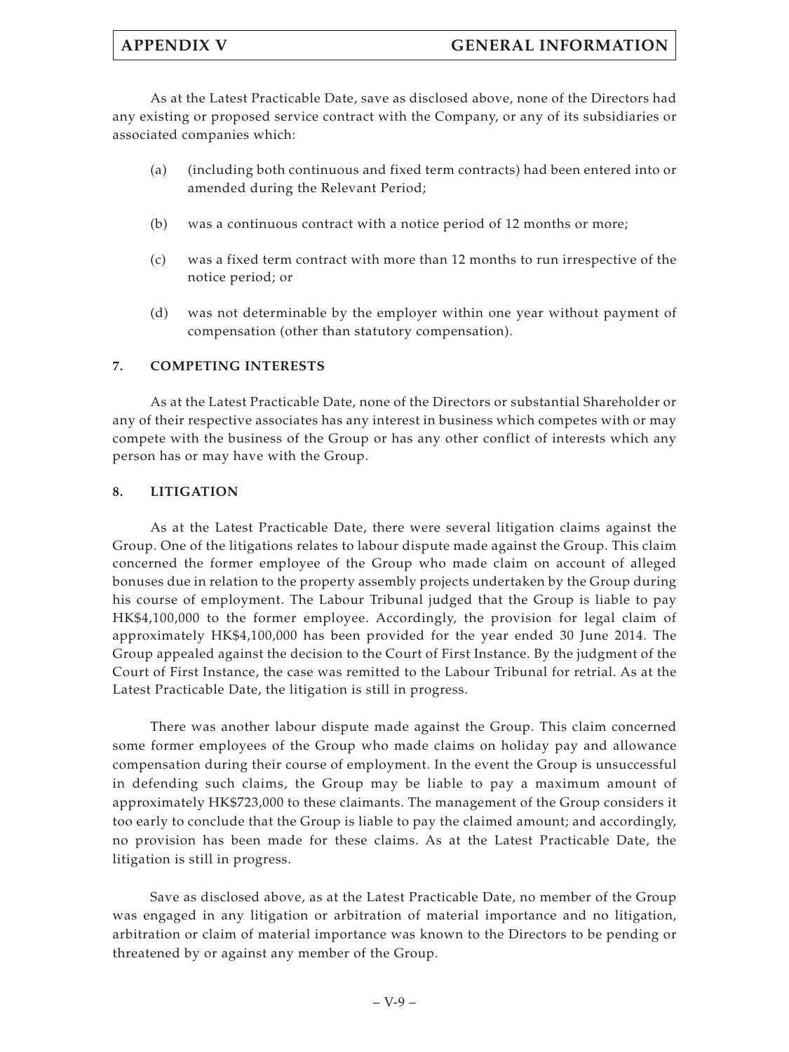As at the Latest Practicable Date, save as disclosed above, none of the Directors had any existing or proposed service contract with the Company, or any of its subsidiaries or associated companies which:

- (a) (including both continuous and fixed term contracts) had been entered into or amended during the Relevant Period;
- (b) was a continuous contract with a notice period of 12 months or more;
- (c) was a fixed term contract with more than 12 months to run irrespective of the notice period; or
- (d) was not determinable by the employer within one year without payment of compensation (other than statutory compensation).

## **7. COMPETING INTERESTS**

As at the Latest Practicable Date, none of the Directors or substantial Shareholder or any of their respective associates has any interest in business which competes with or may compete with the business of the Group or has any other conflict of interests which any person has or may have with the Group.

## **8. LITIGATION**

As at the Latest Practicable Date, there were several litigation claims against the Group. One of the litigations relates to labour dispute made against the Group. This claim concerned the former employee of the Group who made claim on account of alleged bonuses due in relation to the property assembly projects undertaken by the Group during his course of employment. The Labour Tribunal judged that the Group is liable to pay HK\$4,100,000 to the former employee. Accordingly, the provision for legal claim of approximately HK\$4,100,000 has been provided for the year ended 30 June 2014. The Group appealed against the decision to the Court of First Instance. By the judgment of the Court of First Instance, the case was remitted to the Labour Tribunal for retrial. As at the Latest Practicable Date, the litigation is still in progress.

There was another labour dispute made against the Group. This claim concerned some former employees of the Group who made claims on holiday pay and allowance compensation during their course of employment. In the event the Group is unsuccessful in defending such claims, the Group may be liable to pay a maximum amount of approximately HK\$723,000 to these claimants. The management of the Group considers it too early to conclude that the Group is liable to pay the claimed amount; and accordingly, no provision has been made for these claims. As at the Latest Practicable Date, the litigation is still in progress.

Save as disclosed above, as at the Latest Practicable Date, no member of the Group was engaged in any litigation or arbitration of material importance and no litigation, arbitration or claim of material importance was known to the Directors to be pending or threatened by or against any member of the Group.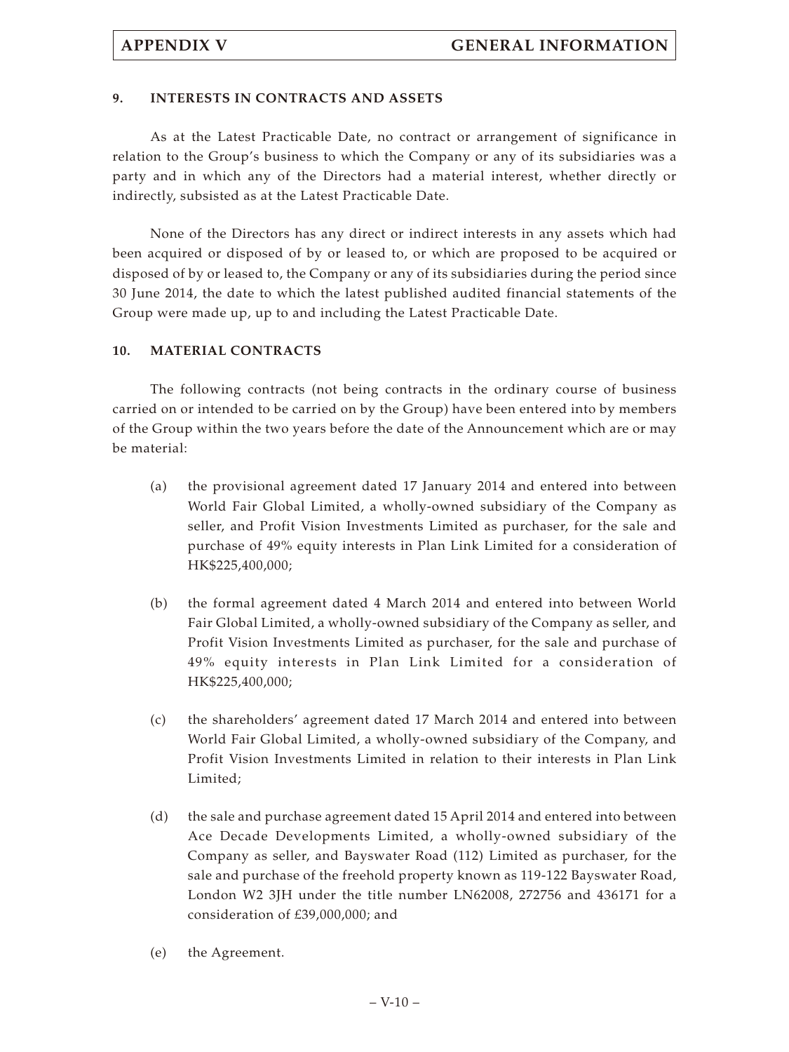## **9. INTERESTS IN CONTRACTS AND ASSETS**

As at the Latest Practicable Date, no contract or arrangement of significance in relation to the Group's business to which the Company or any of its subsidiaries was a party and in which any of the Directors had a material interest, whether directly or indirectly, subsisted as at the Latest Practicable Date.

None of the Directors has any direct or indirect interests in any assets which had been acquired or disposed of by or leased to, or which are proposed to be acquired or disposed of by or leased to, the Company or any of its subsidiaries during the period since 30 June 2014, the date to which the latest published audited financial statements of the Group were made up, up to and including the Latest Practicable Date.

## **10. MATERIAL CONTRACTS**

The following contracts (not being contracts in the ordinary course of business carried on or intended to be carried on by the Group) have been entered into by members of the Group within the two years before the date of the Announcement which are or may be material:

- (a) the provisional agreement dated 17 January 2014 and entered into between World Fair Global Limited, a wholly-owned subsidiary of the Company as seller, and Profit Vision Investments Limited as purchaser, for the sale and purchase of 49% equity interests in Plan Link Limited for a consideration of HK\$225,400,000;
- (b) the formal agreement dated 4 March 2014 and entered into between World Fair Global Limited, a wholly-owned subsidiary of the Company as seller, and Profit Vision Investments Limited as purchaser, for the sale and purchase of 49% equity interests in Plan Link Limited for a consideration of HK\$225,400,000;
- (c) the shareholders' agreement dated 17 March 2014 and entered into between World Fair Global Limited, a wholly-owned subsidiary of the Company, and Profit Vision Investments Limited in relation to their interests in Plan Link Limited;
- (d) the sale and purchase agreement dated 15 April 2014 and entered into between Ace Decade Developments Limited, a wholly-owned subsidiary of the Company as seller, and Bayswater Road (112) Limited as purchaser, for the sale and purchase of the freehold property known as 119-122 Bayswater Road, London W2 3JH under the title number LN62008, 272756 and 436171 for a consideration of £39,000,000; and
- (e) the Agreement.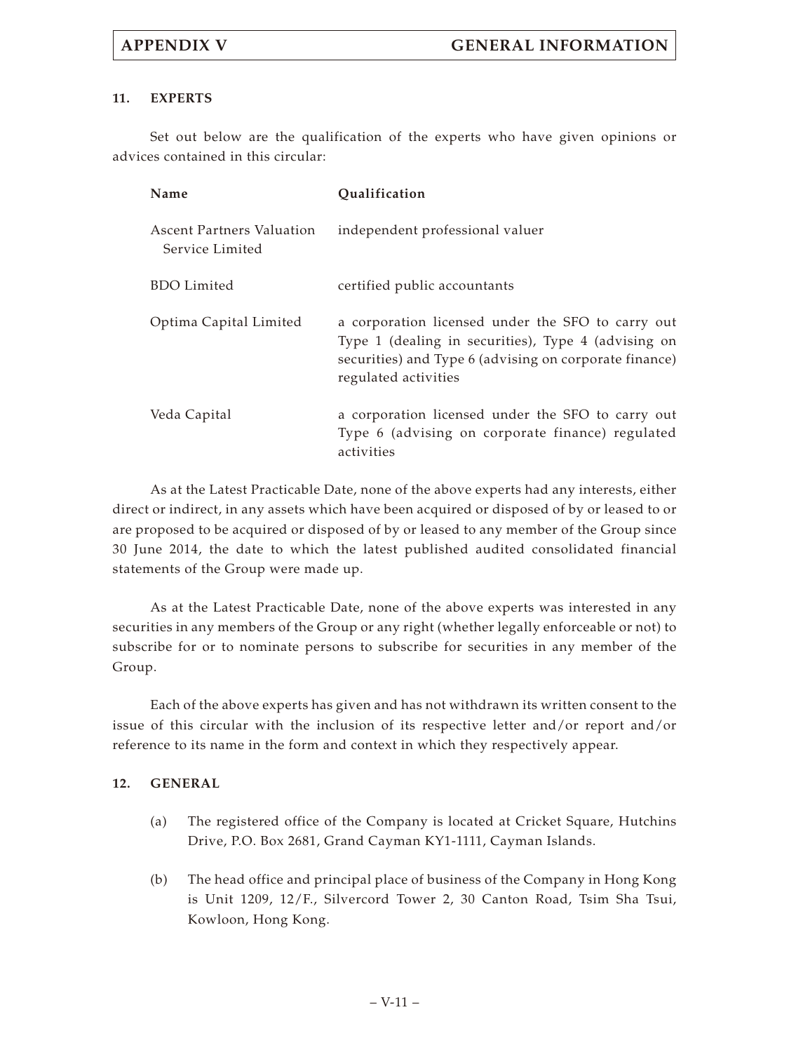## **11. EXPERTS**

Set out below are the qualification of the experts who have given opinions or advices contained in this circular:

| Name                                                | Qualification                                                                                                                                                                              |
|-----------------------------------------------------|--------------------------------------------------------------------------------------------------------------------------------------------------------------------------------------------|
| <b>Ascent Partners Valuation</b><br>Service Limited | independent professional valuer                                                                                                                                                            |
| <b>BDO</b> Limited                                  | certified public accountants                                                                                                                                                               |
| Optima Capital Limited                              | a corporation licensed under the SFO to carry out<br>Type 1 (dealing in securities), Type 4 (advising on<br>securities) and Type 6 (advising on corporate finance)<br>regulated activities |
| Veda Capital                                        | a corporation licensed under the SFO to carry out<br>Type 6 (advising on corporate finance) regulated<br>activities                                                                        |

As at the Latest Practicable Date, none of the above experts had any interests, either direct or indirect, in any assets which have been acquired or disposed of by or leased to or are proposed to be acquired or disposed of by or leased to any member of the Group since 30 June 2014, the date to which the latest published audited consolidated financial statements of the Group were made up.

As at the Latest Practicable Date, none of the above experts was interested in any securities in any members of the Group or any right (whether legally enforceable or not) to subscribe for or to nominate persons to subscribe for securities in any member of the Group.

Each of the above experts has given and has not withdrawn its written consent to the issue of this circular with the inclusion of its respective letter and/or report and/or reference to its name in the form and context in which they respectively appear.

## **12. GENERAL**

- (a) The registered office of the Company is located at Cricket Square, Hutchins Drive, P.O. Box 2681, Grand Cayman KY1-1111, Cayman Islands.
- (b) The head office and principal place of business of the Company in Hong Kong is Unit 1209, 12/F., Silvercord Tower 2, 30 Canton Road, Tsim Sha Tsui, Kowloon, Hong Kong.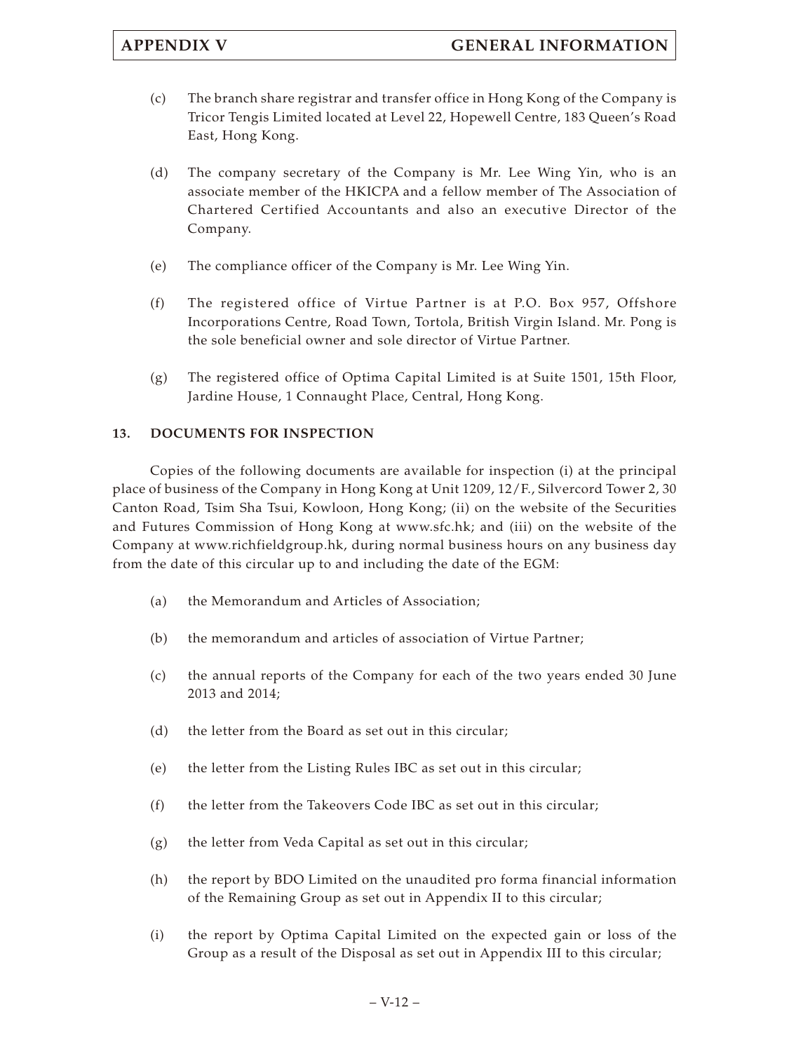- (c) The branch share registrar and transfer office in Hong Kong of the Company is Tricor Tengis Limited located at Level 22, Hopewell Centre, 183 Queen's Road East, Hong Kong.
- (d) The company secretary of the Company is Mr. Lee Wing Yin, who is an associate member of the HKICPA and a fellow member of The Association of Chartered Certified Accountants and also an executive Director of the Company.
- (e) The compliance officer of the Company is Mr. Lee Wing Yin.
- (f) The registered office of Virtue Partner is at P.O. Box 957, Offshore Incorporations Centre, Road Town, Tortola, British Virgin Island. Mr. Pong is the sole beneficial owner and sole director of Virtue Partner.
- (g) The registered office of Optima Capital Limited is at Suite 1501, 15th Floor, Jardine House, 1 Connaught Place, Central, Hong Kong.

## **13. DOCUMENTS FOR INSPECTION**

Copies of the following documents are available for inspection (i) at the principal place of business of the Company in Hong Kong at Unit 1209, 12/F., Silvercord Tower 2, 30 Canton Road, Tsim Sha Tsui, Kowloon, Hong Kong; (ii) on the website of the Securities and Futures Commission of Hong Kong at www.sfc.hk; and (iii) on the website of the Company at www.richfieldgroup.hk, during normal business hours on any business day from the date of this circular up to and including the date of the EGM:

- (a) the Memorandum and Articles of Association;
- (b) the memorandum and articles of association of Virtue Partner;
- (c) the annual reports of the Company for each of the two years ended 30 June 2013 and 2014;
- (d) the letter from the Board as set out in this circular;
- (e) the letter from the Listing Rules IBC as set out in this circular;
- (f) the letter from the Takeovers Code IBC as set out in this circular;
- (g) the letter from Veda Capital as set out in this circular;
- (h) the report by BDO Limited on the unaudited pro forma financial information of the Remaining Group as set out in Appendix II to this circular;
- (i) the report by Optima Capital Limited on the expected gain or loss of the Group as a result of the Disposal as set out in Appendix III to this circular;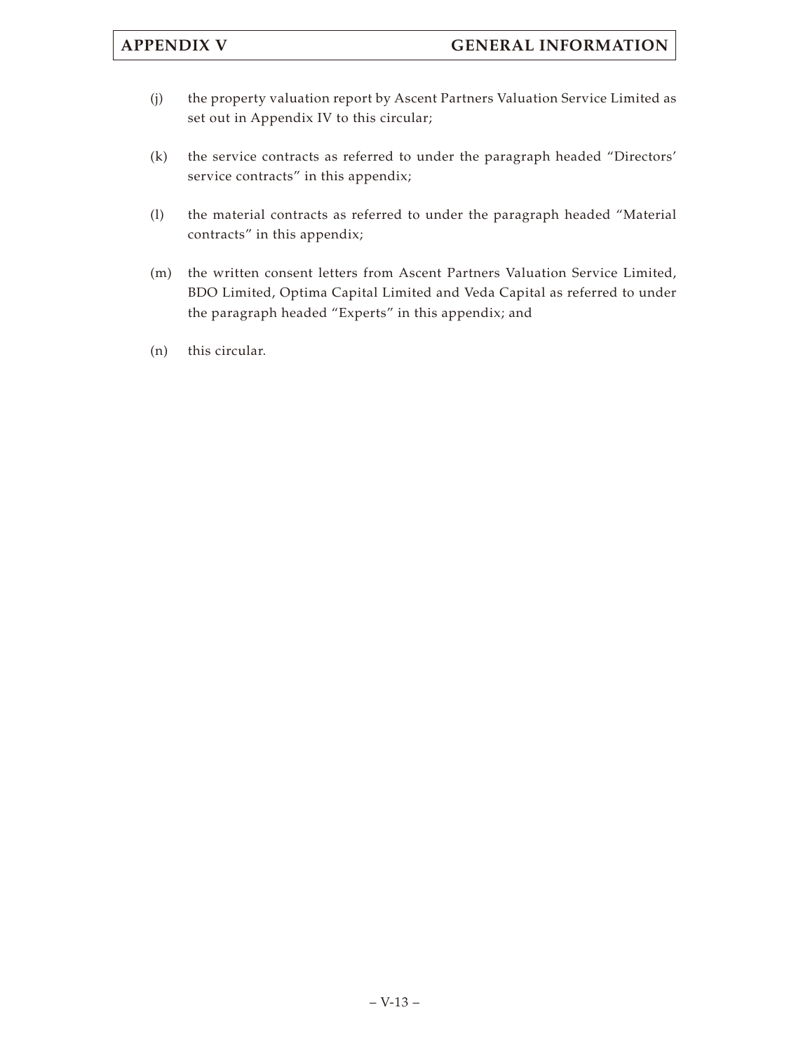- (j) the property valuation report by Ascent Partners Valuation Service Limited as set out in Appendix IV to this circular;
- (k) the service contracts as referred to under the paragraph headed "Directors' service contracts" in this appendix;
- (l) the material contracts as referred to under the paragraph headed "Material contracts" in this appendix;
- (m) the written consent letters from Ascent Partners Valuation Service Limited, BDO Limited, Optima Capital Limited and Veda Capital as referred to under the paragraph headed "Experts" in this appendix; and
- (n) this circular.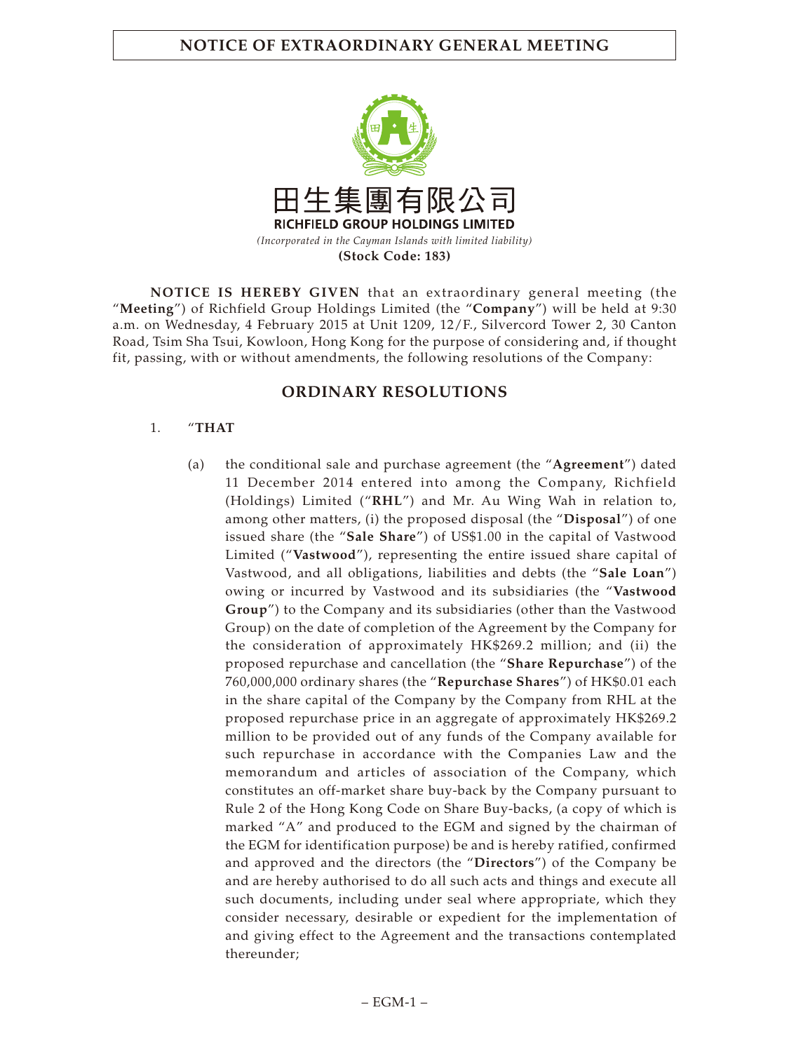**NOTICE OF EXTRAORDINARY GENERAL MEETING**



**NOTICE IS HEREBY GIVEN** that an extraordinary general meeting (the "**Meeting**") of Richfield Group Holdings Limited (the "**Company**") will be held at 9:30 a.m. on Wednesday, 4 February 2015 at Unit 1209, 12/F., Silvercord Tower 2, 30 Canton Road, Tsim Sha Tsui, Kowloon, Hong Kong for the purpose of considering and, if thought fit, passing, with or without amendments, the following resolutions of the Company:

## **ORDINARY RESOLUTIONS**

## 1. "**THAT**

(a) the conditional sale and purchase agreement (the "**Agreement**") dated 11 December 2014 entered into among the Company, Richfield (Holdings) Limited ("**RHL**") and Mr. Au Wing Wah in relation to, among other matters, (i) the proposed disposal (the "**Disposal**") of one issued share (the "**Sale Share**") of US\$1.00 in the capital of Vastwood Limited ("**Vastwood**"), representing the entire issued share capital of Vastwood, and all obligations, liabilities and debts (the "**Sale Loan**") owing or incurred by Vastwood and its subsidiaries (the "**Vastwood Group**") to the Company and its subsidiaries (other than the Vastwood Group) on the date of completion of the Agreement by the Company for the consideration of approximately HK\$269.2 million; and (ii) the proposed repurchase and cancellation (the "**Share Repurchase**") of the 760,000,000 ordinary shares (the "**Repurchase Shares**") of HK\$0.01 each in the share capital of the Company by the Company from RHL at the proposed repurchase price in an aggregate of approximately HK\$269.2 million to be provided out of any funds of the Company available for such repurchase in accordance with the Companies Law and the memorandum and articles of association of the Company, which constitutes an off-market share buy-back by the Company pursuant to Rule 2 of the Hong Kong Code on Share Buy-backs, (a copy of which is marked "A" and produced to the EGM and signed by the chairman of the EGM for identification purpose) be and is hereby ratified, confirmed and approved and the directors (the "**Directors**") of the Company be and are hereby authorised to do all such acts and things and execute all such documents, including under seal where appropriate, which they consider necessary, desirable or expedient for the implementation of and giving effect to the Agreement and the transactions contemplated thereunder;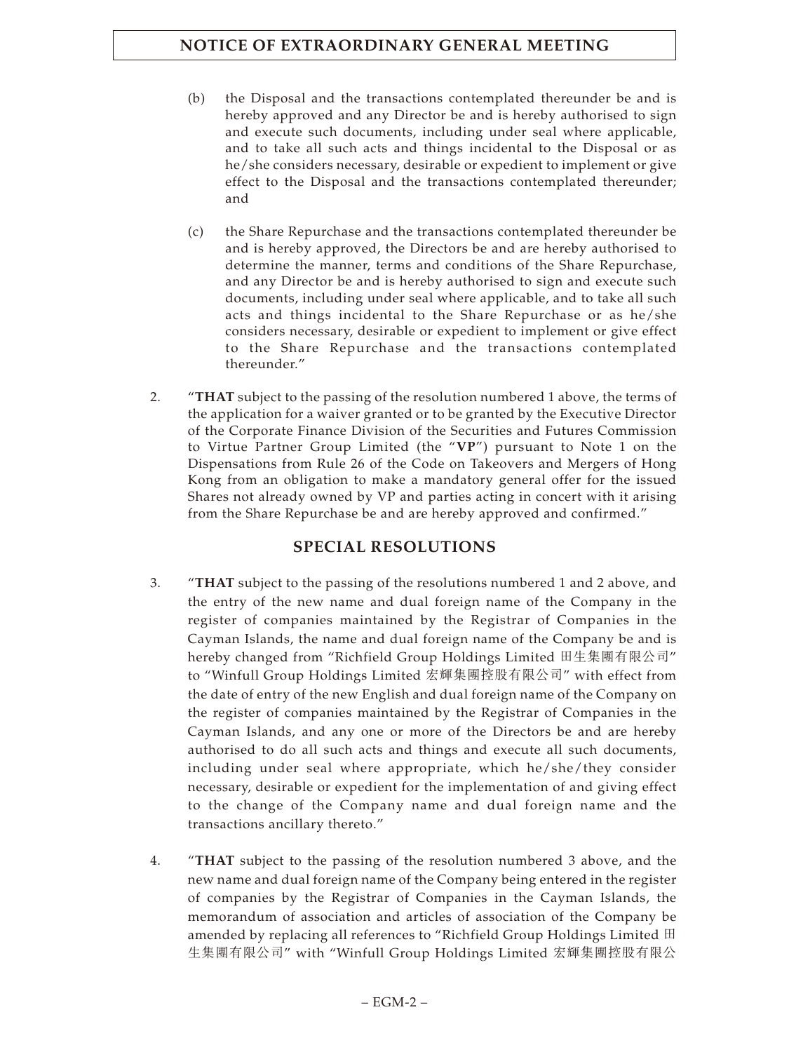- (b) the Disposal and the transactions contemplated thereunder be and is hereby approved and any Director be and is hereby authorised to sign and execute such documents, including under seal where applicable, and to take all such acts and things incidental to the Disposal or as he/she considers necessary, desirable or expedient to implement or give effect to the Disposal and the transactions contemplated thereunder; and
- (c) the Share Repurchase and the transactions contemplated thereunder be and is hereby approved, the Directors be and are hereby authorised to determine the manner, terms and conditions of the Share Repurchase, and any Director be and is hereby authorised to sign and execute such documents, including under seal where applicable, and to take all such acts and things incidental to the Share Repurchase or as he/she considers necessary, desirable or expedient to implement or give effect to the Share Repurchase and the transactions contemplated thereunder."
- 2. "**THAT** subject to the passing of the resolution numbered 1 above, the terms of the application for a waiver granted or to be granted by the Executive Director of the Corporate Finance Division of the Securities and Futures Commission to Virtue Partner Group Limited (the "**VP**") pursuant to Note 1 on the Dispensations from Rule 26 of the Code on Takeovers and Mergers of Hong Kong from an obligation to make a mandatory general offer for the issued Shares not already owned by VP and parties acting in concert with it arising from the Share Repurchase be and are hereby approved and confirmed."

# **SPECIAL RESOLUTIONS**

- 3. "**THAT** subject to the passing of the resolutions numbered 1 and 2 above, and the entry of the new name and dual foreign name of the Company in the register of companies maintained by the Registrar of Companies in the Cayman Islands, the name and dual foreign name of the Company be and is hereby changed from "Richfield Group Holdings Limited 田生集團有限公司" to "Winfull Group Holdings Limited 宏輝集團控股有限公司" with effect from the date of entry of the new English and dual foreign name of the Company on the register of companies maintained by the Registrar of Companies in the Cayman Islands, and any one or more of the Directors be and are hereby authorised to do all such acts and things and execute all such documents, including under seal where appropriate, which he/she/they consider necessary, desirable or expedient for the implementation of and giving effect to the change of the Company name and dual foreign name and the transactions ancillary thereto."
- 4. "**THAT** subject to the passing of the resolution numbered 3 above, and the new name and dual foreign name of the Company being entered in the register of companies by the Registrar of Companies in the Cayman Islands, the memorandum of association and articles of association of the Company be amended by replacing all references to "Richfield Group Holdings Limited 田 生集團有限公司" with "Winfull Group Holdings Limited 宏輝集團控股有限公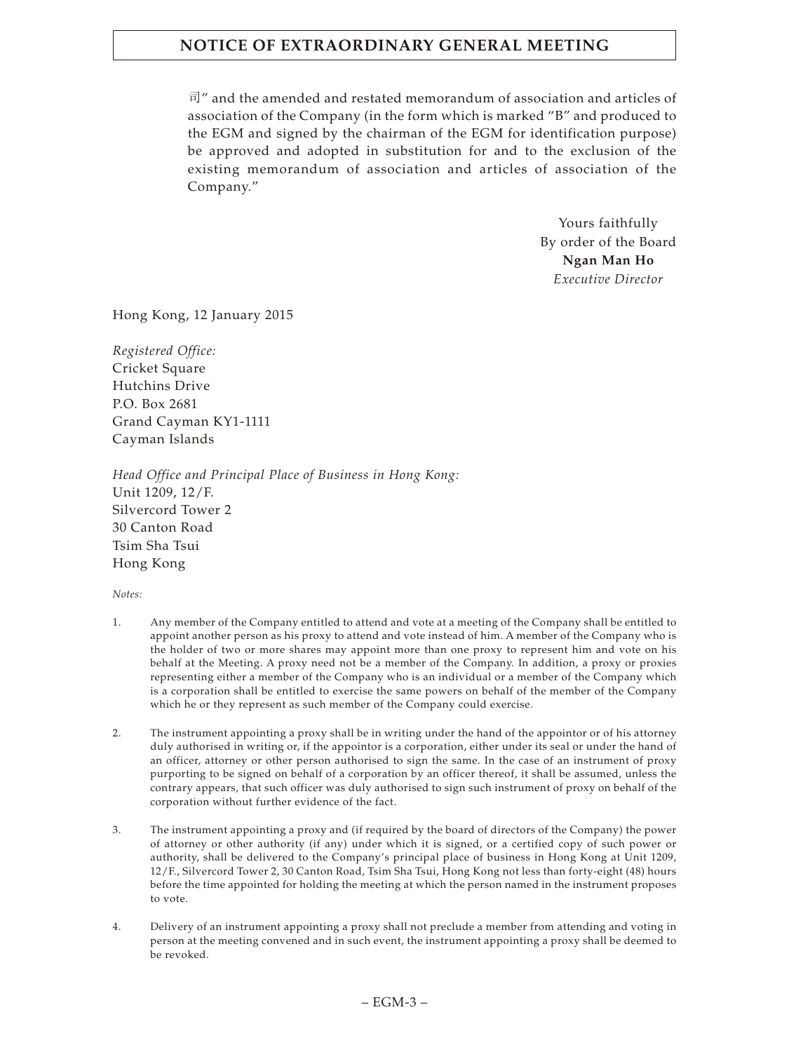# **NOTICE OF EXTRAORDINARY GENERAL MEETING**

司" and the amended and restated memorandum of association and articles of association of the Company (in the form which is marked "B" and produced to the EGM and signed by the chairman of the EGM for identification purpose) be approved and adopted in substitution for and to the exclusion of the existing memorandum of association and articles of association of the Company."

> Yours faithfully By order of the Board **Ngan Man Ho** *Executive Director*

Hong Kong, 12 January 2015

*Registered Office:* Cricket Square Hutchins Drive P.O. Box 2681 Grand Cayman KY1-1111 Cayman Islands

*Head Office and Principal Place of Business in Hong Kong:* Unit 1209, 12/F. Silvercord Tower 2 30 Canton Road Tsim Sha Tsui Hong Kong

*Notes:*

- 1. Any member of the Company entitled to attend and vote at a meeting of the Company shall be entitled to appoint another person as his proxy to attend and vote instead of him. A member of the Company who is the holder of two or more shares may appoint more than one proxy to represent him and vote on his behalf at the Meeting. A proxy need not be a member of the Company. In addition, a proxy or proxies representing either a member of the Company who is an individual or a member of the Company which is a corporation shall be entitled to exercise the same powers on behalf of the member of the Company which he or they represent as such member of the Company could exercise.
- 2. The instrument appointing a proxy shall be in writing under the hand of the appointor or of his attorney duly authorised in writing or, if the appointor is a corporation, either under its seal or under the hand of an officer, attorney or other person authorised to sign the same. In the case of an instrument of proxy purporting to be signed on behalf of a corporation by an officer thereof, it shall be assumed, unless the contrary appears, that such officer was duly authorised to sign such instrument of proxy on behalf of the corporation without further evidence of the fact.
- 3. The instrument appointing a proxy and (if required by the board of directors of the Company) the power of attorney or other authority (if any) under which it is signed, or a certified copy of such power or authority, shall be delivered to the Company's principal place of business in Hong Kong at Unit 1209, 12/F., Silvercord Tower 2, 30 Canton Road, Tsim Sha Tsui, Hong Kong not less than forty-eight (48) hours before the time appointed for holding the meeting at which the person named in the instrument proposes to vote.
- 4. Delivery of an instrument appointing a proxy shall not preclude a member from attending and voting in person at the meeting convened and in such event, the instrument appointing a proxy shall be deemed to be revoked.